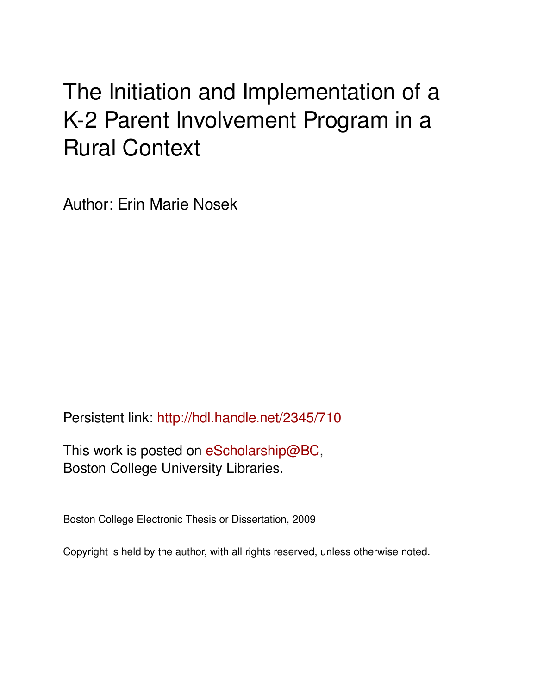## The Initiation and Implementation of a K-2 Parent Involvement Program in a Rural Context

Author: Erin Marie Nosek

Persistent link: <http://hdl.handle.net/2345/710>

This work is posted on [eScholarship@BC](http://escholarship.bc.edu), Boston College University Libraries.

Boston College Electronic Thesis or Dissertation, 2009

Copyright is held by the author, with all rights reserved, unless otherwise noted.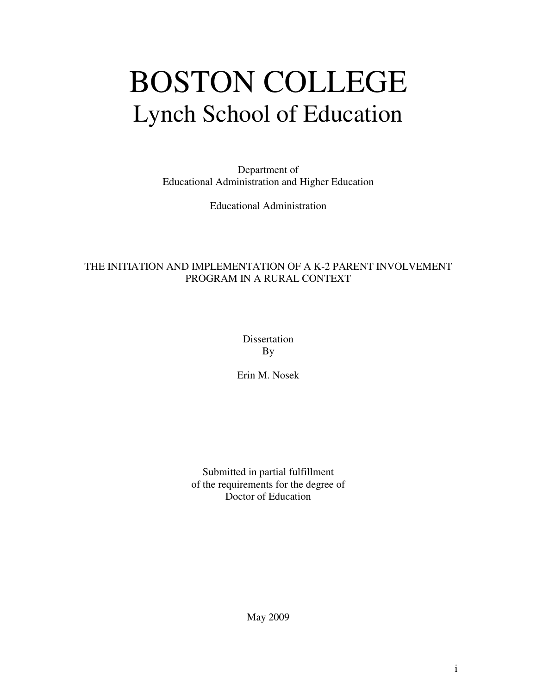# BOSTON COLLEGE Lynch School of Education

Department of Educational Administration and Higher Education

Educational Administration

#### THE INITIATION AND IMPLEMENTATION OF A K-2 PARENT INVOLVEMENT PROGRAM IN A RURAL CONTEXT

Dissertation By

Erin M. Nosek

Submitted in partial fulfillment of the requirements for the degree of Doctor of Education

May 2009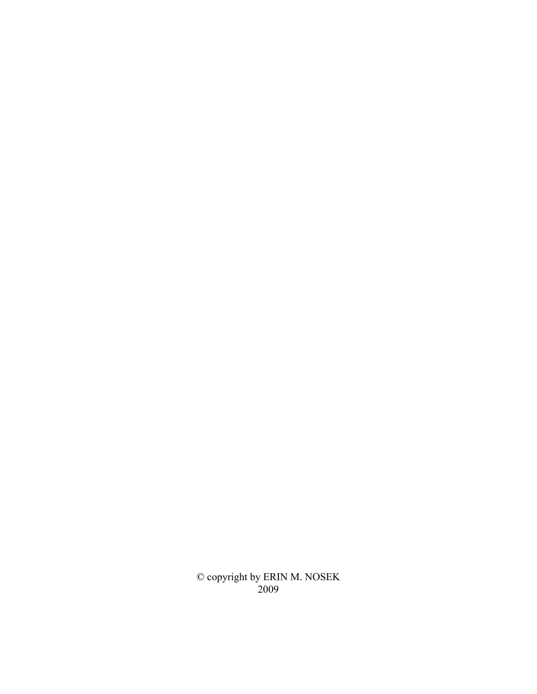© copyright by ERIN M. NOSEK 2009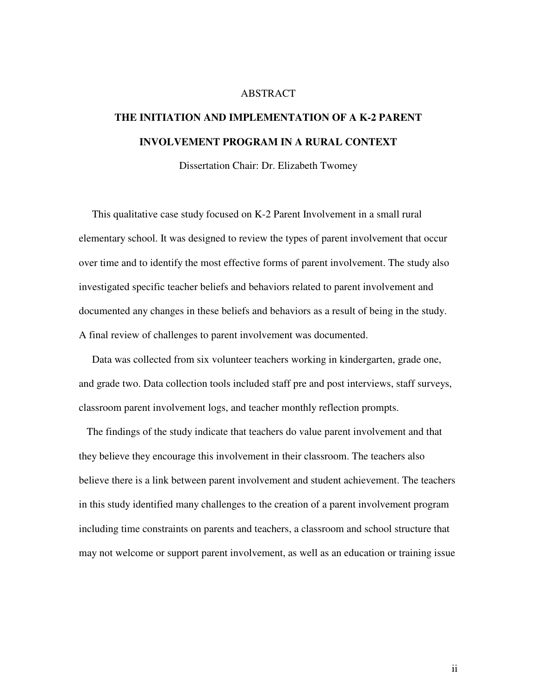#### ABSTRACT

### **THE INITIATION AND IMPLEMENTATION OF A K-2 PARENT INVOLVEMENT PROGRAM IN A RURAL CONTEXT**

Dissertation Chair: Dr. Elizabeth Twomey

This qualitative case study focused on K-2 Parent Involvement in a small rural elementary school. It was designed to review the types of parent involvement that occur over time and to identify the most effective forms of parent involvement. The study also investigated specific teacher beliefs and behaviors related to parent involvement and documented any changes in these beliefs and behaviors as a result of being in the study. A final review of challenges to parent involvement was documented.

Data was collected from six volunteer teachers working in kindergarten, grade one, and grade two. Data collection tools included staff pre and post interviews, staff surveys, classroom parent involvement logs, and teacher monthly reflection prompts.

The findings of the study indicate that teachers do value parent involvement and that they believe they encourage this involvement in their classroom. The teachers also believe there is a link between parent involvement and student achievement. The teachers in this study identified many challenges to the creation of a parent involvement program including time constraints on parents and teachers, a classroom and school structure that may not welcome or support parent involvement, as well as an education or training issue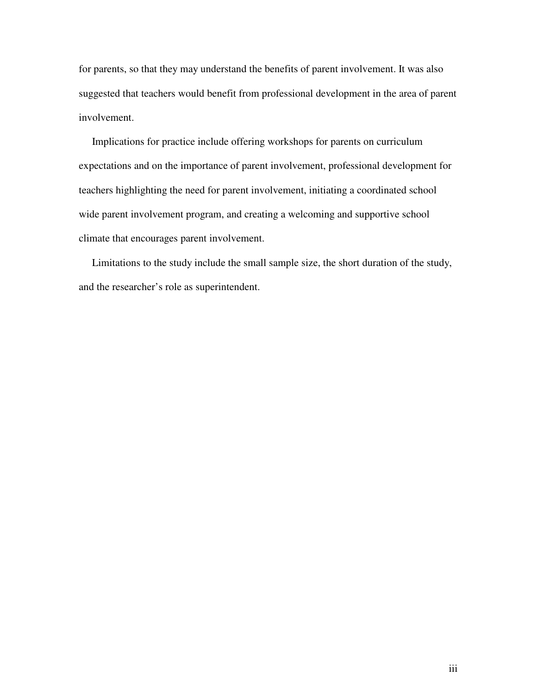for parents, so that they may understand the benefits of parent involvement. It was also suggested that teachers would benefit from professional development in the area of parent involvement.

Implications for practice include offering workshops for parents on curriculum expectations and on the importance of parent involvement, professional development for teachers highlighting the need for parent involvement, initiating a coordinated school wide parent involvement program, and creating a welcoming and supportive school climate that encourages parent involvement.

Limitations to the study include the small sample size, the short duration of the study, and the researcher's role as superintendent.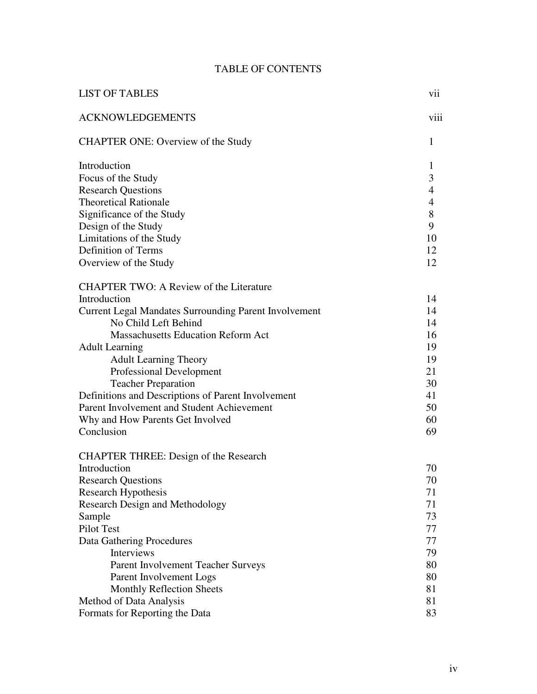#### TABLE OF CONTENTS

| <b>LIST OF TABLES</b>                                 | vii            |
|-------------------------------------------------------|----------------|
| <b>ACKNOWLEDGEMENTS</b>                               | viii           |
| CHAPTER ONE: Overview of the Study                    | 1              |
| Introduction                                          | $\mathbf{1}$   |
| Focus of the Study                                    | 3              |
| <b>Research Questions</b>                             | $\overline{4}$ |
| <b>Theoretical Rationale</b>                          | $\overline{4}$ |
| Significance of the Study                             | 8              |
| Design of the Study                                   | 9              |
| Limitations of the Study                              | 10             |
| Definition of Terms                                   | 12             |
| Overview of the Study                                 | 12             |
| <b>CHAPTER TWO: A Review of the Literature</b>        |                |
| Introduction                                          | 14             |
| Current Legal Mandates Surrounding Parent Involvement | 14             |
| No Child Left Behind                                  | 14             |
| <b>Massachusetts Education Reform Act</b>             | 16             |
| <b>Adult Learning</b>                                 | 19             |
| <b>Adult Learning Theory</b>                          | 19             |
| <b>Professional Development</b>                       | 21             |
| <b>Teacher Preparation</b>                            | 30             |
| Definitions and Descriptions of Parent Involvement    | 41             |
| Parent Involvement and Student Achievement            | 50             |
| Why and How Parents Get Involved                      | 60             |
| Conclusion                                            | 69             |
| <b>CHAPTER THREE: Design of the Research</b>          |                |
| Introduction                                          | 70             |
| <b>Research Questions</b>                             | 70             |
| Research Hypothesis                                   | 71             |
| <b>Research Design and Methodology</b>                | 71             |
| Sample                                                | 73             |
| Pilot Test                                            | 77             |
| Data Gathering Procedures                             | 77             |
| <b>Interviews</b>                                     | 79             |
| Parent Involvement Teacher Surveys                    | 80             |
| Parent Involvement Logs                               | 80             |
| <b>Monthly Reflection Sheets</b>                      | 81             |
| Method of Data Analysis                               | 81             |
| Formats for Reporting the Data                        | 83             |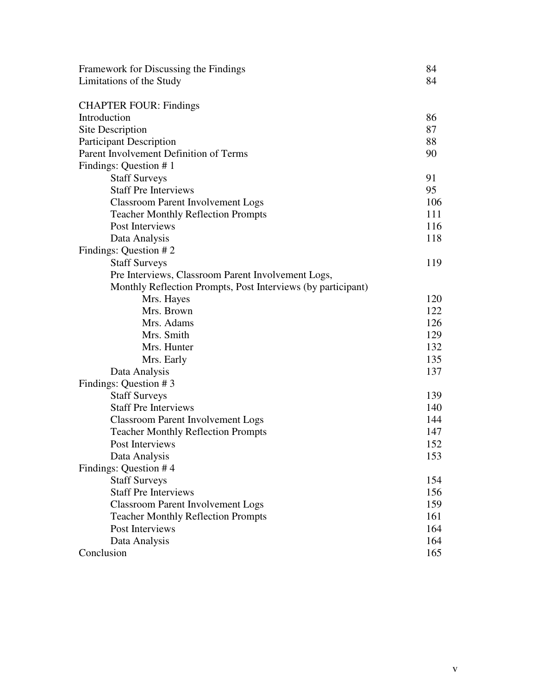| Framework for Discussing the Findings                        | 84  |
|--------------------------------------------------------------|-----|
| Limitations of the Study                                     | 84  |
|                                                              |     |
| <b>CHAPTER FOUR: Findings</b>                                |     |
| Introduction                                                 | 86  |
| Site Description                                             | 87  |
| <b>Participant Description</b>                               | 88  |
| Parent Involvement Definition of Terms                       | 90  |
| Findings: Question #1                                        |     |
| <b>Staff Surveys</b>                                         | 91  |
| <b>Staff Pre Interviews</b>                                  | 95  |
| <b>Classroom Parent Involvement Logs</b>                     | 106 |
| <b>Teacher Monthly Reflection Prompts</b>                    | 111 |
| Post Interviews                                              | 116 |
| Data Analysis                                                | 118 |
| Findings: Question #2                                        |     |
| <b>Staff Surveys</b>                                         | 119 |
| Pre Interviews, Classroom Parent Involvement Logs,           |     |
| Monthly Reflection Prompts, Post Interviews (by participant) |     |
| Mrs. Hayes                                                   | 120 |
| Mrs. Brown                                                   | 122 |
| Mrs. Adams                                                   | 126 |
| Mrs. Smith                                                   | 129 |
| Mrs. Hunter                                                  | 132 |
| Mrs. Early                                                   | 135 |
| Data Analysis                                                | 137 |
| Findings: Question #3                                        |     |
| <b>Staff Surveys</b>                                         | 139 |
| <b>Staff Pre Interviews</b>                                  | 140 |
|                                                              | 144 |
| <b>Classroom Parent Involvement Logs</b>                     |     |
| <b>Teacher Monthly Reflection Prompts</b>                    | 147 |
| Post Interviews                                              | 152 |
| Data Analysis                                                | 153 |
| Findings: Question #4                                        |     |
| <b>Staff Surveys</b>                                         | 154 |
| <b>Staff Pre Interviews</b>                                  | 156 |
| <b>Classroom Parent Involvement Logs</b>                     | 159 |
| <b>Teacher Monthly Reflection Prompts</b>                    | 161 |
| Post Interviews                                              | 164 |
| Data Analysis                                                | 164 |
| Conclusion                                                   | 165 |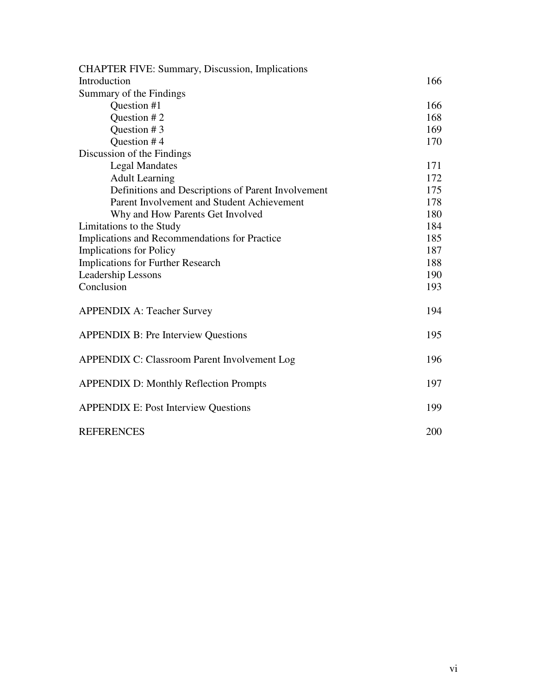| <b>CHAPTER FIVE: Summary, Discussion, Implications</b> |     |
|--------------------------------------------------------|-----|
| Introduction                                           | 166 |
| Summary of the Findings                                |     |
| Question #1                                            | 166 |
| Question #2                                            | 168 |
| Question #3                                            | 169 |
| Question #4                                            | 170 |
| Discussion of the Findings                             |     |
| <b>Legal Mandates</b>                                  | 171 |
| <b>Adult Learning</b>                                  | 172 |
| Definitions and Descriptions of Parent Involvement     | 175 |
| Parent Involvement and Student Achievement             | 178 |
| Why and How Parents Get Involved                       | 180 |
| Limitations to the Study                               | 184 |
| Implications and Recommendations for Practice          | 185 |
| <b>Implications for Policy</b>                         | 187 |
| <b>Implications for Further Research</b>               | 188 |
| Leadership Lessons                                     | 190 |
| Conclusion                                             | 193 |
| <b>APPENDIX A: Teacher Survey</b>                      | 194 |
| <b>APPENDIX B: Pre Interview Questions</b>             | 195 |
| <b>APPENDIX C: Classroom Parent Involvement Log</b>    | 196 |
| <b>APPENDIX D: Monthly Reflection Prompts</b>          | 197 |
| <b>APPENDIX E: Post Interview Questions</b>            | 199 |
| <b>REFERENCES</b>                                      | 200 |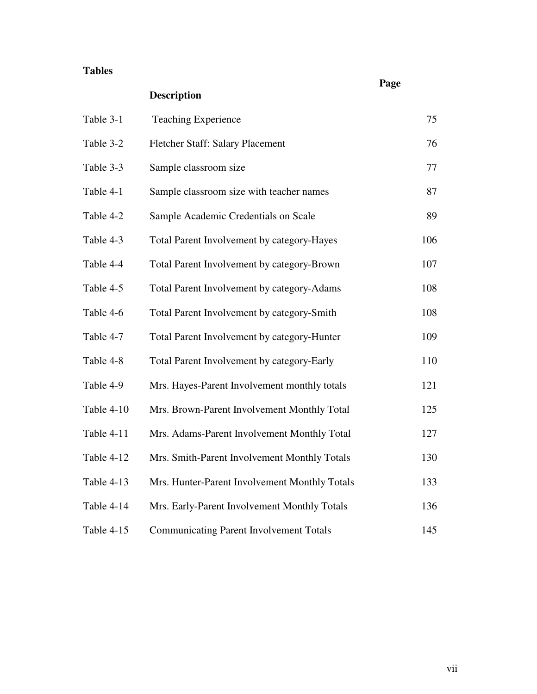#### **Tables**

**Description** Table 3-1 Teaching Experience 75 Table 3-2 Fletcher Staff: Salary Placement 76 Table 3-3 Sample classroom size 77 Table 4-1 Sample classroom size with teacher names 87 Table 4-2 Sample Academic Credentials on Scale 89 Table 4-3 Total Parent Involvement by category-Hayes 106 Table 4-4 Total Parent Involvement by category-Brown 107 Table 4-5 Total Parent Involvement by category-Adams 108 Table 4-6 Total Parent Involvement by category-Smith 108 Table 4-7 Total Parent Involvement by category-Hunter 109 Table 4-8 Total Parent Involvement by category-Early 110 Table 4-9 Mrs. Hayes-Parent Involvement monthly totals 121 Table 4-10 Mrs. Brown-Parent Involvement Monthly Total 125 Table 4-11 Mrs. Adams-Parent Involvement Monthly Total 127 Table 4-12 Mrs. Smith-Parent Involvement Monthly Totals 130 Table 4-13 Mrs. Hunter-Parent Involvement Monthly Totals 133 Table 4-14 Mrs. Early-Parent Involvement Monthly Totals 136 Table 4-15 Communicating Parent Involvement Totals 145

**Page**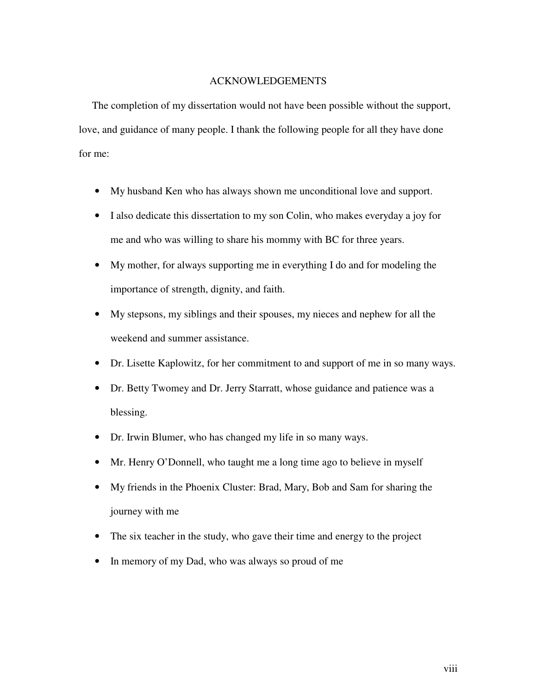#### ACKNOWLEDGEMENTS

The completion of my dissertation would not have been possible without the support, love, and guidance of many people. I thank the following people for all they have done for me:

- My husband Ken who has always shown me unconditional love and support.
- I also dedicate this dissertation to my son Colin, who makes everyday a joy for me and who was willing to share his mommy with BC for three years.
- My mother, for always supporting me in everything I do and for modeling the importance of strength, dignity, and faith.
- My stepsons, my siblings and their spouses, my nieces and nephew for all the weekend and summer assistance.
- Dr. Lisette Kaplowitz, for her commitment to and support of me in so many ways.
- Dr. Betty Twomey and Dr. Jerry Starratt, whose guidance and patience was a blessing.
- Dr. Irwin Blumer, who has changed my life in so many ways.
- Mr. Henry O'Donnell, who taught me a long time ago to believe in myself
- My friends in the Phoenix Cluster: Brad, Mary, Bob and Sam for sharing the journey with me
- The six teacher in the study, who gave their time and energy to the project
- In memory of my Dad, who was always so proud of me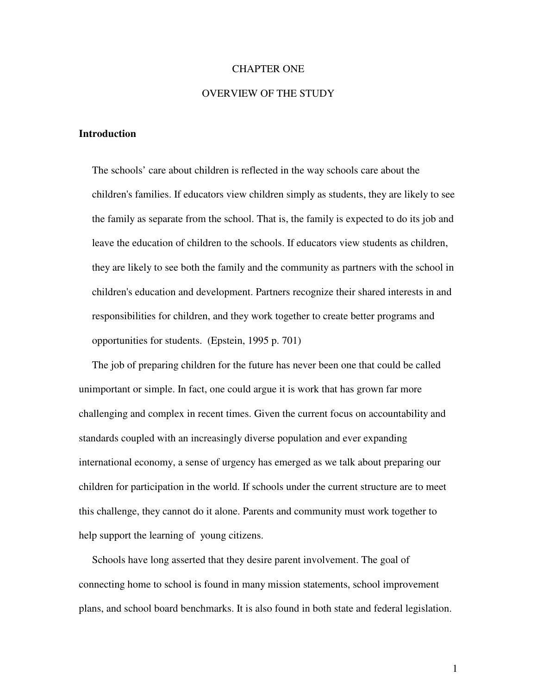#### CHAPTER ONE

#### OVERVIEW OF THE STUDY

#### **Introduction**

The schools' care about children is reflected in the way schools care about the children's families. If educators view children simply as students, they are likely to see the family as separate from the school. That is, the family is expected to do its job and leave the education of children to the schools. If educators view students as children, they are likely to see both the family and the community as partners with the school in children's education and development. Partners recognize their shared interests in and responsibilities for children, and they work together to create better programs and opportunities for students. (Epstein, 1995 p. 701)

The job of preparing children for the future has never been one that could be called unimportant or simple. In fact, one could argue it is work that has grown far more challenging and complex in recent times. Given the current focus on accountability and standards coupled with an increasingly diverse population and ever expanding international economy, a sense of urgency has emerged as we talk about preparing our children for participation in the world. If schools under the current structure are to meet this challenge, they cannot do it alone. Parents and community must work together to help support the learning of young citizens.

Schools have long asserted that they desire parent involvement. The goal of connecting home to school is found in many mission statements, school improvement plans, and school board benchmarks. It is also found in both state and federal legislation.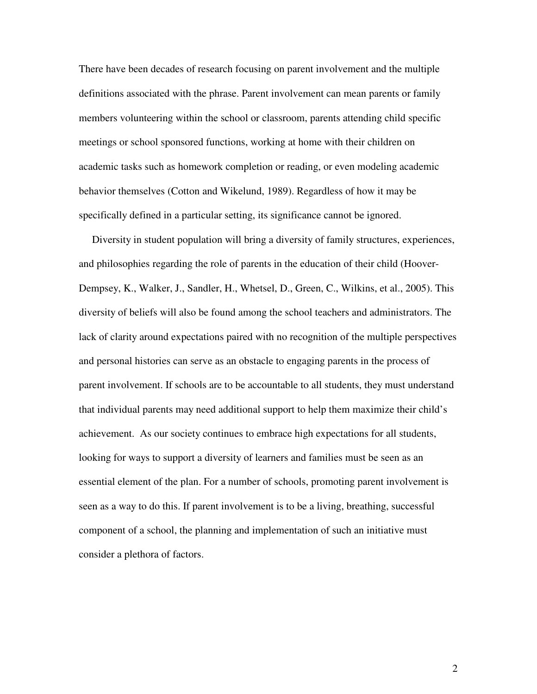There have been decades of research focusing on parent involvement and the multiple definitions associated with the phrase. Parent involvement can mean parents or family members volunteering within the school or classroom, parents attending child specific meetings or school sponsored functions, working at home with their children on academic tasks such as homework completion or reading, or even modeling academic behavior themselves (Cotton and Wikelund, 1989). Regardless of how it may be specifically defined in a particular setting, its significance cannot be ignored.

Diversity in student population will bring a diversity of family structures, experiences, and philosophies regarding the role of parents in the education of their child (Hoover-Dempsey, K., Walker, J., Sandler, H., Whetsel, D., Green, C., Wilkins, et al., 2005). This diversity of beliefs will also be found among the school teachers and administrators. The lack of clarity around expectations paired with no recognition of the multiple perspectives and personal histories can serve as an obstacle to engaging parents in the process of parent involvement. If schools are to be accountable to all students, they must understand that individual parents may need additional support to help them maximize their child's achievement. As our society continues to embrace high expectations for all students, looking for ways to support a diversity of learners and families must be seen as an essential element of the plan. For a number of schools, promoting parent involvement is seen as a way to do this. If parent involvement is to be a living, breathing, successful component of a school, the planning and implementation of such an initiative must consider a plethora of factors.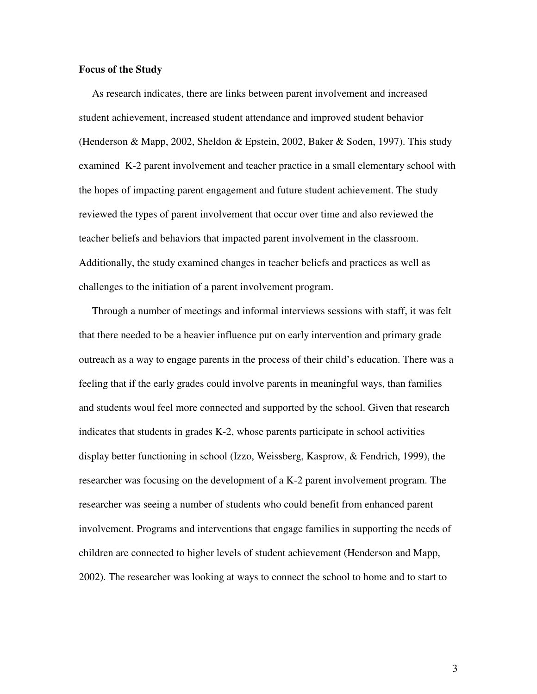#### **Focus of the Study**

As research indicates, there are links between parent involvement and increased student achievement, increased student attendance and improved student behavior (Henderson & Mapp, 2002, Sheldon & Epstein, 2002, Baker & Soden, 1997). This study examined K-2 parent involvement and teacher practice in a small elementary school with the hopes of impacting parent engagement and future student achievement. The study reviewed the types of parent involvement that occur over time and also reviewed the teacher beliefs and behaviors that impacted parent involvement in the classroom. Additionally, the study examined changes in teacher beliefs and practices as well as challenges to the initiation of a parent involvement program.

Through a number of meetings and informal interviews sessions with staff, it was felt that there needed to be a heavier influence put on early intervention and primary grade outreach as a way to engage parents in the process of their child's education. There was a feeling that if the early grades could involve parents in meaningful ways, than families and students woul feel more connected and supported by the school. Given that research indicates that students in grades K-2, whose parents participate in school activities display better functioning in school (Izzo, Weissberg, Kasprow, & Fendrich, 1999), the researcher was focusing on the development of a K-2 parent involvement program. The researcher was seeing a number of students who could benefit from enhanced parent involvement. Programs and interventions that engage families in supporting the needs of children are connected to higher levels of student achievement (Henderson and Mapp, 2002). The researcher was looking at ways to connect the school to home and to start to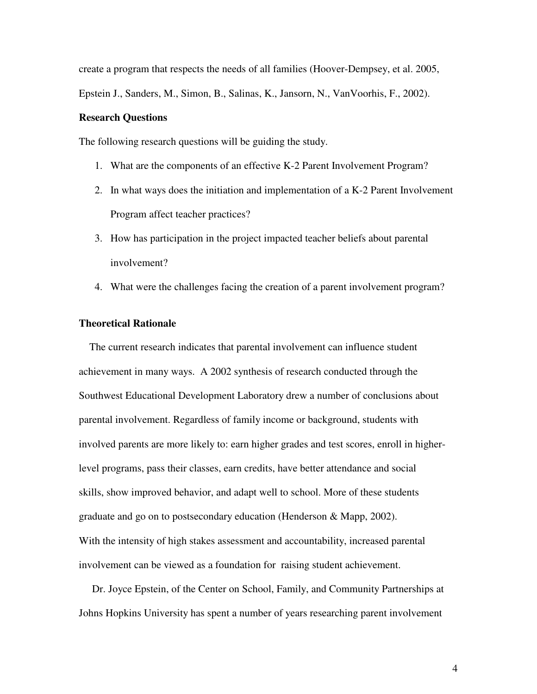create a program that respects the needs of all families (Hoover-Dempsey, et al. 2005,

Epstein J., Sanders, M., Simon, B., Salinas, K., Jansorn, N., VanVoorhis, F., 2002).

#### **Research Questions**

The following research questions will be guiding the study.

- 1. What are the components of an effective K-2 Parent Involvement Program?
- 2. In what ways does the initiation and implementation of a K-2 Parent Involvement Program affect teacher practices?
- 3. How has participation in the project impacted teacher beliefs about parental involvement?
- 4. What were the challenges facing the creation of a parent involvement program?

#### **Theoretical Rationale**

The current research indicates that parental involvement can influence student achievement in many ways. A 2002 synthesis of research conducted through the Southwest Educational Development Laboratory drew a number of conclusions about parental involvement. Regardless of family income or background, students with involved parents are more likely to: earn higher grades and test scores, enroll in higherlevel programs, pass their classes, earn credits, have better attendance and social skills, show improved behavior, and adapt well to school. More of these students graduate and go on to postsecondary education (Henderson & Mapp, 2002). With the intensity of high stakes assessment and accountability, increased parental involvement can be viewed as a foundation for raising student achievement.

Dr. Joyce Epstein, of the Center on School, Family, and Community Partnerships at Johns Hopkins University has spent a number of years researching parent involvement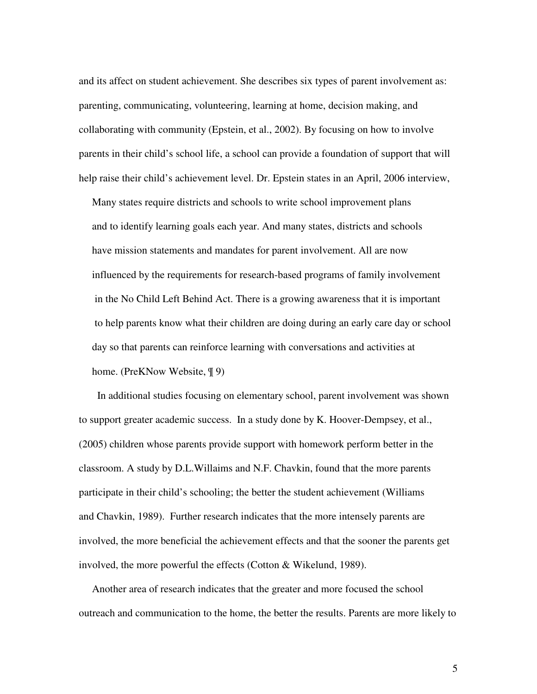and its affect on student achievement. She describes six types of parent involvement as: parenting, communicating, volunteering, learning at home, decision making, and collaborating with community (Epstein, et al., 2002). By focusing on how to involve parents in their child's school life, a school can provide a foundation of support that will help raise their child's achievement level. Dr. Epstein states in an April, 2006 interview,

Many states require districts and schools to write school improvement plans and to identify learning goals each year. And many states, districts and schools have mission statements and mandates for parent involvement. All are now influenced by the requirements for research-based programs of family involvement in the No Child Left Behind Act. There is a growing awareness that it is important to help parents know what their children are doing during an early care day or school day so that parents can reinforce learning with conversations and activities at home. (PreKNow Website, ¶ 9)

In additional studies focusing on elementary school, parent involvement was shown to support greater academic success. In a study done by K. Hoover-Dempsey, et al., (2005) children whose parents provide support with homework perform better in the classroom. A study by D.L.Willaims and N.F. Chavkin, found that the more parents participate in their child's schooling; the better the student achievement (Williams and Chavkin, 1989). Further research indicates that the more intensely parents are involved, the more beneficial the achievement effects and that the sooner the parents get involved, the more powerful the effects (Cotton & Wikelund, 1989).

Another area of research indicates that the greater and more focused the school outreach and communication to the home, the better the results. Parents are more likely to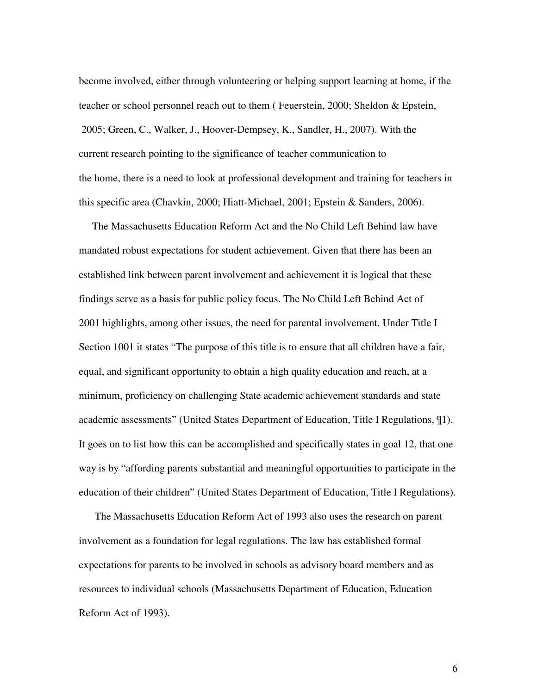become involved, either through volunteering or helping support learning at home, if the teacher or school personnel reach out to them ( Feuerstein, 2000; Sheldon & Epstein, 2005; Green, C., Walker, J., Hoover-Dempsey, K., Sandler, H., 2007). With the current research pointing to the significance of teacher communication to the home, there is a need to look at professional development and training for teachers in this specific area (Chavkin, 2000; Hiatt-Michael, 2001; Epstein & Sanders, 2006).

The Massachusetts Education Reform Act and the No Child Left Behind law have mandated robust expectations for student achievement. Given that there has been an established link between parent involvement and achievement it is logical that these findings serve as a basis for public policy focus. The No Child Left Behind Act of 2001 highlights, among other issues, the need for parental involvement. Under Title I Section 1001 it states "The purpose of this title is to ensure that all children have a fair, equal, and significant opportunity to obtain a high quality education and reach, at a minimum, proficiency on challenging State academic achievement standards and state academic assessments" (United States Department of Education, Title I Regulations, ¶1). It goes on to list how this can be accomplished and specifically states in goal 12, that one way is by "affording parents substantial and meaningful opportunities to participate in the education of their children" (United States Department of Education, Title I Regulations).

The Massachusetts Education Reform Act of 1993 also uses the research on parent involvement as a foundation for legal regulations. The law has established formal expectations for parents to be involved in schools as advisory board members and as resources to individual schools (Massachusetts Department of Education, Education Reform Act of 1993).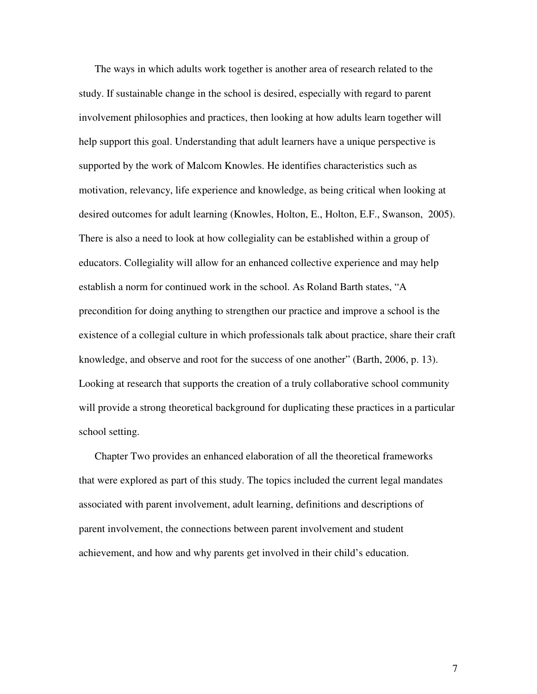The ways in which adults work together is another area of research related to the study. If sustainable change in the school is desired, especially with regard to parent involvement philosophies and practices, then looking at how adults learn together will help support this goal. Understanding that adult learners have a unique perspective is supported by the work of Malcom Knowles. He identifies characteristics such as motivation, relevancy, life experience and knowledge, as being critical when looking at desired outcomes for adult learning (Knowles, Holton, E., Holton, E.F., Swanson, 2005). There is also a need to look at how collegiality can be established within a group of educators. Collegiality will allow for an enhanced collective experience and may help establish a norm for continued work in the school. As Roland Barth states, "A precondition for doing anything to strengthen our practice and improve a school is the existence of a collegial culture in which professionals talk about practice, share their craft knowledge, and observe and root for the success of one another" (Barth, 2006, p. 13). Looking at research that supports the creation of a truly collaborative school community will provide a strong theoretical background for duplicating these practices in a particular school setting.

Chapter Two provides an enhanced elaboration of all the theoretical frameworks that were explored as part of this study. The topics included the current legal mandates associated with parent involvement, adult learning, definitions and descriptions of parent involvement, the connections between parent involvement and student achievement, and how and why parents get involved in their child's education.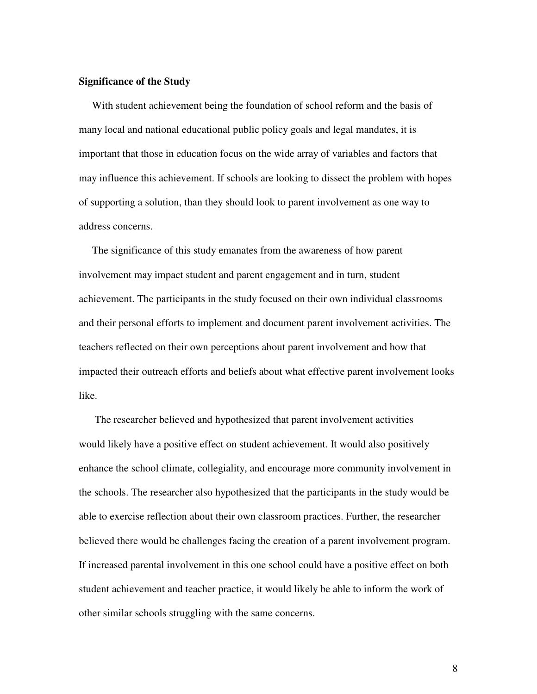#### **Significance of the Study**

With student achievement being the foundation of school reform and the basis of many local and national educational public policy goals and legal mandates, it is important that those in education focus on the wide array of variables and factors that may influence this achievement. If schools are looking to dissect the problem with hopes of supporting a solution, than they should look to parent involvement as one way to address concerns.

The significance of this study emanates from the awareness of how parent involvement may impact student and parent engagement and in turn, student achievement. The participants in the study focused on their own individual classrooms and their personal efforts to implement and document parent involvement activities. The teachers reflected on their own perceptions about parent involvement and how that impacted their outreach efforts and beliefs about what effective parent involvement looks like.

The researcher believed and hypothesized that parent involvement activities would likely have a positive effect on student achievement. It would also positively enhance the school climate, collegiality, and encourage more community involvement in the schools. The researcher also hypothesized that the participants in the study would be able to exercise reflection about their own classroom practices. Further, the researcher believed there would be challenges facing the creation of a parent involvement program. If increased parental involvement in this one school could have a positive effect on both student achievement and teacher practice, it would likely be able to inform the work of other similar schools struggling with the same concerns.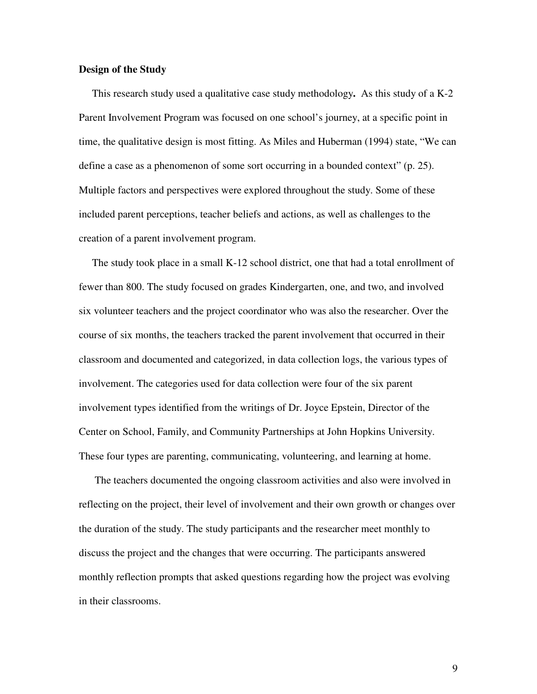#### **Design of the Study**

This research study used a qualitative case study methodology**.** As this study of a K-2 Parent Involvement Program was focused on one school's journey, at a specific point in time, the qualitative design is most fitting. As Miles and Huberman (1994) state, "We can define a case as a phenomenon of some sort occurring in a bounded context" (p. 25). Multiple factors and perspectives were explored throughout the study. Some of these included parent perceptions, teacher beliefs and actions, as well as challenges to the creation of a parent involvement program.

The study took place in a small K-12 school district, one that had a total enrollment of fewer than 800. The study focused on grades Kindergarten, one, and two, and involved six volunteer teachers and the project coordinator who was also the researcher. Over the course of six months, the teachers tracked the parent involvement that occurred in their classroom and documented and categorized, in data collection logs, the various types of involvement. The categories used for data collection were four of the six parent involvement types identified from the writings of Dr. Joyce Epstein, Director of the Center on School, Family, and Community Partnerships at John Hopkins University. These four types are parenting, communicating, volunteering, and learning at home.

The teachers documented the ongoing classroom activities and also were involved in reflecting on the project, their level of involvement and their own growth or changes over the duration of the study. The study participants and the researcher meet monthly to discuss the project and the changes that were occurring. The participants answered monthly reflection prompts that asked questions regarding how the project was evolving in their classrooms.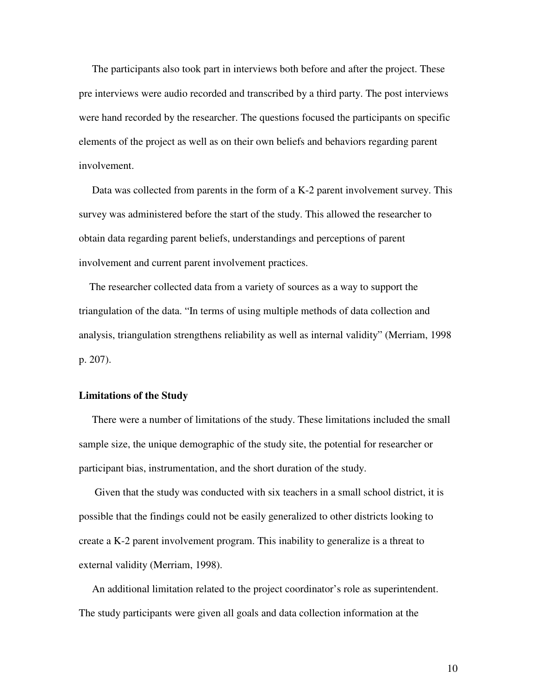The participants also took part in interviews both before and after the project. These pre interviews were audio recorded and transcribed by a third party. The post interviews were hand recorded by the researcher. The questions focused the participants on specific elements of the project as well as on their own beliefs and behaviors regarding parent involvement.

Data was collected from parents in the form of a K-2 parent involvement survey. This survey was administered before the start of the study. This allowed the researcher to obtain data regarding parent beliefs, understandings and perceptions of parent involvement and current parent involvement practices.

The researcher collected data from a variety of sources as a way to support the triangulation of the data. "In terms of using multiple methods of data collection and analysis, triangulation strengthens reliability as well as internal validity" (Merriam, 1998 p. 207).

#### **Limitations of the Study**

There were a number of limitations of the study. These limitations included the small sample size, the unique demographic of the study site, the potential for researcher or participant bias, instrumentation, and the short duration of the study.

Given that the study was conducted with six teachers in a small school district, it is possible that the findings could not be easily generalized to other districts looking to create a K-2 parent involvement program. This inability to generalize is a threat to external validity (Merriam, 1998).

An additional limitation related to the project coordinator's role as superintendent. The study participants were given all goals and data collection information at the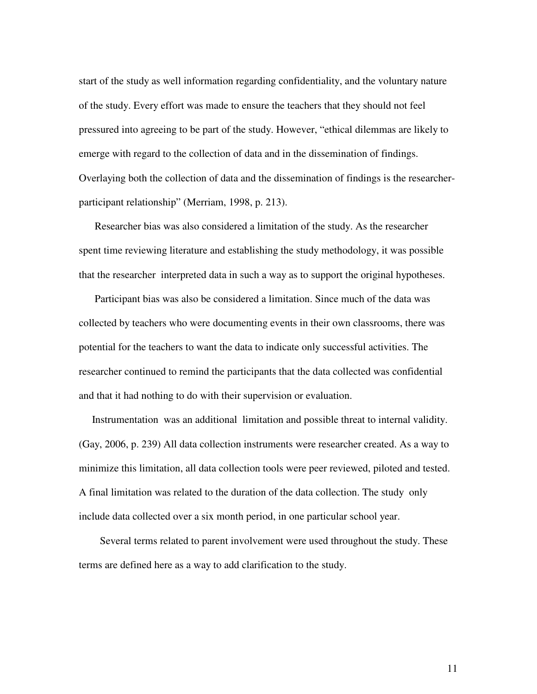start of the study as well information regarding confidentiality, and the voluntary nature of the study. Every effort was made to ensure the teachers that they should not feel pressured into agreeing to be part of the study. However, "ethical dilemmas are likely to emerge with regard to the collection of data and in the dissemination of findings. Overlaying both the collection of data and the dissemination of findings is the researcherparticipant relationship" (Merriam, 1998, p. 213).

Researcher bias was also considered a limitation of the study. As the researcher spent time reviewing literature and establishing the study methodology, it was possible that the researcher interpreted data in such a way as to support the original hypotheses.

Participant bias was also be considered a limitation. Since much of the data was collected by teachers who were documenting events in their own classrooms, there was potential for the teachers to want the data to indicate only successful activities. The researcher continued to remind the participants that the data collected was confidential and that it had nothing to do with their supervision or evaluation.

Instrumentation was an additional limitation and possible threat to internal validity. (Gay, 2006, p. 239) All data collection instruments were researcher created. As a way to minimize this limitation, all data collection tools were peer reviewed, piloted and tested. A final limitation was related to the duration of the data collection. The study only include data collected over a six month period, in one particular school year.

Several terms related to parent involvement were used throughout the study. These terms are defined here as a way to add clarification to the study.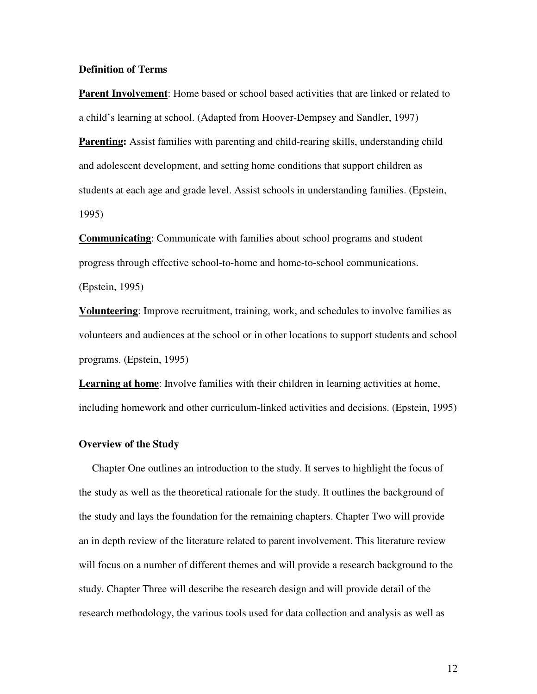#### **Definition of Terms**

**Parent Involvement**: Home based or school based activities that are linked or related to a child's learning at school. (Adapted from Hoover-Dempsey and Sandler, 1997)

**Parenting:** Assist families with parenting and child-rearing skills, understanding child and adolescent development, and setting home conditions that support children as students at each age and grade level. Assist schools in understanding families. (Epstein, 1995)

**Communicating**: Communicate with families about school programs and student progress through effective school-to-home and home-to-school communications.

(Epstein, 1995)

**Volunteering**: Improve recruitment, training, work, and schedules to involve families as volunteers and audiences at the school or in other locations to support students and school programs. (Epstein, 1995)

**Learning at home**: Involve families with their children in learning activities at home, including homework and other curriculum-linked activities and decisions. (Epstein, 1995)

#### **Overview of the Study**

Chapter One outlines an introduction to the study. It serves to highlight the focus of the study as well as the theoretical rationale for the study. It outlines the background of the study and lays the foundation for the remaining chapters. Chapter Two will provide an in depth review of the literature related to parent involvement. This literature review will focus on a number of different themes and will provide a research background to the study. Chapter Three will describe the research design and will provide detail of the research methodology, the various tools used for data collection and analysis as well as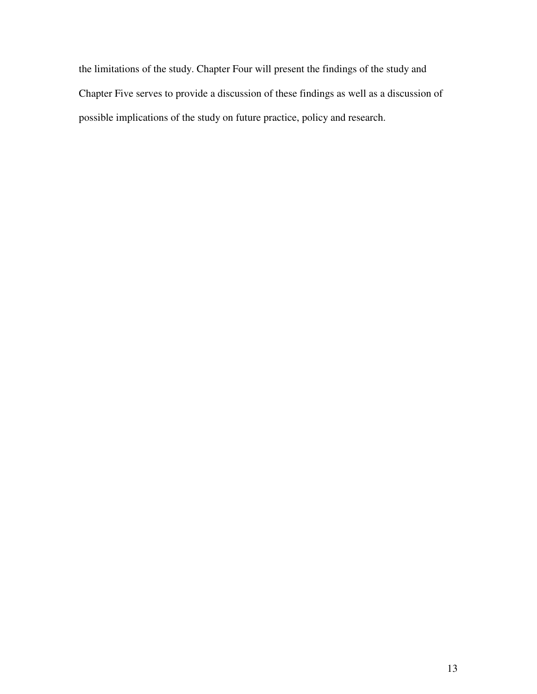the limitations of the study. Chapter Four will present the findings of the study and Chapter Five serves to provide a discussion of these findings as well as a discussion of possible implications of the study on future practice, policy and research.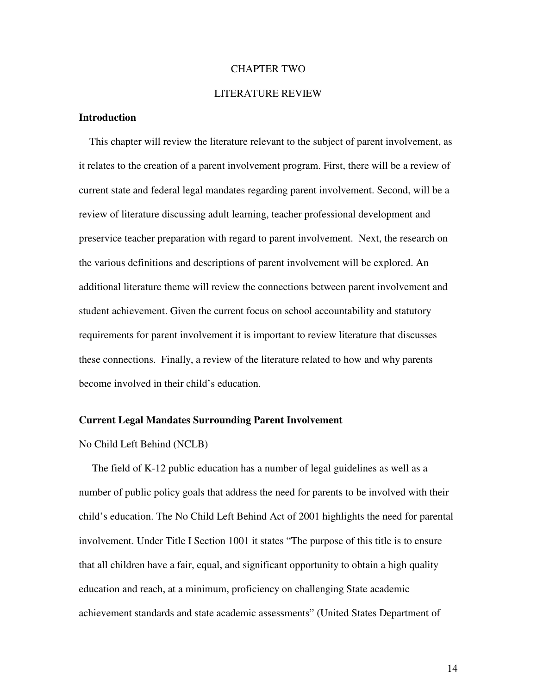#### CHAPTER TWO

#### LITERATURE REVIEW

#### **Introduction**

This chapter will review the literature relevant to the subject of parent involvement, as it relates to the creation of a parent involvement program. First, there will be a review of current state and federal legal mandates regarding parent involvement. Second, will be a review of literature discussing adult learning, teacher professional development and preservice teacher preparation with regard to parent involvement. Next, the research on the various definitions and descriptions of parent involvement will be explored. An additional literature theme will review the connections between parent involvement and student achievement. Given the current focus on school accountability and statutory requirements for parent involvement it is important to review literature that discusses these connections. Finally, a review of the literature related to how and why parents become involved in their child's education.

#### **Current Legal Mandates Surrounding Parent Involvement**

#### No Child Left Behind (NCLB)

The field of K-12 public education has a number of legal guidelines as well as a number of public policy goals that address the need for parents to be involved with their child's education. The No Child Left Behind Act of 2001 highlights the need for parental involvement. Under Title I Section 1001 it states "The purpose of this title is to ensure that all children have a fair, equal, and significant opportunity to obtain a high quality education and reach, at a minimum, proficiency on challenging State academic achievement standards and state academic assessments" (United States Department of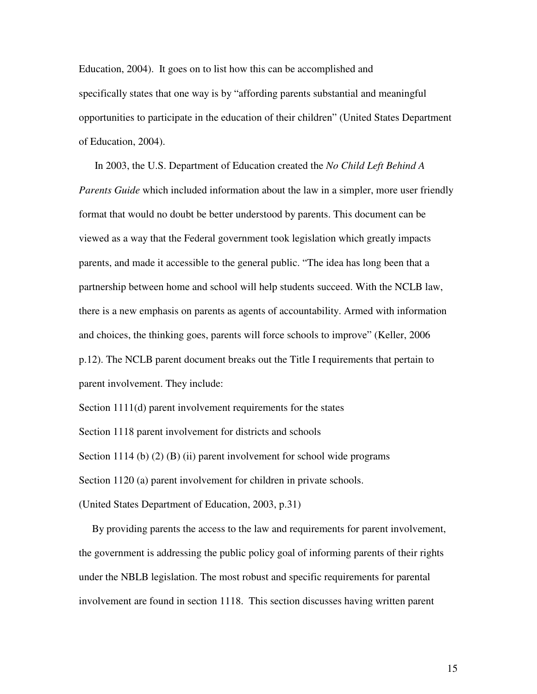Education, 2004). It goes on to list how this can be accomplished and specifically states that one way is by "affording parents substantial and meaningful opportunities to participate in the education of their children" (United States Department of Education, 2004).

In 2003, the U.S. Department of Education created the *No Child Left Behind A Parents Guide* which included information about the law in a simpler, more user friendly format that would no doubt be better understood by parents. This document can be viewed as a way that the Federal government took legislation which greatly impacts parents, and made it accessible to the general public. "The idea has long been that a partnership between home and school will help students succeed. With the NCLB law, there is a new emphasis on parents as agents of accountability. Armed with information and choices, the thinking goes, parents will force schools to improve" (Keller, 2006 p.12). The NCLB parent document breaks out the Title I requirements that pertain to parent involvement. They include:

Section 1111(d) parent involvement requirements for the states

Section 1118 parent involvement for districts and schools

Section 1114 (b) (2) (B) (ii) parent involvement for school wide programs

Section 1120 (a) parent involvement for children in private schools.

(United States Department of Education, 2003, p.31)

By providing parents the access to the law and requirements for parent involvement, the government is addressing the public policy goal of informing parents of their rights under the NBLB legislation. The most robust and specific requirements for parental involvement are found in section 1118. This section discusses having written parent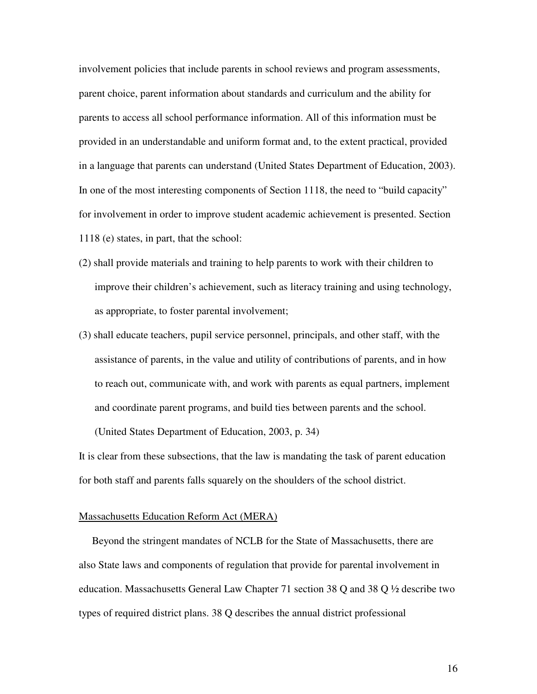involvement policies that include parents in school reviews and program assessments, parent choice, parent information about standards and curriculum and the ability for parents to access all school performance information. All of this information must be provided in an understandable and uniform format and, to the extent practical, provided in a language that parents can understand (United States Department of Education, 2003). In one of the most interesting components of Section 1118, the need to "build capacity" for involvement in order to improve student academic achievement is presented. Section 1118 (e) states, in part, that the school:

- (2) shall provide materials and training to help parents to work with their children to improve their children's achievement, such as literacy training and using technology, as appropriate, to foster parental involvement;
- (3) shall educate teachers, pupil service personnel, principals, and other staff, with the assistance of parents, in the value and utility of contributions of parents, and in how to reach out, communicate with, and work with parents as equal partners, implement and coordinate parent programs, and build ties between parents and the school.

(United States Department of Education, 2003, p. 34)

It is clear from these subsections, that the law is mandating the task of parent education for both staff and parents falls squarely on the shoulders of the school district.

#### Massachusetts Education Reform Act (MERA)

Beyond the stringent mandates of NCLB for the State of Massachusetts, there are also State laws and components of regulation that provide for parental involvement in education. Massachusetts General Law Chapter 71 section 38 Q and 38 Q  $\frac{1}{2}$  describe two types of required district plans. 38 Q describes the annual district professional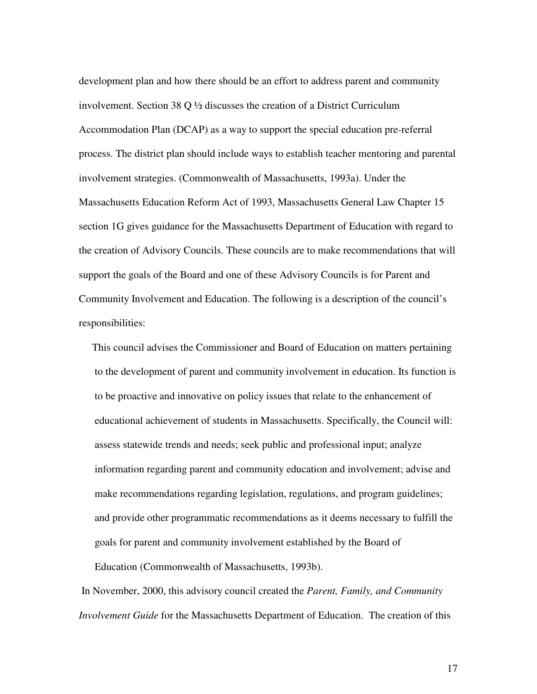development plan and how there should be an effort to address parent and community involvement. Section 38 Q ½ discusses the creation of a District Curriculum Accommodation Plan (DCAP) as a way to support the special education pre-referral process. The district plan should include ways to establish teacher mentoring and parental involvement strategies. (Commonwealth of Massachusetts, 1993a). Under the Massachusetts Education Reform Act of 1993, Massachusetts General Law Chapter 15 section 1G gives guidance for the Massachusetts Department of Education with regard to the creation of Advisory Councils. These councils are to make recommendations that will support the goals of the Board and one of these Advisory Councils is for Parent and Community Involvement and Education. The following is a description of the council's responsibilities:

This council advises the Commissioner and Board of Education on matters pertaining to the development of parent and community involvement in education. Its function is to be proactive and innovative on policy issues that relate to the enhancement of educational achievement of students in Massachusetts. Specifically, the Council will: assess statewide trends and needs; seek public and professional input; analyze information regarding parent and community education and involvement; advise and make recommendations regarding legislation, regulations, and program guidelines; and provide other programmatic recommendations as it deems necessary to fulfill the goals for parent and community involvement established by the Board of Education (Commonwealth of Massachusetts, 1993b).

In November, 2000, this advisory council created the *Parent, Family, and Community Involvement Guide* for the Massachusetts Department of Education. The creation of this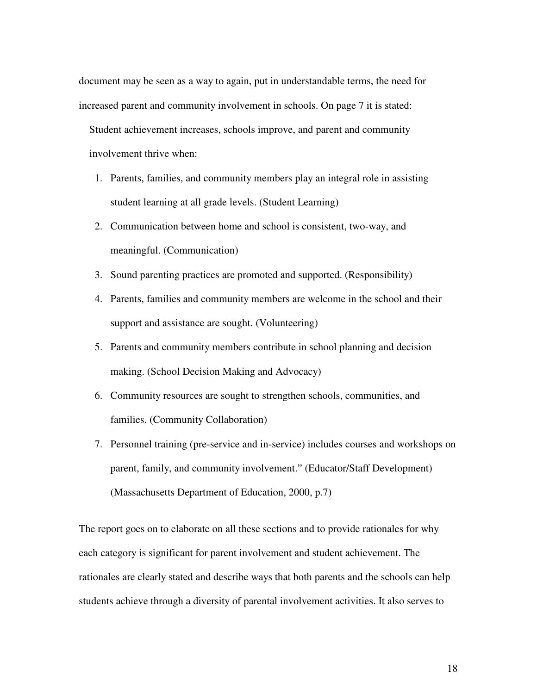document may be seen as a way to again, put in understandable terms, the need for increased parent and community involvement in schools. On page 7 it is stated: Student achievement increases, schools improve, and parent and community involvement thrive when:

- 1. Parents, families, and community members play an integral role in assisting student learning at all grade levels. (Student Learning)
- 2. Communication between home and school is consistent, two-way, and meaningful. (Communication)
- 3. Sound parenting practices are promoted and supported. (Responsibility)
- 4. Parents, families and community members are welcome in the school and their support and assistance are sought. (Volunteering)
- 5. Parents and community members contribute in school planning and decision making. (School Decision Making and Advocacy)
- 6. Community resources are sought to strengthen schools, communities, and families. (Community Collaboration)
- 7. Personnel training (pre-service and in-service) includes courses and workshops on parent, family, and community involvement." (Educator/Staff Development) (Massachusetts Department of Education, 2000, p.7)

The report goes on to elaborate on all these sections and to provide rationales for why each category is significant for parent involvement and student achievement. The rationales are clearly stated and describe ways that both parents and the schools can help students achieve through a diversity of parental involvement activities. It also serves to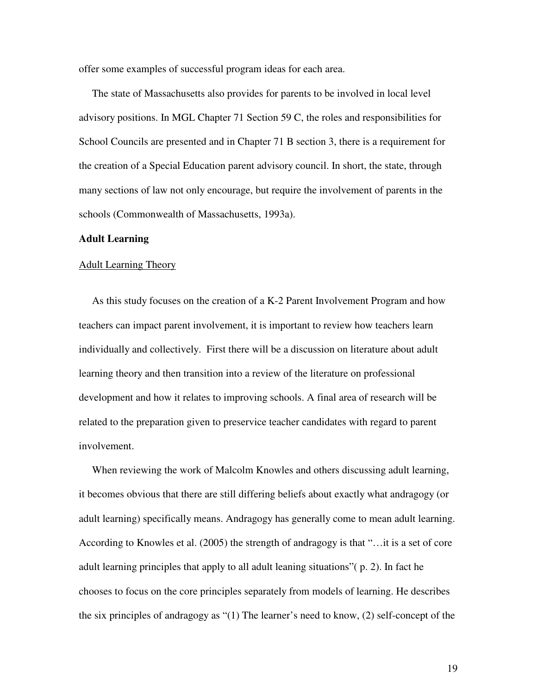offer some examples of successful program ideas for each area.

The state of Massachusetts also provides for parents to be involved in local level advisory positions. In MGL Chapter 71 Section 59 C, the roles and responsibilities for School Councils are presented and in Chapter 71 B section 3, there is a requirement for the creation of a Special Education parent advisory council. In short, the state, through many sections of law not only encourage, but require the involvement of parents in the schools (Commonwealth of Massachusetts, 1993a).

#### **Adult Learning**

#### Adult Learning Theory

As this study focuses on the creation of a K-2 Parent Involvement Program and how teachers can impact parent involvement, it is important to review how teachers learn individually and collectively. First there will be a discussion on literature about adult learning theory and then transition into a review of the literature on professional development and how it relates to improving schools. A final area of research will be related to the preparation given to preservice teacher candidates with regard to parent involvement.

When reviewing the work of Malcolm Knowles and others discussing adult learning, it becomes obvious that there are still differing beliefs about exactly what andragogy (or adult learning) specifically means. Andragogy has generally come to mean adult learning. According to Knowles et al. (2005) the strength of andragogy is that "…it is a set of core adult learning principles that apply to all adult leaning situations"( p. 2). In fact he chooses to focus on the core principles separately from models of learning. He describes the six principles of andragogy as "(1) The learner's need to know, (2) self-concept of the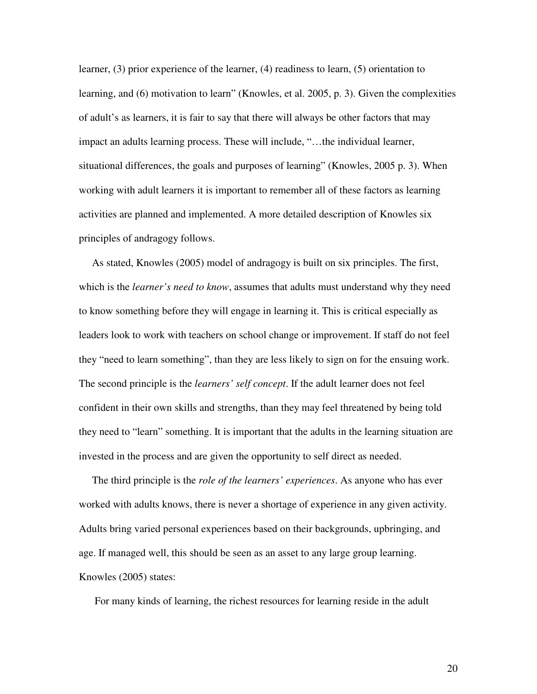learner, (3) prior experience of the learner, (4) readiness to learn, (5) orientation to learning, and (6) motivation to learn" (Knowles, et al. 2005, p. 3). Given the complexities of adult's as learners, it is fair to say that there will always be other factors that may impact an adults learning process. These will include, "…the individual learner, situational differences, the goals and purposes of learning" (Knowles, 2005 p. 3). When working with adult learners it is important to remember all of these factors as learning activities are planned and implemented. A more detailed description of Knowles six principles of andragogy follows.

As stated, Knowles (2005) model of andragogy is built on six principles. The first, which is the *learner's need to know*, assumes that adults must understand why they need to know something before they will engage in learning it. This is critical especially as leaders look to work with teachers on school change or improvement. If staff do not feel they "need to learn something", than they are less likely to sign on for the ensuing work. The second principle is the *learners' self concept*. If the adult learner does not feel confident in their own skills and strengths, than they may feel threatened by being told they need to "learn" something. It is important that the adults in the learning situation are invested in the process and are given the opportunity to self direct as needed.

The third principle is the *role of the learners' experiences*. As anyone who has ever worked with adults knows, there is never a shortage of experience in any given activity. Adults bring varied personal experiences based on their backgrounds, upbringing, and age. If managed well, this should be seen as an asset to any large group learning. Knowles (2005) states:

For many kinds of learning, the richest resources for learning reside in the adult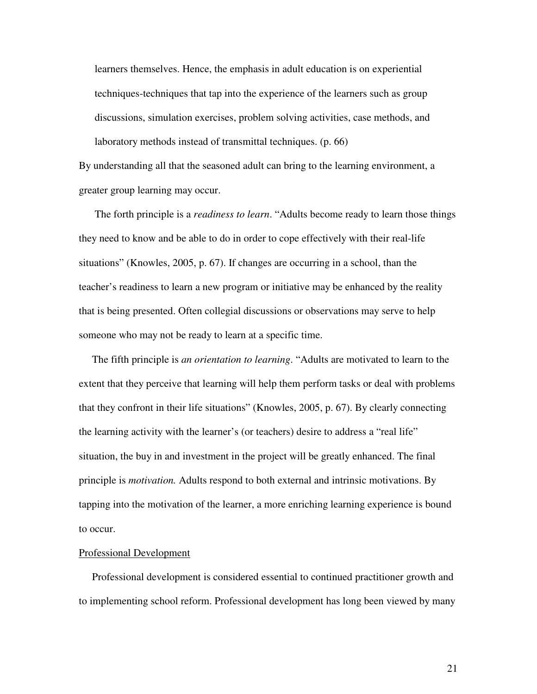learners themselves. Hence, the emphasis in adult education is on experiential techniques-techniques that tap into the experience of the learners such as group discussions, simulation exercises, problem solving activities, case methods, and laboratory methods instead of transmittal techniques. (p. 66)

By understanding all that the seasoned adult can bring to the learning environment, a greater group learning may occur.

The forth principle is a *readiness to learn*. "Adults become ready to learn those things they need to know and be able to do in order to cope effectively with their real-life situations" (Knowles, 2005, p. 67). If changes are occurring in a school, than the teacher's readiness to learn a new program or initiative may be enhanced by the reality that is being presented. Often collegial discussions or observations may serve to help someone who may not be ready to learn at a specific time.

The fifth principle is *an orientation to learning*. "Adults are motivated to learn to the extent that they perceive that learning will help them perform tasks or deal with problems that they confront in their life situations" (Knowles, 2005, p. 67). By clearly connecting the learning activity with the learner's (or teachers) desire to address a "real life" situation, the buy in and investment in the project will be greatly enhanced. The final principle is *motivation.* Adults respond to both external and intrinsic motivations. By tapping into the motivation of the learner, a more enriching learning experience is bound to occur.

#### Professional Development

Professional development is considered essential to continued practitioner growth and to implementing school reform. Professional development has long been viewed by many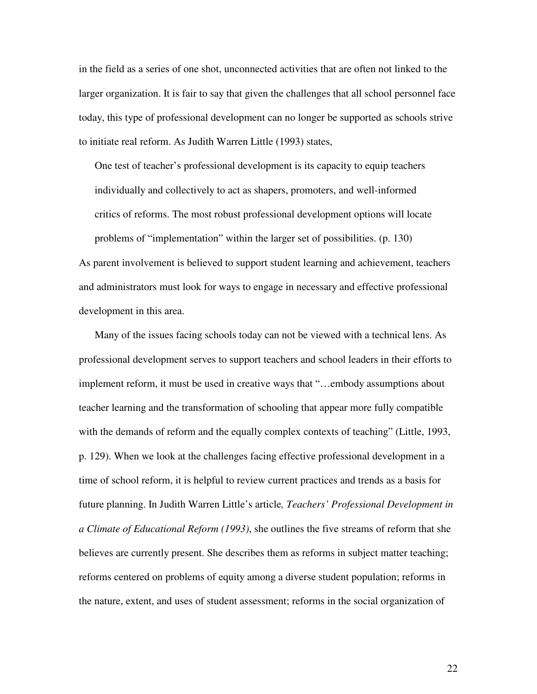in the field as a series of one shot, unconnected activities that are often not linked to the larger organization. It is fair to say that given the challenges that all school personnel face today, this type of professional development can no longer be supported as schools strive to initiate real reform. As Judith Warren Little (1993) states,

One test of teacher's professional development is its capacity to equip teachers individually and collectively to act as shapers, promoters, and well-informed critics of reforms. The most robust professional development options will locate problems of "implementation" within the larger set of possibilities. (p. 130) As parent involvement is believed to support student learning and achievement, teachers

and administrators must look for ways to engage in necessary and effective professional development in this area.

Many of the issues facing schools today can not be viewed with a technical lens. As professional development serves to support teachers and school leaders in their efforts to implement reform, it must be used in creative ways that "…embody assumptions about teacher learning and the transformation of schooling that appear more fully compatible with the demands of reform and the equally complex contexts of teaching" (Little, 1993, p. 129). When we look at the challenges facing effective professional development in a time of school reform, it is helpful to review current practices and trends as a basis for future planning. In Judith Warren Little's article*, Teachers' Professional Development in a Climate of Educational Reform (1993)*, she outlines the five streams of reform that she believes are currently present. She describes them as reforms in subject matter teaching; reforms centered on problems of equity among a diverse student population; reforms in the nature, extent, and uses of student assessment; reforms in the social organization of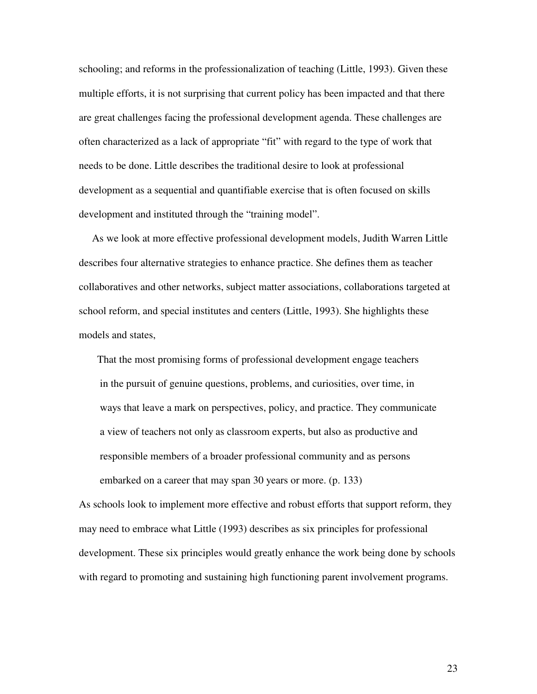schooling; and reforms in the professionalization of teaching (Little, 1993). Given these multiple efforts, it is not surprising that current policy has been impacted and that there are great challenges facing the professional development agenda. These challenges are often characterized as a lack of appropriate "fit" with regard to the type of work that needs to be done. Little describes the traditional desire to look at professional development as a sequential and quantifiable exercise that is often focused on skills development and instituted through the "training model".

As we look at more effective professional development models, Judith Warren Little describes four alternative strategies to enhance practice. She defines them as teacher collaboratives and other networks, subject matter associations, collaborations targeted at school reform, and special institutes and centers (Little, 1993). She highlights these models and states,

That the most promising forms of professional development engage teachers in the pursuit of genuine questions, problems, and curiosities, over time, in ways that leave a mark on perspectives, policy, and practice. They communicate a view of teachers not only as classroom experts, but also as productive and responsible members of a broader professional community and as persons embarked on a career that may span 30 years or more. (p. 133)

As schools look to implement more effective and robust efforts that support reform, they may need to embrace what Little (1993) describes as six principles for professional development. These six principles would greatly enhance the work being done by schools with regard to promoting and sustaining high functioning parent involvement programs.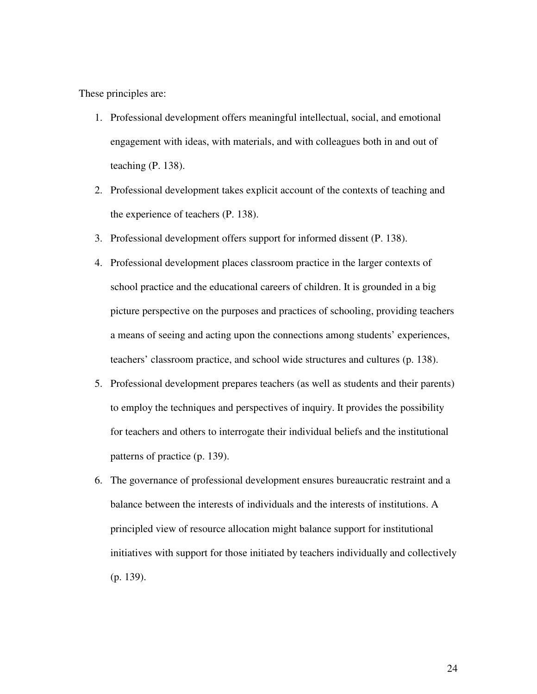These principles are:

- 1. Professional development offers meaningful intellectual, social, and emotional engagement with ideas, with materials, and with colleagues both in and out of teaching (P. 138).
- 2. Professional development takes explicit account of the contexts of teaching and the experience of teachers (P. 138).
- 3. Professional development offers support for informed dissent (P. 138).
- 4. Professional development places classroom practice in the larger contexts of school practice and the educational careers of children. It is grounded in a big picture perspective on the purposes and practices of schooling, providing teachers a means of seeing and acting upon the connections among students' experiences, teachers' classroom practice, and school wide structures and cultures (p. 138).
- 5. Professional development prepares teachers (as well as students and their parents) to employ the techniques and perspectives of inquiry. It provides the possibility for teachers and others to interrogate their individual beliefs and the institutional patterns of practice (p. 139).
- 6. The governance of professional development ensures bureaucratic restraint and a balance between the interests of individuals and the interests of institutions. A principled view of resource allocation might balance support for institutional initiatives with support for those initiated by teachers individually and collectively (p. 139).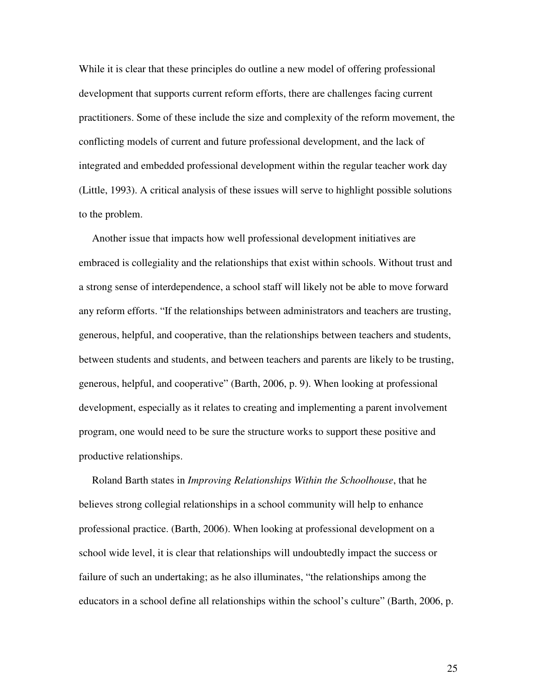While it is clear that these principles do outline a new model of offering professional development that supports current reform efforts, there are challenges facing current practitioners. Some of these include the size and complexity of the reform movement, the conflicting models of current and future professional development, and the lack of integrated and embedded professional development within the regular teacher work day (Little, 1993). A critical analysis of these issues will serve to highlight possible solutions to the problem.

Another issue that impacts how well professional development initiatives are embraced is collegiality and the relationships that exist within schools. Without trust and a strong sense of interdependence, a school staff will likely not be able to move forward any reform efforts. "If the relationships between administrators and teachers are trusting, generous, helpful, and cooperative, than the relationships between teachers and students, between students and students, and between teachers and parents are likely to be trusting, generous, helpful, and cooperative" (Barth, 2006, p. 9). When looking at professional development, especially as it relates to creating and implementing a parent involvement program, one would need to be sure the structure works to support these positive and productive relationships.

Roland Barth states in *Improving Relationships Within the Schoolhouse*, that he believes strong collegial relationships in a school community will help to enhance professional practice. (Barth, 2006). When looking at professional development on a school wide level, it is clear that relationships will undoubtedly impact the success or failure of such an undertaking; as he also illuminates, "the relationships among the educators in a school define all relationships within the school's culture" (Barth, 2006, p.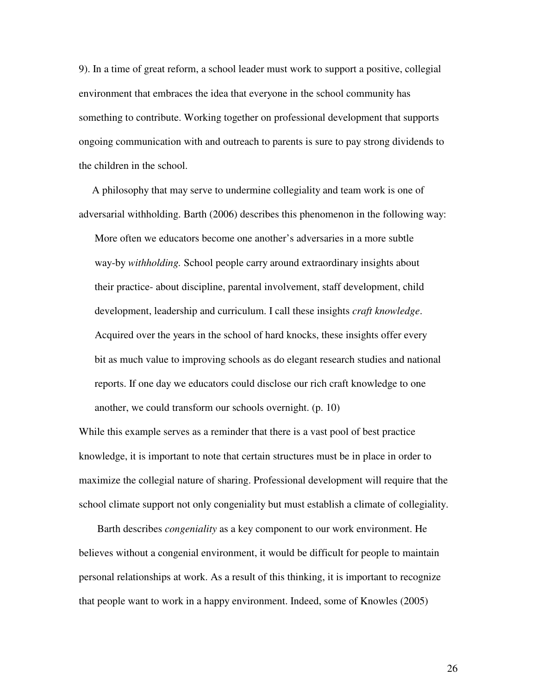9). In a time of great reform, a school leader must work to support a positive, collegial environment that embraces the idea that everyone in the school community has something to contribute. Working together on professional development that supports ongoing communication with and outreach to parents is sure to pay strong dividends to the children in the school.

A philosophy that may serve to undermine collegiality and team work is one of adversarial withholding. Barth (2006) describes this phenomenon in the following way:

More often we educators become one another's adversaries in a more subtle way-by *withholding.* School people carry around extraordinary insights about their practice- about discipline, parental involvement, staff development, child development, leadership and curriculum. I call these insights *craft knowledge*. Acquired over the years in the school of hard knocks, these insights offer every bit as much value to improving schools as do elegant research studies and national reports. If one day we educators could disclose our rich craft knowledge to one another, we could transform our schools overnight. (p. 10)

While this example serves as a reminder that there is a vast pool of best practice knowledge, it is important to note that certain structures must be in place in order to maximize the collegial nature of sharing. Professional development will require that the school climate support not only congeniality but must establish a climate of collegiality.

Barth describes *congeniality* as a key component to our work environment. He believes without a congenial environment, it would be difficult for people to maintain personal relationships at work. As a result of this thinking, it is important to recognize that people want to work in a happy environment. Indeed, some of Knowles (2005)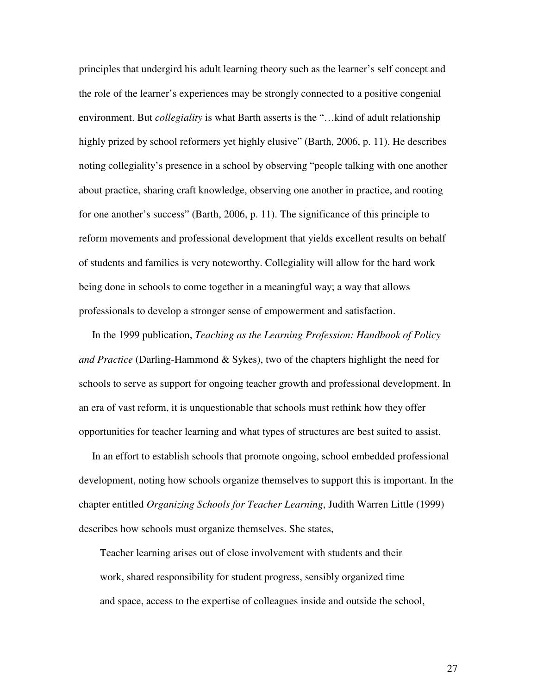principles that undergird his adult learning theory such as the learner's self concept and the role of the learner's experiences may be strongly connected to a positive congenial environment. But *collegiality* is what Barth asserts is the "…kind of adult relationship highly prized by school reformers yet highly elusive" (Barth, 2006, p. 11). He describes noting collegiality's presence in a school by observing "people talking with one another about practice, sharing craft knowledge, observing one another in practice, and rooting for one another's success" (Barth, 2006, p. 11). The significance of this principle to reform movements and professional development that yields excellent results on behalf of students and families is very noteworthy. Collegiality will allow for the hard work being done in schools to come together in a meaningful way; a way that allows professionals to develop a stronger sense of empowerment and satisfaction.

In the 1999 publication, *Teaching as the Learning Profession: Handbook of Policy and Practice* (Darling-Hammond & Sykes), two of the chapters highlight the need for schools to serve as support for ongoing teacher growth and professional development. In an era of vast reform, it is unquestionable that schools must rethink how they offer opportunities for teacher learning and what types of structures are best suited to assist.

In an effort to establish schools that promote ongoing, school embedded professional development, noting how schools organize themselves to support this is important. In the chapter entitled *Organizing Schools for Teacher Learning*, Judith Warren Little (1999) describes how schools must organize themselves. She states,

Teacher learning arises out of close involvement with students and their work, shared responsibility for student progress, sensibly organized time and space, access to the expertise of colleagues inside and outside the school,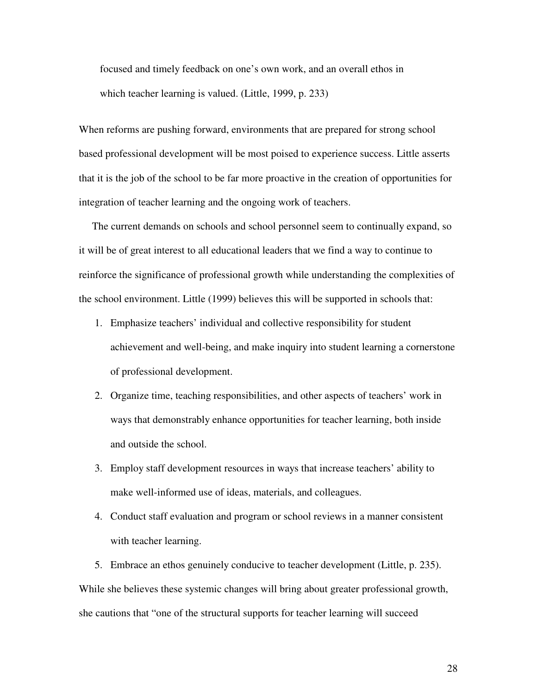focused and timely feedback on one's own work, and an overall ethos in which teacher learning is valued. (Little, 1999, p. 233)

When reforms are pushing forward, environments that are prepared for strong school based professional development will be most poised to experience success. Little asserts that it is the job of the school to be far more proactive in the creation of opportunities for integration of teacher learning and the ongoing work of teachers.

The current demands on schools and school personnel seem to continually expand, so it will be of great interest to all educational leaders that we find a way to continue to reinforce the significance of professional growth while understanding the complexities of the school environment. Little (1999) believes this will be supported in schools that:

- 1. Emphasize teachers' individual and collective responsibility for student achievement and well-being, and make inquiry into student learning a cornerstone of professional development.
- 2. Organize time, teaching responsibilities, and other aspects of teachers' work in ways that demonstrably enhance opportunities for teacher learning, both inside and outside the school.
- 3. Employ staff development resources in ways that increase teachers' ability to make well-informed use of ideas, materials, and colleagues.
- 4. Conduct staff evaluation and program or school reviews in a manner consistent with teacher learning.

5. Embrace an ethos genuinely conducive to teacher development (Little, p. 235). While she believes these systemic changes will bring about greater professional growth, she cautions that "one of the structural supports for teacher learning will succeed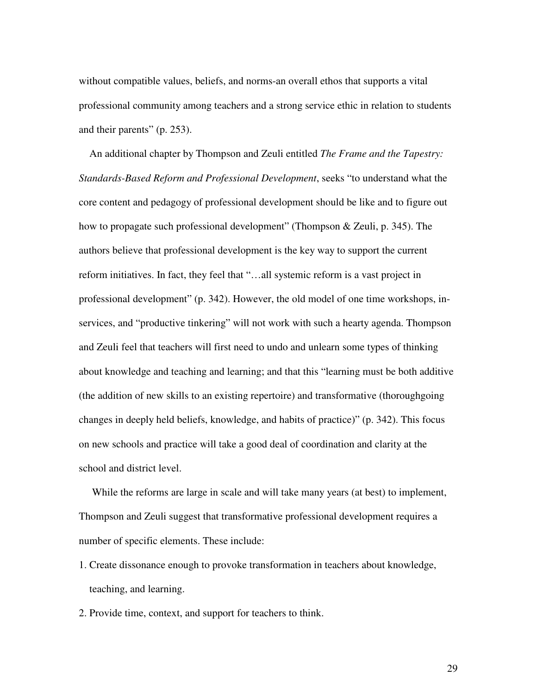without compatible values, beliefs, and norms-an overall ethos that supports a vital professional community among teachers and a strong service ethic in relation to students and their parents" (p. 253).

An additional chapter by Thompson and Zeuli entitled *The Frame and the Tapestry: Standards-Based Reform and Professional Development*, seeks "to understand what the core content and pedagogy of professional development should be like and to figure out how to propagate such professional development" (Thompson & Zeuli, p. 345). The authors believe that professional development is the key way to support the current reform initiatives. In fact, they feel that "…all systemic reform is a vast project in professional development" (p. 342). However, the old model of one time workshops, inservices, and "productive tinkering" will not work with such a hearty agenda. Thompson and Zeuli feel that teachers will first need to undo and unlearn some types of thinking about knowledge and teaching and learning; and that this "learning must be both additive (the addition of new skills to an existing repertoire) and transformative (thoroughgoing changes in deeply held beliefs, knowledge, and habits of practice)" (p. 342). This focus on new schools and practice will take a good deal of coordination and clarity at the school and district level.

While the reforms are large in scale and will take many years (at best) to implement, Thompson and Zeuli suggest that transformative professional development requires a number of specific elements. These include:

- 1. Create dissonance enough to provoke transformation in teachers about knowledge, teaching, and learning.
- 2. Provide time, context, and support for teachers to think.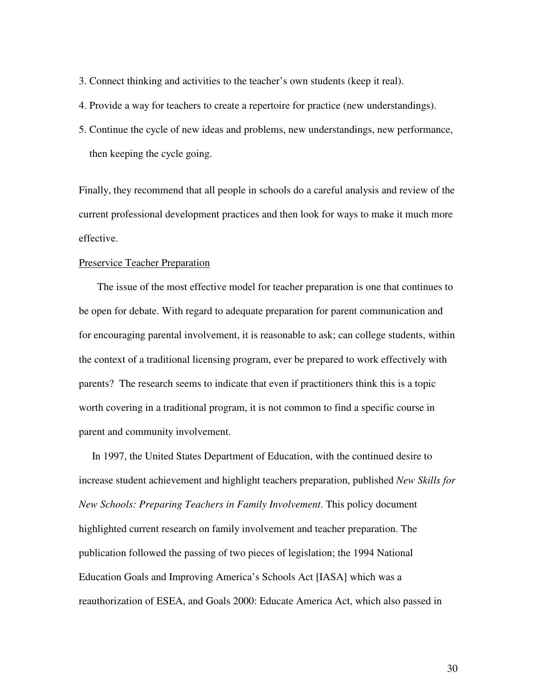3. Connect thinking and activities to the teacher's own students (keep it real).

4. Provide a way for teachers to create a repertoire for practice (new understandings).

5. Continue the cycle of new ideas and problems, new understandings, new performance, then keeping the cycle going.

Finally, they recommend that all people in schools do a careful analysis and review of the current professional development practices and then look for ways to make it much more effective.

## Preservice Teacher Preparation

The issue of the most effective model for teacher preparation is one that continues to be open for debate. With regard to adequate preparation for parent communication and for encouraging parental involvement, it is reasonable to ask; can college students, within the context of a traditional licensing program, ever be prepared to work effectively with parents? The research seems to indicate that even if practitioners think this is a topic worth covering in a traditional program, it is not common to find a specific course in parent and community involvement.

In 1997, the United States Department of Education, with the continued desire to increase student achievement and highlight teachers preparation, published *New Skills for New Schools: Preparing Teachers in Family Involvement*. This policy document highlighted current research on family involvement and teacher preparation. The publication followed the passing of two pieces of legislation; the 1994 National Education Goals and Improving America's Schools Act [IASA] which was a reauthorization of ESEA, and Goals 2000: Educate America Act, which also passed in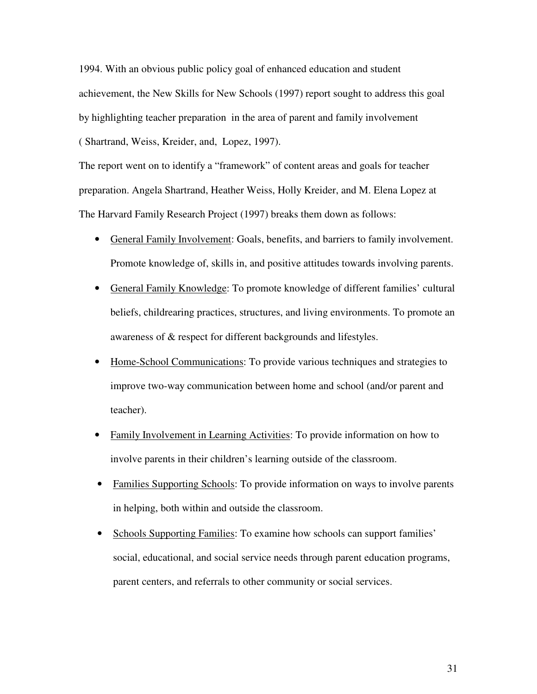1994. With an obvious public policy goal of enhanced education and student achievement, the New Skills for New Schools (1997) report sought to address this goal by highlighting teacher preparation in the area of parent and family involvement ( Shartrand, Weiss, Kreider, and, Lopez, 1997).

The report went on to identify a "framework" of content areas and goals for teacher preparation. Angela Shartrand, Heather Weiss, Holly Kreider, and M. Elena Lopez at The Harvard Family Research Project (1997) breaks them down as follows:

- General Family Involvement: Goals, benefits, and barriers to family involvement. Promote knowledge of, skills in, and positive attitudes towards involving parents.
- General Family Knowledge: To promote knowledge of different families' cultural beliefs, childrearing practices, structures, and living environments. To promote an awareness of & respect for different backgrounds and lifestyles.
- Home-School Communications: To provide various techniques and strategies to improve two-way communication between home and school (and/or parent and teacher).
- Family Involvement in Learning Activities: To provide information on how to involve parents in their children's learning outside of the classroom.
- Families Supporting Schools: To provide information on ways to involve parents in helping, both within and outside the classroom.
- Schools Supporting Families: To examine how schools can support families' social, educational, and social service needs through parent education programs, parent centers, and referrals to other community or social services.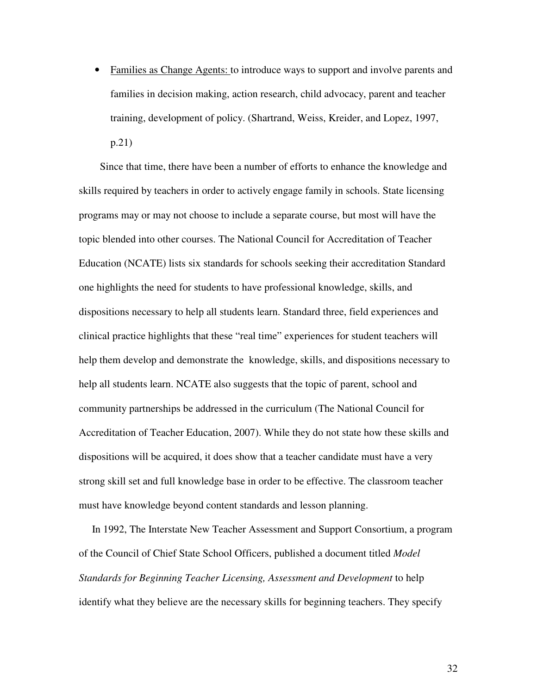• Families as Change Agents: to introduce ways to support and involve parents and families in decision making, action research, child advocacy, parent and teacher training, development of policy. (Shartrand, Weiss, Kreider, and Lopez, 1997, p.21)

Since that time, there have been a number of efforts to enhance the knowledge and skills required by teachers in order to actively engage family in schools. State licensing programs may or may not choose to include a separate course, but most will have the topic blended into other courses. The National Council for Accreditation of Teacher Education (NCATE) lists six standards for schools seeking their accreditation Standard one highlights the need for students to have professional knowledge, skills, and dispositions necessary to help all students learn. Standard three, field experiences and clinical practice highlights that these "real time" experiences for student teachers will help them develop and demonstrate the knowledge, skills, and dispositions necessary to help all students learn. NCATE also suggests that the topic of parent, school and community partnerships be addressed in the curriculum (The National Council for Accreditation of Teacher Education, 2007). While they do not state how these skills and dispositions will be acquired, it does show that a teacher candidate must have a very strong skill set and full knowledge base in order to be effective. The classroom teacher must have knowledge beyond content standards and lesson planning.

In 1992, The Interstate New Teacher Assessment and Support Consortium, a program of the Council of Chief State School Officers, published a document titled *Model Standards for Beginning Teacher Licensing, Assessment and Development* to help identify what they believe are the necessary skills for beginning teachers. They specify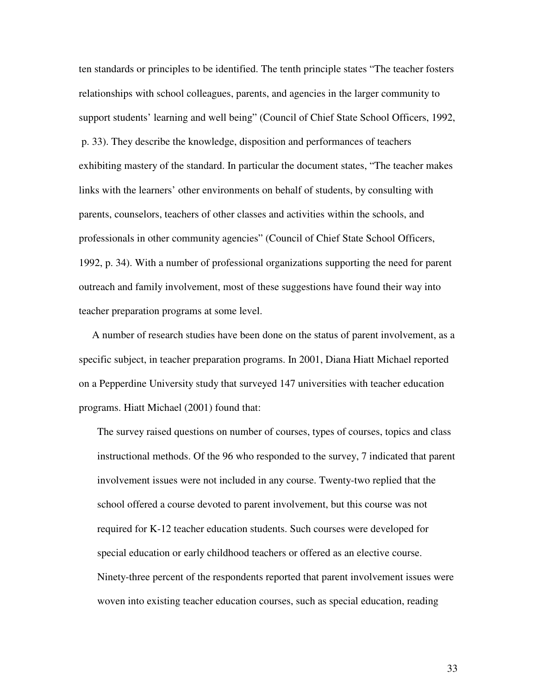ten standards or principles to be identified. The tenth principle states "The teacher fosters relationships with school colleagues, parents, and agencies in the larger community to support students' learning and well being" (Council of Chief State School Officers, 1992, p. 33). They describe the knowledge, disposition and performances of teachers exhibiting mastery of the standard. In particular the document states, "The teacher makes links with the learners' other environments on behalf of students, by consulting with parents, counselors, teachers of other classes and activities within the schools, and professionals in other community agencies" (Council of Chief State School Officers, 1992, p. 34). With a number of professional organizations supporting the need for parent outreach and family involvement, most of these suggestions have found their way into teacher preparation programs at some level.

A number of research studies have been done on the status of parent involvement, as a specific subject, in teacher preparation programs. In 2001, Diana Hiatt Michael reported on a Pepperdine University study that surveyed 147 universities with teacher education programs. Hiatt Michael (2001) found that:

The survey raised questions on number of courses, types of courses, topics and class instructional methods. Of the 96 who responded to the survey, 7 indicated that parent involvement issues were not included in any course. Twenty-two replied that the school offered a course devoted to parent involvement, but this course was not required for K-12 teacher education students. Such courses were developed for special education or early childhood teachers or offered as an elective course. Ninety-three percent of the respondents reported that parent involvement issues were woven into existing teacher education courses, such as special education, reading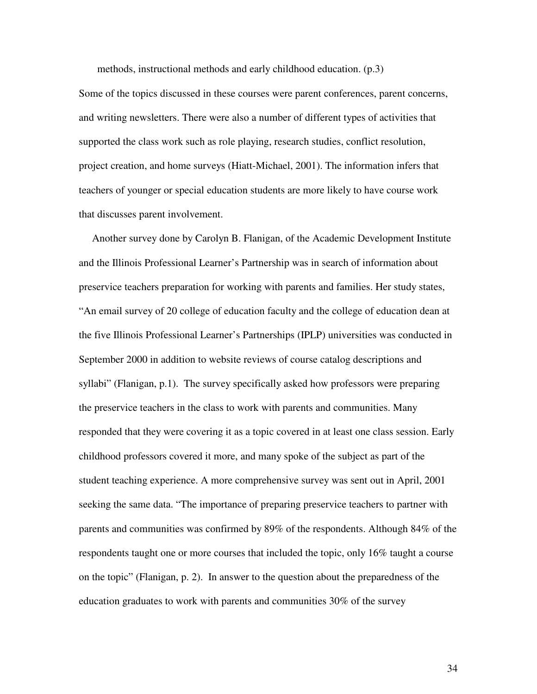methods, instructional methods and early childhood education. (p.3)

Some of the topics discussed in these courses were parent conferences, parent concerns, and writing newsletters. There were also a number of different types of activities that supported the class work such as role playing, research studies, conflict resolution, project creation, and home surveys (Hiatt-Michael, 2001). The information infers that teachers of younger or special education students are more likely to have course work that discusses parent involvement.

Another survey done by Carolyn B. Flanigan, of the Academic Development Institute and the Illinois Professional Learner's Partnership was in search of information about preservice teachers preparation for working with parents and families. Her study states, "An email survey of 20 college of education faculty and the college of education dean at the five Illinois Professional Learner's Partnerships (IPLP) universities was conducted in September 2000 in addition to website reviews of course catalog descriptions and syllabi" (Flanigan, p.1). The survey specifically asked how professors were preparing the preservice teachers in the class to work with parents and communities. Many responded that they were covering it as a topic covered in at least one class session. Early childhood professors covered it more, and many spoke of the subject as part of the student teaching experience. A more comprehensive survey was sent out in April, 2001 seeking the same data. "The importance of preparing preservice teachers to partner with parents and communities was confirmed by 89% of the respondents. Although 84% of the respondents taught one or more courses that included the topic, only 16% taught a course on the topic" (Flanigan, p. 2). In answer to the question about the preparedness of the education graduates to work with parents and communities 30% of the survey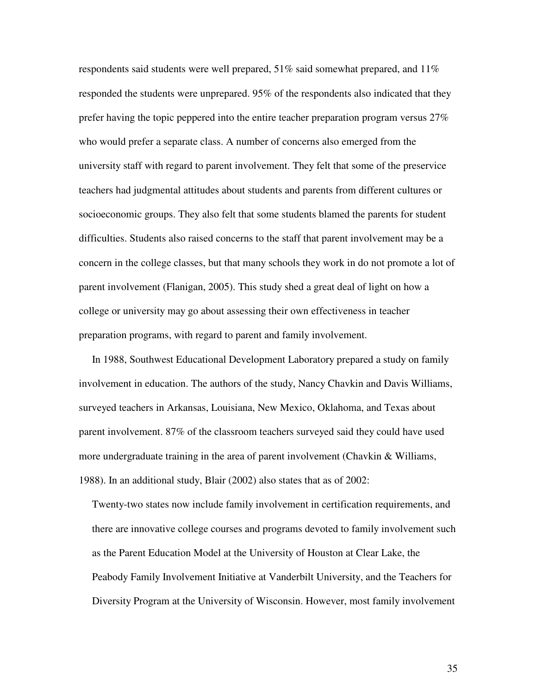respondents said students were well prepared,  $51\%$  said somewhat prepared, and  $11\%$ responded the students were unprepared. 95% of the respondents also indicated that they prefer having the topic peppered into the entire teacher preparation program versus 27% who would prefer a separate class. A number of concerns also emerged from the university staff with regard to parent involvement. They felt that some of the preservice teachers had judgmental attitudes about students and parents from different cultures or socioeconomic groups. They also felt that some students blamed the parents for student difficulties. Students also raised concerns to the staff that parent involvement may be a concern in the college classes, but that many schools they work in do not promote a lot of parent involvement (Flanigan, 2005). This study shed a great deal of light on how a college or university may go about assessing their own effectiveness in teacher preparation programs, with regard to parent and family involvement.

In 1988, Southwest Educational Development Laboratory prepared a study on family involvement in education. The authors of the study, Nancy Chavkin and Davis Williams, surveyed teachers in Arkansas, Louisiana, New Mexico, Oklahoma, and Texas about parent involvement. 87% of the classroom teachers surveyed said they could have used more undergraduate training in the area of parent involvement (Chavkin & Williams, 1988). In an additional study, Blair (2002) also states that as of 2002:

Twenty-two states now include family involvement in certification requirements, and there are innovative college courses and programs devoted to family involvement such as the Parent Education Model at the University of Houston at Clear Lake, the Peabody Family Involvement Initiative at Vanderbilt University, and the Teachers for Diversity Program at the University of Wisconsin. However, most family involvement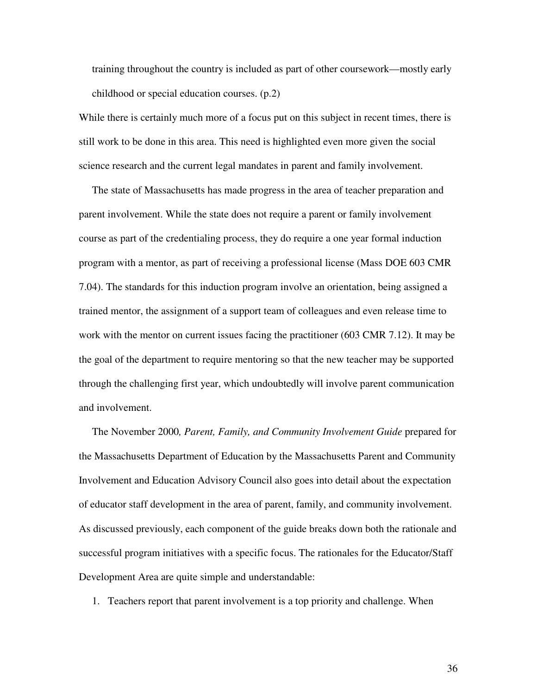training throughout the country is included as part of other coursework—mostly early childhood or special education courses. (p.2)

While there is certainly much more of a focus put on this subject in recent times, there is still work to be done in this area. This need is highlighted even more given the social science research and the current legal mandates in parent and family involvement.

The state of Massachusetts has made progress in the area of teacher preparation and parent involvement. While the state does not require a parent or family involvement course as part of the credentialing process, they do require a one year formal induction program with a mentor, as part of receiving a professional license (Mass DOE 603 CMR 7.04). The standards for this induction program involve an orientation, being assigned a trained mentor, the assignment of a support team of colleagues and even release time to work with the mentor on current issues facing the practitioner (603 CMR 7.12). It may be the goal of the department to require mentoring so that the new teacher may be supported through the challenging first year, which undoubtedly will involve parent communication and involvement.

The November 2000*, Parent, Family, and Community Involvement Guide* prepared for the Massachusetts Department of Education by the Massachusetts Parent and Community Involvement and Education Advisory Council also goes into detail about the expectation of educator staff development in the area of parent, family, and community involvement. As discussed previously, each component of the guide breaks down both the rationale and successful program initiatives with a specific focus. The rationales for the Educator/Staff Development Area are quite simple and understandable:

1. Teachers report that parent involvement is a top priority and challenge. When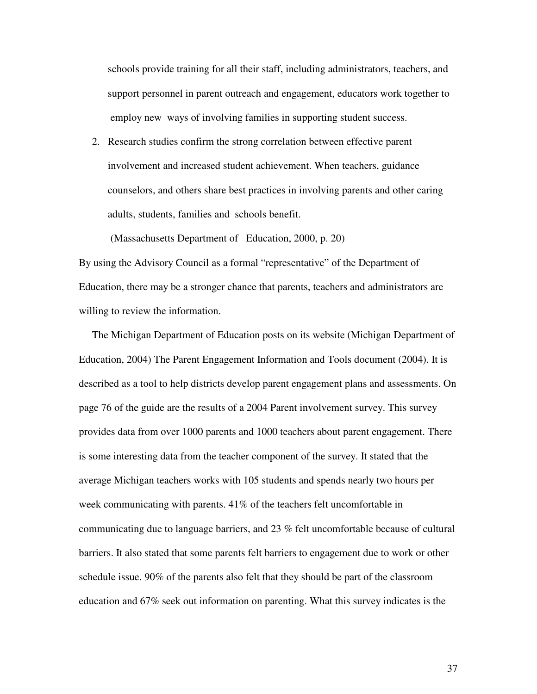schools provide training for all their staff, including administrators, teachers, and support personnel in parent outreach and engagement, educators work together to employ new ways of involving families in supporting student success.

2. Research studies confirm the strong correlation between effective parent involvement and increased student achievement. When teachers, guidance counselors, and others share best practices in involving parents and other caring adults, students, families and schools benefit.

(Massachusetts Department of Education, 2000, p. 20)

By using the Advisory Council as a formal "representative" of the Department of Education, there may be a stronger chance that parents, teachers and administrators are willing to review the information.

The Michigan Department of Education posts on its website (Michigan Department of Education, 2004) The Parent Engagement Information and Tools document (2004). It is described as a tool to help districts develop parent engagement plans and assessments. On page 76 of the guide are the results of a 2004 Parent involvement survey. This survey provides data from over 1000 parents and 1000 teachers about parent engagement. There is some interesting data from the teacher component of the survey. It stated that the average Michigan teachers works with 105 students and spends nearly two hours per week communicating with parents. 41% of the teachers felt uncomfortable in communicating due to language barriers, and 23 % felt uncomfortable because of cultural barriers. It also stated that some parents felt barriers to engagement due to work or other schedule issue. 90% of the parents also felt that they should be part of the classroom education and 67% seek out information on parenting. What this survey indicates is the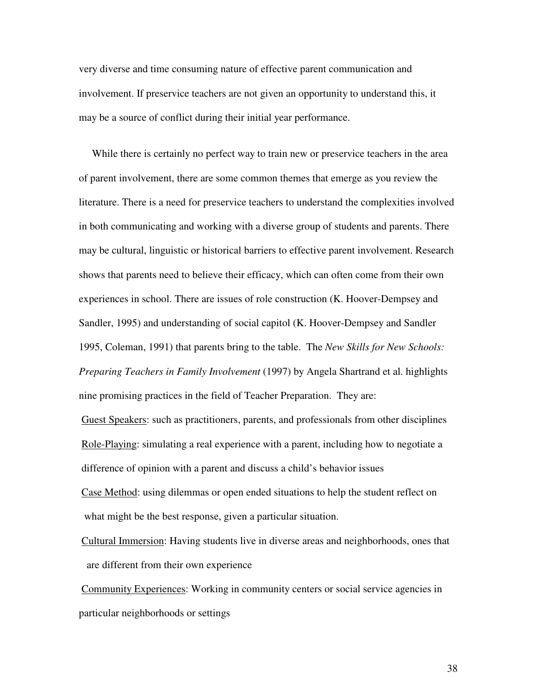very diverse and time consuming nature of effective parent communication and involvement. If preservice teachers are not given an opportunity to understand this, it may be a source of conflict during their initial year performance.

While there is certainly no perfect way to train new or preservice teachers in the area of parent involvement, there are some common themes that emerge as you review the literature. There is a need for preservice teachers to understand the complexities involved in both communicating and working with a diverse group of students and parents. There may be cultural, linguistic or historical barriers to effective parent involvement. Research shows that parents need to believe their efficacy, which can often come from their own experiences in school. There are issues of role construction (K. Hoover-Dempsey and Sandler, 1995) and understanding of social capitol (K. Hoover-Dempsey and Sandler 1995, Coleman, 1991) that parents bring to the table. The *New Skills for New Schools: Preparing Teachers in Family Involvement* (1997) by Angela Shartrand et al. highlights nine promising practices in the field of Teacher Preparation. They are:

Guest Speakers: such as practitioners, parents, and professionals from other disciplines Role-Playing: simulating a real experience with a parent, including how to negotiate a difference of opinion with a parent and discuss a child's behavior issues Case Method: using dilemmas or open ended situations to help the student reflect on what might be the best response, given a particular situation.

Cultural Immersion: Having students live in diverse areas and neighborhoods, ones that are different from their own experience

Community Experiences: Working in community centers or social service agencies in particular neighborhoods or settings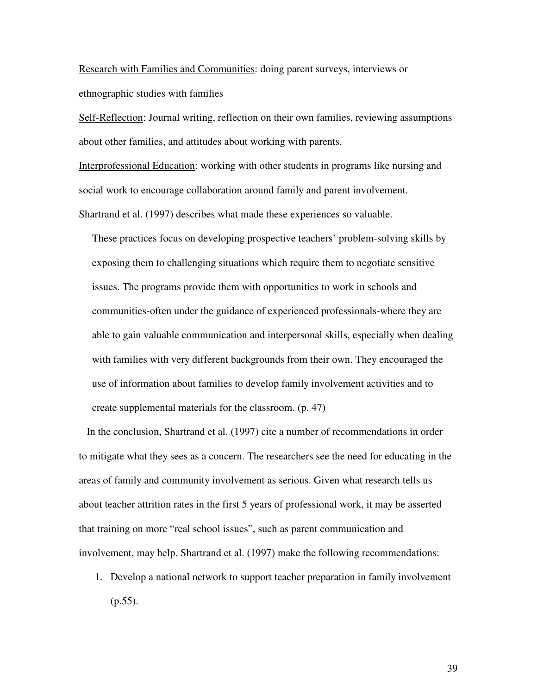Research with Families and Communities: doing parent surveys, interviews or ethnographic studies with families

Self-Reflection: Journal writing, reflection on their own families, reviewing assumptions about other families, and attitudes about working with parents.

Interprofessional Education: working with other students in programs like nursing and social work to encourage collaboration around family and parent involvement. Shartrand et al. (1997) describes what made these experiences so valuable.

These practices focus on developing prospective teachers' problem-solving skills by exposing them to challenging situations which require them to negotiate sensitive issues. The programs provide them with opportunities to work in schools and communities-often under the guidance of experienced professionals-where they are able to gain valuable communication and interpersonal skills, especially when dealing with families with very different backgrounds from their own. They encouraged the use of information about families to develop family involvement activities and to create supplemental materials for the classroom. (p. 47)

In the conclusion, Shartrand et al. (1997) cite a number of recommendations in order to mitigate what they sees as a concern. The researchers see the need for educating in the areas of family and community involvement as serious. Given what research tells us about teacher attrition rates in the first 5 years of professional work, it may be asserted that training on more "real school issues", such as parent communication and involvement, may help. Shartrand et al. (1997) make the following recommendations:

1. Develop a national network to support teacher preparation in family involvement (p.55).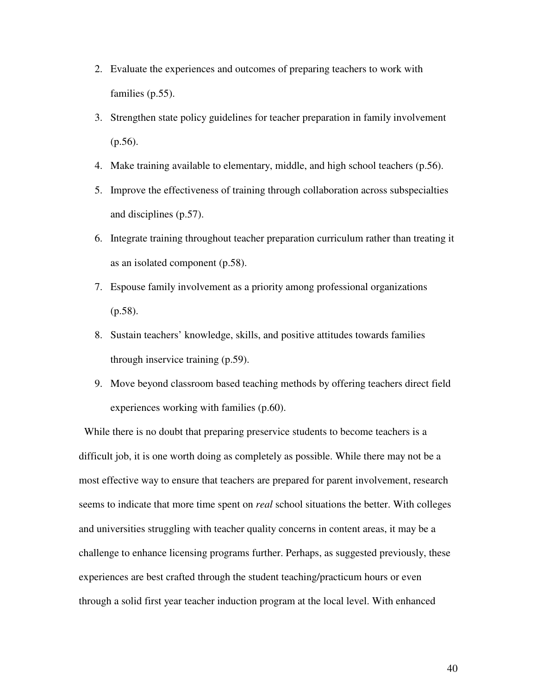- 2. Evaluate the experiences and outcomes of preparing teachers to work with families (p.55).
- 3. Strengthen state policy guidelines for teacher preparation in family involvement (p.56).
- 4. Make training available to elementary, middle, and high school teachers (p.56).
- 5. Improve the effectiveness of training through collaboration across subspecialties and disciplines (p.57).
- 6. Integrate training throughout teacher preparation curriculum rather than treating it as an isolated component (p.58).
- 7. Espouse family involvement as a priority among professional organizations (p.58).
- 8. Sustain teachers' knowledge, skills, and positive attitudes towards families through inservice training (p.59).
- 9. Move beyond classroom based teaching methods by offering teachers direct field experiences working with families (p.60).

While there is no doubt that preparing preservice students to become teachers is a difficult job, it is one worth doing as completely as possible. While there may not be a most effective way to ensure that teachers are prepared for parent involvement, research seems to indicate that more time spent on *real* school situations the better. With colleges and universities struggling with teacher quality concerns in content areas, it may be a challenge to enhance licensing programs further. Perhaps, as suggested previously, these experiences are best crafted through the student teaching/practicum hours or even through a solid first year teacher induction program at the local level. With enhanced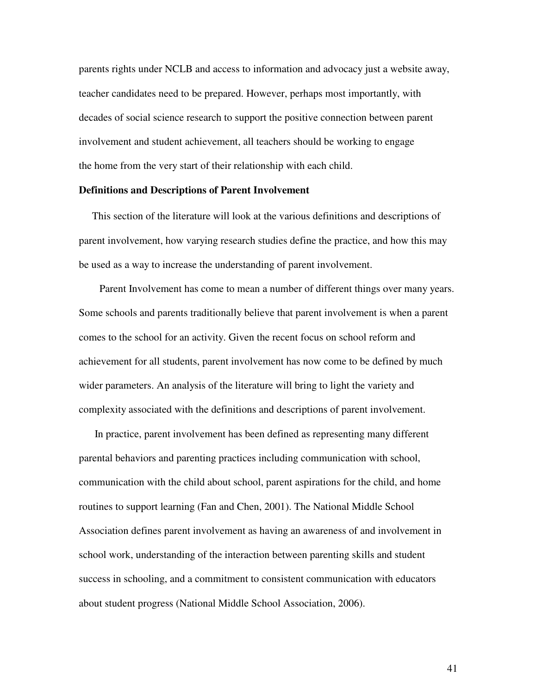parents rights under NCLB and access to information and advocacy just a website away, teacher candidates need to be prepared. However, perhaps most importantly, with decades of social science research to support the positive connection between parent involvement and student achievement, all teachers should be working to engage the home from the very start of their relationship with each child.

## **Definitions and Descriptions of Parent Involvement**

This section of the literature will look at the various definitions and descriptions of parent involvement, how varying research studies define the practice, and how this may be used as a way to increase the understanding of parent involvement.

Parent Involvement has come to mean a number of different things over many years. Some schools and parents traditionally believe that parent involvement is when a parent comes to the school for an activity. Given the recent focus on school reform and achievement for all students, parent involvement has now come to be defined by much wider parameters. An analysis of the literature will bring to light the variety and complexity associated with the definitions and descriptions of parent involvement.

In practice, parent involvement has been defined as representing many different parental behaviors and parenting practices including communication with school, communication with the child about school, parent aspirations for the child, and home routines to support learning (Fan and Chen, 2001). The National Middle School Association defines parent involvement as having an awareness of and involvement in school work, understanding of the interaction between parenting skills and student success in schooling, and a commitment to consistent communication with educators about student progress (National Middle School Association, 2006).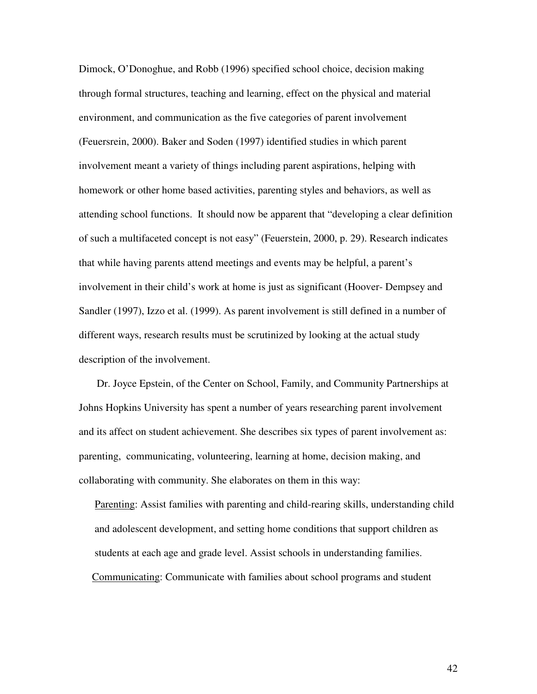Dimock, O'Donoghue, and Robb (1996) specified school choice, decision making through formal structures, teaching and learning, effect on the physical and material environment, and communication as the five categories of parent involvement (Feuersrein, 2000). Baker and Soden (1997) identified studies in which parent involvement meant a variety of things including parent aspirations, helping with homework or other home based activities, parenting styles and behaviors, as well as attending school functions. It should now be apparent that "developing a clear definition of such a multifaceted concept is not easy" (Feuerstein, 2000, p. 29). Research indicates that while having parents attend meetings and events may be helpful, a parent's involvement in their child's work at home is just as significant (Hoover- Dempsey and Sandler (1997), Izzo et al. (1999). As parent involvement is still defined in a number of different ways, research results must be scrutinized by looking at the actual study description of the involvement.

Dr. Joyce Epstein, of the Center on School, Family, and Community Partnerships at Johns Hopkins University has spent a number of years researching parent involvement and its affect on student achievement. She describes six types of parent involvement as: parenting, communicating, volunteering, learning at home, decision making, and collaborating with community. She elaborates on them in this way:

Parenting: Assist families with parenting and child-rearing skills, understanding child and adolescent development, and setting home conditions that support children as students at each age and grade level. Assist schools in understanding families. Communicating: Communicate with families about school programs and student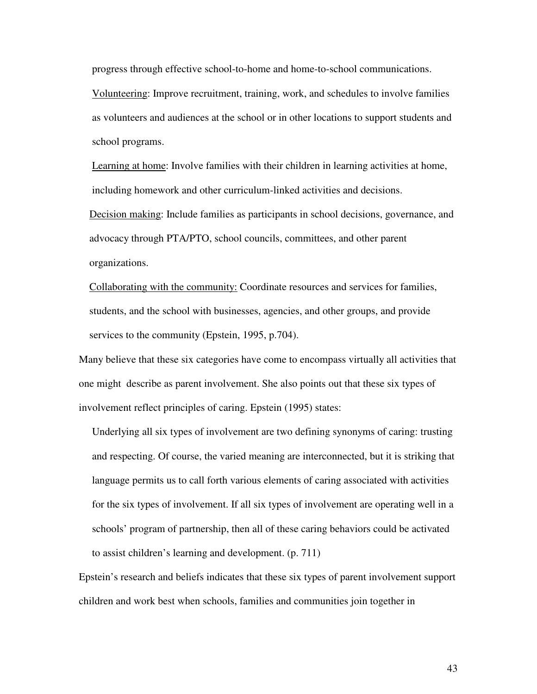progress through effective school-to-home and home-to-school communications.

Volunteering: Improve recruitment, training, work, and schedules to involve families as volunteers and audiences at the school or in other locations to support students and school programs.

Learning at home: Involve families with their children in learning activities at home, including homework and other curriculum-linked activities and decisions.

Decision making: Include families as participants in school decisions, governance, and advocacy through PTA/PTO, school councils, committees, and other parent organizations.

Collaborating with the community: Coordinate resources and services for families, students, and the school with businesses, agencies, and other groups, and provide services to the community (Epstein, 1995, p.704).

Many believe that these six categories have come to encompass virtually all activities that one might describe as parent involvement. She also points out that these six types of involvement reflect principles of caring. Epstein (1995) states:

Underlying all six types of involvement are two defining synonyms of caring: trusting and respecting. Of course, the varied meaning are interconnected, but it is striking that language permits us to call forth various elements of caring associated with activities for the six types of involvement. If all six types of involvement are operating well in a schools' program of partnership, then all of these caring behaviors could be activated to assist children's learning and development. (p. 711)

Epstein's research and beliefs indicates that these six types of parent involvement support children and work best when schools, families and communities join together in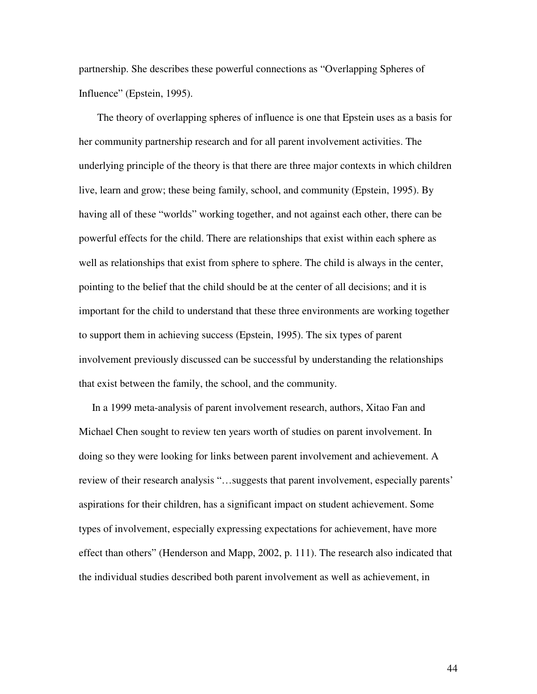partnership. She describes these powerful connections as "Overlapping Spheres of Influence" (Epstein, 1995).

The theory of overlapping spheres of influence is one that Epstein uses as a basis for her community partnership research and for all parent involvement activities. The underlying principle of the theory is that there are three major contexts in which children live, learn and grow; these being family, school, and community (Epstein, 1995). By having all of these "worlds" working together, and not against each other, there can be powerful effects for the child. There are relationships that exist within each sphere as well as relationships that exist from sphere to sphere. The child is always in the center, pointing to the belief that the child should be at the center of all decisions; and it is important for the child to understand that these three environments are working together to support them in achieving success (Epstein, 1995). The six types of parent involvement previously discussed can be successful by understanding the relationships that exist between the family, the school, and the community.

In a 1999 meta-analysis of parent involvement research, authors, Xitao Fan and Michael Chen sought to review ten years worth of studies on parent involvement. In doing so they were looking for links between parent involvement and achievement. A review of their research analysis "…suggests that parent involvement, especially parents' aspirations for their children, has a significant impact on student achievement. Some types of involvement, especially expressing expectations for achievement, have more effect than others" (Henderson and Mapp, 2002, p. 111). The research also indicated that the individual studies described both parent involvement as well as achievement, in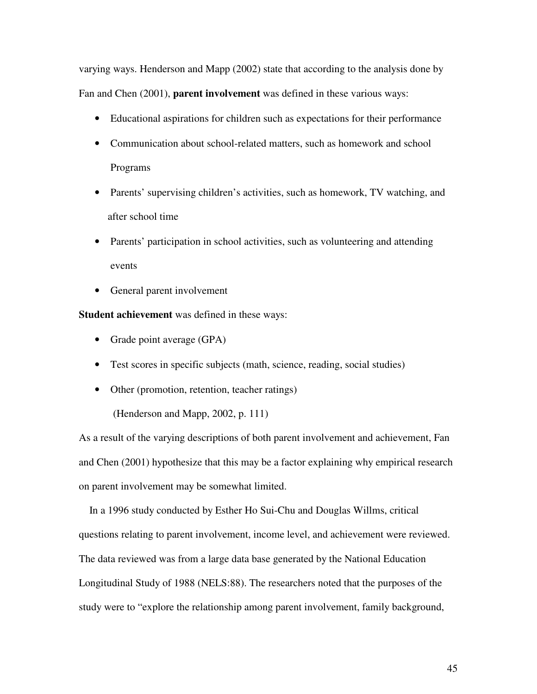varying ways. Henderson and Mapp (2002) state that according to the analysis done by Fan and Chen (2001), **parent involvement** was defined in these various ways:

- Educational aspirations for children such as expectations for their performance
- Communication about school-related matters, such as homework and school Programs
- Parents' supervising children's activities, such as homework, TV watching, and after school time
- Parents' participation in school activities, such as volunteering and attending events
- General parent involvement

**Student achievement** was defined in these ways:

- Grade point average (GPA)
- Test scores in specific subjects (math, science, reading, social studies)
- Other (promotion, retention, teacher ratings)

(Henderson and Mapp, 2002, p. 111)

As a result of the varying descriptions of both parent involvement and achievement, Fan and Chen (2001) hypothesize that this may be a factor explaining why empirical research on parent involvement may be somewhat limited.

In a 1996 study conducted by Esther Ho Sui-Chu and Douglas Willms, critical questions relating to parent involvement, income level, and achievement were reviewed. The data reviewed was from a large data base generated by the National Education Longitudinal Study of 1988 (NELS:88). The researchers noted that the purposes of the study were to "explore the relationship among parent involvement, family background,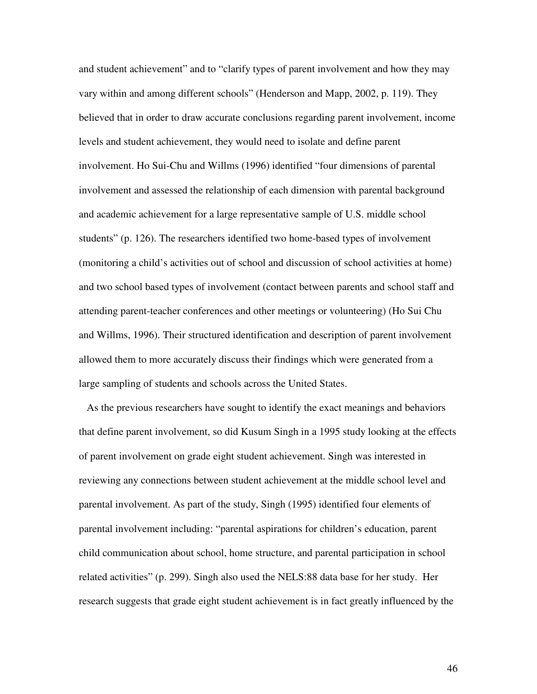and student achievement" and to "clarify types of parent involvement and how they may vary within and among different schools" (Henderson and Mapp, 2002, p. 119). They believed that in order to draw accurate conclusions regarding parent involvement, income levels and student achievement, they would need to isolate and define parent involvement. Ho Sui-Chu and Willms (1996) identified "four dimensions of parental involvement and assessed the relationship of each dimension with parental background and academic achievement for a large representative sample of U.S. middle school students" (p. 126). The researchers identified two home-based types of involvement (monitoring a child's activities out of school and discussion of school activities at home) and two school based types of involvement (contact between parents and school staff and attending parent-teacher conferences and other meetings or volunteering) (Ho Sui Chu and Willms, 1996). Their structured identification and description of parent involvement allowed them to more accurately discuss their findings which were generated from a large sampling of students and schools across the United States.

As the previous researchers have sought to identify the exact meanings and behaviors that define parent involvement, so did Kusum Singh in a 1995 study looking at the effects of parent involvement on grade eight student achievement. Singh was interested in reviewing any connections between student achievement at the middle school level and parental involvement. As part of the study, Singh (1995) identified four elements of parental involvement including: "parental aspirations for children's education, parent child communication about school, home structure, and parental participation in school related activities" (p. 299). Singh also used the NELS:88 data base for her study. Her research suggests that grade eight student achievement is in fact greatly influenced by the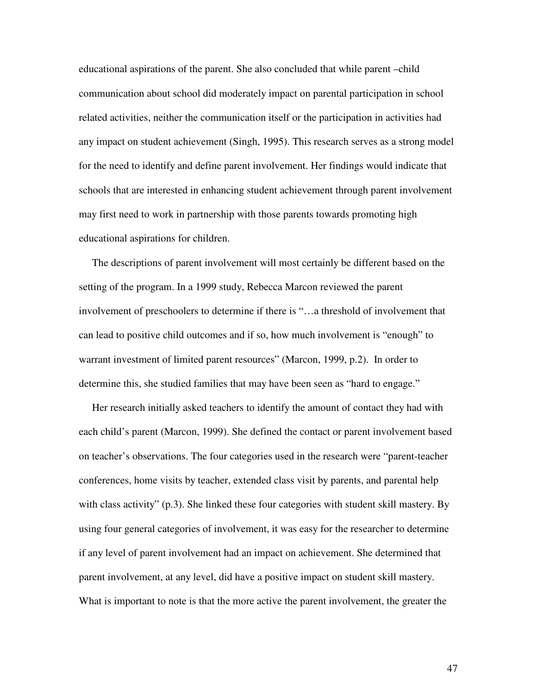educational aspirations of the parent. She also concluded that while parent –child communication about school did moderately impact on parental participation in school related activities, neither the communication itself or the participation in activities had any impact on student achievement (Singh, 1995). This research serves as a strong model for the need to identify and define parent involvement. Her findings would indicate that schools that are interested in enhancing student achievement through parent involvement may first need to work in partnership with those parents towards promoting high educational aspirations for children.

The descriptions of parent involvement will most certainly be different based on the setting of the program. In a 1999 study, Rebecca Marcon reviewed the parent involvement of preschoolers to determine if there is "…a threshold of involvement that can lead to positive child outcomes and if so, how much involvement is "enough" to warrant investment of limited parent resources" (Marcon, 1999, p.2). In order to determine this, she studied families that may have been seen as "hard to engage."

Her research initially asked teachers to identify the amount of contact they had with each child's parent (Marcon, 1999). She defined the contact or parent involvement based on teacher's observations. The four categories used in the research were "parent-teacher conferences, home visits by teacher, extended class visit by parents, and parental help with class activity" (p.3). She linked these four categories with student skill mastery. By using four general categories of involvement, it was easy for the researcher to determine if any level of parent involvement had an impact on achievement. She determined that parent involvement, at any level, did have a positive impact on student skill mastery. What is important to note is that the more active the parent involvement, the greater the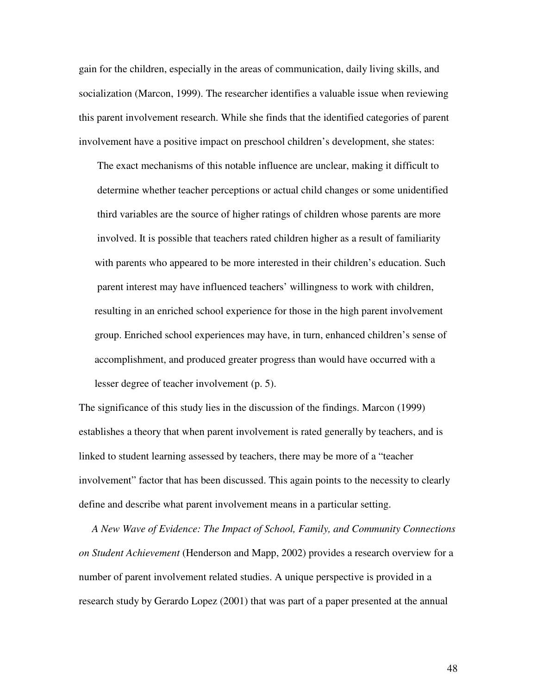gain for the children, especially in the areas of communication, daily living skills, and socialization (Marcon, 1999). The researcher identifies a valuable issue when reviewing this parent involvement research. While she finds that the identified categories of parent involvement have a positive impact on preschool children's development, she states:

The exact mechanisms of this notable influence are unclear, making it difficult to determine whether teacher perceptions or actual child changes or some unidentified third variables are the source of higher ratings of children whose parents are more involved. It is possible that teachers rated children higher as a result of familiarity with parents who appeared to be more interested in their children's education. Such parent interest may have influenced teachers' willingness to work with children, resulting in an enriched school experience for those in the high parent involvement group. Enriched school experiences may have, in turn, enhanced children's sense of accomplishment, and produced greater progress than would have occurred with a lesser degree of teacher involvement (p. 5).

The significance of this study lies in the discussion of the findings. Marcon (1999) establishes a theory that when parent involvement is rated generally by teachers, and is linked to student learning assessed by teachers, there may be more of a "teacher involvement" factor that has been discussed. This again points to the necessity to clearly define and describe what parent involvement means in a particular setting.

*A New Wave of Evidence: The Impact of School, Family, and Community Connections on Student Achievement* (Henderson and Mapp, 2002) provides a research overview for a number of parent involvement related studies. A unique perspective is provided in a research study by Gerardo Lopez (2001) that was part of a paper presented at the annual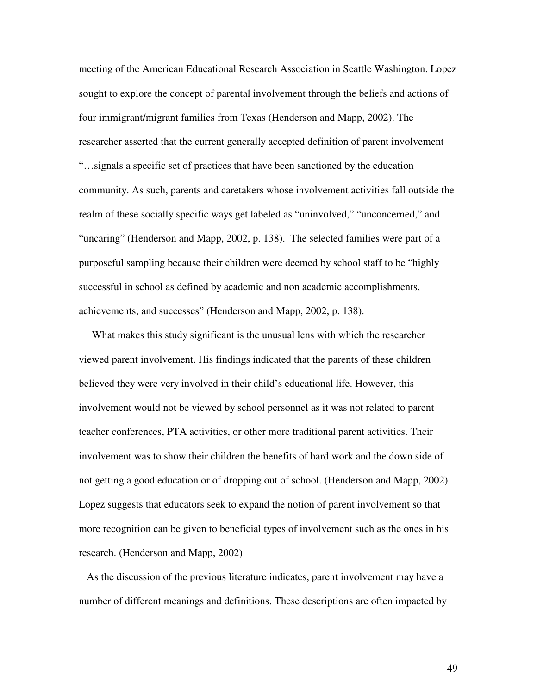meeting of the American Educational Research Association in Seattle Washington. Lopez sought to explore the concept of parental involvement through the beliefs and actions of four immigrant/migrant families from Texas (Henderson and Mapp, 2002). The researcher asserted that the current generally accepted definition of parent involvement "…signals a specific set of practices that have been sanctioned by the education community. As such, parents and caretakers whose involvement activities fall outside the realm of these socially specific ways get labeled as "uninvolved," "unconcerned," and "uncaring" (Henderson and Mapp, 2002, p. 138). The selected families were part of a purposeful sampling because their children were deemed by school staff to be "highly successful in school as defined by academic and non academic accomplishments, achievements, and successes" (Henderson and Mapp, 2002, p. 138).

What makes this study significant is the unusual lens with which the researcher viewed parent involvement. His findings indicated that the parents of these children believed they were very involved in their child's educational life. However, this involvement would not be viewed by school personnel as it was not related to parent teacher conferences, PTA activities, or other more traditional parent activities. Their involvement was to show their children the benefits of hard work and the down side of not getting a good education or of dropping out of school. (Henderson and Mapp, 2002) Lopez suggests that educators seek to expand the notion of parent involvement so that more recognition can be given to beneficial types of involvement such as the ones in his research. (Henderson and Mapp, 2002)

As the discussion of the previous literature indicates, parent involvement may have a number of different meanings and definitions. These descriptions are often impacted by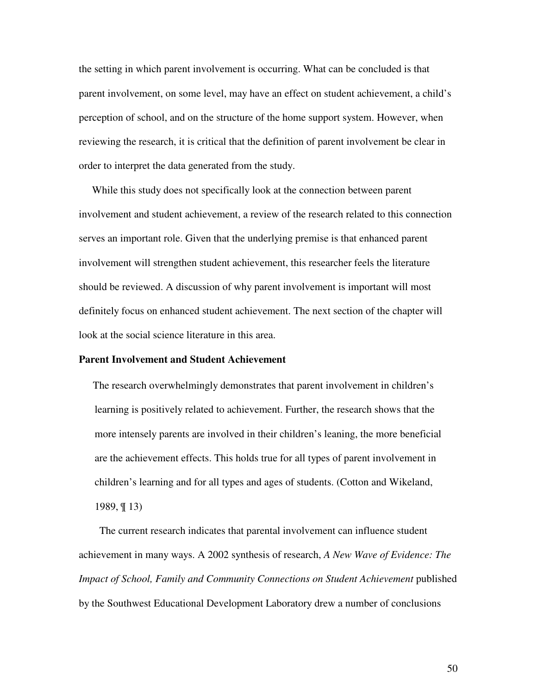the setting in which parent involvement is occurring. What can be concluded is that parent involvement, on some level, may have an effect on student achievement, a child's perception of school, and on the structure of the home support system. However, when reviewing the research, it is critical that the definition of parent involvement be clear in order to interpret the data generated from the study.

While this study does not specifically look at the connection between parent involvement and student achievement, a review of the research related to this connection serves an important role. Given that the underlying premise is that enhanced parent involvement will strengthen student achievement, this researcher feels the literature should be reviewed. A discussion of why parent involvement is important will most definitely focus on enhanced student achievement. The next section of the chapter will look at the social science literature in this area.

## **Parent Involvement and Student Achievement**

The research overwhelmingly demonstrates that parent involvement in children's learning is positively related to achievement. Further, the research shows that the more intensely parents are involved in their children's leaning, the more beneficial are the achievement effects. This holds true for all types of parent involvement in children's learning and for all types and ages of students. (Cotton and Wikeland, 1989, ¶ 13)

The current research indicates that parental involvement can influence student achievement in many ways. A 2002 synthesis of research, *A New Wave of Evidence: The Impact of School, Family and Community Connections on Student Achievement* published by the Southwest Educational Development Laboratory drew a number of conclusions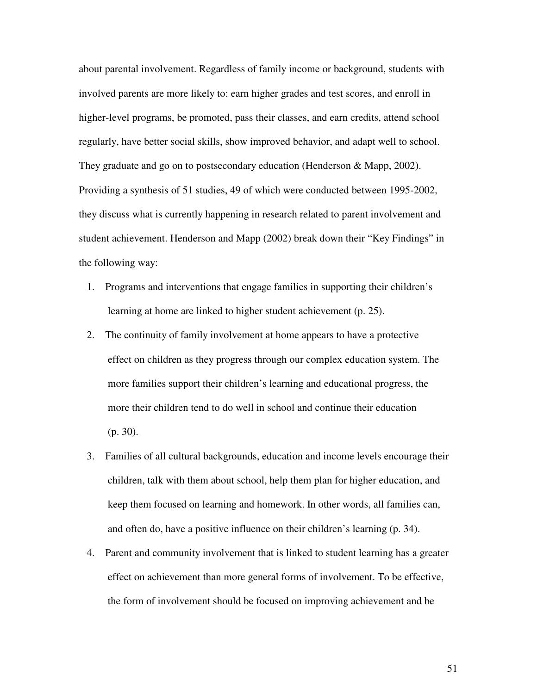about parental involvement. Regardless of family income or background, students with involved parents are more likely to: earn higher grades and test scores, and enroll in higher-level programs, be promoted, pass their classes, and earn credits, attend school regularly, have better social skills, show improved behavior, and adapt well to school. They graduate and go on to postsecondary education (Henderson & Mapp, 2002). Providing a synthesis of 51 studies, 49 of which were conducted between 1995-2002, they discuss what is currently happening in research related to parent involvement and student achievement. Henderson and Mapp (2002) break down their "Key Findings" in the following way:

- 1. Programs and interventions that engage families in supporting their children's learning at home are linked to higher student achievement (p. 25).
- 2. The continuity of family involvement at home appears to have a protective effect on children as they progress through our complex education system. The more families support their children's learning and educational progress, the more their children tend to do well in school and continue their education (p. 30).
- 3. Families of all cultural backgrounds, education and income levels encourage their children, talk with them about school, help them plan for higher education, and keep them focused on learning and homework. In other words, all families can, and often do, have a positive influence on their children's learning (p. 34).
- 4. Parent and community involvement that is linked to student learning has a greater effect on achievement than more general forms of involvement. To be effective, the form of involvement should be focused on improving achievement and be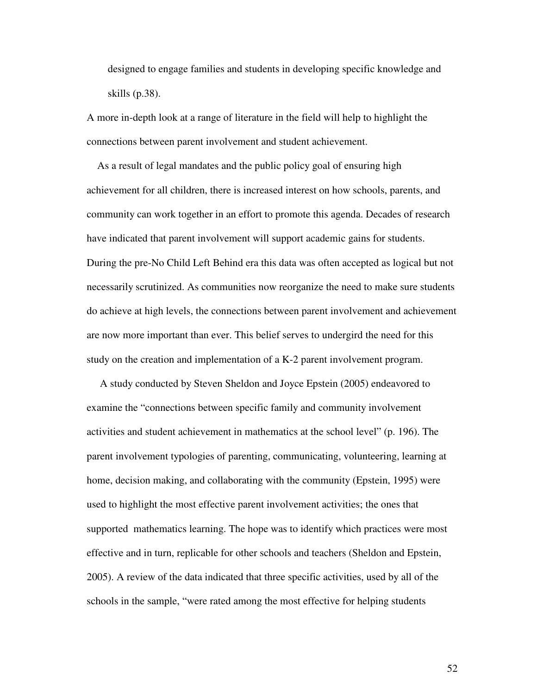designed to engage families and students in developing specific knowledge and skills (p.38).

A more in-depth look at a range of literature in the field will help to highlight the connections between parent involvement and student achievement.

As a result of legal mandates and the public policy goal of ensuring high achievement for all children, there is increased interest on how schools, parents, and community can work together in an effort to promote this agenda. Decades of research have indicated that parent involvement will support academic gains for students. During the pre-No Child Left Behind era this data was often accepted as logical but not necessarily scrutinized. As communities now reorganize the need to make sure students do achieve at high levels, the connections between parent involvement and achievement are now more important than ever. This belief serves to undergird the need for this study on the creation and implementation of a K-2 parent involvement program.

A study conducted by Steven Sheldon and Joyce Epstein (2005) endeavored to examine the "connections between specific family and community involvement activities and student achievement in mathematics at the school level" (p. 196). The parent involvement typologies of parenting, communicating, volunteering, learning at home, decision making, and collaborating with the community (Epstein, 1995) were used to highlight the most effective parent involvement activities; the ones that supported mathematics learning. The hope was to identify which practices were most effective and in turn, replicable for other schools and teachers (Sheldon and Epstein, 2005). A review of the data indicated that three specific activities, used by all of the schools in the sample, "were rated among the most effective for helping students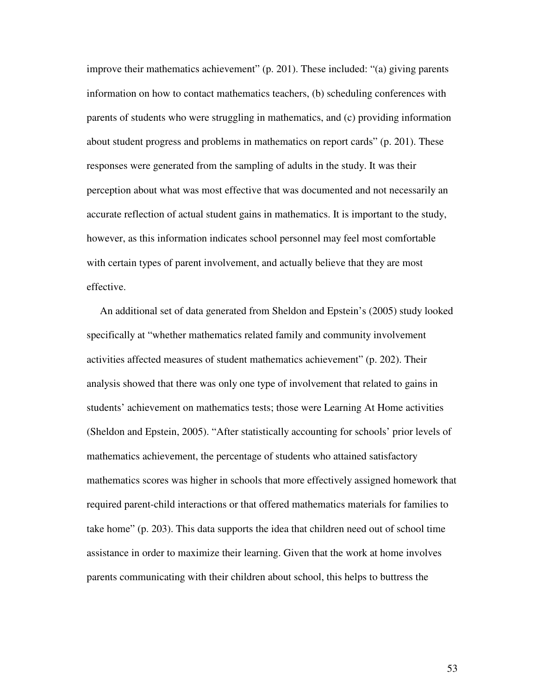improve their mathematics achievement" (p. 201). These included: "(a) giving parents information on how to contact mathematics teachers, (b) scheduling conferences with parents of students who were struggling in mathematics, and (c) providing information about student progress and problems in mathematics on report cards" (p. 201). These responses were generated from the sampling of adults in the study. It was their perception about what was most effective that was documented and not necessarily an accurate reflection of actual student gains in mathematics. It is important to the study, however, as this information indicates school personnel may feel most comfortable with certain types of parent involvement, and actually believe that they are most effective.

An additional set of data generated from Sheldon and Epstein's (2005) study looked specifically at "whether mathematics related family and community involvement activities affected measures of student mathematics achievement" (p. 202). Their analysis showed that there was only one type of involvement that related to gains in students' achievement on mathematics tests; those were Learning At Home activities (Sheldon and Epstein, 2005). "After statistically accounting for schools' prior levels of mathematics achievement, the percentage of students who attained satisfactory mathematics scores was higher in schools that more effectively assigned homework that required parent-child interactions or that offered mathematics materials for families to take home" (p. 203). This data supports the idea that children need out of school time assistance in order to maximize their learning. Given that the work at home involves parents communicating with their children about school, this helps to buttress the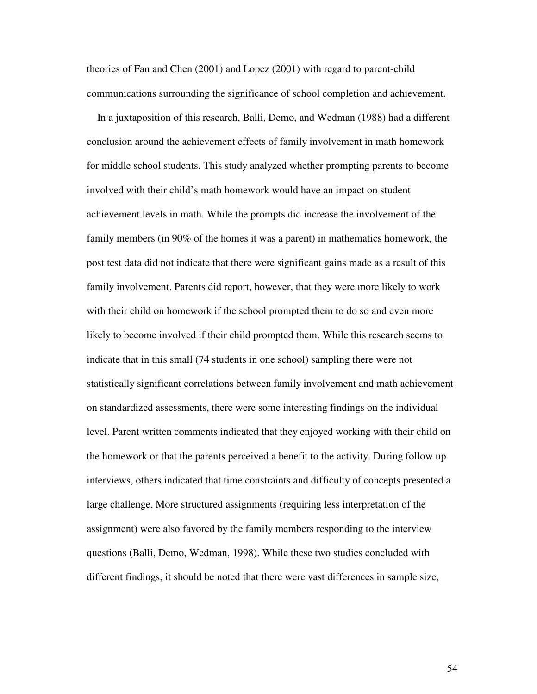theories of Fan and Chen (2001) and Lopez (2001) with regard to parent-child communications surrounding the significance of school completion and achievement.

In a juxtaposition of this research, Balli, Demo, and Wedman (1988) had a different conclusion around the achievement effects of family involvement in math homework for middle school students. This study analyzed whether prompting parents to become involved with their child's math homework would have an impact on student achievement levels in math. While the prompts did increase the involvement of the family members (in 90% of the homes it was a parent) in mathematics homework, the post test data did not indicate that there were significant gains made as a result of this family involvement. Parents did report, however, that they were more likely to work with their child on homework if the school prompted them to do so and even more likely to become involved if their child prompted them. While this research seems to indicate that in this small (74 students in one school) sampling there were not statistically significant correlations between family involvement and math achievement on standardized assessments, there were some interesting findings on the individual level. Parent written comments indicated that they enjoyed working with their child on the homework or that the parents perceived a benefit to the activity. During follow up interviews, others indicated that time constraints and difficulty of concepts presented a large challenge. More structured assignments (requiring less interpretation of the assignment) were also favored by the family members responding to the interview questions (Balli, Demo, Wedman, 1998). While these two studies concluded with different findings, it should be noted that there were vast differences in sample size,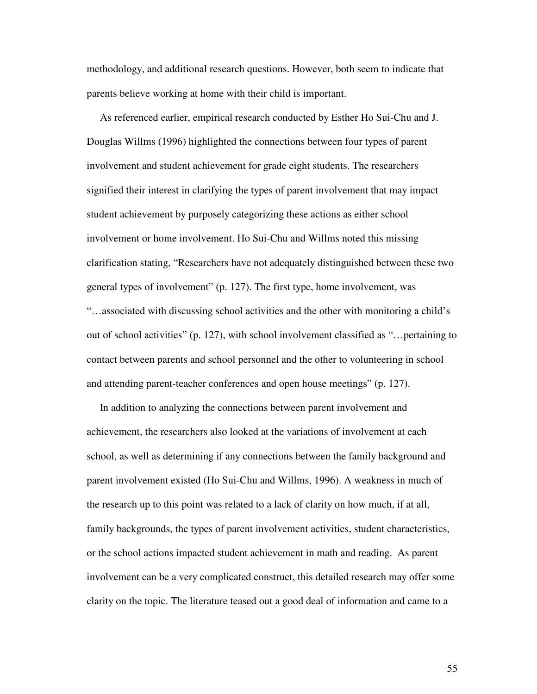methodology, and additional research questions. However, both seem to indicate that parents believe working at home with their child is important.

As referenced earlier, empirical research conducted by Esther Ho Sui-Chu and J. Douglas Willms (1996) highlighted the connections between four types of parent involvement and student achievement for grade eight students. The researchers signified their interest in clarifying the types of parent involvement that may impact student achievement by purposely categorizing these actions as either school involvement or home involvement. Ho Sui-Chu and Willms noted this missing clarification stating, "Researchers have not adequately distinguished between these two general types of involvement" (p. 127). The first type, home involvement, was "…associated with discussing school activities and the other with monitoring a child's out of school activities" (p. 127), with school involvement classified as "…pertaining to contact between parents and school personnel and the other to volunteering in school and attending parent-teacher conferences and open house meetings" (p. 127).

In addition to analyzing the connections between parent involvement and achievement, the researchers also looked at the variations of involvement at each school, as well as determining if any connections between the family background and parent involvement existed (Ho Sui-Chu and Willms, 1996). A weakness in much of the research up to this point was related to a lack of clarity on how much, if at all, family backgrounds, the types of parent involvement activities, student characteristics, or the school actions impacted student achievement in math and reading. As parent involvement can be a very complicated construct, this detailed research may offer some clarity on the topic. The literature teased out a good deal of information and came to a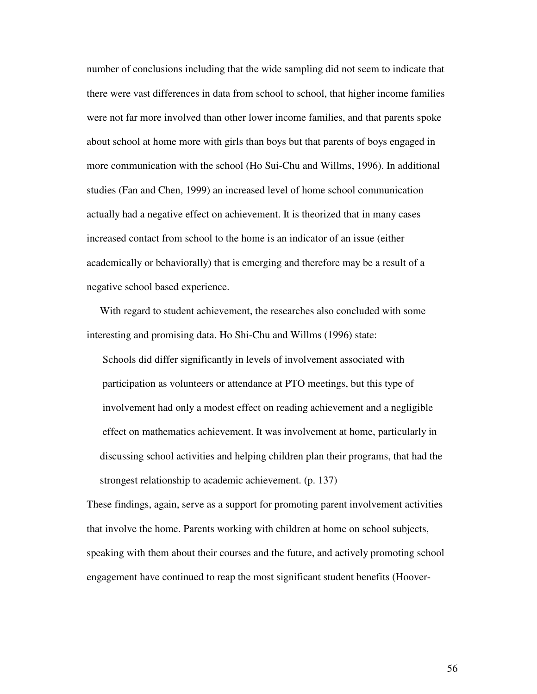number of conclusions including that the wide sampling did not seem to indicate that there were vast differences in data from school to school, that higher income families were not far more involved than other lower income families, and that parents spoke about school at home more with girls than boys but that parents of boys engaged in more communication with the school (Ho Sui-Chu and Willms, 1996). In additional studies (Fan and Chen, 1999) an increased level of home school communication actually had a negative effect on achievement. It is theorized that in many cases increased contact from school to the home is an indicator of an issue (either academically or behaviorally) that is emerging and therefore may be a result of a negative school based experience.

With regard to student achievement, the researches also concluded with some interesting and promising data. Ho Shi-Chu and Willms (1996) state:

Schools did differ significantly in levels of involvement associated with participation as volunteers or attendance at PTO meetings, but this type of involvement had only a modest effect on reading achievement and a negligible effect on mathematics achievement. It was involvement at home, particularly in discussing school activities and helping children plan their programs, that had the strongest relationship to academic achievement. (p. 137)

These findings, again, serve as a support for promoting parent involvement activities that involve the home. Parents working with children at home on school subjects, speaking with them about their courses and the future, and actively promoting school engagement have continued to reap the most significant student benefits (Hoover-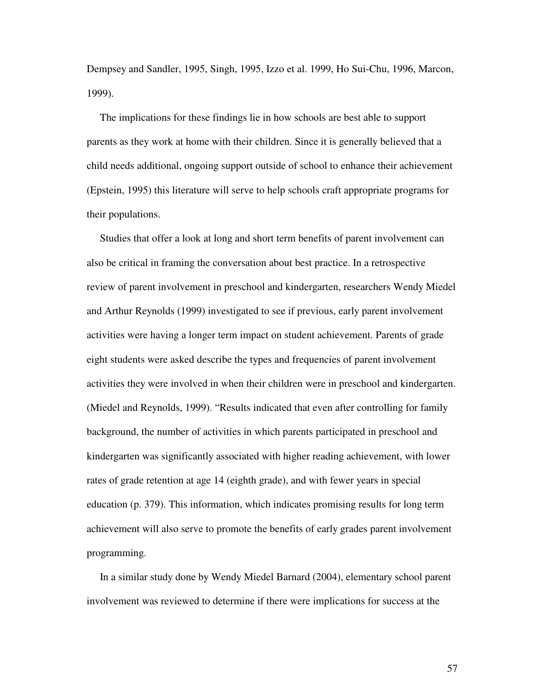Dempsey and Sandler, 1995, Singh, 1995, Izzo et al. 1999, Ho Sui-Chu, 1996, Marcon, 1999).

The implications for these findings lie in how schools are best able to support parents as they work at home with their children. Since it is generally believed that a child needs additional, ongoing support outside of school to enhance their achievement (Epstein, 1995) this literature will serve to help schools craft appropriate programs for their populations.

Studies that offer a look at long and short term benefits of parent involvement can also be critical in framing the conversation about best practice. In a retrospective review of parent involvement in preschool and kindergarten, researchers Wendy Miedel and Arthur Reynolds (1999) investigated to see if previous, early parent involvement activities were having a longer term impact on student achievement. Parents of grade eight students were asked describe the types and frequencies of parent involvement activities they were involved in when their children were in preschool and kindergarten. (Miedel and Reynolds, 1999). "Results indicated that even after controlling for family background, the number of activities in which parents participated in preschool and kindergarten was significantly associated with higher reading achievement, with lower rates of grade retention at age 14 (eighth grade), and with fewer years in special education (p. 379). This information, which indicates promising results for long term achievement will also serve to promote the benefits of early grades parent involvement programming.

In a similar study done by Wendy Miedel Barnard (2004), elementary school parent involvement was reviewed to determine if there were implications for success at the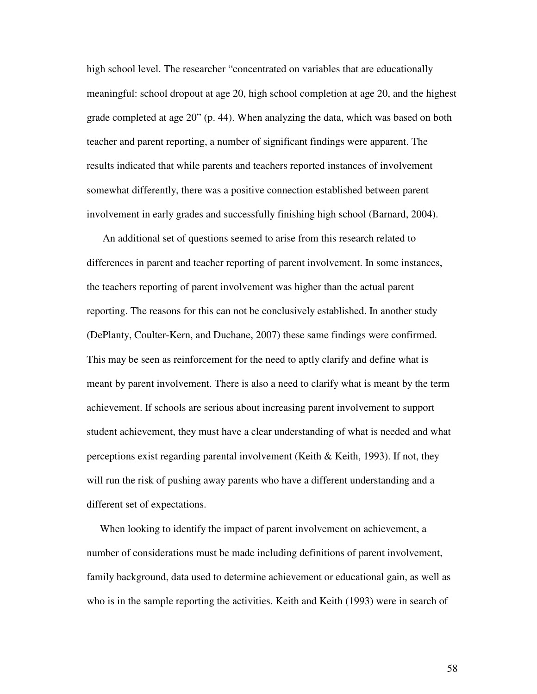high school level. The researcher "concentrated on variables that are educationally meaningful: school dropout at age 20, high school completion at age 20, and the highest grade completed at age 20" (p. 44). When analyzing the data, which was based on both teacher and parent reporting, a number of significant findings were apparent. The results indicated that while parents and teachers reported instances of involvement somewhat differently, there was a positive connection established between parent involvement in early grades and successfully finishing high school (Barnard, 2004).

An additional set of questions seemed to arise from this research related to differences in parent and teacher reporting of parent involvement. In some instances, the teachers reporting of parent involvement was higher than the actual parent reporting. The reasons for this can not be conclusively established. In another study (DePlanty, Coulter-Kern, and Duchane, 2007) these same findings were confirmed. This may be seen as reinforcement for the need to aptly clarify and define what is meant by parent involvement. There is also a need to clarify what is meant by the term achievement. If schools are serious about increasing parent involvement to support student achievement, they must have a clear understanding of what is needed and what perceptions exist regarding parental involvement (Keith & Keith, 1993). If not, they will run the risk of pushing away parents who have a different understanding and a different set of expectations.

When looking to identify the impact of parent involvement on achievement, a number of considerations must be made including definitions of parent involvement, family background, data used to determine achievement or educational gain, as well as who is in the sample reporting the activities. Keith and Keith (1993) were in search of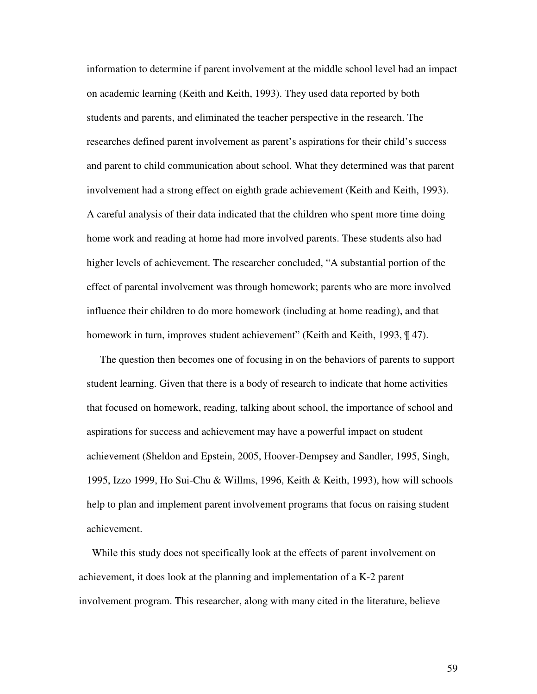information to determine if parent involvement at the middle school level had an impact on academic learning (Keith and Keith, 1993). They used data reported by both students and parents, and eliminated the teacher perspective in the research. The researches defined parent involvement as parent's aspirations for their child's success and parent to child communication about school. What they determined was that parent involvement had a strong effect on eighth grade achievement (Keith and Keith, 1993). A careful analysis of their data indicated that the children who spent more time doing home work and reading at home had more involved parents. These students also had higher levels of achievement. The researcher concluded, "A substantial portion of the effect of parental involvement was through homework; parents who are more involved influence their children to do more homework (including at home reading), and that homework in turn, improves student achievement" (Keith and Keith, 1993,  $\parallel$  47).

The question then becomes one of focusing in on the behaviors of parents to support student learning. Given that there is a body of research to indicate that home activities that focused on homework, reading, talking about school, the importance of school and aspirations for success and achievement may have a powerful impact on student achievement (Sheldon and Epstein, 2005, Hoover-Dempsey and Sandler, 1995, Singh, 1995, Izzo 1999, Ho Sui-Chu & Willms, 1996, Keith & Keith, 1993), how will schools help to plan and implement parent involvement programs that focus on raising student achievement.

While this study does not specifically look at the effects of parent involvement on achievement, it does look at the planning and implementation of a K-2 parent involvement program. This researcher, along with many cited in the literature, believe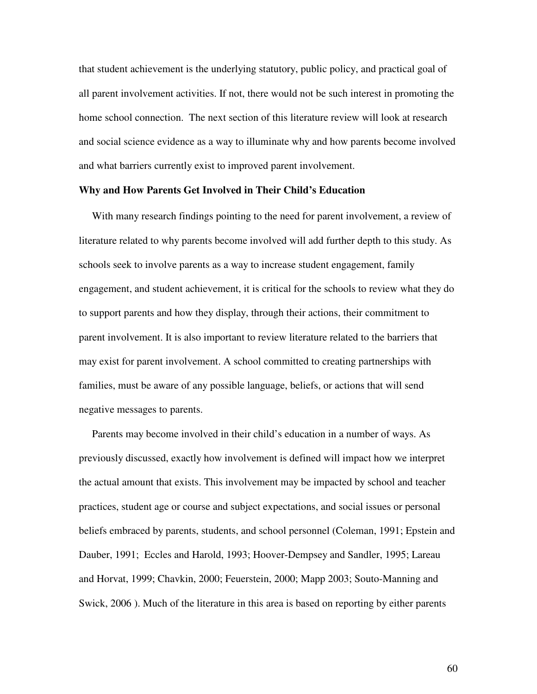that student achievement is the underlying statutory, public policy, and practical goal of all parent involvement activities. If not, there would not be such interest in promoting the home school connection. The next section of this literature review will look at research and social science evidence as a way to illuminate why and how parents become involved and what barriers currently exist to improved parent involvement.

## **Why and How Parents Get Involved in Their Child's Education**

With many research findings pointing to the need for parent involvement, a review of literature related to why parents become involved will add further depth to this study. As schools seek to involve parents as a way to increase student engagement, family engagement, and student achievement, it is critical for the schools to review what they do to support parents and how they display, through their actions, their commitment to parent involvement. It is also important to review literature related to the barriers that may exist for parent involvement. A school committed to creating partnerships with families, must be aware of any possible language, beliefs, or actions that will send negative messages to parents.

Parents may become involved in their child's education in a number of ways. As previously discussed, exactly how involvement is defined will impact how we interpret the actual amount that exists. This involvement may be impacted by school and teacher practices, student age or course and subject expectations, and social issues or personal beliefs embraced by parents, students, and school personnel (Coleman, 1991; Epstein and Dauber, 1991; Eccles and Harold, 1993; Hoover-Dempsey and Sandler, 1995; Lareau and Horvat, 1999; Chavkin, 2000; Feuerstein, 2000; Mapp 2003; Souto-Manning and Swick, 2006 ). Much of the literature in this area is based on reporting by either parents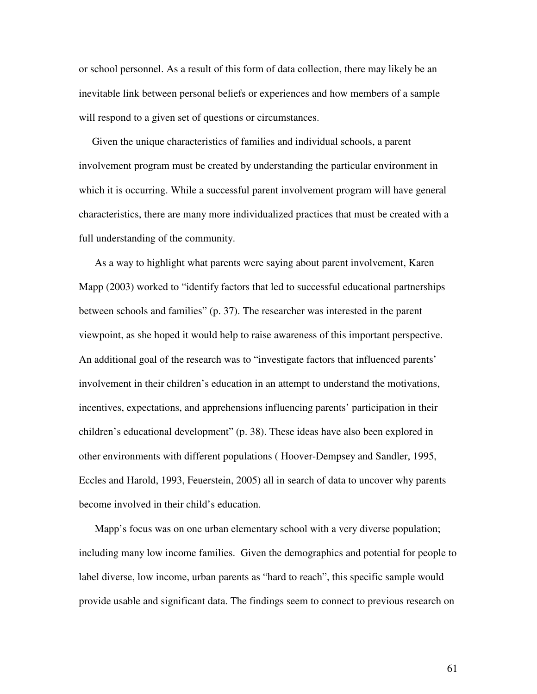or school personnel. As a result of this form of data collection, there may likely be an inevitable link between personal beliefs or experiences and how members of a sample will respond to a given set of questions or circumstances.

Given the unique characteristics of families and individual schools, a parent involvement program must be created by understanding the particular environment in which it is occurring. While a successful parent involvement program will have general characteristics, there are many more individualized practices that must be created with a full understanding of the community.

As a way to highlight what parents were saying about parent involvement, Karen Mapp (2003) worked to "identify factors that led to successful educational partnerships between schools and families" (p. 37). The researcher was interested in the parent viewpoint, as she hoped it would help to raise awareness of this important perspective. An additional goal of the research was to "investigate factors that influenced parents' involvement in their children's education in an attempt to understand the motivations, incentives, expectations, and apprehensions influencing parents' participation in their children's educational development" (p. 38). These ideas have also been explored in other environments with different populations ( Hoover-Dempsey and Sandler, 1995, Eccles and Harold, 1993, Feuerstein, 2005) all in search of data to uncover why parents become involved in their child's education.

Mapp's focus was on one urban elementary school with a very diverse population; including many low income families. Given the demographics and potential for people to label diverse, low income, urban parents as "hard to reach", this specific sample would provide usable and significant data. The findings seem to connect to previous research on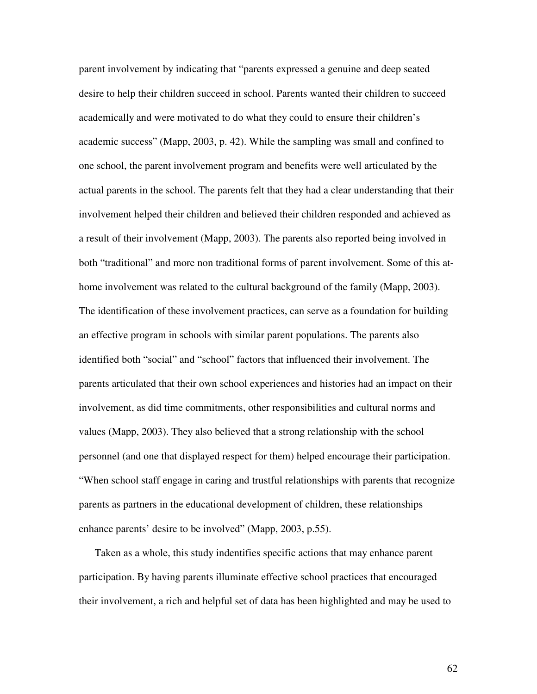parent involvement by indicating that "parents expressed a genuine and deep seated desire to help their children succeed in school. Parents wanted their children to succeed academically and were motivated to do what they could to ensure their children's academic success" (Mapp, 2003, p. 42). While the sampling was small and confined to one school, the parent involvement program and benefits were well articulated by the actual parents in the school. The parents felt that they had a clear understanding that their involvement helped their children and believed their children responded and achieved as a result of their involvement (Mapp, 2003). The parents also reported being involved in both "traditional" and more non traditional forms of parent involvement. Some of this athome involvement was related to the cultural background of the family (Mapp, 2003). The identification of these involvement practices, can serve as a foundation for building an effective program in schools with similar parent populations. The parents also identified both "social" and "school" factors that influenced their involvement. The parents articulated that their own school experiences and histories had an impact on their involvement, as did time commitments, other responsibilities and cultural norms and values (Mapp, 2003). They also believed that a strong relationship with the school personnel (and one that displayed respect for them) helped encourage their participation. "When school staff engage in caring and trustful relationships with parents that recognize parents as partners in the educational development of children, these relationships enhance parents' desire to be involved" (Mapp, 2003, p.55).

Taken as a whole, this study indentifies specific actions that may enhance parent participation. By having parents illuminate effective school practices that encouraged their involvement, a rich and helpful set of data has been highlighted and may be used to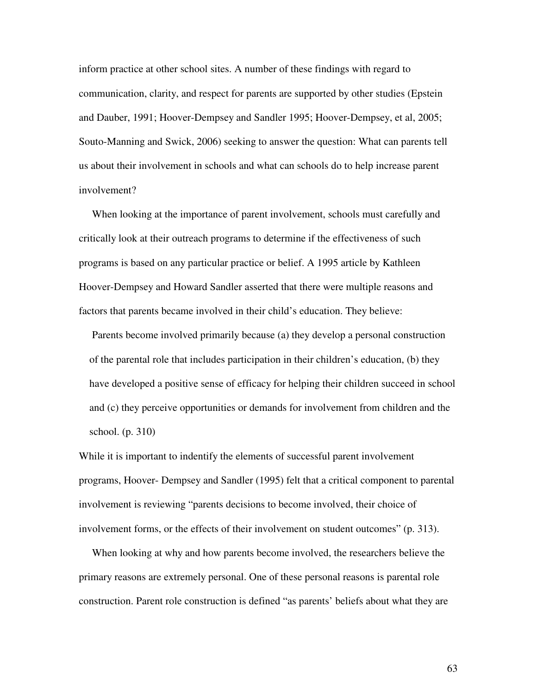inform practice at other school sites. A number of these findings with regard to communication, clarity, and respect for parents are supported by other studies (Epstein and Dauber, 1991; Hoover-Dempsey and Sandler 1995; Hoover-Dempsey, et al, 2005; Souto-Manning and Swick, 2006) seeking to answer the question: What can parents tell us about their involvement in schools and what can schools do to help increase parent involvement?

When looking at the importance of parent involvement, schools must carefully and critically look at their outreach programs to determine if the effectiveness of such programs is based on any particular practice or belief. A 1995 article by Kathleen Hoover-Dempsey and Howard Sandler asserted that there were multiple reasons and factors that parents became involved in their child's education. They believe:

Parents become involved primarily because (a) they develop a personal construction of the parental role that includes participation in their children's education, (b) they have developed a positive sense of efficacy for helping their children succeed in school and (c) they perceive opportunities or demands for involvement from children and the school. (p. 310)

While it is important to indentify the elements of successful parent involvement programs, Hoover- Dempsey and Sandler (1995) felt that a critical component to parental involvement is reviewing "parents decisions to become involved, their choice of involvement forms, or the effects of their involvement on student outcomes" (p. 313).

When looking at why and how parents become involved, the researchers believe the primary reasons are extremely personal. One of these personal reasons is parental role construction. Parent role construction is defined "as parents' beliefs about what they are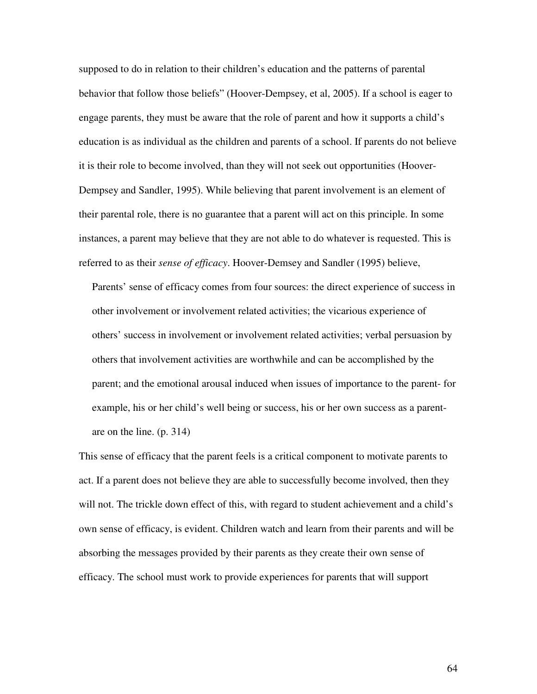supposed to do in relation to their children's education and the patterns of parental behavior that follow those beliefs" (Hoover-Dempsey, et al, 2005). If a school is eager to engage parents, they must be aware that the role of parent and how it supports a child's education is as individual as the children and parents of a school. If parents do not believe it is their role to become involved, than they will not seek out opportunities (Hoover-Dempsey and Sandler, 1995). While believing that parent involvement is an element of their parental role, there is no guarantee that a parent will act on this principle. In some instances, a parent may believe that they are not able to do whatever is requested. This is referred to as their *sense of efficacy*. Hoover-Demsey and Sandler (1995) believe,

Parents' sense of efficacy comes from four sources: the direct experience of success in other involvement or involvement related activities; the vicarious experience of others' success in involvement or involvement related activities; verbal persuasion by others that involvement activities are worthwhile and can be accomplished by the parent; and the emotional arousal induced when issues of importance to the parent- for example, his or her child's well being or success, his or her own success as a parentare on the line. (p. 314)

This sense of efficacy that the parent feels is a critical component to motivate parents to act. If a parent does not believe they are able to successfully become involved, then they will not. The trickle down effect of this, with regard to student achievement and a child's own sense of efficacy, is evident. Children watch and learn from their parents and will be absorbing the messages provided by their parents as they create their own sense of efficacy. The school must work to provide experiences for parents that will support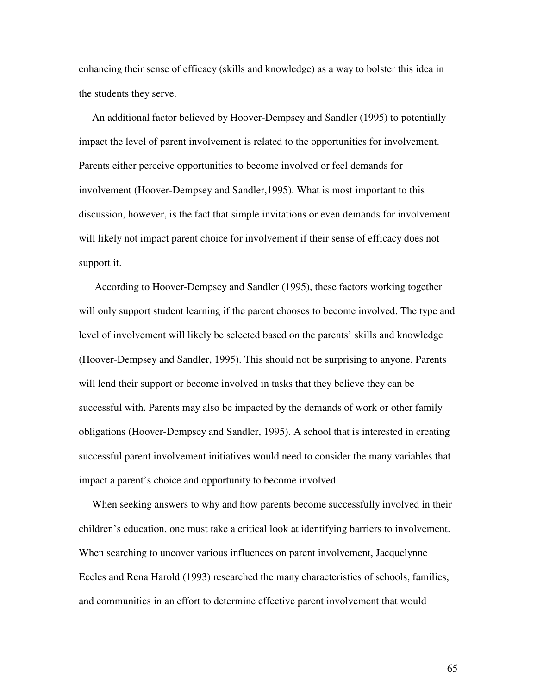enhancing their sense of efficacy (skills and knowledge) as a way to bolster this idea in the students they serve.

An additional factor believed by Hoover-Dempsey and Sandler (1995) to potentially impact the level of parent involvement is related to the opportunities for involvement. Parents either perceive opportunities to become involved or feel demands for involvement (Hoover-Dempsey and Sandler,1995). What is most important to this discussion, however, is the fact that simple invitations or even demands for involvement will likely not impact parent choice for involvement if their sense of efficacy does not support it.

According to Hoover-Dempsey and Sandler (1995), these factors working together will only support student learning if the parent chooses to become involved. The type and level of involvement will likely be selected based on the parents' skills and knowledge (Hoover-Dempsey and Sandler, 1995). This should not be surprising to anyone. Parents will lend their support or become involved in tasks that they believe they can be successful with. Parents may also be impacted by the demands of work or other family obligations (Hoover-Dempsey and Sandler, 1995). A school that is interested in creating successful parent involvement initiatives would need to consider the many variables that impact a parent's choice and opportunity to become involved.

When seeking answers to why and how parents become successfully involved in their children's education, one must take a critical look at identifying barriers to involvement. When searching to uncover various influences on parent involvement, Jacquelynne Eccles and Rena Harold (1993) researched the many characteristics of schools, families, and communities in an effort to determine effective parent involvement that would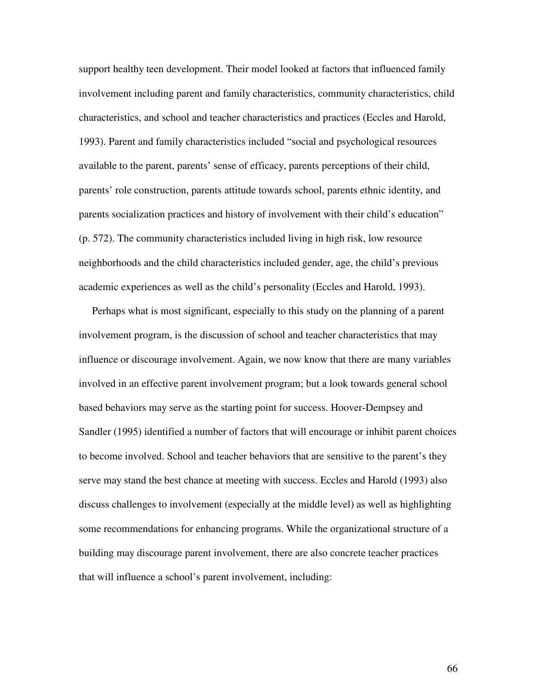support healthy teen development. Their model looked at factors that influenced family involvement including parent and family characteristics, community characteristics, child characteristics, and school and teacher characteristics and practices (Eccles and Harold, 1993). Parent and family characteristics included "social and psychological resources available to the parent, parents' sense of efficacy, parents perceptions of their child, parents' role construction, parents attitude towards school, parents ethnic identity, and parents socialization practices and history of involvement with their child's education" (p. 572). The community characteristics included living in high risk, low resource neighborhoods and the child characteristics included gender, age, the child's previous academic experiences as well as the child's personality (Eccles and Harold, 1993).

Perhaps what is most significant, especially to this study on the planning of a parent involvement program, is the discussion of school and teacher characteristics that may influence or discourage involvement. Again, we now know that there are many variables involved in an effective parent involvement program; but a look towards general school based behaviors may serve as the starting point for success. Hoover-Dempsey and Sandler (1995) identified a number of factors that will encourage or inhibit parent choices to become involved. School and teacher behaviors that are sensitive to the parent's they serve may stand the best chance at meeting with success. Eccles and Harold (1993) also discuss challenges to involvement (especially at the middle level) as well as highlighting some recommendations for enhancing programs. While the organizational structure of a building may discourage parent involvement, there are also concrete teacher practices that will influence a school's parent involvement, including: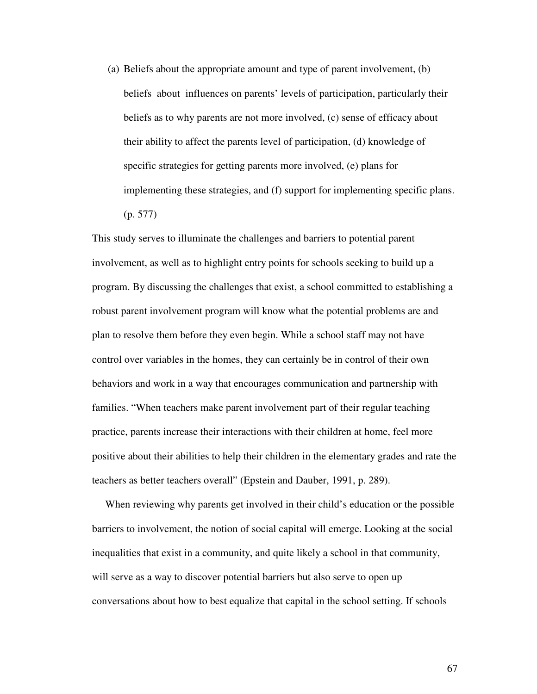(a) Beliefs about the appropriate amount and type of parent involvement, (b) beliefs about influences on parents' levels of participation, particularly their beliefs as to why parents are not more involved, (c) sense of efficacy about their ability to affect the parents level of participation, (d) knowledge of specific strategies for getting parents more involved, (e) plans for implementing these strategies, and (f) support for implementing specific plans. (p. 577)

This study serves to illuminate the challenges and barriers to potential parent involvement, as well as to highlight entry points for schools seeking to build up a program. By discussing the challenges that exist, a school committed to establishing a robust parent involvement program will know what the potential problems are and plan to resolve them before they even begin. While a school staff may not have control over variables in the homes, they can certainly be in control of their own behaviors and work in a way that encourages communication and partnership with families. "When teachers make parent involvement part of their regular teaching practice, parents increase their interactions with their children at home, feel more positive about their abilities to help their children in the elementary grades and rate the teachers as better teachers overall" (Epstein and Dauber, 1991, p. 289).

When reviewing why parents get involved in their child's education or the possible barriers to involvement, the notion of social capital will emerge. Looking at the social inequalities that exist in a community, and quite likely a school in that community, will serve as a way to discover potential barriers but also serve to open up conversations about how to best equalize that capital in the school setting. If schools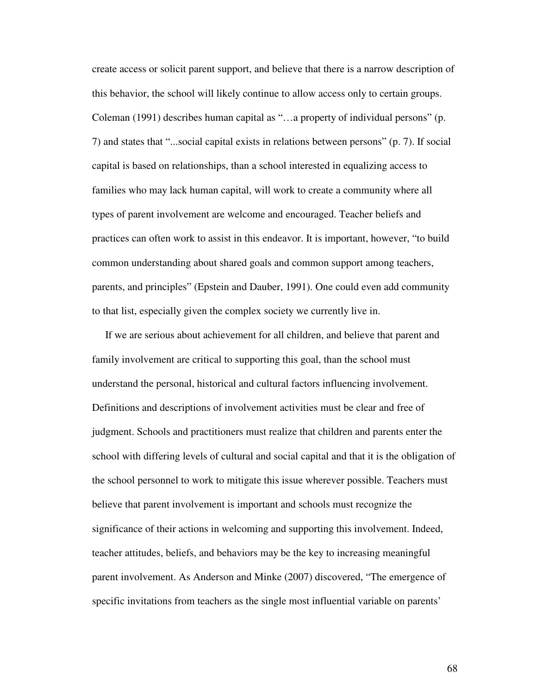create access or solicit parent support, and believe that there is a narrow description of this behavior, the school will likely continue to allow access only to certain groups. Coleman (1991) describes human capital as "…a property of individual persons" (p. 7) and states that "...social capital exists in relations between persons" (p. 7). If social capital is based on relationships, than a school interested in equalizing access to families who may lack human capital, will work to create a community where all types of parent involvement are welcome and encouraged. Teacher beliefs and practices can often work to assist in this endeavor. It is important, however, "to build common understanding about shared goals and common support among teachers, parents, and principles" (Epstein and Dauber, 1991). One could even add community to that list, especially given the complex society we currently live in.

If we are serious about achievement for all children, and believe that parent and family involvement are critical to supporting this goal, than the school must understand the personal, historical and cultural factors influencing involvement. Definitions and descriptions of involvement activities must be clear and free of judgment. Schools and practitioners must realize that children and parents enter the school with differing levels of cultural and social capital and that it is the obligation of the school personnel to work to mitigate this issue wherever possible. Teachers must believe that parent involvement is important and schools must recognize the significance of their actions in welcoming and supporting this involvement. Indeed, teacher attitudes, beliefs, and behaviors may be the key to increasing meaningful parent involvement. As Anderson and Minke (2007) discovered, "The emergence of specific invitations from teachers as the single most influential variable on parents'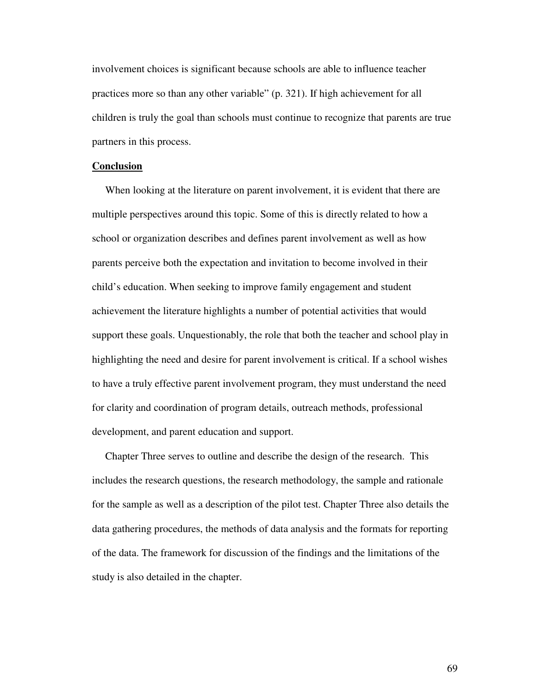involvement choices is significant because schools are able to influence teacher practices more so than any other variable" (p. 321). If high achievement for all children is truly the goal than schools must continue to recognize that parents are true partners in this process.

### **Conclusion**

When looking at the literature on parent involvement, it is evident that there are multiple perspectives around this topic. Some of this is directly related to how a school or organization describes and defines parent involvement as well as how parents perceive both the expectation and invitation to become involved in their child's education. When seeking to improve family engagement and student achievement the literature highlights a number of potential activities that would support these goals. Unquestionably, the role that both the teacher and school play in highlighting the need and desire for parent involvement is critical. If a school wishes to have a truly effective parent involvement program, they must understand the need for clarity and coordination of program details, outreach methods, professional development, and parent education and support.

Chapter Three serves to outline and describe the design of the research. This includes the research questions, the research methodology, the sample and rationale for the sample as well as a description of the pilot test. Chapter Three also details the data gathering procedures, the methods of data analysis and the formats for reporting of the data. The framework for discussion of the findings and the limitations of the study is also detailed in the chapter.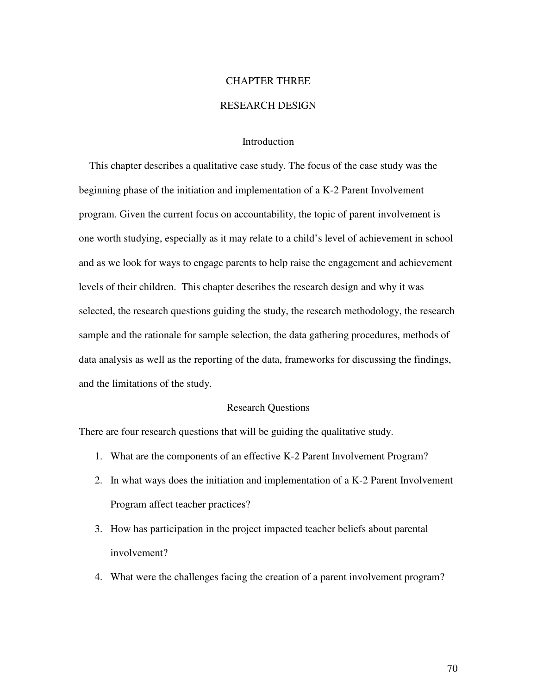# CHAPTER THREE

# RESEARCH DESIGN

## **Introduction**

This chapter describes a qualitative case study. The focus of the case study was the beginning phase of the initiation and implementation of a K-2 Parent Involvement program. Given the current focus on accountability, the topic of parent involvement is one worth studying, especially as it may relate to a child's level of achievement in school and as we look for ways to engage parents to help raise the engagement and achievement levels of their children. This chapter describes the research design and why it was selected, the research questions guiding the study, the research methodology, the research sample and the rationale for sample selection, the data gathering procedures, methods of data analysis as well as the reporting of the data, frameworks for discussing the findings, and the limitations of the study.

## Research Questions

There are four research questions that will be guiding the qualitative study.

- 1. What are the components of an effective K-2 Parent Involvement Program?
- 2. In what ways does the initiation and implementation of a K-2 Parent Involvement Program affect teacher practices?
- 3. How has participation in the project impacted teacher beliefs about parental involvement?
- 4. What were the challenges facing the creation of a parent involvement program?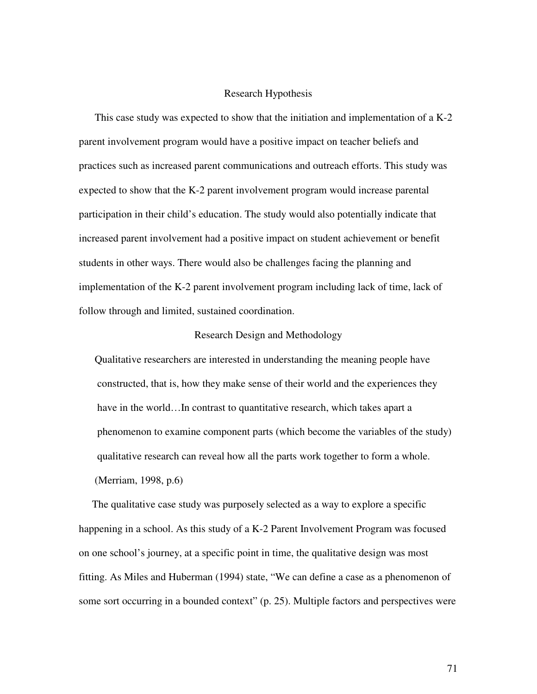## Research Hypothesis

This case study was expected to show that the initiation and implementation of a K-2 parent involvement program would have a positive impact on teacher beliefs and practices such as increased parent communications and outreach efforts. This study was expected to show that the K-2 parent involvement program would increase parental participation in their child's education. The study would also potentially indicate that increased parent involvement had a positive impact on student achievement or benefit students in other ways. There would also be challenges facing the planning and implementation of the K-2 parent involvement program including lack of time, lack of follow through and limited, sustained coordination.

## Research Design and Methodology

Qualitative researchers are interested in understanding the meaning people have constructed, that is, how they make sense of their world and the experiences they have in the world...In contrast to quantitative research, which takes apart a phenomenon to examine component parts (which become the variables of the study) qualitative research can reveal how all the parts work together to form a whole. (Merriam, 1998, p.6)

The qualitative case study was purposely selected as a way to explore a specific happening in a school. As this study of a K-2 Parent Involvement Program was focused on one school's journey, at a specific point in time, the qualitative design was most fitting. As Miles and Huberman (1994) state, "We can define a case as a phenomenon of some sort occurring in a bounded context" (p. 25). Multiple factors and perspectives were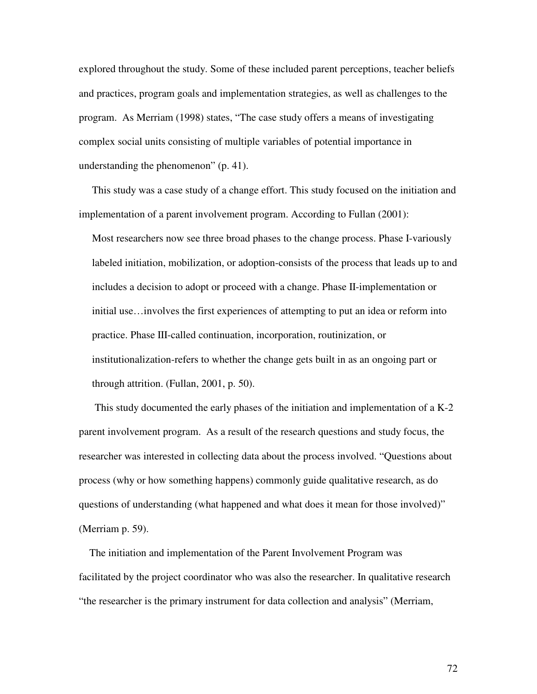explored throughout the study. Some of these included parent perceptions, teacher beliefs and practices, program goals and implementation strategies, as well as challenges to the program. As Merriam (1998) states, "The case study offers a means of investigating complex social units consisting of multiple variables of potential importance in understanding the phenomenon" (p. 41).

This study was a case study of a change effort. This study focused on the initiation and implementation of a parent involvement program. According to Fullan (2001):

Most researchers now see three broad phases to the change process. Phase I-variously labeled initiation, mobilization, or adoption-consists of the process that leads up to and includes a decision to adopt or proceed with a change. Phase II-implementation or initial use…involves the first experiences of attempting to put an idea or reform into practice. Phase III-called continuation, incorporation, routinization, or institutionalization-refers to whether the change gets built in as an ongoing part or through attrition. (Fullan, 2001, p. 50).

This study documented the early phases of the initiation and implementation of a K-2 parent involvement program. As a result of the research questions and study focus, the researcher was interested in collecting data about the process involved. "Questions about process (why or how something happens) commonly guide qualitative research, as do questions of understanding (what happened and what does it mean for those involved)" (Merriam p. 59).

The initiation and implementation of the Parent Involvement Program was facilitated by the project coordinator who was also the researcher. In qualitative research "the researcher is the primary instrument for data collection and analysis" (Merriam,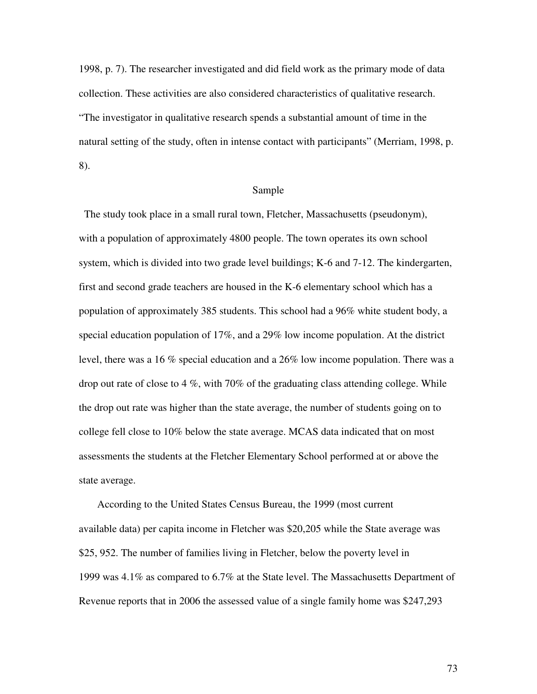1998, p. 7). The researcher investigated and did field work as the primary mode of data collection. These activities are also considered characteristics of qualitative research. "The investigator in qualitative research spends a substantial amount of time in the natural setting of the study, often in intense contact with participants" (Merriam, 1998, p. 8).

## Sample

The study took place in a small rural town, Fletcher, Massachusetts (pseudonym), with a population of approximately 4800 people. The town operates its own school system, which is divided into two grade level buildings; K-6 and 7-12. The kindergarten, first and second grade teachers are housed in the K-6 elementary school which has a population of approximately 385 students. This school had a 96% white student body, a special education population of 17%, and a 29% low income population. At the district level, there was a 16 % special education and a 26% low income population. There was a drop out rate of close to 4 %, with 70% of the graduating class attending college. While the drop out rate was higher than the state average, the number of students going on to college fell close to 10% below the state average. MCAS data indicated that on most assessments the students at the Fletcher Elementary School performed at or above the state average.

According to the United States Census Bureau, the 1999 (most current available data) per capita income in Fletcher was \$20,205 while the State average was \$25, 952. The number of families living in Fletcher, below the poverty level in 1999 was 4.1% as compared to 6.7% at the State level. The Massachusetts Department of Revenue reports that in 2006 the assessed value of a single family home was \$247,293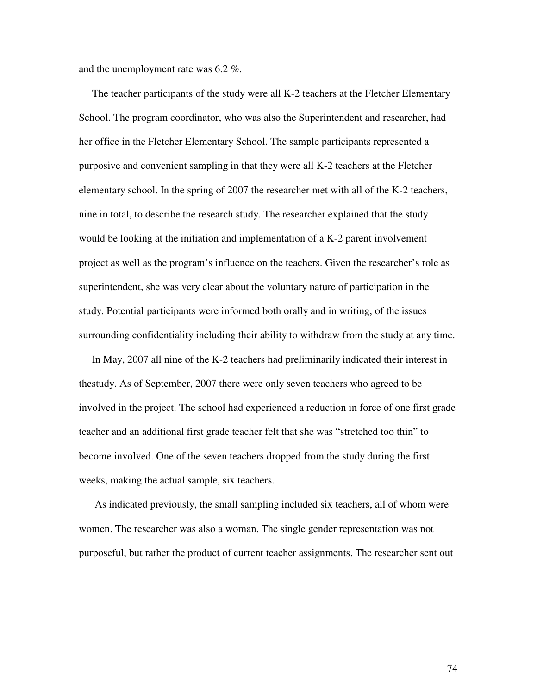and the unemployment rate was 6.2 %.

The teacher participants of the study were all K-2 teachers at the Fletcher Elementary School. The program coordinator, who was also the Superintendent and researcher, had her office in the Fletcher Elementary School. The sample participants represented a purposive and convenient sampling in that they were all K-2 teachers at the Fletcher elementary school. In the spring of 2007 the researcher met with all of the K-2 teachers, nine in total, to describe the research study. The researcher explained that the study would be looking at the initiation and implementation of a K-2 parent involvement project as well as the program's influence on the teachers. Given the researcher's role as superintendent, she was very clear about the voluntary nature of participation in the study. Potential participants were informed both orally and in writing, of the issues surrounding confidentiality including their ability to withdraw from the study at any time.

In May, 2007 all nine of the K-2 teachers had preliminarily indicated their interest in thestudy. As of September, 2007 there were only seven teachers who agreed to be involved in the project. The school had experienced a reduction in force of one first grade teacher and an additional first grade teacher felt that she was "stretched too thin" to become involved. One of the seven teachers dropped from the study during the first weeks, making the actual sample, six teachers.

As indicated previously, the small sampling included six teachers, all of whom were women. The researcher was also a woman. The single gender representation was not purposeful, but rather the product of current teacher assignments. The researcher sent out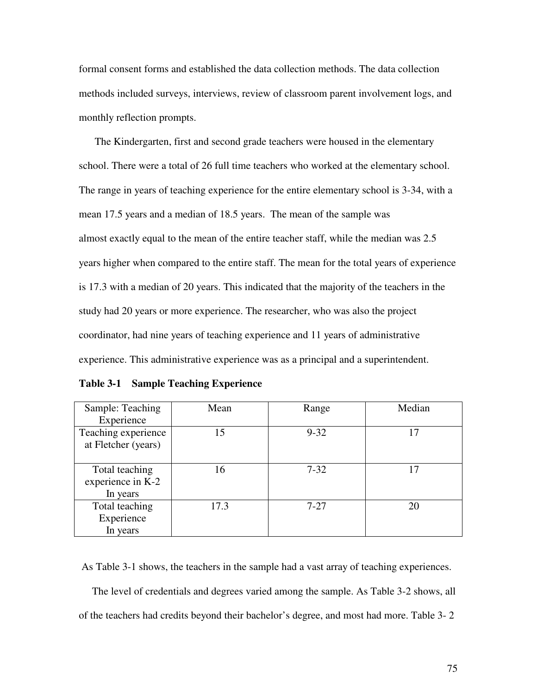formal consent forms and established the data collection methods. The data collection methods included surveys, interviews, review of classroom parent involvement logs, and monthly reflection prompts.

The Kindergarten, first and second grade teachers were housed in the elementary school. There were a total of 26 full time teachers who worked at the elementary school. The range in years of teaching experience for the entire elementary school is 3-34, with a mean 17.5 years and a median of 18.5 years. The mean of the sample was almost exactly equal to the mean of the entire teacher staff, while the median was 2.5 years higher when compared to the entire staff. The mean for the total years of experience is 17.3 with a median of 20 years. This indicated that the majority of the teachers in the study had 20 years or more experience. The researcher, who was also the project coordinator, had nine years of teaching experience and 11 years of administrative experience. This administrative experience was as a principal and a superintendent.

| Table 3-1 |  |  | <b>Sample Teaching Experience</b> |
|-----------|--|--|-----------------------------------|
|-----------|--|--|-----------------------------------|

| Sample: Teaching    | Mean | Range    | Median |
|---------------------|------|----------|--------|
| Experience          |      |          |        |
| Teaching experience | 15   | $9 - 32$ | 17     |
| at Fletcher (years) |      |          |        |
|                     |      |          |        |
| Total teaching      | 16   | $7 - 32$ | 17     |
| experience in K-2   |      |          |        |
| In years            |      |          |        |
| Total teaching      | 17.3 | $7 - 27$ | 20     |
| Experience          |      |          |        |
| In years            |      |          |        |

As Table 3-1 shows, the teachers in the sample had a vast array of teaching experiences.

The level of credentials and degrees varied among the sample. As Table 3-2 shows, all of the teachers had credits beyond their bachelor's degree, and most had more. Table 3- 2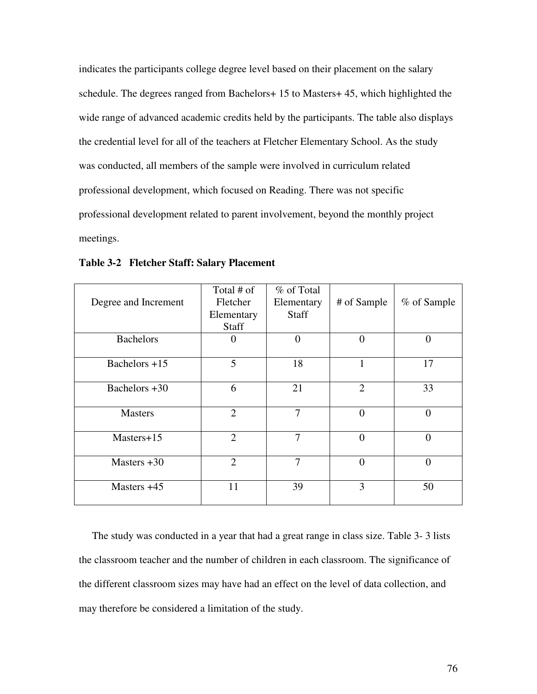indicates the participants college degree level based on their placement on the salary schedule. The degrees ranged from Bachelors+ 15 to Masters+ 45, which highlighted the wide range of advanced academic credits held by the participants. The table also displays the credential level for all of the teachers at Fletcher Elementary School. As the study was conducted, all members of the sample were involved in curriculum related professional development, which focused on Reading. There was not specific professional development related to parent involvement, beyond the monthly project meetings.

| Degree and Increment | Total # of<br>Fletcher<br>Elementary<br><b>Staff</b> | % of Total<br>Elementary<br><b>Staff</b> | # of Sample    | % of Sample    |
|----------------------|------------------------------------------------------|------------------------------------------|----------------|----------------|
| <b>Bachelors</b>     | $\theta$                                             | $\theta$                                 | $\theta$       | $\overline{0}$ |
| Bachelors $+15$      | 5                                                    | 18                                       |                | 17             |
| Bachelors +30        | 6                                                    | 21                                       | $\overline{2}$ | 33             |
| <b>Masters</b>       | $\overline{2}$                                       | $\overline{7}$                           | $\Omega$       | $\overline{0}$ |
| $Masters+15$         | $\overline{2}$                                       | $\overline{7}$                           | $\theta$       | $\overline{0}$ |
| Masters $+30$        | $\overline{2}$                                       | $\tau$                                   | $\Omega$       | $\theta$       |
| Masters $+45$        | 11                                                   | 39                                       | 3              | 50             |

**Table 3-2 Fletcher Staff: Salary Placement**

The study was conducted in a year that had a great range in class size. Table 3- 3 lists the classroom teacher and the number of children in each classroom. The significance of the different classroom sizes may have had an effect on the level of data collection, and may therefore be considered a limitation of the study.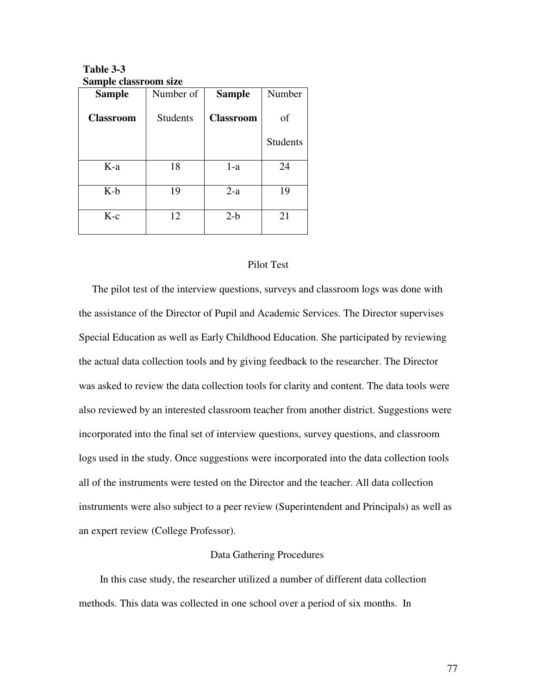**Table 3-3 Sample classroom size**

| <b>Sample</b>    | Number of       | <b>Sample</b>    | Number          |
|------------------|-----------------|------------------|-----------------|
| <b>Classroom</b> | <b>Students</b> | <b>Classroom</b> | of              |
|                  |                 |                  | <b>Students</b> |
| K-a              | 18              | $1-a$            | 24              |
| $K-b$            | 19              | $2-a$            | 19              |
| $K-c$            | 12              | $2-b$            | 21              |

## Pilot Test

The pilot test of the interview questions, surveys and classroom logs was done with the assistance of the Director of Pupil and Academic Services. The Director supervises Special Education as well as Early Childhood Education. She participated by reviewing the actual data collection tools and by giving feedback to the researcher. The Director was asked to review the data collection tools for clarity and content. The data tools were also reviewed by an interested classroom teacher from another district. Suggestions were incorporated into the final set of interview questions, survey questions, and classroom logs used in the study. Once suggestions were incorporated into the data collection tools all of the instruments were tested on the Director and the teacher. All data collection instruments were also subject to a peer review (Superintendent and Principals) as well as an expert review (College Professor).

# Data Gathering Procedures

In this case study, the researcher utilized a number of different data collection methods. This data was collected in one school over a period of six months. In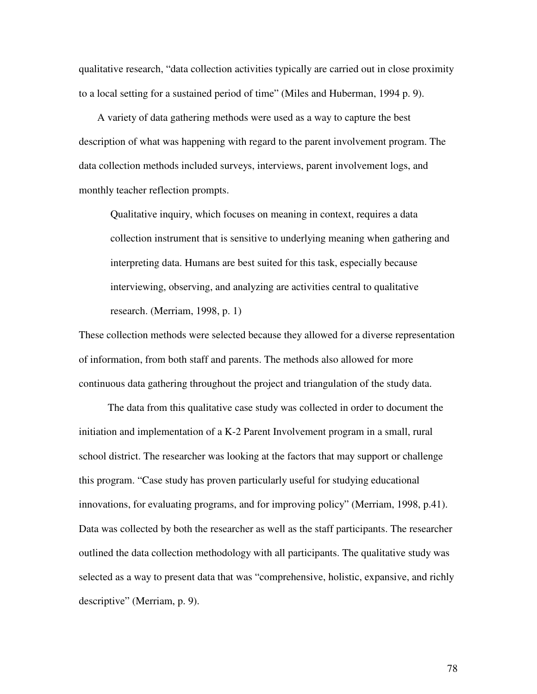qualitative research, "data collection activities typically are carried out in close proximity to a local setting for a sustained period of time" (Miles and Huberman, 1994 p. 9).

A variety of data gathering methods were used as a way to capture the best description of what was happening with regard to the parent involvement program. The data collection methods included surveys, interviews, parent involvement logs, and monthly teacher reflection prompts.

Qualitative inquiry, which focuses on meaning in context, requires a data collection instrument that is sensitive to underlying meaning when gathering and interpreting data. Humans are best suited for this task, especially because interviewing, observing, and analyzing are activities central to qualitative research. (Merriam, 1998, p. 1)

These collection methods were selected because they allowed for a diverse representation of information, from both staff and parents. The methods also allowed for more continuous data gathering throughout the project and triangulation of the study data.

The data from this qualitative case study was collected in order to document the initiation and implementation of a K-2 Parent Involvement program in a small, rural school district. The researcher was looking at the factors that may support or challenge this program. "Case study has proven particularly useful for studying educational innovations, for evaluating programs, and for improving policy" (Merriam, 1998, p.41). Data was collected by both the researcher as well as the staff participants. The researcher outlined the data collection methodology with all participants. The qualitative study was selected as a way to present data that was "comprehensive, holistic, expansive, and richly descriptive" (Merriam, p. 9).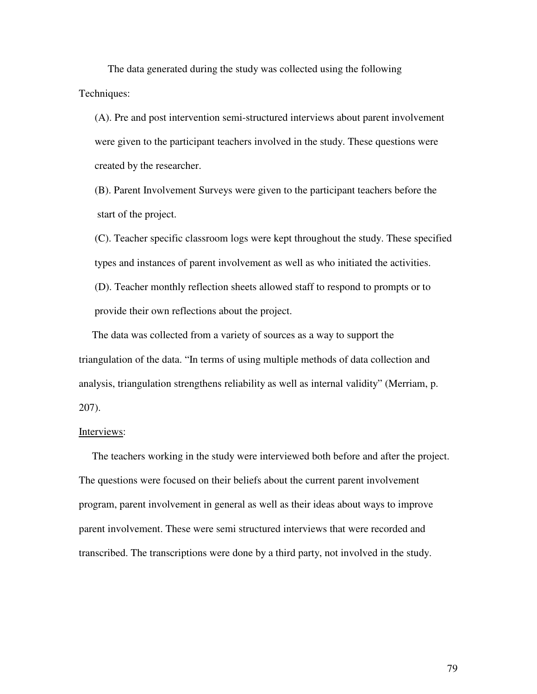The data generated during the study was collected using the following Techniques:

(A). Pre and post intervention semi-structured interviews about parent involvement were given to the participant teachers involved in the study. These questions were created by the researcher.

(B). Parent Involvement Surveys were given to the participant teachers before the start of the project.

(C). Teacher specific classroom logs were kept throughout the study. These specified types and instances of parent involvement as well as who initiated the activities.

(D). Teacher monthly reflection sheets allowed staff to respond to prompts or to provide their own reflections about the project.

The data was collected from a variety of sources as a way to support the triangulation of the data. "In terms of using multiple methods of data collection and analysis, triangulation strengthens reliability as well as internal validity" (Merriam, p. 207).

## Interviews:

The teachers working in the study were interviewed both before and after the project. The questions were focused on their beliefs about the current parent involvement program, parent involvement in general as well as their ideas about ways to improve parent involvement. These were semi structured interviews that were recorded and transcribed. The transcriptions were done by a third party, not involved in the study.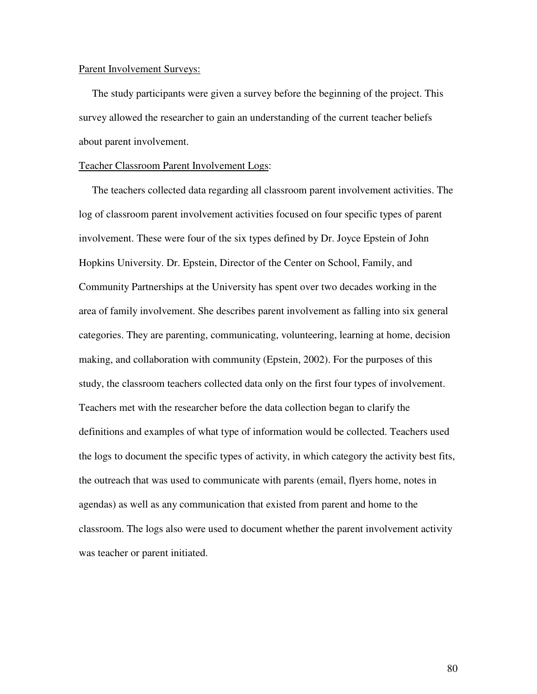#### Parent Involvement Surveys:

The study participants were given a survey before the beginning of the project. This survey allowed the researcher to gain an understanding of the current teacher beliefs about parent involvement.

## Teacher Classroom Parent Involvement Logs:

The teachers collected data regarding all classroom parent involvement activities. The log of classroom parent involvement activities focused on four specific types of parent involvement. These were four of the six types defined by Dr. Joyce Epstein of John Hopkins University. Dr. Epstein, Director of the Center on School, Family, and Community Partnerships at the University has spent over two decades working in the area of family involvement. She describes parent involvement as falling into six general categories. They are parenting, communicating, volunteering, learning at home, decision making, and collaboration with community (Epstein, 2002). For the purposes of this study, the classroom teachers collected data only on the first four types of involvement. Teachers met with the researcher before the data collection began to clarify the definitions and examples of what type of information would be collected. Teachers used the logs to document the specific types of activity, in which category the activity best fits, the outreach that was used to communicate with parents (email, flyers home, notes in agendas) as well as any communication that existed from parent and home to the classroom. The logs also were used to document whether the parent involvement activity was teacher or parent initiated.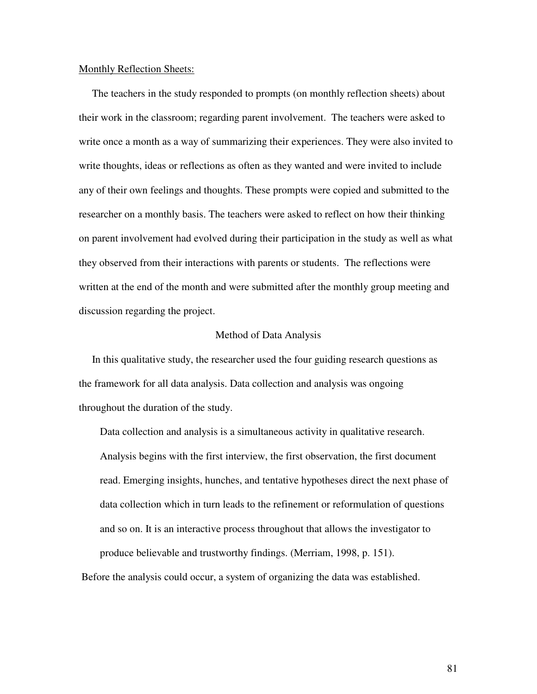#### Monthly Reflection Sheets:

The teachers in the study responded to prompts (on monthly reflection sheets) about their work in the classroom; regarding parent involvement. The teachers were asked to write once a month as a way of summarizing their experiences. They were also invited to write thoughts, ideas or reflections as often as they wanted and were invited to include any of their own feelings and thoughts. These prompts were copied and submitted to the researcher on a monthly basis. The teachers were asked to reflect on how their thinking on parent involvement had evolved during their participation in the study as well as what they observed from their interactions with parents or students. The reflections were written at the end of the month and were submitted after the monthly group meeting and discussion regarding the project.

## Method of Data Analysis

In this qualitative study, the researcher used the four guiding research questions as the framework for all data analysis. Data collection and analysis was ongoing throughout the duration of the study.

Data collection and analysis is a simultaneous activity in qualitative research. Analysis begins with the first interview, the first observation, the first document read. Emerging insights, hunches, and tentative hypotheses direct the next phase of data collection which in turn leads to the refinement or reformulation of questions and so on. It is an interactive process throughout that allows the investigator to produce believable and trustworthy findings. (Merriam, 1998, p. 151).

Before the analysis could occur, a system of organizing the data was established.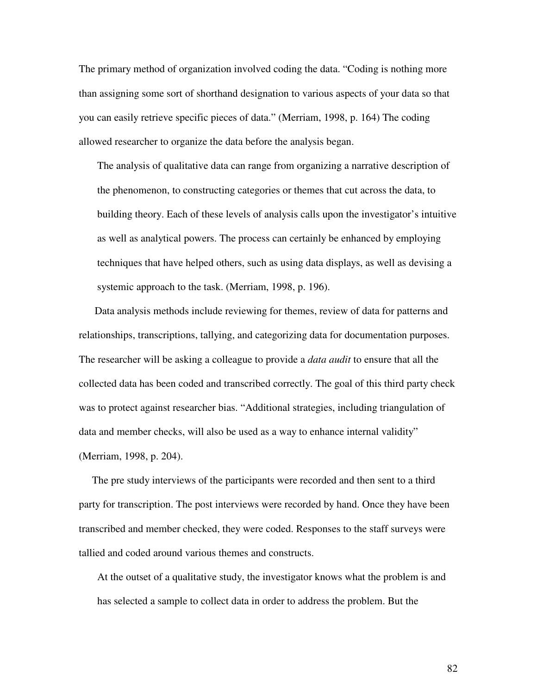The primary method of organization involved coding the data. "Coding is nothing more than assigning some sort of shorthand designation to various aspects of your data so that you can easily retrieve specific pieces of data." (Merriam, 1998, p. 164) The coding allowed researcher to organize the data before the analysis began.

The analysis of qualitative data can range from organizing a narrative description of the phenomenon, to constructing categories or themes that cut across the data, to building theory. Each of these levels of analysis calls upon the investigator's intuitive as well as analytical powers. The process can certainly be enhanced by employing techniques that have helped others, such as using data displays, as well as devising a systemic approach to the task. (Merriam, 1998, p. 196).

Data analysis methods include reviewing for themes, review of data for patterns and relationships, transcriptions, tallying, and categorizing data for documentation purposes. The researcher will be asking a colleague to provide a *data audit* to ensure that all the collected data has been coded and transcribed correctly. The goal of this third party check was to protect against researcher bias. "Additional strategies, including triangulation of data and member checks, will also be used as a way to enhance internal validity" (Merriam, 1998, p. 204).

The pre study interviews of the participants were recorded and then sent to a third party for transcription. The post interviews were recorded by hand. Once they have been transcribed and member checked, they were coded. Responses to the staff surveys were tallied and coded around various themes and constructs.

At the outset of a qualitative study, the investigator knows what the problem is and has selected a sample to collect data in order to address the problem. But the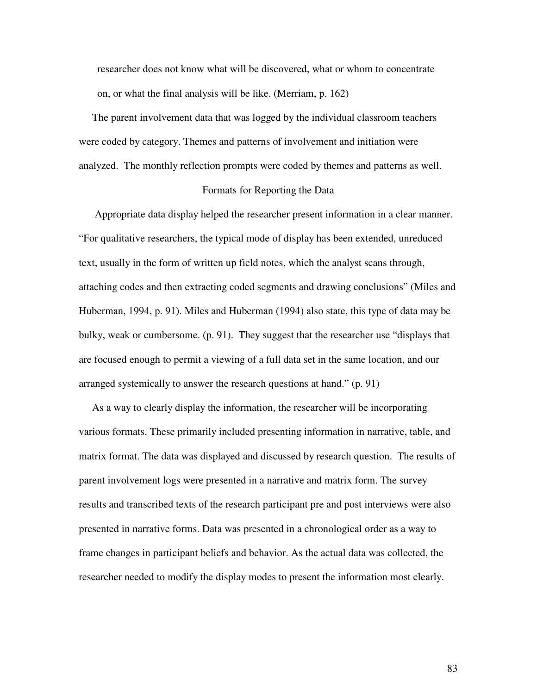researcher does not know what will be discovered, what or whom to concentrate on, or what the final analysis will be like. (Merriam, p. 162)

The parent involvement data that was logged by the individual classroom teachers were coded by category. Themes and patterns of involvement and initiation were analyzed. The monthly reflection prompts were coded by themes and patterns as well.

## Formats for Reporting the Data

Appropriate data display helped the researcher present information in a clear manner. "For qualitative researchers, the typical mode of display has been extended, unreduced text, usually in the form of written up field notes, which the analyst scans through, attaching codes and then extracting coded segments and drawing conclusions" (Miles and Huberman, 1994, p. 91). Miles and Huberman (1994) also state, this type of data may be bulky, weak or cumbersome. (p. 91). They suggest that the researcher use "displays that are focused enough to permit a viewing of a full data set in the same location, and our arranged systemically to answer the research questions at hand." (p. 91)

As a way to clearly display the information, the researcher will be incorporating various formats. These primarily included presenting information in narrative, table, and matrix format. The data was displayed and discussed by research question. The results of parent involvement logs were presented in a narrative and matrix form. The survey results and transcribed texts of the research participant pre and post interviews were also presented in narrative forms. Data was presented in a chronological order as a way to frame changes in participant beliefs and behavior. As the actual data was collected, the researcher needed to modify the display modes to present the information most clearly.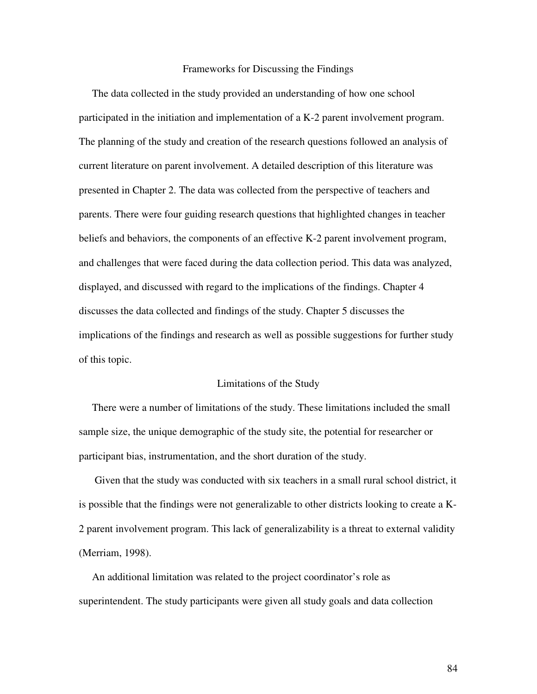#### Frameworks for Discussing the Findings

The data collected in the study provided an understanding of how one school participated in the initiation and implementation of a K-2 parent involvement program. The planning of the study and creation of the research questions followed an analysis of current literature on parent involvement. A detailed description of this literature was presented in Chapter 2. The data was collected from the perspective of teachers and parents. There were four guiding research questions that highlighted changes in teacher beliefs and behaviors, the components of an effective K-2 parent involvement program, and challenges that were faced during the data collection period. This data was analyzed, displayed, and discussed with regard to the implications of the findings. Chapter 4 discusses the data collected and findings of the study. Chapter 5 discusses the implications of the findings and research as well as possible suggestions for further study of this topic.

## Limitations of the Study

There were a number of limitations of the study. These limitations included the small sample size, the unique demographic of the study site, the potential for researcher or participant bias, instrumentation, and the short duration of the study.

Given that the study was conducted with six teachers in a small rural school district, it is possible that the findings were not generalizable to other districts looking to create a K-2 parent involvement program. This lack of generalizability is a threat to external validity (Merriam, 1998).

An additional limitation was related to the project coordinator's role as superintendent. The study participants were given all study goals and data collection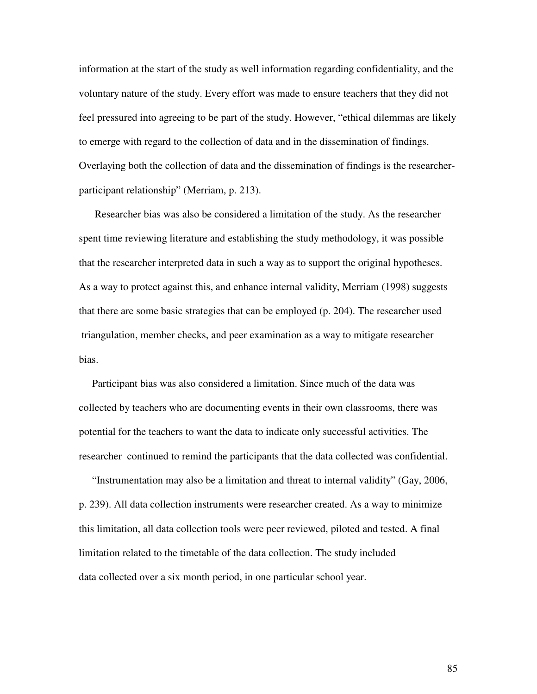information at the start of the study as well information regarding confidentiality, and the voluntary nature of the study. Every effort was made to ensure teachers that they did not feel pressured into agreeing to be part of the study. However, "ethical dilemmas are likely to emerge with regard to the collection of data and in the dissemination of findings. Overlaying both the collection of data and the dissemination of findings is the researcherparticipant relationship" (Merriam, p. 213).

Researcher bias was also be considered a limitation of the study. As the researcher spent time reviewing literature and establishing the study methodology, it was possible that the researcher interpreted data in such a way as to support the original hypotheses. As a way to protect against this, and enhance internal validity, Merriam (1998) suggests that there are some basic strategies that can be employed (p. 204). The researcher used triangulation, member checks, and peer examination as a way to mitigate researcher bias.

Participant bias was also considered a limitation. Since much of the data was collected by teachers who are documenting events in their own classrooms, there was potential for the teachers to want the data to indicate only successful activities. The researcher continued to remind the participants that the data collected was confidential.

"Instrumentation may also be a limitation and threat to internal validity" (Gay, 2006, p. 239). All data collection instruments were researcher created. As a way to minimize this limitation, all data collection tools were peer reviewed, piloted and tested. A final limitation related to the timetable of the data collection. The study included data collected over a six month period, in one particular school year.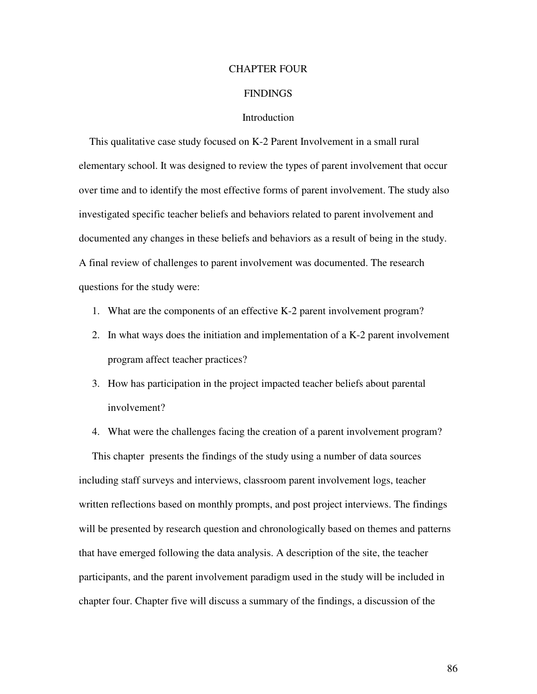# CHAPTER FOUR

## **FINDINGS**

## **Introduction**

This qualitative case study focused on K-2 Parent Involvement in a small rural elementary school. It was designed to review the types of parent involvement that occur over time and to identify the most effective forms of parent involvement. The study also investigated specific teacher beliefs and behaviors related to parent involvement and documented any changes in these beliefs and behaviors as a result of being in the study. A final review of challenges to parent involvement was documented. The research questions for the study were:

- 1. What are the components of an effective K-2 parent involvement program?
- 2. In what ways does the initiation and implementation of a K-2 parent involvement program affect teacher practices?
- 3. How has participation in the project impacted teacher beliefs about parental involvement?
- 4. What were the challenges facing the creation of a parent involvement program? This chapter presents the findings of the study using a number of data sources including staff surveys and interviews, classroom parent involvement logs, teacher written reflections based on monthly prompts, and post project interviews. The findings will be presented by research question and chronologically based on themes and patterns that have emerged following the data analysis. A description of the site, the teacher participants, and the parent involvement paradigm used in the study will be included in chapter four. Chapter five will discuss a summary of the findings, a discussion of the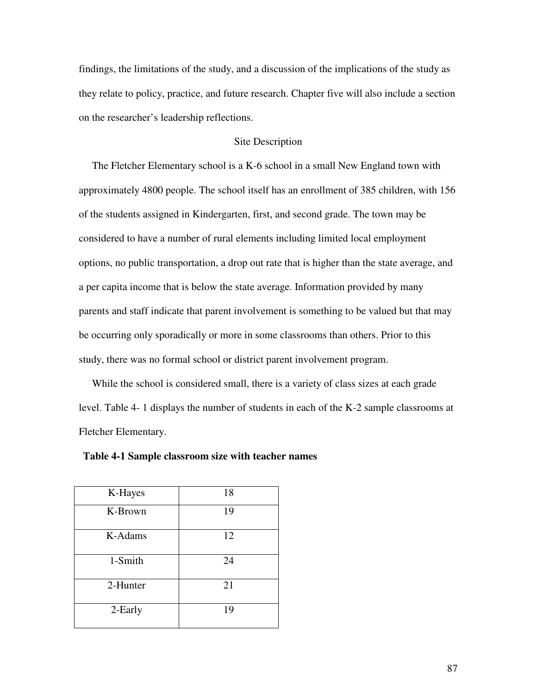findings, the limitations of the study, and a discussion of the implications of the study as they relate to policy, practice, and future research. Chapter five will also include a section on the researcher's leadership reflections.

# Site Description

The Fletcher Elementary school is a K-6 school in a small New England town with approximately 4800 people. The school itself has an enrollment of 385 children, with 156 of the students assigned in Kindergarten, first, and second grade. The town may be considered to have a number of rural elements including limited local employment options, no public transportation, a drop out rate that is higher than the state average, and a per capita income that is below the state average. Information provided by many parents and staff indicate that parent involvement is something to be valued but that may be occurring only sporadically or more in some classrooms than others. Prior to this study, there was no formal school or district parent involvement program.

While the school is considered small, there is a variety of class sizes at each grade level. Table 4- 1 displays the number of students in each of the K-2 sample classrooms at Fletcher Elementary.

| K-Hayes  | 18 |
|----------|----|
| K-Brown  | 19 |
| K-Adams  | 12 |
| 1-Smith  | 24 |
| 2-Hunter | 21 |
| 2-Early  | 19 |

**Table 4-1 Sample classroom size with teacher names**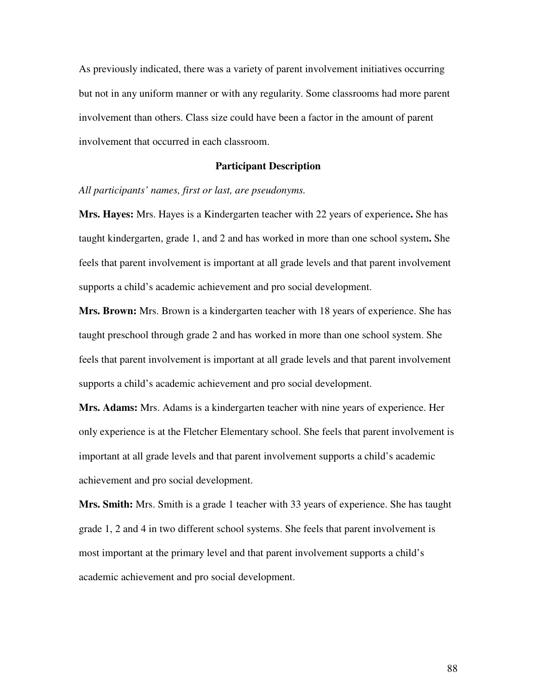As previously indicated, there was a variety of parent involvement initiatives occurring but not in any uniform manner or with any regularity. Some classrooms had more parent involvement than others. Class size could have been a factor in the amount of parent involvement that occurred in each classroom.

## **Participant Description**

*All participants' names, first or last, are pseudonyms.*

**Mrs. Hayes:** Mrs. Hayes is a Kindergarten teacher with 22 years of experience**.** She has taught kindergarten, grade 1, and 2 and has worked in more than one school system**.** She feels that parent involvement is important at all grade levels and that parent involvement supports a child's academic achievement and pro social development.

**Mrs. Brown:** Mrs. Brown is a kindergarten teacher with 18 years of experience. She has taught preschool through grade 2 and has worked in more than one school system. She feels that parent involvement is important at all grade levels and that parent involvement supports a child's academic achievement and pro social development.

**Mrs. Adams:** Mrs. Adams is a kindergarten teacher with nine years of experience. Her only experience is at the Fletcher Elementary school. She feels that parent involvement is important at all grade levels and that parent involvement supports a child's academic achievement and pro social development.

**Mrs. Smith:** Mrs. Smith is a grade 1 teacher with 33 years of experience. She has taught grade 1, 2 and 4 in two different school systems. She feels that parent involvement is most important at the primary level and that parent involvement supports a child's academic achievement and pro social development.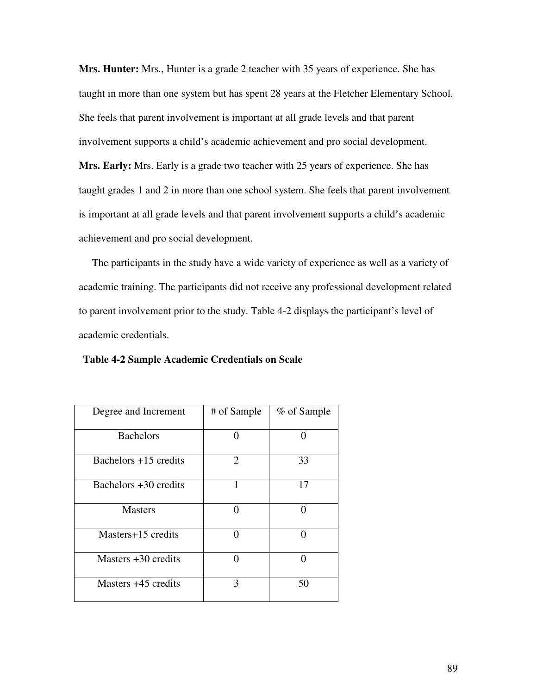**Mrs. Hunter:** Mrs., Hunter is a grade 2 teacher with 35 years of experience. She has taught in more than one system but has spent 28 years at the Fletcher Elementary School. She feels that parent involvement is important at all grade levels and that parent involvement supports a child's academic achievement and pro social development. **Mrs. Early:** Mrs. Early is a grade two teacher with 25 years of experience. She has taught grades 1 and 2 in more than one school system. She feels that parent involvement is important at all grade levels and that parent involvement supports a child's academic achievement and pro social development.

The participants in the study have a wide variety of experience as well as a variety of academic training. The participants did not receive any professional development related to parent involvement prior to the study. Table 4-2 displays the participant's level of academic credentials.

| Degree and Increment    | # of Sample       | % of Sample |
|-------------------------|-------------------|-------------|
| <b>Bachelors</b>        | $\mathbf{\Omega}$ | 0           |
| Bachelors $+15$ credits | $\overline{2}$    | 33          |
| Bachelors +30 credits   | 1                 | 17          |
| <b>Masters</b>          | 0                 | 0           |
| Masters+15 credits      | 0                 |             |
| Masters $+30$ credits   | ∩                 | ⋂           |
| Masters +45 credits     | 3                 | 50          |

**Table 4-2 Sample Academic Credentials on Scale**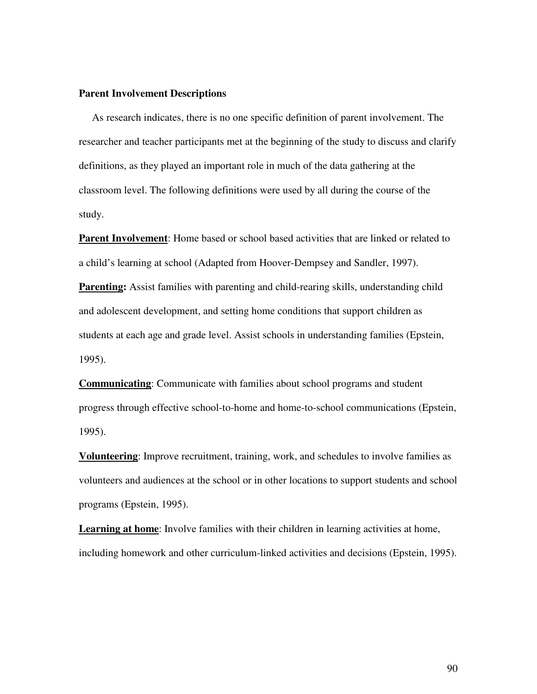## **Parent Involvement Descriptions**

As research indicates, there is no one specific definition of parent involvement. The researcher and teacher participants met at the beginning of the study to discuss and clarify definitions, as they played an important role in much of the data gathering at the classroom level. The following definitions were used by all during the course of the study.

**Parent Involvement**: Home based or school based activities that are linked or related to a child's learning at school (Adapted from Hoover-Dempsey and Sandler, 1997).

**Parenting:** Assist families with parenting and child-rearing skills, understanding child and adolescent development, and setting home conditions that support children as students at each age and grade level. Assist schools in understanding families (Epstein, 1995).

**Communicating**: Communicate with families about school programs and student progress through effective school-to-home and home-to-school communications (Epstein, 1995).

**Volunteering**: Improve recruitment, training, work, and schedules to involve families as volunteers and audiences at the school or in other locations to support students and school programs (Epstein, 1995).

**Learning at home**: Involve families with their children in learning activities at home, including homework and other curriculum-linked activities and decisions (Epstein, 1995).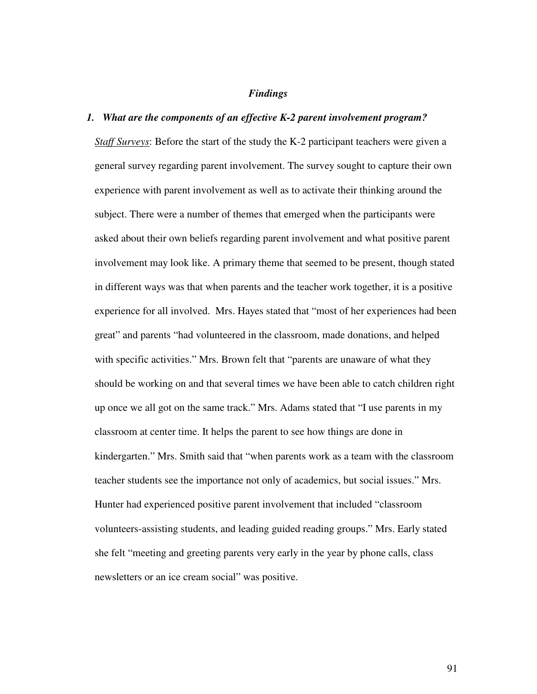## *Findings*

## *1. What are the components of an effective K-2 parent involvement program?*

*Staff Surveys*: Before the start of the study the K-2 participant teachers were given a general survey regarding parent involvement. The survey sought to capture their own experience with parent involvement as well as to activate their thinking around the subject. There were a number of themes that emerged when the participants were asked about their own beliefs regarding parent involvement and what positive parent involvement may look like. A primary theme that seemed to be present, though stated in different ways was that when parents and the teacher work together, it is a positive experience for all involved. Mrs. Hayes stated that "most of her experiences had been great" and parents "had volunteered in the classroom, made donations, and helped with specific activities." Mrs. Brown felt that "parents are unaware of what they should be working on and that several times we have been able to catch children right up once we all got on the same track." Mrs. Adams stated that "I use parents in my classroom at center time. It helps the parent to see how things are done in kindergarten." Mrs. Smith said that "when parents work as a team with the classroom teacher students see the importance not only of academics, but social issues." Mrs. Hunter had experienced positive parent involvement that included "classroom volunteers-assisting students, and leading guided reading groups." Mrs. Early stated she felt "meeting and greeting parents very early in the year by phone calls, class newsletters or an ice cream social" was positive.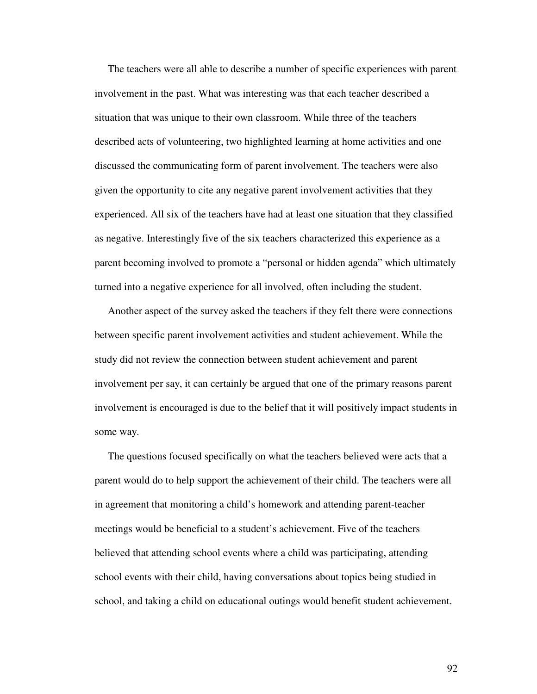The teachers were all able to describe a number of specific experiences with parent involvement in the past. What was interesting was that each teacher described a situation that was unique to their own classroom. While three of the teachers described acts of volunteering, two highlighted learning at home activities and one discussed the communicating form of parent involvement. The teachers were also given the opportunity to cite any negative parent involvement activities that they experienced. All six of the teachers have had at least one situation that they classified as negative. Interestingly five of the six teachers characterized this experience as a parent becoming involved to promote a "personal or hidden agenda" which ultimately turned into a negative experience for all involved, often including the student.

Another aspect of the survey asked the teachers if they felt there were connections between specific parent involvement activities and student achievement. While the study did not review the connection between student achievement and parent involvement per say, it can certainly be argued that one of the primary reasons parent involvement is encouraged is due to the belief that it will positively impact students in some way.

The questions focused specifically on what the teachers believed were acts that a parent would do to help support the achievement of their child. The teachers were all in agreement that monitoring a child's homework and attending parent-teacher meetings would be beneficial to a student's achievement. Five of the teachers believed that attending school events where a child was participating, attending school events with their child, having conversations about topics being studied in school, and taking a child on educational outings would benefit student achievement.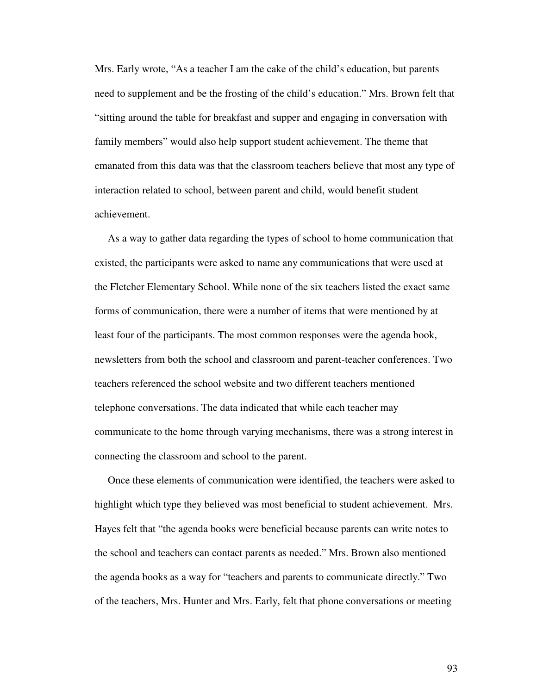Mrs. Early wrote, "As a teacher I am the cake of the child's education, but parents need to supplement and be the frosting of the child's education." Mrs. Brown felt that "sitting around the table for breakfast and supper and engaging in conversation with family members" would also help support student achievement. The theme that emanated from this data was that the classroom teachers believe that most any type of interaction related to school, between parent and child, would benefit student achievement.

As a way to gather data regarding the types of school to home communication that existed, the participants were asked to name any communications that were used at the Fletcher Elementary School. While none of the six teachers listed the exact same forms of communication, there were a number of items that were mentioned by at least four of the participants. The most common responses were the agenda book, newsletters from both the school and classroom and parent-teacher conferences. Two teachers referenced the school website and two different teachers mentioned telephone conversations. The data indicated that while each teacher may communicate to the home through varying mechanisms, there was a strong interest in connecting the classroom and school to the parent.

Once these elements of communication were identified, the teachers were asked to highlight which type they believed was most beneficial to student achievement. Mrs. Hayes felt that "the agenda books were beneficial because parents can write notes to the school and teachers can contact parents as needed." Mrs. Brown also mentioned the agenda books as a way for "teachers and parents to communicate directly." Two of the teachers, Mrs. Hunter and Mrs. Early, felt that phone conversations or meeting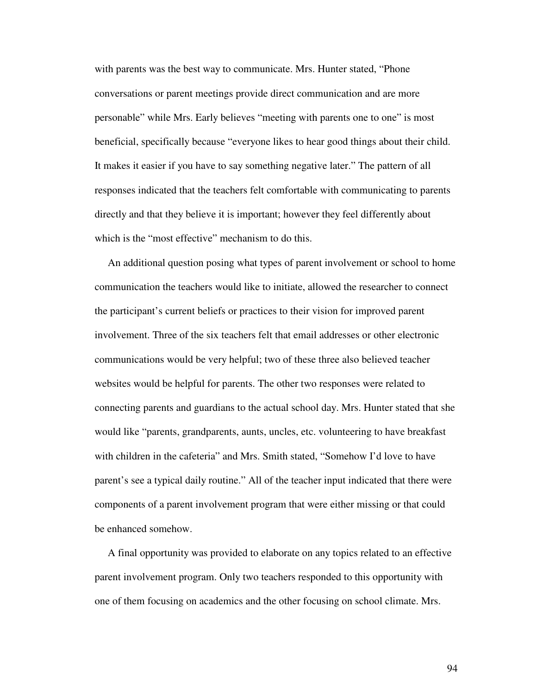with parents was the best way to communicate. Mrs. Hunter stated, "Phone conversations or parent meetings provide direct communication and are more personable" while Mrs. Early believes "meeting with parents one to one" is most beneficial, specifically because "everyone likes to hear good things about their child. It makes it easier if you have to say something negative later." The pattern of all responses indicated that the teachers felt comfortable with communicating to parents directly and that they believe it is important; however they feel differently about which is the "most effective" mechanism to do this.

An additional question posing what types of parent involvement or school to home communication the teachers would like to initiate, allowed the researcher to connect the participant's current beliefs or practices to their vision for improved parent involvement. Three of the six teachers felt that email addresses or other electronic communications would be very helpful; two of these three also believed teacher websites would be helpful for parents. The other two responses were related to connecting parents and guardians to the actual school day. Mrs. Hunter stated that she would like "parents, grandparents, aunts, uncles, etc. volunteering to have breakfast with children in the cafeteria" and Mrs. Smith stated, "Somehow I'd love to have parent's see a typical daily routine." All of the teacher input indicated that there were components of a parent involvement program that were either missing or that could be enhanced somehow.

A final opportunity was provided to elaborate on any topics related to an effective parent involvement program. Only two teachers responded to this opportunity with one of them focusing on academics and the other focusing on school climate. Mrs.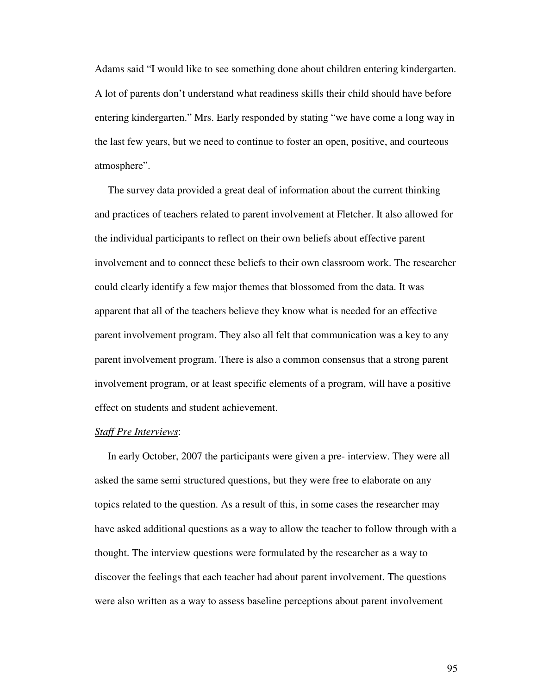Adams said "I would like to see something done about children entering kindergarten. A lot of parents don't understand what readiness skills their child should have before entering kindergarten." Mrs. Early responded by stating "we have come a long way in the last few years, but we need to continue to foster an open, positive, and courteous atmosphere".

The survey data provided a great deal of information about the current thinking and practices of teachers related to parent involvement at Fletcher. It also allowed for the individual participants to reflect on their own beliefs about effective parent involvement and to connect these beliefs to their own classroom work. The researcher could clearly identify a few major themes that blossomed from the data. It was apparent that all of the teachers believe they know what is needed for an effective parent involvement program. They also all felt that communication was a key to any parent involvement program. There is also a common consensus that a strong parent involvement program, or at least specific elements of a program, will have a positive effect on students and student achievement.

#### *Staff Pre Interviews*:

In early October, 2007 the participants were given a pre- interview. They were all asked the same semi structured questions, but they were free to elaborate on any topics related to the question. As a result of this, in some cases the researcher may have asked additional questions as a way to allow the teacher to follow through with a thought. The interview questions were formulated by the researcher as a way to discover the feelings that each teacher had about parent involvement. The questions were also written as a way to assess baseline perceptions about parent involvement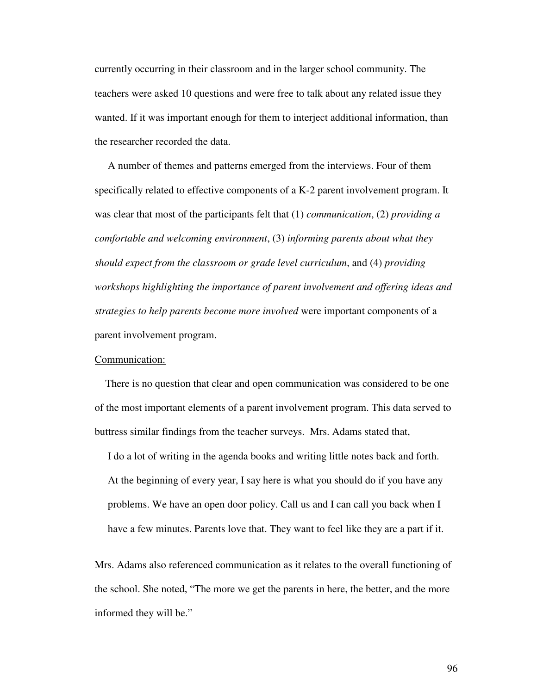currently occurring in their classroom and in the larger school community. The teachers were asked 10 questions and were free to talk about any related issue they wanted. If it was important enough for them to interject additional information, than the researcher recorded the data.

A number of themes and patterns emerged from the interviews. Four of them specifically related to effective components of a K-2 parent involvement program. It was clear that most of the participants felt that (1) *communication*, (2) *providing a comfortable and welcoming environment*, (3) *informing parents about what they should expect from the classroom or grade level curriculum*, and (4) *providing workshops highlighting the importance of parent involvement and offering ideas and strategies to help parents become more involved* were important components of a parent involvement program.

## Communication:

There is no question that clear and open communication was considered to be one of the most important elements of a parent involvement program. This data served to buttress similar findings from the teacher surveys. Mrs. Adams stated that,

I do a lot of writing in the agenda books and writing little notes back and forth. At the beginning of every year, I say here is what you should do if you have any problems. We have an open door policy. Call us and I can call you back when I have a few minutes. Parents love that. They want to feel like they are a part if it.

Mrs. Adams also referenced communication as it relates to the overall functioning of the school. She noted, "The more we get the parents in here, the better, and the more informed they will be."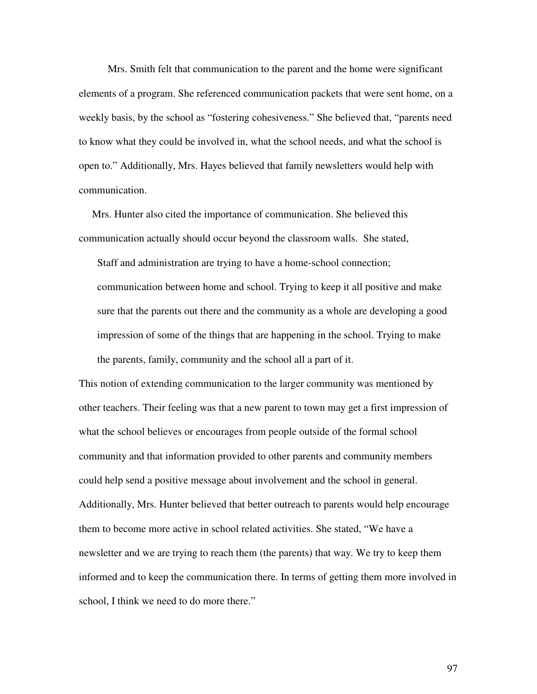Mrs. Smith felt that communication to the parent and the home were significant elements of a program. She referenced communication packets that were sent home, on a weekly basis, by the school as "fostering cohesiveness." She believed that, "parents need to know what they could be involved in, what the school needs, and what the school is open to." Additionally, Mrs. Hayes believed that family newsletters would help with communication.

Mrs. Hunter also cited the importance of communication. She believed this communication actually should occur beyond the classroom walls. She stated,

Staff and administration are trying to have a home-school connection; communication between home and school. Trying to keep it all positive and make sure that the parents out there and the community as a whole are developing a good impression of some of the things that are happening in the school. Trying to make the parents, family, community and the school all a part of it.

This notion of extending communication to the larger community was mentioned by other teachers. Their feeling was that a new parent to town may get a first impression of what the school believes or encourages from people outside of the formal school community and that information provided to other parents and community members could help send a positive message about involvement and the school in general. Additionally, Mrs. Hunter believed that better outreach to parents would help encourage them to become more active in school related activities. She stated, "We have a newsletter and we are trying to reach them (the parents) that way. We try to keep them informed and to keep the communication there. In terms of getting them more involved in school, I think we need to do more there."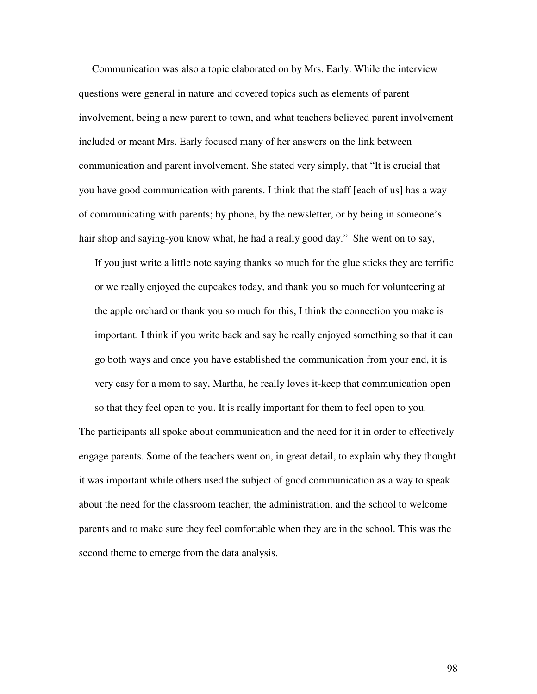Communication was also a topic elaborated on by Mrs. Early. While the interview questions were general in nature and covered topics such as elements of parent involvement, being a new parent to town, and what teachers believed parent involvement included or meant Mrs. Early focused many of her answers on the link between communication and parent involvement. She stated very simply, that "It is crucial that you have good communication with parents. I think that the staff [each of us] has a way of communicating with parents; by phone, by the newsletter, or by being in someone's hair shop and saying-you know what, he had a really good day." She went on to say,

If you just write a little note saying thanks so much for the glue sticks they are terrific or we really enjoyed the cupcakes today, and thank you so much for volunteering at the apple orchard or thank you so much for this, I think the connection you make is important. I think if you write back and say he really enjoyed something so that it can go both ways and once you have established the communication from your end, it is very easy for a mom to say, Martha, he really loves it-keep that communication open

The participants all spoke about communication and the need for it in order to effectively engage parents. Some of the teachers went on, in great detail, to explain why they thought it was important while others used the subject of good communication as a way to speak about the need for the classroom teacher, the administration, and the school to welcome parents and to make sure they feel comfortable when they are in the school. This was the second theme to emerge from the data analysis.

so that they feel open to you. It is really important for them to feel open to you.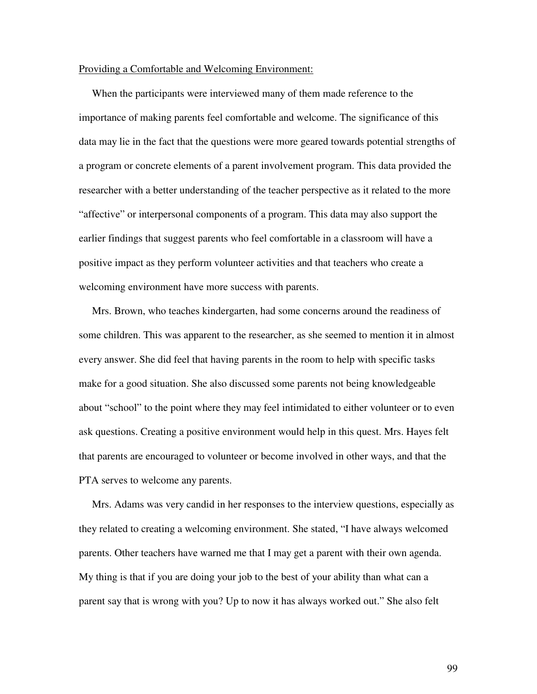#### Providing a Comfortable and Welcoming Environment:

When the participants were interviewed many of them made reference to the importance of making parents feel comfortable and welcome. The significance of this data may lie in the fact that the questions were more geared towards potential strengths of a program or concrete elements of a parent involvement program. This data provided the researcher with a better understanding of the teacher perspective as it related to the more "affective" or interpersonal components of a program. This data may also support the earlier findings that suggest parents who feel comfortable in a classroom will have a positive impact as they perform volunteer activities and that teachers who create a welcoming environment have more success with parents.

Mrs. Brown, who teaches kindergarten, had some concerns around the readiness of some children. This was apparent to the researcher, as she seemed to mention it in almost every answer. She did feel that having parents in the room to help with specific tasks make for a good situation. She also discussed some parents not being knowledgeable about "school" to the point where they may feel intimidated to either volunteer or to even ask questions. Creating a positive environment would help in this quest. Mrs. Hayes felt that parents are encouraged to volunteer or become involved in other ways, and that the PTA serves to welcome any parents.

Mrs. Adams was very candid in her responses to the interview questions, especially as they related to creating a welcoming environment. She stated, "I have always welcomed parents. Other teachers have warned me that I may get a parent with their own agenda. My thing is that if you are doing your job to the best of your ability than what can a parent say that is wrong with you? Up to now it has always worked out." She also felt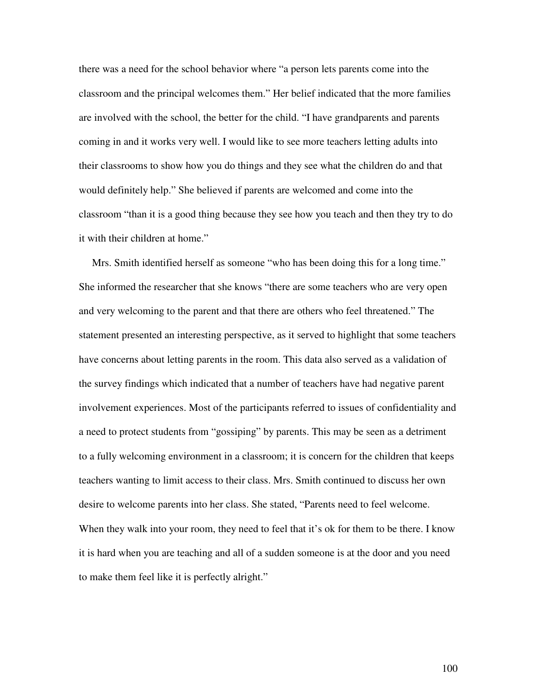there was a need for the school behavior where "a person lets parents come into the classroom and the principal welcomes them." Her belief indicated that the more families are involved with the school, the better for the child. "I have grandparents and parents coming in and it works very well. I would like to see more teachers letting adults into their classrooms to show how you do things and they see what the children do and that would definitely help." She believed if parents are welcomed and come into the classroom "than it is a good thing because they see how you teach and then they try to do it with their children at home."

Mrs. Smith identified herself as someone "who has been doing this for a long time." She informed the researcher that she knows "there are some teachers who are very open and very welcoming to the parent and that there are others who feel threatened." The statement presented an interesting perspective, as it served to highlight that some teachers have concerns about letting parents in the room. This data also served as a validation of the survey findings which indicated that a number of teachers have had negative parent involvement experiences. Most of the participants referred to issues of confidentiality and a need to protect students from "gossiping" by parents. This may be seen as a detriment to a fully welcoming environment in a classroom; it is concern for the children that keeps teachers wanting to limit access to their class. Mrs. Smith continued to discuss her own desire to welcome parents into her class. She stated, "Parents need to feel welcome. When they walk into your room, they need to feel that it's ok for them to be there. I know it is hard when you are teaching and all of a sudden someone is at the door and you need to make them feel like it is perfectly alright."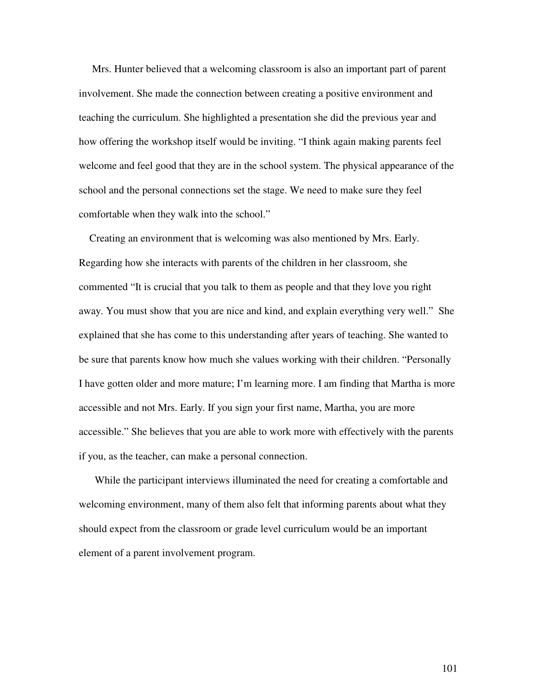Mrs. Hunter believed that a welcoming classroom is also an important part of parent involvement. She made the connection between creating a positive environment and teaching the curriculum. She highlighted a presentation she did the previous year and how offering the workshop itself would be inviting. "I think again making parents feel welcome and feel good that they are in the school system. The physical appearance of the school and the personal connections set the stage. We need to make sure they feel comfortable when they walk into the school."

Creating an environment that is welcoming was also mentioned by Mrs. Early. Regarding how she interacts with parents of the children in her classroom, she commented "It is crucial that you talk to them as people and that they love you right away. You must show that you are nice and kind, and explain everything very well." She explained that she has come to this understanding after years of teaching. She wanted to be sure that parents know how much she values working with their children. "Personally I have gotten older and more mature; I'm learning more. I am finding that Martha is more accessible and not Mrs. Early. If you sign your first name, Martha, you are more accessible." She believes that you are able to work more with effectively with the parents if you, as the teacher, can make a personal connection.

While the participant interviews illuminated the need for creating a comfortable and welcoming environment, many of them also felt that informing parents about what they should expect from the classroom or grade level curriculum would be an important element of a parent involvement program.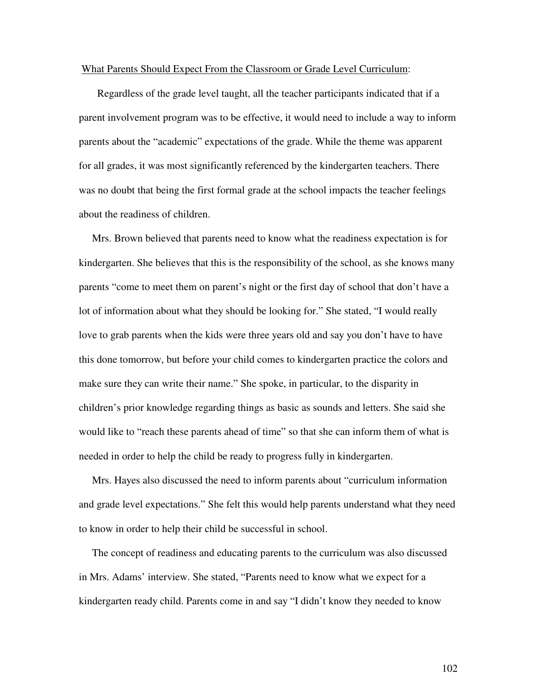#### What Parents Should Expect From the Classroom or Grade Level Curriculum:

Regardless of the grade level taught, all the teacher participants indicated that if a parent involvement program was to be effective, it would need to include a way to inform parents about the "academic" expectations of the grade. While the theme was apparent for all grades, it was most significantly referenced by the kindergarten teachers. There was no doubt that being the first formal grade at the school impacts the teacher feelings about the readiness of children.

Mrs. Brown believed that parents need to know what the readiness expectation is for kindergarten. She believes that this is the responsibility of the school, as she knows many parents "come to meet them on parent's night or the first day of school that don't have a lot of information about what they should be looking for." She stated, "I would really love to grab parents when the kids were three years old and say you don't have to have this done tomorrow, but before your child comes to kindergarten practice the colors and make sure they can write their name." She spoke, in particular, to the disparity in children's prior knowledge regarding things as basic as sounds and letters. She said she would like to "reach these parents ahead of time" so that she can inform them of what is needed in order to help the child be ready to progress fully in kindergarten.

Mrs. Hayes also discussed the need to inform parents about "curriculum information and grade level expectations." She felt this would help parents understand what they need to know in order to help their child be successful in school.

The concept of readiness and educating parents to the curriculum was also discussed in Mrs. Adams' interview. She stated, "Parents need to know what we expect for a kindergarten ready child. Parents come in and say "I didn't know they needed to know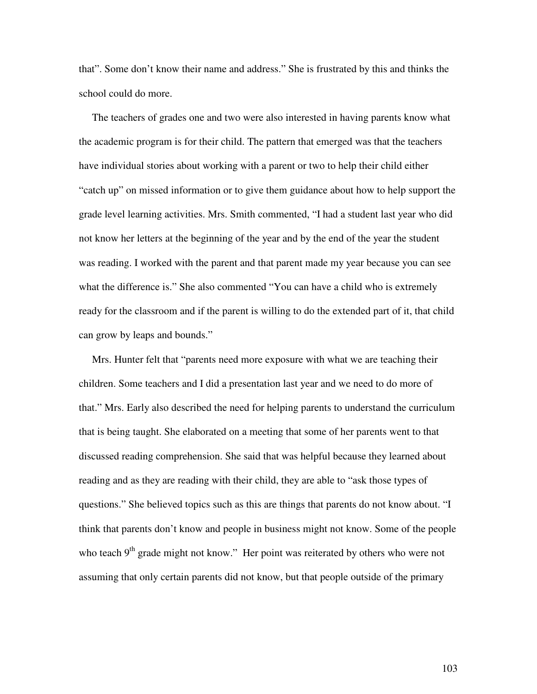that". Some don't know their name and address." She is frustrated by this and thinks the school could do more.

The teachers of grades one and two were also interested in having parents know what the academic program is for their child. The pattern that emerged was that the teachers have individual stories about working with a parent or two to help their child either "catch up" on missed information or to give them guidance about how to help support the grade level learning activities. Mrs. Smith commented, "I had a student last year who did not know her letters at the beginning of the year and by the end of the year the student was reading. I worked with the parent and that parent made my year because you can see what the difference is." She also commented "You can have a child who is extremely ready for the classroom and if the parent is willing to do the extended part of it, that child can grow by leaps and bounds."

Mrs. Hunter felt that "parents need more exposure with what we are teaching their children. Some teachers and I did a presentation last year and we need to do more of that." Mrs. Early also described the need for helping parents to understand the curriculum that is being taught. She elaborated on a meeting that some of her parents went to that discussed reading comprehension. She said that was helpful because they learned about reading and as they are reading with their child, they are able to "ask those types of questions." She believed topics such as this are things that parents do not know about. "I think that parents don't know and people in business might not know. Some of the people who teach 9<sup>th</sup> grade might not know." Her point was reiterated by others who were not assuming that only certain parents did not know, but that people outside of the primary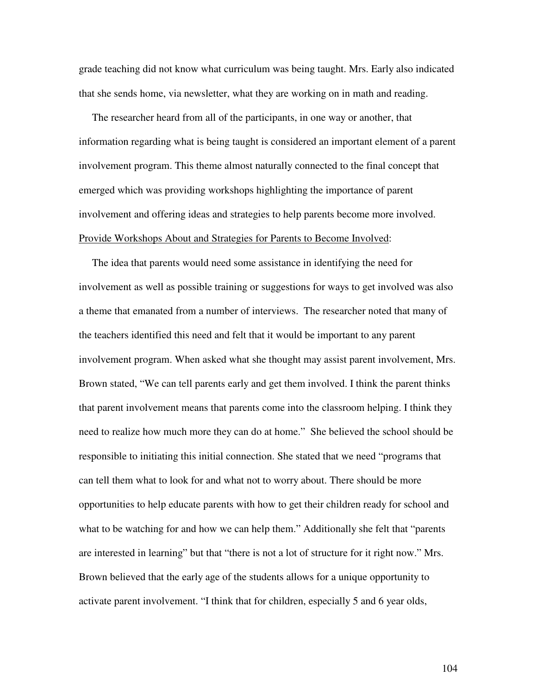grade teaching did not know what curriculum was being taught. Mrs. Early also indicated that she sends home, via newsletter, what they are working on in math and reading.

The researcher heard from all of the participants, in one way or another, that information regarding what is being taught is considered an important element of a parent involvement program. This theme almost naturally connected to the final concept that emerged which was providing workshops highlighting the importance of parent involvement and offering ideas and strategies to help parents become more involved. Provide Workshops About and Strategies for Parents to Become Involved:

The idea that parents would need some assistance in identifying the need for involvement as well as possible training or suggestions for ways to get involved was also a theme that emanated from a number of interviews. The researcher noted that many of the teachers identified this need and felt that it would be important to any parent involvement program. When asked what she thought may assist parent involvement, Mrs. Brown stated, "We can tell parents early and get them involved. I think the parent thinks that parent involvement means that parents come into the classroom helping. I think they need to realize how much more they can do at home." She believed the school should be responsible to initiating this initial connection. She stated that we need "programs that can tell them what to look for and what not to worry about. There should be more opportunities to help educate parents with how to get their children ready for school and what to be watching for and how we can help them." Additionally she felt that "parents are interested in learning" but that "there is not a lot of structure for it right now." Mrs. Brown believed that the early age of the students allows for a unique opportunity to activate parent involvement. "I think that for children, especially 5 and 6 year olds,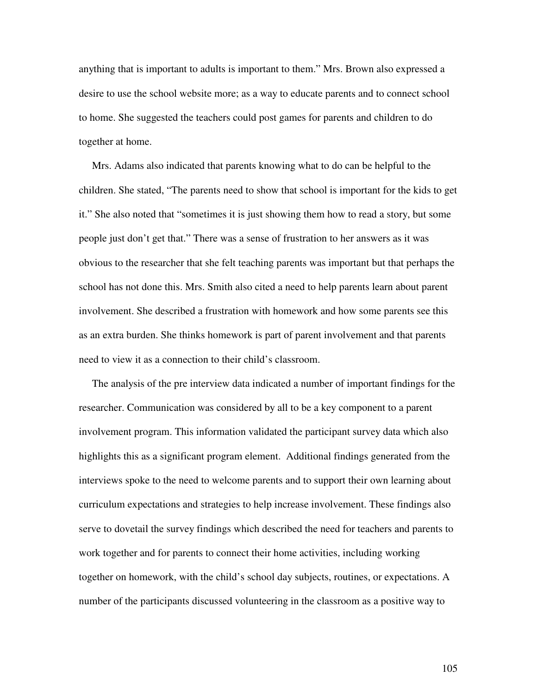anything that is important to adults is important to them." Mrs. Brown also expressed a desire to use the school website more; as a way to educate parents and to connect school to home. She suggested the teachers could post games for parents and children to do together at home.

Mrs. Adams also indicated that parents knowing what to do can be helpful to the children. She stated, "The parents need to show that school is important for the kids to get it." She also noted that "sometimes it is just showing them how to read a story, but some people just don't get that." There was a sense of frustration to her answers as it was obvious to the researcher that she felt teaching parents was important but that perhaps the school has not done this. Mrs. Smith also cited a need to help parents learn about parent involvement. She described a frustration with homework and how some parents see this as an extra burden. She thinks homework is part of parent involvement and that parents need to view it as a connection to their child's classroom.

The analysis of the pre interview data indicated a number of important findings for the researcher. Communication was considered by all to be a key component to a parent involvement program. This information validated the participant survey data which also highlights this as a significant program element. Additional findings generated from the interviews spoke to the need to welcome parents and to support their own learning about curriculum expectations and strategies to help increase involvement. These findings also serve to dovetail the survey findings which described the need for teachers and parents to work together and for parents to connect their home activities, including working together on homework, with the child's school day subjects, routines, or expectations. A number of the participants discussed volunteering in the classroom as a positive way to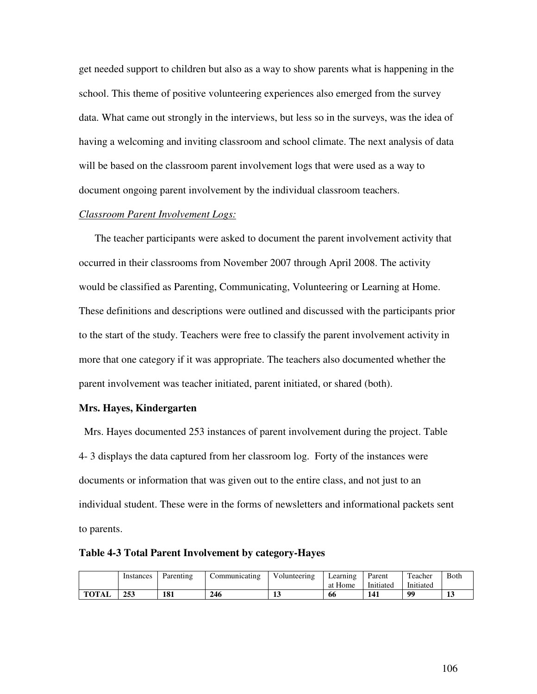get needed support to children but also as a way to show parents what is happening in the school. This theme of positive volunteering experiences also emerged from the survey data. What came out strongly in the interviews, but less so in the surveys, was the idea of having a welcoming and inviting classroom and school climate. The next analysis of data will be based on the classroom parent involvement logs that were used as a way to document ongoing parent involvement by the individual classroom teachers.

# *Classroom Parent Involvement Logs:*

The teacher participants were asked to document the parent involvement activity that occurred in their classrooms from November 2007 through April 2008. The activity would be classified as Parenting, Communicating, Volunteering or Learning at Home. These definitions and descriptions were outlined and discussed with the participants prior to the start of the study. Teachers were free to classify the parent involvement activity in more that one category if it was appropriate. The teachers also documented whether the parent involvement was teacher initiated, parent initiated, or shared (both).

### **Mrs. Hayes, Kindergarten**

Mrs. Hayes documented 253 instances of parent involvement during the project. Table 4- 3 displays the data captured from her classroom log. Forty of the instances were documents or information that was given out to the entire class, and not just to an individual student. These were in the forms of newsletters and informational packets sent to parents.

|  |  | Table 4-3 Total Parent Involvement by category-Hayes |  |  |  |
|--|--|------------------------------------------------------|--|--|--|
|--|--|------------------------------------------------------|--|--|--|

|              | Instances | Parenting  | .`ommunicating | <b>TT 1</b><br>Volunteering | ∟earnıng<br>at Home | Parent<br>Initiated | m<br>Feacher<br>Initiated | <b>B</b> oth |
|--------------|-----------|------------|----------------|-----------------------------|---------------------|---------------------|---------------------------|--------------|
| <b>TOTAL</b> | 253       | 101<br>101 | 246            | ⊥⊾                          | 66                  | 141                 | 00                        | ⊥പ           |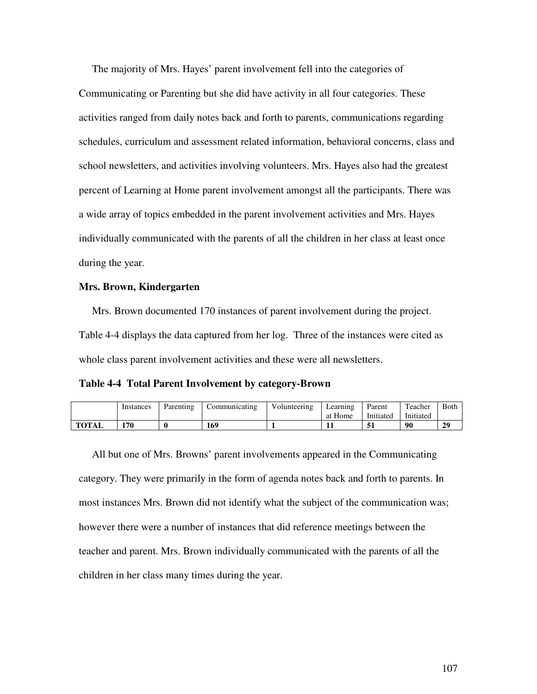The majority of Mrs. Hayes' parent involvement fell into the categories of

Communicating or Parenting but she did have activity in all four categories. These activities ranged from daily notes back and forth to parents, communications regarding schedules, curriculum and assessment related information, behavioral concerns, class and school newsletters, and activities involving volunteers. Mrs. Hayes also had the greatest percent of Learning at Home parent involvement amongst all the participants. There was a wide array of topics embedded in the parent involvement activities and Mrs. Hayes individually communicated with the parents of all the children in her class at least once during the year.

# **Mrs. Brown, Kindergarten**

Mrs. Brown documented 170 instances of parent involvement during the project. Table 4-4 displays the data captured from her log. Three of the instances were cited as whole class parent involvement activities and these were all newsletters.

**Table 4-4 Total Parent Involvement by category-Brown**

|              | Instances | Parenting | Communicating | Volunteering | Learning | Parent    | Teacher   | <b>Both</b> |
|--------------|-----------|-----------|---------------|--------------|----------|-----------|-----------|-------------|
|              |           |           |               |              | at Home  | Initiated | Initiated |             |
| <b>TOTAL</b> | 170       |           | 169           |              | . .      | ы         | 90        | 29          |

All but one of Mrs. Browns' parent involvements appeared in the Communicating category. They were primarily in the form of agenda notes back and forth to parents. In most instances Mrs. Brown did not identify what the subject of the communication was; however there were a number of instances that did reference meetings between the teacher and parent. Mrs. Brown individually communicated with the parents of all the children in her class many times during the year.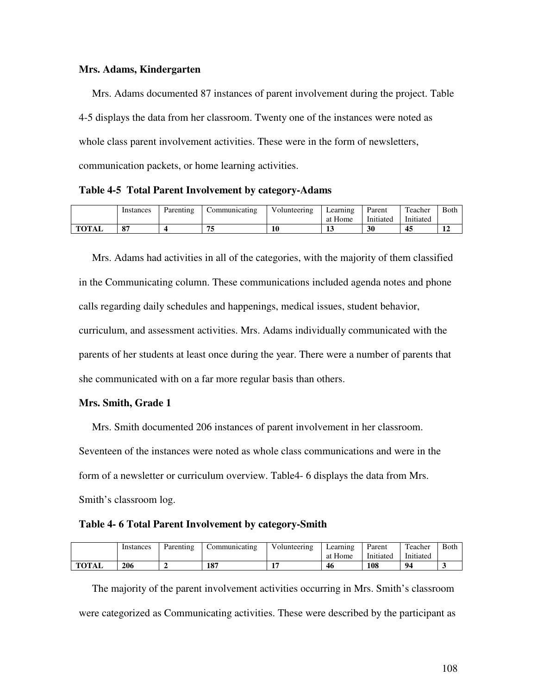## **Mrs. Adams, Kindergarten**

Mrs. Adams documented 87 instances of parent involvement during the project. Table 4-5 displays the data from her classroom. Twenty one of the instances were noted as whole class parent involvement activities. These were in the form of newsletters, communication packets, or home learning activities.

**Table 4-5 Total Parent Involvement by category-Adams**

|              | Instances | Parenting | .`ommunicating | $T$ $T$ $T$<br>Volunteering | Learning | Parent    | Teacher   | Both          |
|--------------|-----------|-----------|----------------|-----------------------------|----------|-----------|-----------|---------------|
|              |           |           |                |                             | at Home  | Initiated | Initiated |               |
| <b>TOTAL</b> | 87        |           | 75             |                             |          | 30        | 45        | ┸ <del></del> |

Mrs. Adams had activities in all of the categories, with the majority of them classified in the Communicating column. These communications included agenda notes and phone calls regarding daily schedules and happenings, medical issues, student behavior, curriculum, and assessment activities. Mrs. Adams individually communicated with the parents of her students at least once during the year. There were a number of parents that she communicated with on a far more regular basis than others.

# **Mrs. Smith, Grade 1**

Mrs. Smith documented 206 instances of parent involvement in her classroom. Seventeen of the instances were noted as whole class communications and were in the form of a newsletter or curriculum overview. Table4- 6 displays the data from Mrs. Smith's classroom log.

### **Table 4- 6 Total Parent Involvement by category-Smith**

|       | Instances | Parenting | Communicating | Volunteering | Learning<br>at Home | Parent<br>Initiated | Teacher<br>Initiated | <b>Both</b> |
|-------|-----------|-----------|---------------|--------------|---------------------|---------------------|----------------------|-------------|
| TOTAL | 206       |           | 107<br>10,    |              | 46                  | 108                 | 94                   |             |

The majority of the parent involvement activities occurring in Mrs. Smith's classroom were categorized as Communicating activities. These were described by the participant as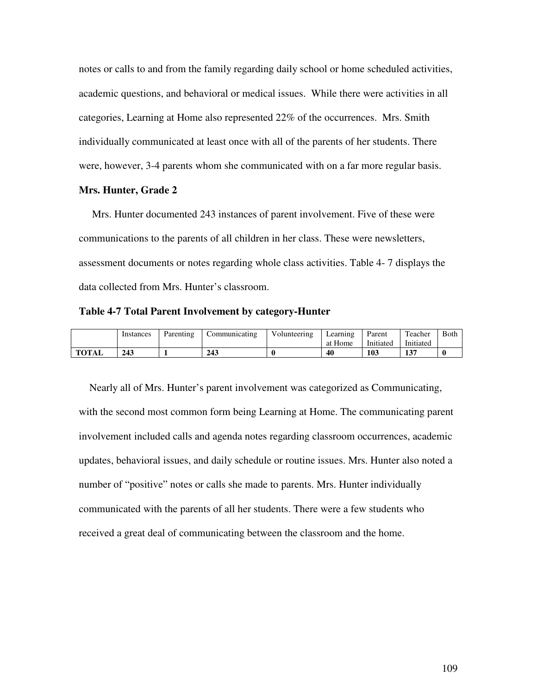notes or calls to and from the family regarding daily school or home scheduled activities, academic questions, and behavioral or medical issues. While there were activities in all categories, Learning at Home also represented 22% of the occurrences. Mrs. Smith individually communicated at least once with all of the parents of her students. There were, however, 3-4 parents whom she communicated with on a far more regular basis.

### **Mrs. Hunter, Grade 2**

Mrs. Hunter documented 243 instances of parent involvement. Five of these were communications to the parents of all children in her class. These were newsletters, assessment documents or notes regarding whole class activities. Table 4- 7 displays the data collected from Mrs. Hunter's classroom.

**Table 4-7 Total Parent Involvement by category-Hunter**

|              | Instances | Parenting |     | Volunteering | Learning | Parent    | Teacher   | <b>Both</b> |
|--------------|-----------|-----------|-----|--------------|----------|-----------|-----------|-------------|
|              |           |           |     |              | at Home  | Initiated | Initiated |             |
| <b>TOTAL</b> | 243       |           | 243 |              | 40       | 103       | 137       |             |

Nearly all of Mrs. Hunter's parent involvement was categorized as Communicating, with the second most common form being Learning at Home. The communicating parent involvement included calls and agenda notes regarding classroom occurrences, academic updates, behavioral issues, and daily schedule or routine issues. Mrs. Hunter also noted a number of "positive" notes or calls she made to parents. Mrs. Hunter individually communicated with the parents of all her students. There were a few students who received a great deal of communicating between the classroom and the home.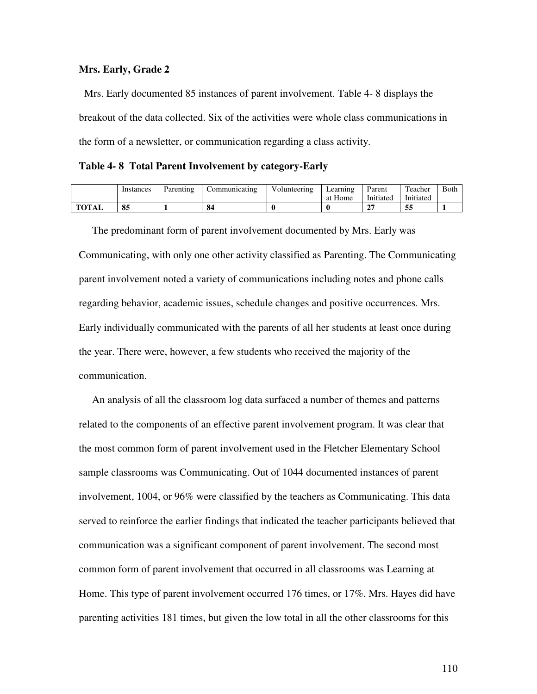## **Mrs. Early, Grade 2**

Mrs. Early documented 85 instances of parent involvement. Table 4- 8 displays the breakout of the data collected. Six of the activities were whole class communications in the form of a newsletter, or communication regarding a class activity.

**Table 4- 8 Total Parent Involvement by category-Early**

|              | Instances | Parenting | ommunicating | Volunteering | ∟earnıng | Parent         | Teacher   | Both |
|--------------|-----------|-----------|--------------|--------------|----------|----------------|-----------|------|
|              |           |           |              |              | at Home  | Initiated      | Initiated |      |
| <b>TOTAL</b> | 85        |           | 84           |              |          | $\bigcap$<br>- | 55        |      |

The predominant form of parent involvement documented by Mrs. Early was Communicating, with only one other activity classified as Parenting. The Communicating parent involvement noted a variety of communications including notes and phone calls regarding behavior, academic issues, schedule changes and positive occurrences. Mrs. Early individually communicated with the parents of all her students at least once during the year. There were, however, a few students who received the majority of the communication.

An analysis of all the classroom log data surfaced a number of themes and patterns related to the components of an effective parent involvement program. It was clear that the most common form of parent involvement used in the Fletcher Elementary School sample classrooms was Communicating. Out of 1044 documented instances of parent involvement, 1004, or 96% were classified by the teachers as Communicating. This data served to reinforce the earlier findings that indicated the teacher participants believed that communication was a significant component of parent involvement. The second most common form of parent involvement that occurred in all classrooms was Learning at Home. This type of parent involvement occurred 176 times, or 17%. Mrs. Hayes did have parenting activities 181 times, but given the low total in all the other classrooms for this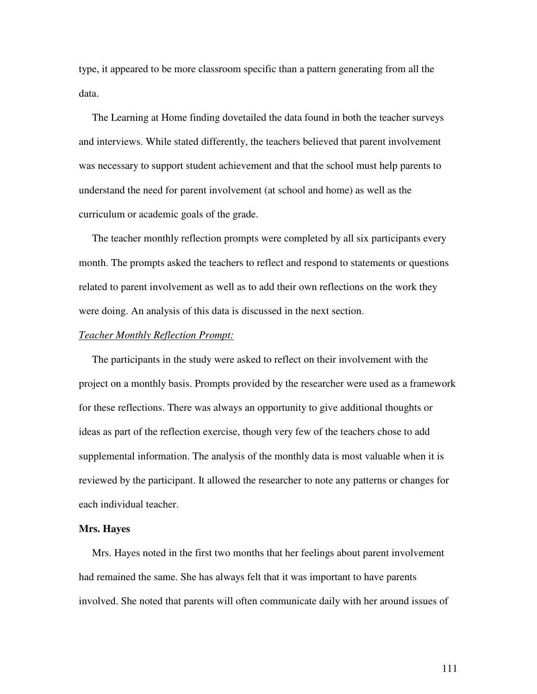type, it appeared to be more classroom specific than a pattern generating from all the data.

The Learning at Home finding dovetailed the data found in both the teacher surveys and interviews. While stated differently, the teachers believed that parent involvement was necessary to support student achievement and that the school must help parents to understand the need for parent involvement (at school and home) as well as the curriculum or academic goals of the grade.

The teacher monthly reflection prompts were completed by all six participants every month. The prompts asked the teachers to reflect and respond to statements or questions related to parent involvement as well as to add their own reflections on the work they were doing. An analysis of this data is discussed in the next section.

#### *Teacher Monthly Reflection Prompt:*

The participants in the study were asked to reflect on their involvement with the project on a monthly basis. Prompts provided by the researcher were used as a framework for these reflections. There was always an opportunity to give additional thoughts or ideas as part of the reflection exercise, though very few of the teachers chose to add supplemental information. The analysis of the monthly data is most valuable when it is reviewed by the participant. It allowed the researcher to note any patterns or changes for each individual teacher.

#### **Mrs. Hayes**

Mrs. Hayes noted in the first two months that her feelings about parent involvement had remained the same. She has always felt that it was important to have parents involved. She noted that parents will often communicate daily with her around issues of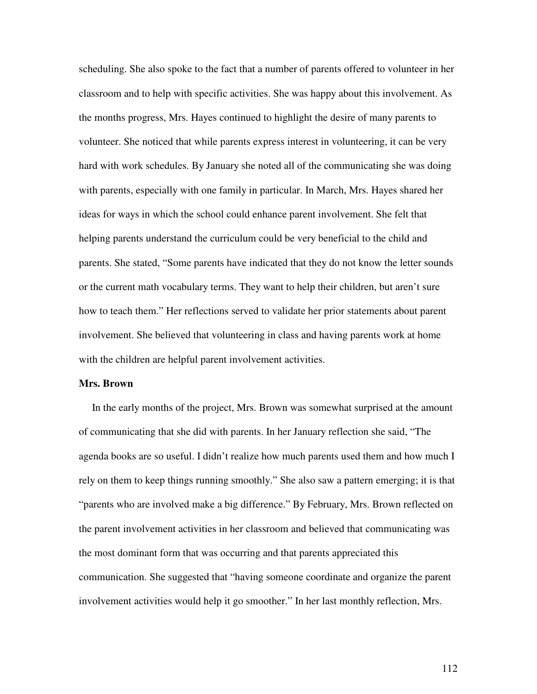scheduling. She also spoke to the fact that a number of parents offered to volunteer in her classroom and to help with specific activities. She was happy about this involvement. As the months progress, Mrs. Hayes continued to highlight the desire of many parents to volunteer. She noticed that while parents express interest in volunteering, it can be very hard with work schedules. By January she noted all of the communicating she was doing with parents, especially with one family in particular. In March, Mrs. Hayes shared her ideas for ways in which the school could enhance parent involvement. She felt that helping parents understand the curriculum could be very beneficial to the child and parents. She stated, "Some parents have indicated that they do not know the letter sounds or the current math vocabulary terms. They want to help their children, but aren't sure how to teach them." Her reflections served to validate her prior statements about parent involvement. She believed that volunteering in class and having parents work at home with the children are helpful parent involvement activities.

### **Mrs. Brown**

In the early months of the project, Mrs. Brown was somewhat surprised at the amount of communicating that she did with parents. In her January reflection she said, "The agenda books are so useful. I didn't realize how much parents used them and how much I rely on them to keep things running smoothly." She also saw a pattern emerging; it is that "parents who are involved make a big difference." By February, Mrs. Brown reflected on the parent involvement activities in her classroom and believed that communicating was the most dominant form that was occurring and that parents appreciated this communication. She suggested that "having someone coordinate and organize the parent involvement activities would help it go smoother." In her last monthly reflection, Mrs.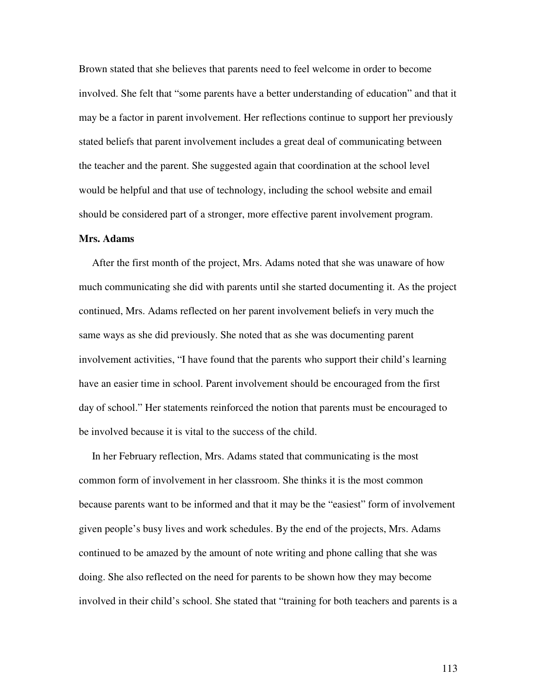Brown stated that she believes that parents need to feel welcome in order to become involved. She felt that "some parents have a better understanding of education" and that it may be a factor in parent involvement. Her reflections continue to support her previously stated beliefs that parent involvement includes a great deal of communicating between the teacher and the parent. She suggested again that coordination at the school level would be helpful and that use of technology, including the school website and email should be considered part of a stronger, more effective parent involvement program.

#### **Mrs. Adams**

After the first month of the project, Mrs. Adams noted that she was unaware of how much communicating she did with parents until she started documenting it. As the project continued, Mrs. Adams reflected on her parent involvement beliefs in very much the same ways as she did previously. She noted that as she was documenting parent involvement activities, "I have found that the parents who support their child's learning have an easier time in school. Parent involvement should be encouraged from the first day of school." Her statements reinforced the notion that parents must be encouraged to be involved because it is vital to the success of the child.

In her February reflection, Mrs. Adams stated that communicating is the most common form of involvement in her classroom. She thinks it is the most common because parents want to be informed and that it may be the "easiest" form of involvement given people's busy lives and work schedules. By the end of the projects, Mrs. Adams continued to be amazed by the amount of note writing and phone calling that she was doing. She also reflected on the need for parents to be shown how they may become involved in their child's school. She stated that "training for both teachers and parents is a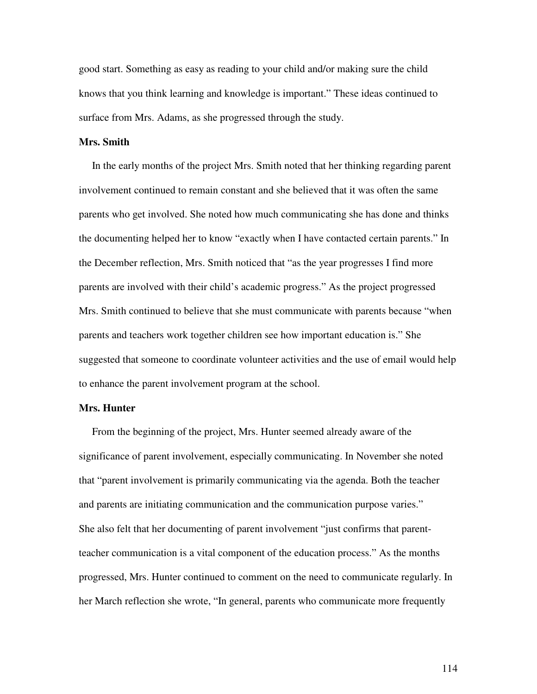good start. Something as easy as reading to your child and/or making sure the child knows that you think learning and knowledge is important." These ideas continued to surface from Mrs. Adams, as she progressed through the study.

# **Mrs. Smith**

In the early months of the project Mrs. Smith noted that her thinking regarding parent involvement continued to remain constant and she believed that it was often the same parents who get involved. She noted how much communicating she has done and thinks the documenting helped her to know "exactly when I have contacted certain parents." In the December reflection, Mrs. Smith noticed that "as the year progresses I find more parents are involved with their child's academic progress." As the project progressed Mrs. Smith continued to believe that she must communicate with parents because "when parents and teachers work together children see how important education is." She suggested that someone to coordinate volunteer activities and the use of email would help to enhance the parent involvement program at the school.

### **Mrs. Hunter**

From the beginning of the project, Mrs. Hunter seemed already aware of the significance of parent involvement, especially communicating. In November she noted that "parent involvement is primarily communicating via the agenda. Both the teacher and parents are initiating communication and the communication purpose varies." She also felt that her documenting of parent involvement "just confirms that parentteacher communication is a vital component of the education process." As the months progressed, Mrs. Hunter continued to comment on the need to communicate regularly. In her March reflection she wrote, "In general, parents who communicate more frequently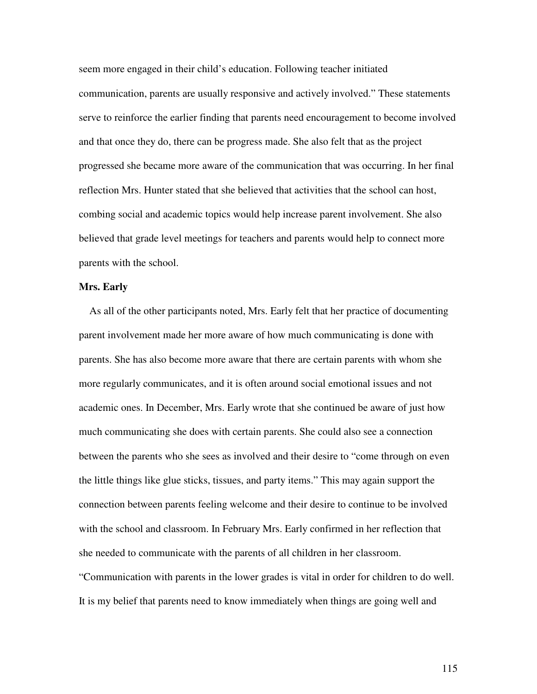seem more engaged in their child's education. Following teacher initiated communication, parents are usually responsive and actively involved." These statements serve to reinforce the earlier finding that parents need encouragement to become involved and that once they do, there can be progress made. She also felt that as the project progressed she became more aware of the communication that was occurring. In her final reflection Mrs. Hunter stated that she believed that activities that the school can host, combing social and academic topics would help increase parent involvement. She also believed that grade level meetings for teachers and parents would help to connect more parents with the school.

# **Mrs. Early**

As all of the other participants noted, Mrs. Early felt that her practice of documenting parent involvement made her more aware of how much communicating is done with parents. She has also become more aware that there are certain parents with whom she more regularly communicates, and it is often around social emotional issues and not academic ones. In December, Mrs. Early wrote that she continued be aware of just how much communicating she does with certain parents. She could also see a connection between the parents who she sees as involved and their desire to "come through on even the little things like glue sticks, tissues, and party items." This may again support the connection between parents feeling welcome and their desire to continue to be involved with the school and classroom. In February Mrs. Early confirmed in her reflection that she needed to communicate with the parents of all children in her classroom. "Communication with parents in the lower grades is vital in order for children to do well.

It is my belief that parents need to know immediately when things are going well and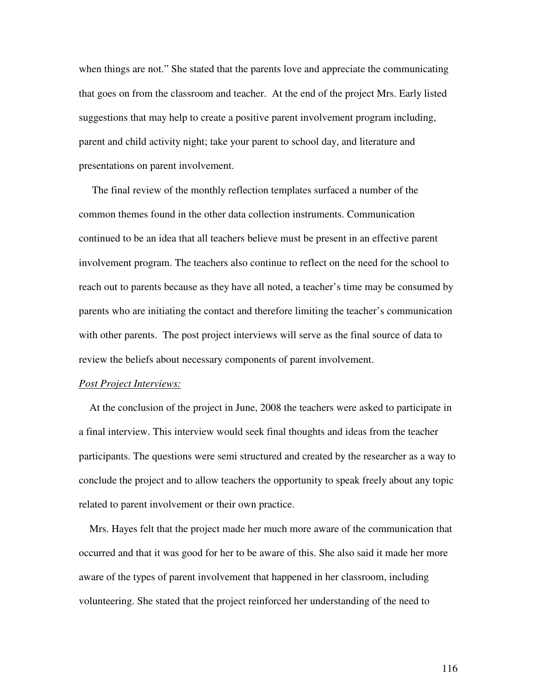when things are not." She stated that the parents love and appreciate the communicating that goes on from the classroom and teacher. At the end of the project Mrs. Early listed suggestions that may help to create a positive parent involvement program including, parent and child activity night; take your parent to school day, and literature and presentations on parent involvement.

The final review of the monthly reflection templates surfaced a number of the common themes found in the other data collection instruments. Communication continued to be an idea that all teachers believe must be present in an effective parent involvement program. The teachers also continue to reflect on the need for the school to reach out to parents because as they have all noted, a teacher's time may be consumed by parents who are initiating the contact and therefore limiting the teacher's communication with other parents. The post project interviews will serve as the final source of data to review the beliefs about necessary components of parent involvement.

#### *Post Project Interviews:*

At the conclusion of the project in June, 2008 the teachers were asked to participate in a final interview. This interview would seek final thoughts and ideas from the teacher participants. The questions were semi structured and created by the researcher as a way to conclude the project and to allow teachers the opportunity to speak freely about any topic related to parent involvement or their own practice.

Mrs. Hayes felt that the project made her much more aware of the communication that occurred and that it was good for her to be aware of this. She also said it made her more aware of the types of parent involvement that happened in her classroom, including volunteering. She stated that the project reinforced her understanding of the need to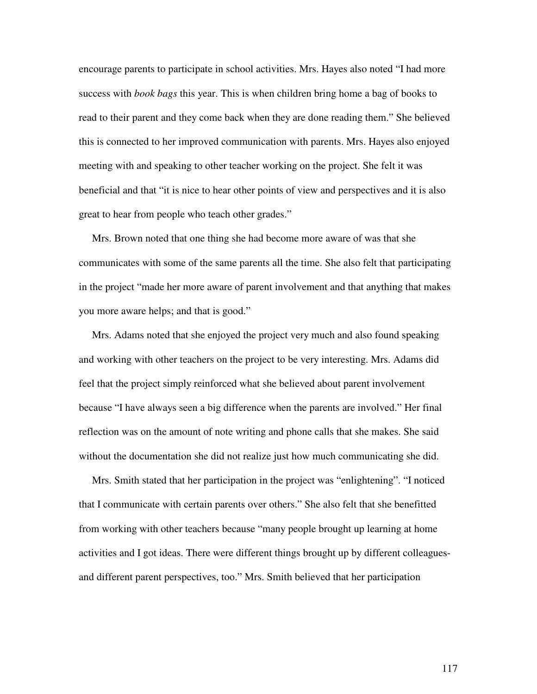encourage parents to participate in school activities. Mrs. Hayes also noted "I had more success with *book bags* this year. This is when children bring home a bag of books to read to their parent and they come back when they are done reading them." She believed this is connected to her improved communication with parents. Mrs. Hayes also enjoyed meeting with and speaking to other teacher working on the project. She felt it was beneficial and that "it is nice to hear other points of view and perspectives and it is also great to hear from people who teach other grades."

Mrs. Brown noted that one thing she had become more aware of was that she communicates with some of the same parents all the time. She also felt that participating in the project "made her more aware of parent involvement and that anything that makes you more aware helps; and that is good."

Mrs. Adams noted that she enjoyed the project very much and also found speaking and working with other teachers on the project to be very interesting. Mrs. Adams did feel that the project simply reinforced what she believed about parent involvement because "I have always seen a big difference when the parents are involved." Her final reflection was on the amount of note writing and phone calls that she makes. She said without the documentation she did not realize just how much communicating she did.

Mrs. Smith stated that her participation in the project was "enlightening". "I noticed that I communicate with certain parents over others." She also felt that she benefitted from working with other teachers because "many people brought up learning at home activities and I got ideas. There were different things brought up by different colleaguesand different parent perspectives, too." Mrs. Smith believed that her participation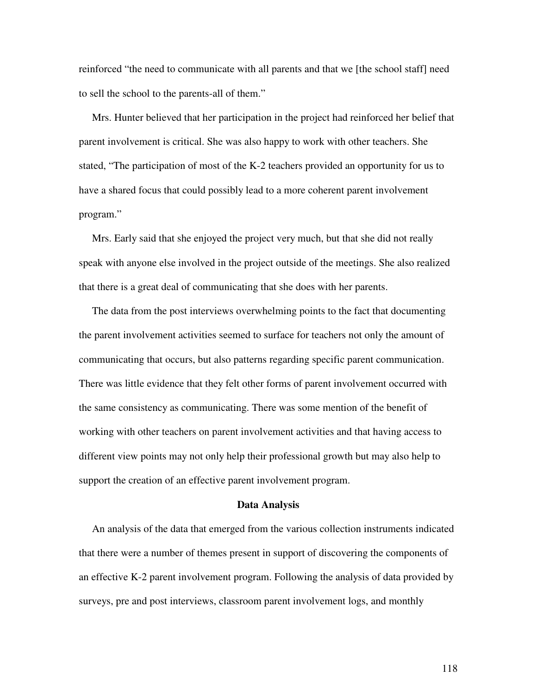reinforced "the need to communicate with all parents and that we [the school staff] need to sell the school to the parents-all of them."

Mrs. Hunter believed that her participation in the project had reinforced her belief that parent involvement is critical. She was also happy to work with other teachers. She stated, "The participation of most of the K-2 teachers provided an opportunity for us to have a shared focus that could possibly lead to a more coherent parent involvement program."

Mrs. Early said that she enjoyed the project very much, but that she did not really speak with anyone else involved in the project outside of the meetings. She also realized that there is a great deal of communicating that she does with her parents.

The data from the post interviews overwhelming points to the fact that documenting the parent involvement activities seemed to surface for teachers not only the amount of communicating that occurs, but also patterns regarding specific parent communication. There was little evidence that they felt other forms of parent involvement occurred with the same consistency as communicating. There was some mention of the benefit of working with other teachers on parent involvement activities and that having access to different view points may not only help their professional growth but may also help to support the creation of an effective parent involvement program.

#### **Data Analysis**

An analysis of the data that emerged from the various collection instruments indicated that there were a number of themes present in support of discovering the components of an effective K-2 parent involvement program. Following the analysis of data provided by surveys, pre and post interviews, classroom parent involvement logs, and monthly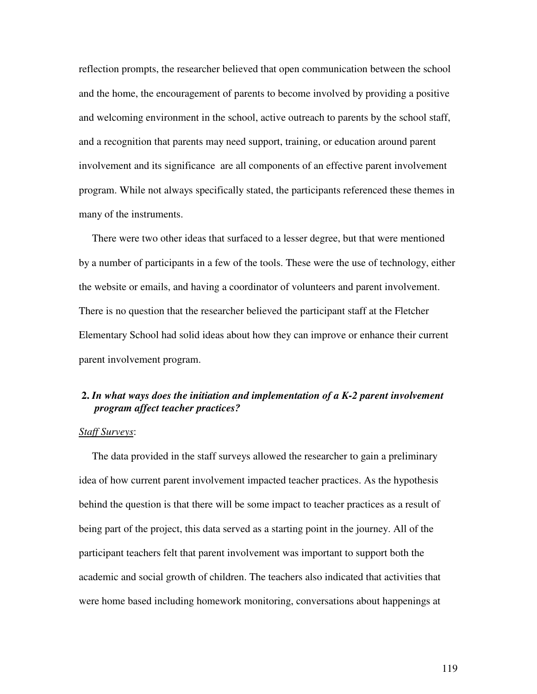reflection prompts, the researcher believed that open communication between the school and the home, the encouragement of parents to become involved by providing a positive and welcoming environment in the school, active outreach to parents by the school staff, and a recognition that parents may need support, training, or education around parent involvement and its significance are all components of an effective parent involvement program. While not always specifically stated, the participants referenced these themes in many of the instruments.

There were two other ideas that surfaced to a lesser degree, but that were mentioned by a number of participants in a few of the tools. These were the use of technology, either the website or emails, and having a coordinator of volunteers and parent involvement. There is no question that the researcher believed the participant staff at the Fletcher Elementary School had solid ideas about how they can improve or enhance their current parent involvement program.

# **2.** *In what ways does the initiation and implementation of a K-2 parent involvement program affect teacher practices?*

### *Staff Surveys*:

The data provided in the staff surveys allowed the researcher to gain a preliminary idea of how current parent involvement impacted teacher practices. As the hypothesis behind the question is that there will be some impact to teacher practices as a result of being part of the project, this data served as a starting point in the journey. All of the participant teachers felt that parent involvement was important to support both the academic and social growth of children. The teachers also indicated that activities that were home based including homework monitoring, conversations about happenings at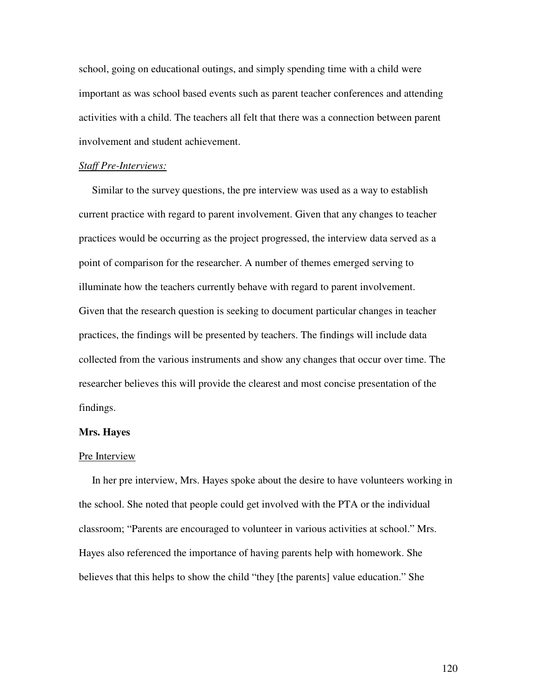school, going on educational outings, and simply spending time with a child were important as was school based events such as parent teacher conferences and attending activities with a child. The teachers all felt that there was a connection between parent involvement and student achievement.

#### *Staff Pre-Interviews:*

Similar to the survey questions, the pre interview was used as a way to establish current practice with regard to parent involvement. Given that any changes to teacher practices would be occurring as the project progressed, the interview data served as a point of comparison for the researcher. A number of themes emerged serving to illuminate how the teachers currently behave with regard to parent involvement. Given that the research question is seeking to document particular changes in teacher practices, the findings will be presented by teachers. The findings will include data collected from the various instruments and show any changes that occur over time. The researcher believes this will provide the clearest and most concise presentation of the findings.

### **Mrs. Hayes**

#### Pre Interview

In her pre interview, Mrs. Hayes spoke about the desire to have volunteers working in the school. She noted that people could get involved with the PTA or the individual classroom; "Parents are encouraged to volunteer in various activities at school." Mrs. Hayes also referenced the importance of having parents help with homework. She believes that this helps to show the child "they [the parents] value education." She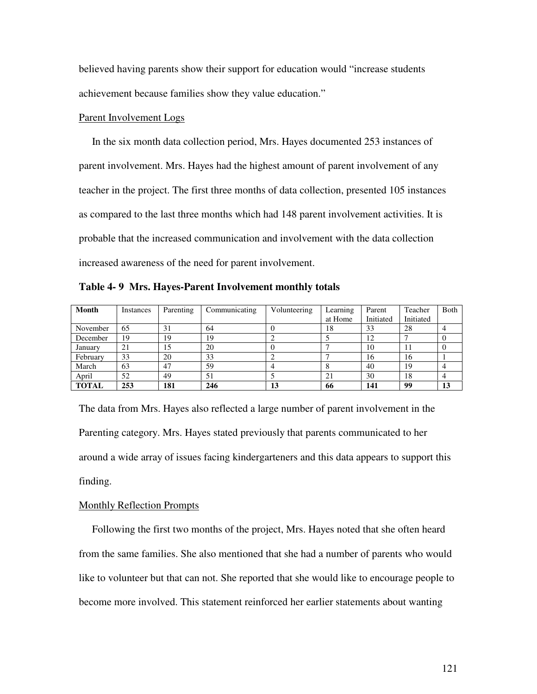believed having parents show their support for education would "increase students achievement because families show they value education."

## Parent Involvement Logs

In the six month data collection period, Mrs. Hayes documented 253 instances of parent involvement. Mrs. Hayes had the highest amount of parent involvement of any teacher in the project. The first three months of data collection, presented 105 instances as compared to the last three months which had 148 parent involvement activities. It is probable that the increased communication and involvement with the data collection increased awareness of the need for parent involvement.

**Table 4- 9 Mrs. Hayes-Parent Involvement monthly totals**

| Month        | Instances | Parenting | Communicating | Volunteering | Learning | Parent    | Teacher   | Both |
|--------------|-----------|-----------|---------------|--------------|----------|-----------|-----------|------|
|              |           |           |               |              | at Home  | Initiated | Initiated |      |
| November     | 65        | 31        | 64            |              | 18       | 33        | 28        |      |
| December     | 19        | 19        | 19            |              |          | 12        |           |      |
| January      | 21        | 15        | 20            |              |          | 10        | 11        |      |
| February     | 33        | 20        | 33            |              |          | 16        | 16        |      |
| March        | 63        | 47        | 59            |              |          | 40        | 19        |      |
| April        | 52        | 49        | 51            |              | 21       | 30        | 18        |      |
| <b>TOTAL</b> | 253       | 181       | 246           | 13           | 66       | 141       | 99        | 13   |

The data from Mrs. Hayes also reflected a large number of parent involvement in the Parenting category. Mrs. Hayes stated previously that parents communicated to her around a wide array of issues facing kindergarteners and this data appears to support this finding.

### Monthly Reflection Prompts

Following the first two months of the project, Mrs. Hayes noted that she often heard from the same families. She also mentioned that she had a number of parents who would like to volunteer but that can not. She reported that she would like to encourage people to become more involved. This statement reinforced her earlier statements about wanting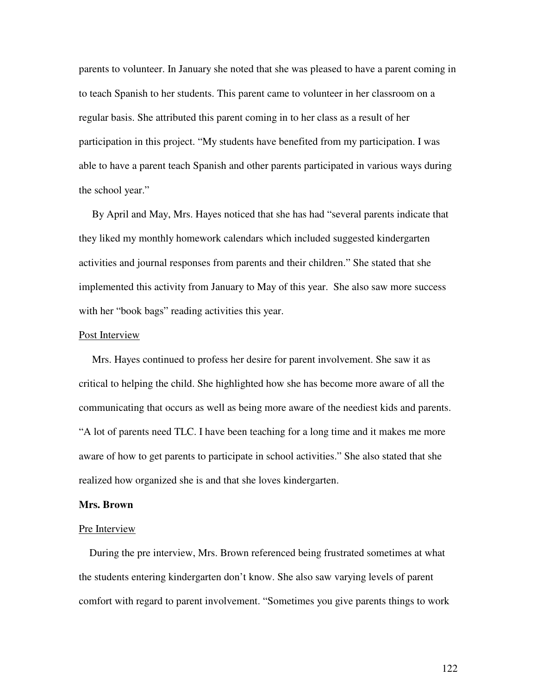parents to volunteer. In January she noted that she was pleased to have a parent coming in to teach Spanish to her students. This parent came to volunteer in her classroom on a regular basis. She attributed this parent coming in to her class as a result of her participation in this project. "My students have benefited from my participation. I was able to have a parent teach Spanish and other parents participated in various ways during the school year."

By April and May, Mrs. Hayes noticed that she has had "several parents indicate that they liked my monthly homework calendars which included suggested kindergarten activities and journal responses from parents and their children." She stated that she implemented this activity from January to May of this year. She also saw more success with her "book bags" reading activities this year.

#### Post Interview

Mrs. Hayes continued to profess her desire for parent involvement. She saw it as critical to helping the child. She highlighted how she has become more aware of all the communicating that occurs as well as being more aware of the neediest kids and parents. "A lot of parents need TLC. I have been teaching for a long time and it makes me more aware of how to get parents to participate in school activities." She also stated that she realized how organized she is and that she loves kindergarten.

### **Mrs. Brown**

#### Pre Interview

During the pre interview, Mrs. Brown referenced being frustrated sometimes at what the students entering kindergarten don't know. She also saw varying levels of parent comfort with regard to parent involvement. "Sometimes you give parents things to work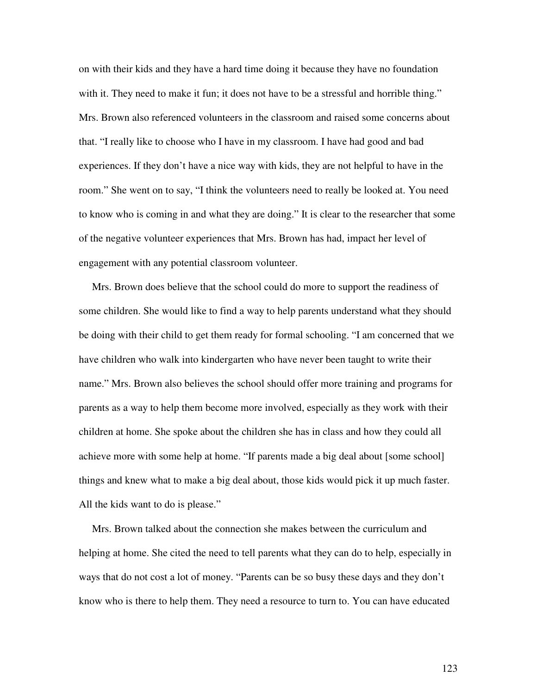on with their kids and they have a hard time doing it because they have no foundation with it. They need to make it fun; it does not have to be a stressful and horrible thing." Mrs. Brown also referenced volunteers in the classroom and raised some concerns about that. "I really like to choose who I have in my classroom. I have had good and bad experiences. If they don't have a nice way with kids, they are not helpful to have in the room." She went on to say, "I think the volunteers need to really be looked at. You need to know who is coming in and what they are doing." It is clear to the researcher that some of the negative volunteer experiences that Mrs. Brown has had, impact her level of engagement with any potential classroom volunteer.

Mrs. Brown does believe that the school could do more to support the readiness of some children. She would like to find a way to help parents understand what they should be doing with their child to get them ready for formal schooling. "I am concerned that we have children who walk into kindergarten who have never been taught to write their name." Mrs. Brown also believes the school should offer more training and programs for parents as a way to help them become more involved, especially as they work with their children at home. She spoke about the children she has in class and how they could all achieve more with some help at home. "If parents made a big deal about [some school] things and knew what to make a big deal about, those kids would pick it up much faster. All the kids want to do is please."

Mrs. Brown talked about the connection she makes between the curriculum and helping at home. She cited the need to tell parents what they can do to help, especially in ways that do not cost a lot of money. "Parents can be so busy these days and they don't know who is there to help them. They need a resource to turn to. You can have educated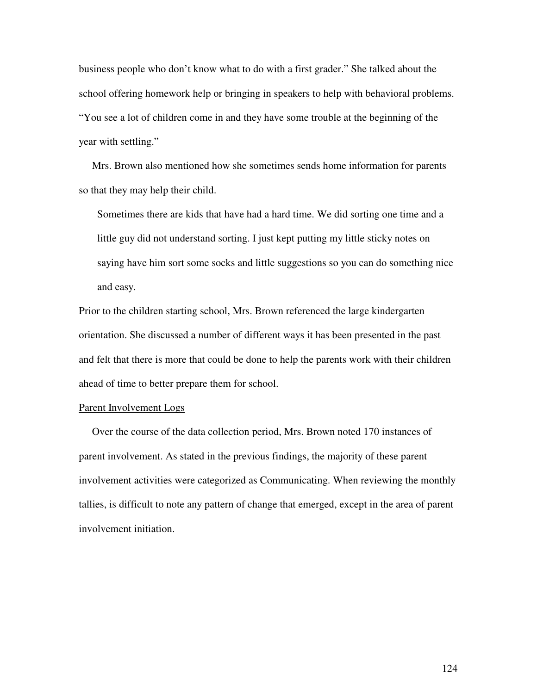business people who don't know what to do with a first grader." She talked about the school offering homework help or bringing in speakers to help with behavioral problems. "You see a lot of children come in and they have some trouble at the beginning of the year with settling."

Mrs. Brown also mentioned how she sometimes sends home information for parents so that they may help their child.

Sometimes there are kids that have had a hard time. We did sorting one time and a little guy did not understand sorting. I just kept putting my little sticky notes on saying have him sort some socks and little suggestions so you can do something nice and easy.

Prior to the children starting school, Mrs. Brown referenced the large kindergarten orientation. She discussed a number of different ways it has been presented in the past and felt that there is more that could be done to help the parents work with their children ahead of time to better prepare them for school.

### Parent Involvement Logs

Over the course of the data collection period, Mrs. Brown noted 170 instances of parent involvement. As stated in the previous findings, the majority of these parent involvement activities were categorized as Communicating. When reviewing the monthly tallies, is difficult to note any pattern of change that emerged, except in the area of parent involvement initiation.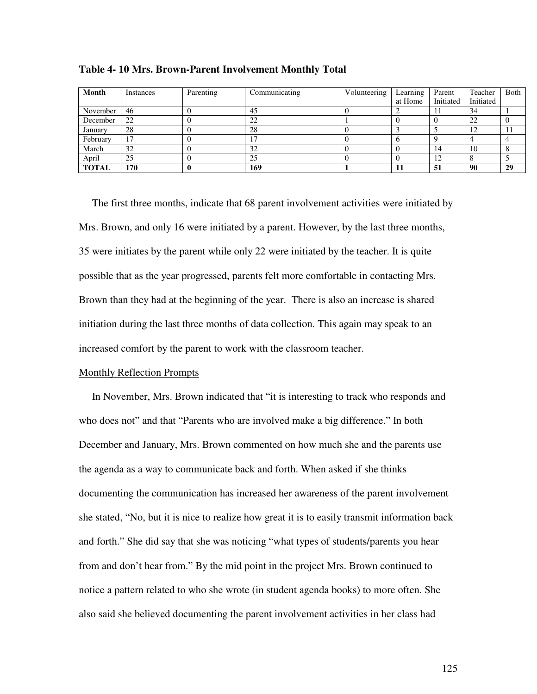| Month        | Instances | Parenting | Communicating | Volunteering | Learning<br>at Home | Parent<br>Initiated | Teacher<br>Initiated | Both |
|--------------|-----------|-----------|---------------|--------------|---------------------|---------------------|----------------------|------|
|              |           |           |               |              |                     |                     |                      |      |
| November     | -46       |           | 45            |              |                     | 11                  | 34                   |      |
| December     | 22        |           | 22            |              |                     |                     | 22                   |      |
| January      | 28        |           | 28            |              |                     |                     | 12                   | -14  |
| February     | 17        |           |               |              |                     |                     |                      |      |
| March        | 32        |           | 32            |              |                     | 14                  | 10                   |      |
| April        | 25        |           | 25            |              |                     | 12                  |                      |      |
| <b>TOTAL</b> | 170       |           | 169           |              |                     | 51                  | 90                   | 29   |

**Table 4- 10 Mrs. Brown-Parent Involvement Monthly Total**

The first three months, indicate that 68 parent involvement activities were initiated by Mrs. Brown, and only 16 were initiated by a parent. However, by the last three months, 35 were initiates by the parent while only 22 were initiated by the teacher. It is quite possible that as the year progressed, parents felt more comfortable in contacting Mrs. Brown than they had at the beginning of the year. There is also an increase is shared initiation during the last three months of data collection. This again may speak to an increased comfort by the parent to work with the classroom teacher.

### Monthly Reflection Prompts

In November, Mrs. Brown indicated that "it is interesting to track who responds and who does not" and that "Parents who are involved make a big difference." In both December and January, Mrs. Brown commented on how much she and the parents use the agenda as a way to communicate back and forth. When asked if she thinks documenting the communication has increased her awareness of the parent involvement she stated, "No, but it is nice to realize how great it is to easily transmit information back and forth." She did say that she was noticing "what types of students/parents you hear from and don't hear from." By the mid point in the project Mrs. Brown continued to notice a pattern related to who she wrote (in student agenda books) to more often. She also said she believed documenting the parent involvement activities in her class had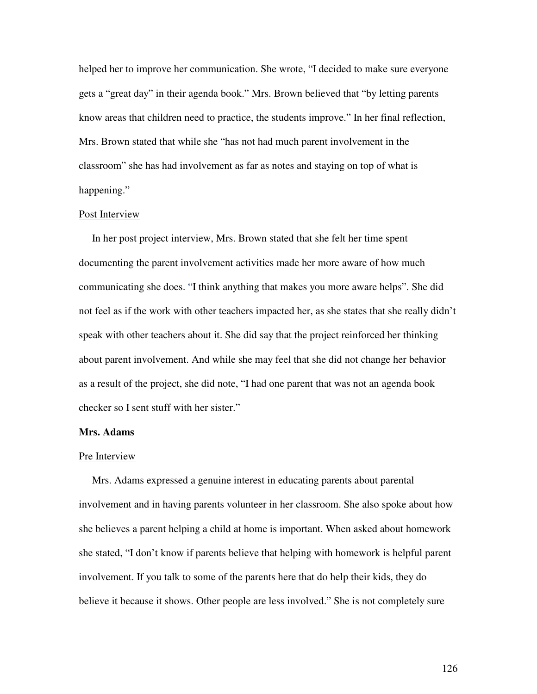helped her to improve her communication. She wrote, "I decided to make sure everyone gets a "great day" in their agenda book." Mrs. Brown believed that "by letting parents know areas that children need to practice, the students improve." In her final reflection, Mrs. Brown stated that while she "has not had much parent involvement in the classroom" she has had involvement as far as notes and staying on top of what is happening."

### Post Interview

In her post project interview, Mrs. Brown stated that she felt her time spent documenting the parent involvement activities made her more aware of how much communicating she does. "I think anything that makes you more aware helps". She did not feel as if the work with other teachers impacted her, as she states that she really didn't speak with other teachers about it. She did say that the project reinforced her thinking about parent involvement. And while she may feel that she did not change her behavior as a result of the project, she did note, "I had one parent that was not an agenda book checker so I sent stuff with her sister."

## **Mrs. Adams**

#### Pre Interview

Mrs. Adams expressed a genuine interest in educating parents about parental involvement and in having parents volunteer in her classroom. She also spoke about how she believes a parent helping a child at home is important. When asked about homework she stated, "I don't know if parents believe that helping with homework is helpful parent involvement. If you talk to some of the parents here that do help their kids, they do believe it because it shows. Other people are less involved." She is not completely sure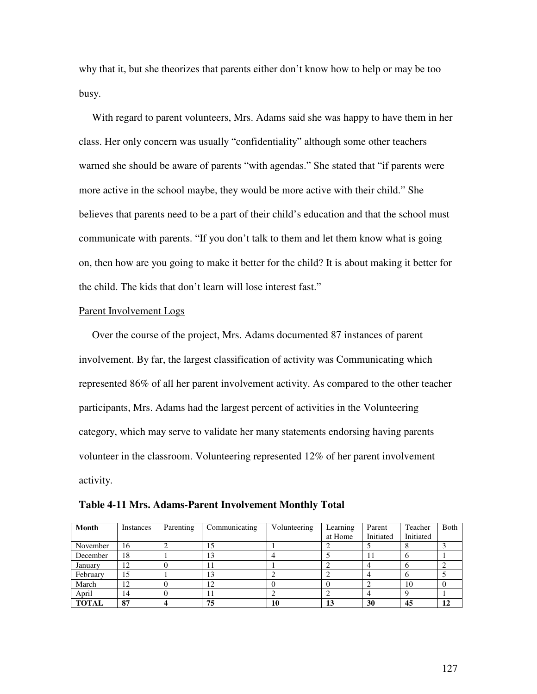why that it, but she theorizes that parents either don't know how to help or may be too busy.

With regard to parent volunteers, Mrs. Adams said she was happy to have them in her class. Her only concern was usually "confidentiality" although some other teachers warned she should be aware of parents "with agendas." She stated that "if parents were more active in the school maybe, they would be more active with their child." She believes that parents need to be a part of their child's education and that the school must communicate with parents. "If you don't talk to them and let them know what is going on, then how are you going to make it better for the child? It is about making it better for the child. The kids that don't learn will lose interest fast."

## Parent Involvement Logs

Over the course of the project, Mrs. Adams documented 87 instances of parent involvement. By far, the largest classification of activity was Communicating which represented 86% of all her parent involvement activity. As compared to the other teacher participants, Mrs. Adams had the largest percent of activities in the Volunteering category, which may serve to validate her many statements endorsing having parents volunteer in the classroom. Volunteering represented 12% of her parent involvement activity.

| Month        | Instances | Parenting | Communicating | Volunteering | Learning | Parent    | Teacher   | Both |
|--------------|-----------|-----------|---------------|--------------|----------|-----------|-----------|------|
|              |           |           |               |              | at Home  | Initiated | Initiated |      |
| November     | 16        |           | 15            |              |          |           |           |      |
| December     | 18        |           | 13            |              |          | 11        |           |      |
| January      | 12        |           | 11            |              |          |           |           |      |
| February     | 15        |           | 13            |              |          |           |           |      |
| March        | 12        |           | 12            |              |          |           | 10        |      |
| April        | 14        |           | 11            |              |          |           |           |      |
| <b>TOTAL</b> | 87        |           | 75            | 10           | 13       | 30        | 45        | 12   |

**Table 4-11 Mrs. Adams-Parent Involvement Monthly Total**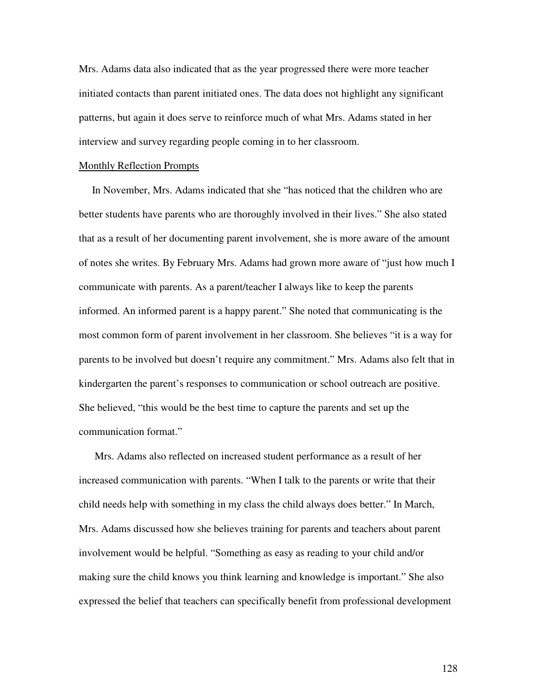Mrs. Adams data also indicated that as the year progressed there were more teacher initiated contacts than parent initiated ones. The data does not highlight any significant patterns, but again it does serve to reinforce much of what Mrs. Adams stated in her interview and survey regarding people coming in to her classroom.

#### Monthly Reflection Prompts

In November, Mrs. Adams indicated that she "has noticed that the children who are better students have parents who are thoroughly involved in their lives." She also stated that as a result of her documenting parent involvement, she is more aware of the amount of notes she writes. By February Mrs. Adams had grown more aware of "just how much I communicate with parents. As a parent/teacher I always like to keep the parents informed. An informed parent is a happy parent." She noted that communicating is the most common form of parent involvement in her classroom. She believes "it is a way for parents to be involved but doesn't require any commitment." Mrs. Adams also felt that in kindergarten the parent's responses to communication or school outreach are positive. She believed, "this would be the best time to capture the parents and set up the communication format."

Mrs. Adams also reflected on increased student performance as a result of her increased communication with parents. "When I talk to the parents or write that their child needs help with something in my class the child always does better." In March, Mrs. Adams discussed how she believes training for parents and teachers about parent involvement would be helpful. "Something as easy as reading to your child and/or making sure the child knows you think learning and knowledge is important." She also expressed the belief that teachers can specifically benefit from professional development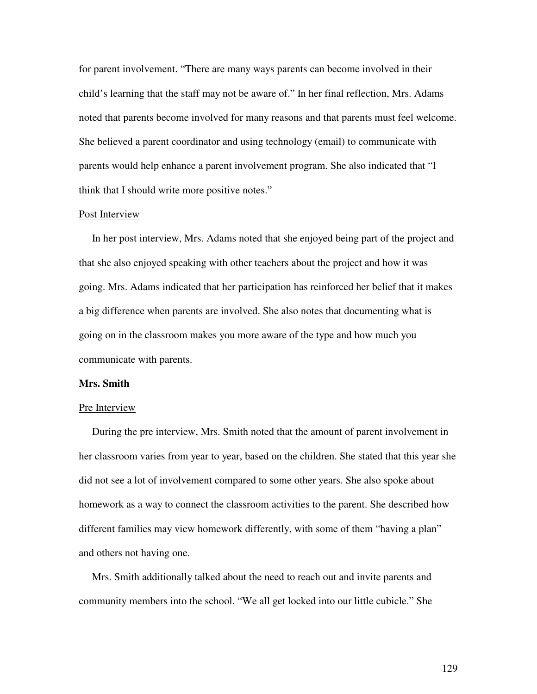for parent involvement. "There are many ways parents can become involved in their child's learning that the staff may not be aware of." In her final reflection, Mrs. Adams noted that parents become involved for many reasons and that parents must feel welcome. She believed a parent coordinator and using technology (email) to communicate with parents would help enhance a parent involvement program. She also indicated that "I think that I should write more positive notes."

### Post Interview

In her post interview, Mrs. Adams noted that she enjoyed being part of the project and that she also enjoyed speaking with other teachers about the project and how it was going. Mrs. Adams indicated that her participation has reinforced her belief that it makes a big difference when parents are involved. She also notes that documenting what is going on in the classroom makes you more aware of the type and how much you communicate with parents.

### **Mrs. Smith**

#### Pre Interview

During the pre interview, Mrs. Smith noted that the amount of parent involvement in her classroom varies from year to year, based on the children. She stated that this year she did not see a lot of involvement compared to some other years. She also spoke about homework as a way to connect the classroom activities to the parent. She described how different families may view homework differently, with some of them "having a plan" and others not having one.

Mrs. Smith additionally talked about the need to reach out and invite parents and community members into the school. "We all get locked into our little cubicle." She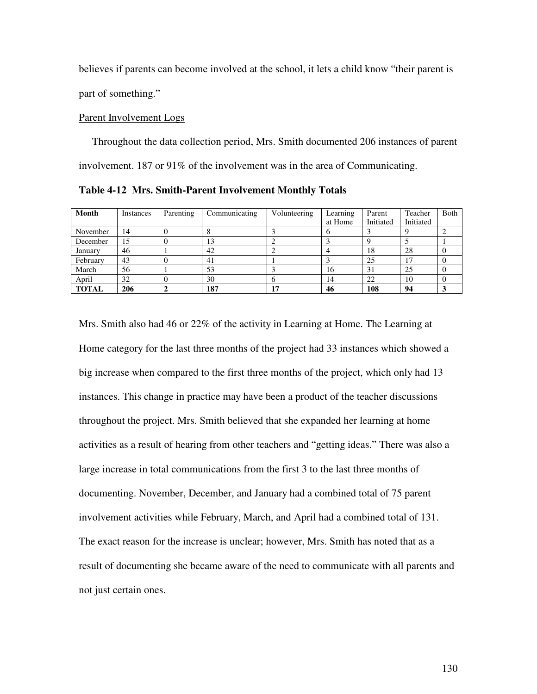believes if parents can become involved at the school, it lets a child know "their parent is part of something."

# Parent Involvement Logs

Throughout the data collection period, Mrs. Smith documented 206 instances of parent involvement. 187 or 91% of the involvement was in the area of Communicating.

**Table 4-12 Mrs. Smith-Parent Involvement Monthly Totals**

| <b>Month</b> | Instances | Parenting | Communicating | Volunteering | Learning | Parent    | Teacher   | <b>B</b> oth |
|--------------|-----------|-----------|---------------|--------------|----------|-----------|-----------|--------------|
|              |           |           |               |              | at Home  | Initiated | Initiated |              |
| November     | 14        |           |               |              |          |           |           |              |
| December     | 15        |           | 13            |              |          |           |           |              |
| January      | 46        |           | 42            |              |          | 18        | 28        |              |
| February     | 43        |           | 41            |              |          | 25        | 17        |              |
| March        | 56        |           | 53            |              | 16       | 31        | 25        |              |
| April        | 32        |           | 30            |              | 14       | 22        | 10        |              |
| <b>TOTAL</b> | 206       |           | 187           |              | 46       | 108       | 94        |              |

Mrs. Smith also had 46 or 22% of the activity in Learning at Home. The Learning at Home category for the last three months of the project had 33 instances which showed a big increase when compared to the first three months of the project, which only had 13 instances. This change in practice may have been a product of the teacher discussions throughout the project. Mrs. Smith believed that she expanded her learning at home activities as a result of hearing from other teachers and "getting ideas." There was also a large increase in total communications from the first 3 to the last three months of documenting. November, December, and January had a combined total of 75 parent involvement activities while February, March, and April had a combined total of 131. The exact reason for the increase is unclear; however, Mrs. Smith has noted that as a result of documenting she became aware of the need to communicate with all parents and not just certain ones.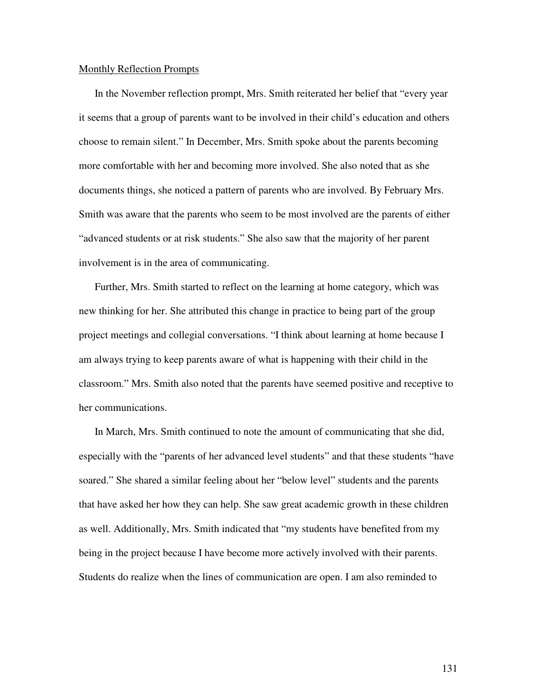#### Monthly Reflection Prompts

In the November reflection prompt, Mrs. Smith reiterated her belief that "every year it seems that a group of parents want to be involved in their child's education and others choose to remain silent." In December, Mrs. Smith spoke about the parents becoming more comfortable with her and becoming more involved. She also noted that as she documents things, she noticed a pattern of parents who are involved. By February Mrs. Smith was aware that the parents who seem to be most involved are the parents of either "advanced students or at risk students." She also saw that the majority of her parent involvement is in the area of communicating.

Further, Mrs. Smith started to reflect on the learning at home category, which was new thinking for her. She attributed this change in practice to being part of the group project meetings and collegial conversations. "I think about learning at home because I am always trying to keep parents aware of what is happening with their child in the classroom." Mrs. Smith also noted that the parents have seemed positive and receptive to her communications.

In March, Mrs. Smith continued to note the amount of communicating that she did, especially with the "parents of her advanced level students" and that these students "have soared." She shared a similar feeling about her "below level" students and the parents that have asked her how they can help. She saw great academic growth in these children as well. Additionally, Mrs. Smith indicated that "my students have benefited from my being in the project because I have become more actively involved with their parents. Students do realize when the lines of communication are open. I am also reminded to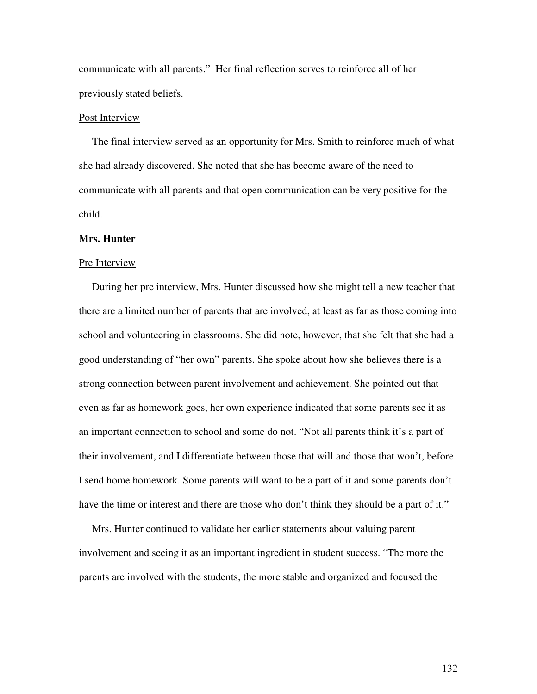communicate with all parents." Her final reflection serves to reinforce all of her previously stated beliefs.

## Post Interview

The final interview served as an opportunity for Mrs. Smith to reinforce much of what she had already discovered. She noted that she has become aware of the need to communicate with all parents and that open communication can be very positive for the child.

### **Mrs. Hunter**

#### Pre Interview

During her pre interview, Mrs. Hunter discussed how she might tell a new teacher that there are a limited number of parents that are involved, at least as far as those coming into school and volunteering in classrooms. She did note, however, that she felt that she had a good understanding of "her own" parents. She spoke about how she believes there is a strong connection between parent involvement and achievement. She pointed out that even as far as homework goes, her own experience indicated that some parents see it as an important connection to school and some do not. "Not all parents think it's a part of their involvement, and I differentiate between those that will and those that won't, before I send home homework. Some parents will want to be a part of it and some parents don't have the time or interest and there are those who don't think they should be a part of it."

Mrs. Hunter continued to validate her earlier statements about valuing parent involvement and seeing it as an important ingredient in student success. "The more the parents are involved with the students, the more stable and organized and focused the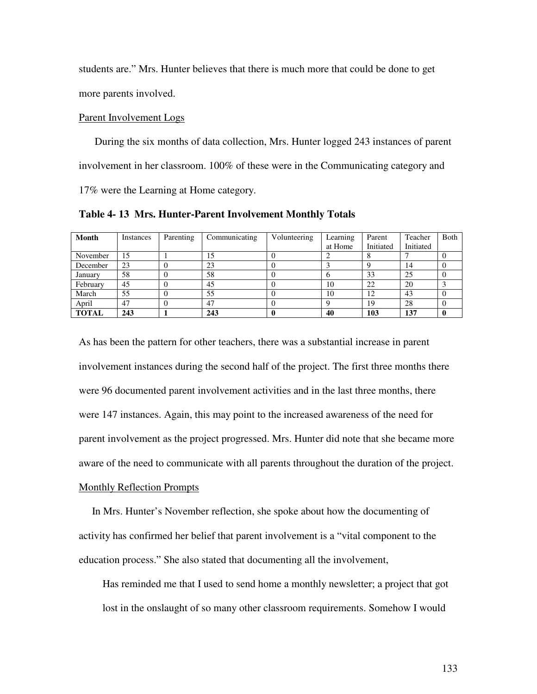students are." Mrs. Hunter believes that there is much more that could be done to get more parents involved.

## Parent Involvement Logs

During the six months of data collection, Mrs. Hunter logged 243 instances of parent involvement in her classroom. 100% of these were in the Communicating category and 17% were the Learning at Home category.

**Table 4- 13 Mrs. Hunter-Parent Involvement Monthly Totals**

| Month        | Instances | Parenting | Communicating | Volunteering | Learning | Parent    | Teacher   | Both |
|--------------|-----------|-----------|---------------|--------------|----------|-----------|-----------|------|
|              |           |           |               |              | at Home  | Initiated | Initiated |      |
| November     | 15        |           | 15            |              |          |           |           |      |
| December     | 23        |           | 23            |              |          |           | 14        |      |
| January      | 58        |           | 58            |              |          | 33        | 25        |      |
| February     | 45        |           | 45            |              | 10       | 22        | 20        |      |
| March        | 55        |           | 55            |              | 10       | 12        | 43        |      |
| April        | 47        |           | 47            |              |          | 19        | 28        |      |
| <b>TOTAL</b> | 243       |           | 243           |              | 40       | 103       | 137       |      |

As has been the pattern for other teachers, there was a substantial increase in parent involvement instances during the second half of the project. The first three months there were 96 documented parent involvement activities and in the last three months, there were 147 instances. Again, this may point to the increased awareness of the need for parent involvement as the project progressed. Mrs. Hunter did note that she became more aware of the need to communicate with all parents throughout the duration of the project.

# Monthly Reflection Prompts

In Mrs. Hunter's November reflection, she spoke about how the documenting of activity has confirmed her belief that parent involvement is a "vital component to the education process." She also stated that documenting all the involvement,

Has reminded me that I used to send home a monthly newsletter; a project that got lost in the onslaught of so many other classroom requirements. Somehow I would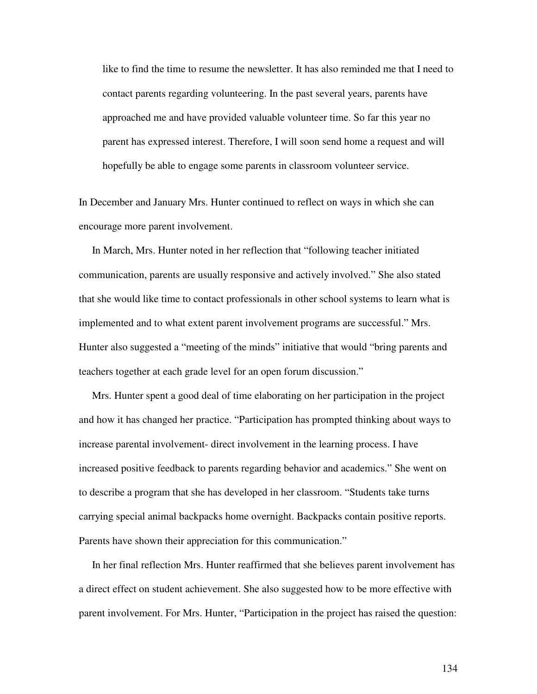like to find the time to resume the newsletter. It has also reminded me that I need to contact parents regarding volunteering. In the past several years, parents have approached me and have provided valuable volunteer time. So far this year no parent has expressed interest. Therefore, I will soon send home a request and will hopefully be able to engage some parents in classroom volunteer service.

In December and January Mrs. Hunter continued to reflect on ways in which she can encourage more parent involvement.

In March, Mrs. Hunter noted in her reflection that "following teacher initiated communication, parents are usually responsive and actively involved." She also stated that she would like time to contact professionals in other school systems to learn what is implemented and to what extent parent involvement programs are successful." Mrs. Hunter also suggested a "meeting of the minds" initiative that would "bring parents and teachers together at each grade level for an open forum discussion."

Mrs. Hunter spent a good deal of time elaborating on her participation in the project and how it has changed her practice. "Participation has prompted thinking about ways to increase parental involvement- direct involvement in the learning process. I have increased positive feedback to parents regarding behavior and academics." She went on to describe a program that she has developed in her classroom. "Students take turns carrying special animal backpacks home overnight. Backpacks contain positive reports. Parents have shown their appreciation for this communication."

In her final reflection Mrs. Hunter reaffirmed that she believes parent involvement has a direct effect on student achievement. She also suggested how to be more effective with parent involvement. For Mrs. Hunter, "Participation in the project has raised the question: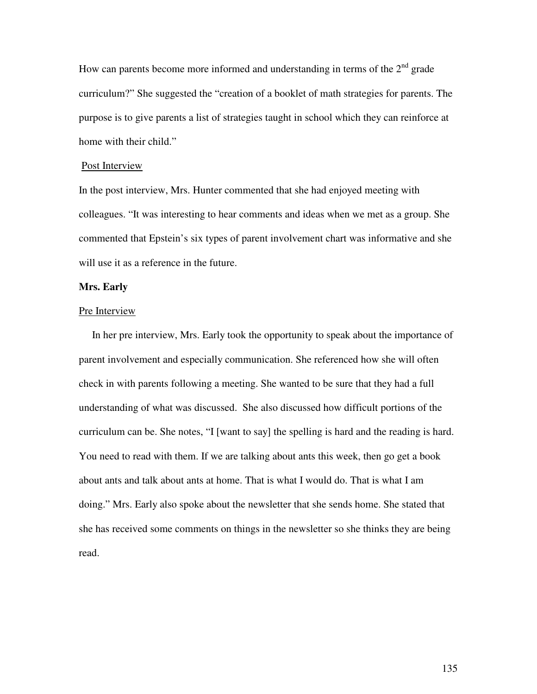How can parents become more informed and understanding in terms of the  $2<sup>nd</sup>$  grade curriculum?" She suggested the "creation of a booklet of math strategies for parents. The purpose is to give parents a list of strategies taught in school which they can reinforce at home with their child."

# Post Interview

In the post interview, Mrs. Hunter commented that she had enjoyed meeting with colleagues. "It was interesting to hear comments and ideas when we met as a group. She commented that Epstein's six types of parent involvement chart was informative and she will use it as a reference in the future.

## **Mrs. Early**

## Pre Interview

In her pre interview, Mrs. Early took the opportunity to speak about the importance of parent involvement and especially communication. She referenced how she will often check in with parents following a meeting. She wanted to be sure that they had a full understanding of what was discussed. She also discussed how difficult portions of the curriculum can be. She notes, "I [want to say] the spelling is hard and the reading is hard. You need to read with them. If we are talking about ants this week, then go get a book about ants and talk about ants at home. That is what I would do. That is what I am doing." Mrs. Early also spoke about the newsletter that she sends home. She stated that she has received some comments on things in the newsletter so she thinks they are being read.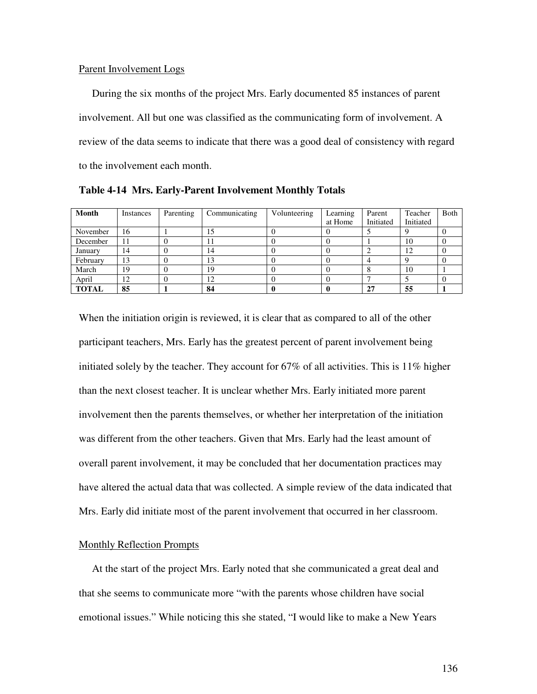#### Parent Involvement Logs

During the six months of the project Mrs. Early documented 85 instances of parent involvement. All but one was classified as the communicating form of involvement. A review of the data seems to indicate that there was a good deal of consistency with regard to the involvement each month.

| Month        | Instances | Parenting | Communicating | Volunteering | Learning<br>at Home | Parent<br>Initiated | Teacher<br>Initiated | Both |
|--------------|-----------|-----------|---------------|--------------|---------------------|---------------------|----------------------|------|
| November     | 16        |           | 15            |              |                     |                     |                      |      |
| December     | 11        |           | 11            |              |                     |                     | 10                   |      |
| January      | 14        |           | 14            |              |                     |                     | 12                   |      |
| February     | 13        |           | 13            |              |                     |                     |                      |      |
| March        | 19        |           | 19            |              |                     |                     | 10                   |      |
| April        | 12        |           | 12            |              |                     |                     |                      |      |
| <b>TOTAL</b> | 85        |           | 84            |              |                     | 27                  | 55                   |      |

**Table 4-14 Mrs. Early-Parent Involvement Monthly Totals**

When the initiation origin is reviewed, it is clear that as compared to all of the other participant teachers, Mrs. Early has the greatest percent of parent involvement being initiated solely by the teacher. They account for 67% of all activities. This is 11% higher than the next closest teacher. It is unclear whether Mrs. Early initiated more parent involvement then the parents themselves, or whether her interpretation of the initiation was different from the other teachers. Given that Mrs. Early had the least amount of overall parent involvement, it may be concluded that her documentation practices may have altered the actual data that was collected. A simple review of the data indicated that Mrs. Early did initiate most of the parent involvement that occurred in her classroom.

## Monthly Reflection Prompts

At the start of the project Mrs. Early noted that she communicated a great deal and that she seems to communicate more "with the parents whose children have social emotional issues." While noticing this she stated, "I would like to make a New Years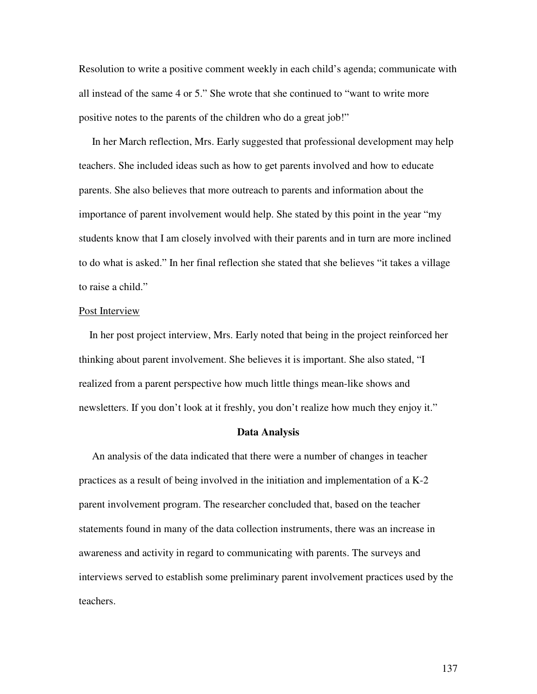Resolution to write a positive comment weekly in each child's agenda; communicate with all instead of the same 4 or 5." She wrote that she continued to "want to write more positive notes to the parents of the children who do a great job!"

In her March reflection, Mrs. Early suggested that professional development may help teachers. She included ideas such as how to get parents involved and how to educate parents. She also believes that more outreach to parents and information about the importance of parent involvement would help. She stated by this point in the year "my students know that I am closely involved with their parents and in turn are more inclined to do what is asked." In her final reflection she stated that she believes "it takes a village to raise a child."

# Post Interview

In her post project interview, Mrs. Early noted that being in the project reinforced her thinking about parent involvement. She believes it is important. She also stated, "I realized from a parent perspective how much little things mean-like shows and newsletters. If you don't look at it freshly, you don't realize how much they enjoy it."

#### **Data Analysis**

An analysis of the data indicated that there were a number of changes in teacher practices as a result of being involved in the initiation and implementation of a K-2 parent involvement program. The researcher concluded that, based on the teacher statements found in many of the data collection instruments, there was an increase in awareness and activity in regard to communicating with parents. The surveys and interviews served to establish some preliminary parent involvement practices used by the teachers.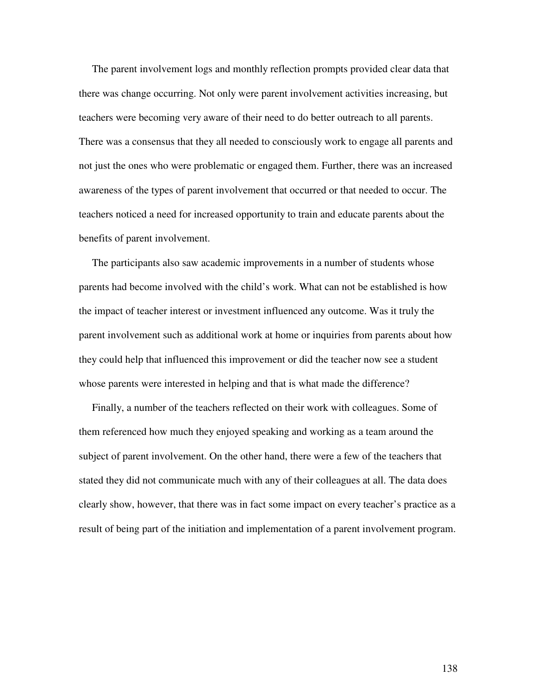The parent involvement logs and monthly reflection prompts provided clear data that there was change occurring. Not only were parent involvement activities increasing, but teachers were becoming very aware of their need to do better outreach to all parents. There was a consensus that they all needed to consciously work to engage all parents and not just the ones who were problematic or engaged them. Further, there was an increased awareness of the types of parent involvement that occurred or that needed to occur. The teachers noticed a need for increased opportunity to train and educate parents about the benefits of parent involvement.

The participants also saw academic improvements in a number of students whose parents had become involved with the child's work. What can not be established is how the impact of teacher interest or investment influenced any outcome. Was it truly the parent involvement such as additional work at home or inquiries from parents about how they could help that influenced this improvement or did the teacher now see a student whose parents were interested in helping and that is what made the difference?

Finally, a number of the teachers reflected on their work with colleagues. Some of them referenced how much they enjoyed speaking and working as a team around the subject of parent involvement. On the other hand, there were a few of the teachers that stated they did not communicate much with any of their colleagues at all. The data does clearly show, however, that there was in fact some impact on every teacher's practice as a result of being part of the initiation and implementation of a parent involvement program.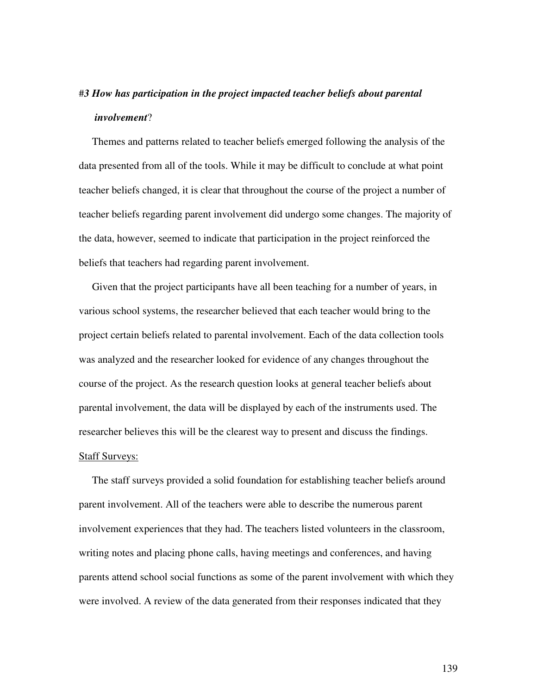# #*3 How has participation in the project impacted teacher beliefs about parental involvement*?

Themes and patterns related to teacher beliefs emerged following the analysis of the data presented from all of the tools. While it may be difficult to conclude at what point teacher beliefs changed, it is clear that throughout the course of the project a number of teacher beliefs regarding parent involvement did undergo some changes. The majority of the data, however, seemed to indicate that participation in the project reinforced the beliefs that teachers had regarding parent involvement.

Given that the project participants have all been teaching for a number of years, in various school systems, the researcher believed that each teacher would bring to the project certain beliefs related to parental involvement. Each of the data collection tools was analyzed and the researcher looked for evidence of any changes throughout the course of the project. As the research question looks at general teacher beliefs about parental involvement, the data will be displayed by each of the instruments used. The researcher believes this will be the clearest way to present and discuss the findings. Staff Surveys:

The staff surveys provided a solid foundation for establishing teacher beliefs around parent involvement. All of the teachers were able to describe the numerous parent involvement experiences that they had. The teachers listed volunteers in the classroom, writing notes and placing phone calls, having meetings and conferences, and having parents attend school social functions as some of the parent involvement with which they were involved. A review of the data generated from their responses indicated that they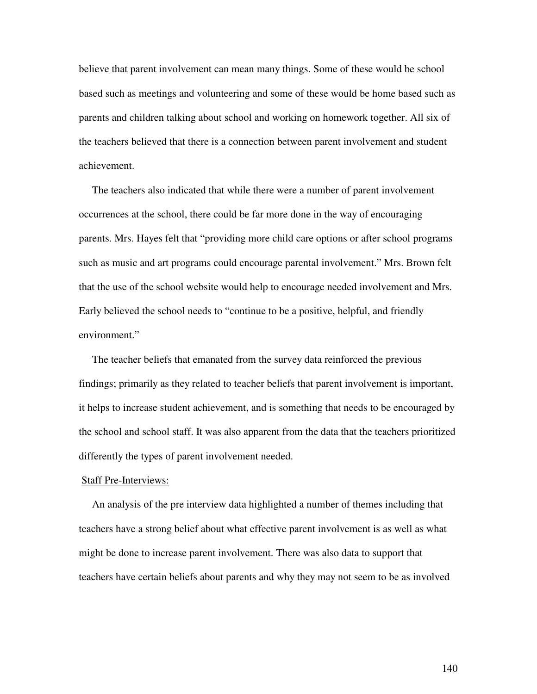believe that parent involvement can mean many things. Some of these would be school based such as meetings and volunteering and some of these would be home based such as parents and children talking about school and working on homework together. All six of the teachers believed that there is a connection between parent involvement and student achievement.

The teachers also indicated that while there were a number of parent involvement occurrences at the school, there could be far more done in the way of encouraging parents. Mrs. Hayes felt that "providing more child care options or after school programs such as music and art programs could encourage parental involvement." Mrs. Brown felt that the use of the school website would help to encourage needed involvement and Mrs. Early believed the school needs to "continue to be a positive, helpful, and friendly environment."

The teacher beliefs that emanated from the survey data reinforced the previous findings; primarily as they related to teacher beliefs that parent involvement is important, it helps to increase student achievement, and is something that needs to be encouraged by the school and school staff. It was also apparent from the data that the teachers prioritized differently the types of parent involvement needed.

#### Staff Pre-Interviews:

An analysis of the pre interview data highlighted a number of themes including that teachers have a strong belief about what effective parent involvement is as well as what might be done to increase parent involvement. There was also data to support that teachers have certain beliefs about parents and why they may not seem to be as involved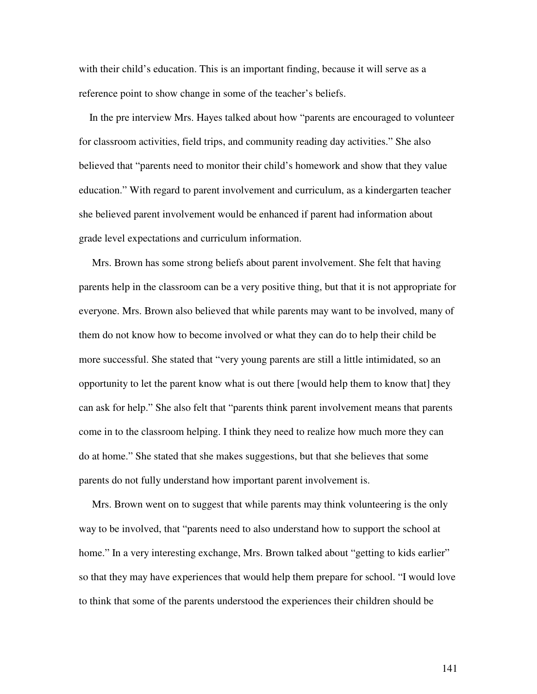with their child's education. This is an important finding, because it will serve as a reference point to show change in some of the teacher's beliefs.

In the pre interview Mrs. Hayes talked about how "parents are encouraged to volunteer for classroom activities, field trips, and community reading day activities." She also believed that "parents need to monitor their child's homework and show that they value education." With regard to parent involvement and curriculum, as a kindergarten teacher she believed parent involvement would be enhanced if parent had information about grade level expectations and curriculum information.

Mrs. Brown has some strong beliefs about parent involvement. She felt that having parents help in the classroom can be a very positive thing, but that it is not appropriate for everyone. Mrs. Brown also believed that while parents may want to be involved, many of them do not know how to become involved or what they can do to help their child be more successful. She stated that "very young parents are still a little intimidated, so an opportunity to let the parent know what is out there [would help them to know that] they can ask for help." She also felt that "parents think parent involvement means that parents come in to the classroom helping. I think they need to realize how much more they can do at home." She stated that she makes suggestions, but that she believes that some parents do not fully understand how important parent involvement is.

Mrs. Brown went on to suggest that while parents may think volunteering is the only way to be involved, that "parents need to also understand how to support the school at home." In a very interesting exchange, Mrs. Brown talked about "getting to kids earlier" so that they may have experiences that would help them prepare for school. "I would love to think that some of the parents understood the experiences their children should be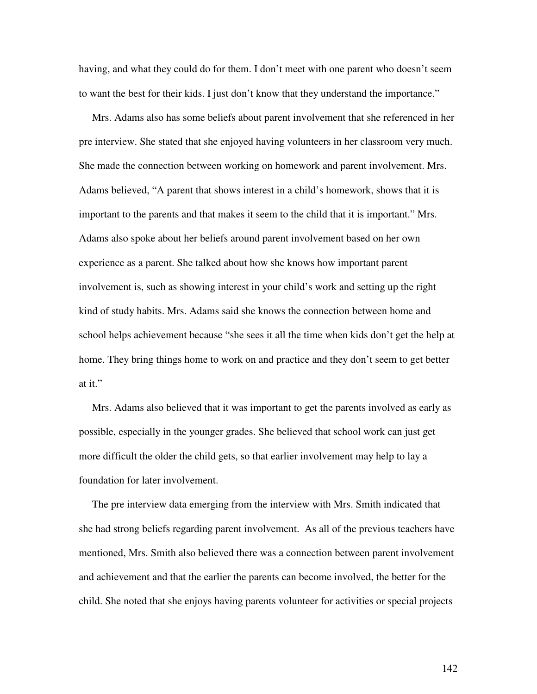having, and what they could do for them. I don't meet with one parent who doesn't seem to want the best for their kids. I just don't know that they understand the importance."

Mrs. Adams also has some beliefs about parent involvement that she referenced in her pre interview. She stated that she enjoyed having volunteers in her classroom very much. She made the connection between working on homework and parent involvement. Mrs. Adams believed, "A parent that shows interest in a child's homework, shows that it is important to the parents and that makes it seem to the child that it is important." Mrs. Adams also spoke about her beliefs around parent involvement based on her own experience as a parent. She talked about how she knows how important parent involvement is, such as showing interest in your child's work and setting up the right kind of study habits. Mrs. Adams said she knows the connection between home and school helps achievement because "she sees it all the time when kids don't get the help at home. They bring things home to work on and practice and they don't seem to get better at it."

Mrs. Adams also believed that it was important to get the parents involved as early as possible, especially in the younger grades. She believed that school work can just get more difficult the older the child gets, so that earlier involvement may help to lay a foundation for later involvement.

The pre interview data emerging from the interview with Mrs. Smith indicated that she had strong beliefs regarding parent involvement. As all of the previous teachers have mentioned, Mrs. Smith also believed there was a connection between parent involvement and achievement and that the earlier the parents can become involved, the better for the child. She noted that she enjoys having parents volunteer for activities or special projects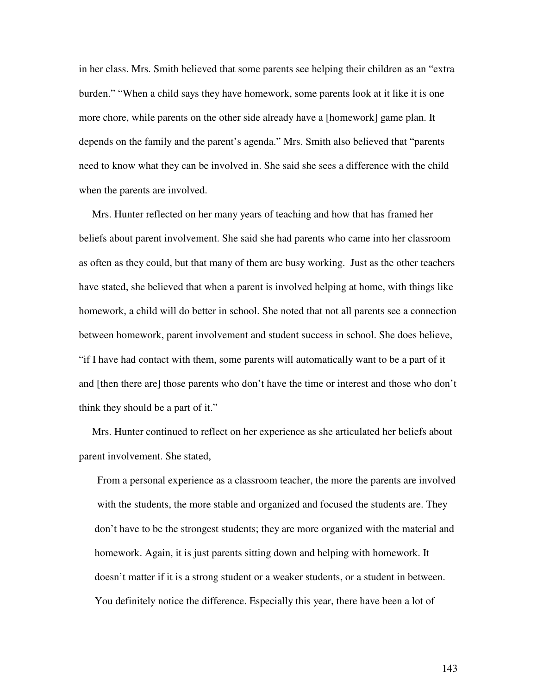in her class. Mrs. Smith believed that some parents see helping their children as an "extra burden." "When a child says they have homework, some parents look at it like it is one more chore, while parents on the other side already have a [homework] game plan. It depends on the family and the parent's agenda." Mrs. Smith also believed that "parents need to know what they can be involved in. She said she sees a difference with the child when the parents are involved.

Mrs. Hunter reflected on her many years of teaching and how that has framed her beliefs about parent involvement. She said she had parents who came into her classroom as often as they could, but that many of them are busy working. Just as the other teachers have stated, she believed that when a parent is involved helping at home, with things like homework, a child will do better in school. She noted that not all parents see a connection between homework, parent involvement and student success in school. She does believe, "if I have had contact with them, some parents will automatically want to be a part of it and [then there are] those parents who don't have the time or interest and those who don't think they should be a part of it."

Mrs. Hunter continued to reflect on her experience as she articulated her beliefs about parent involvement. She stated,

From a personal experience as a classroom teacher, the more the parents are involved with the students, the more stable and organized and focused the students are. They don't have to be the strongest students; they are more organized with the material and homework. Again, it is just parents sitting down and helping with homework. It doesn't matter if it is a strong student or a weaker students, or a student in between. You definitely notice the difference. Especially this year, there have been a lot of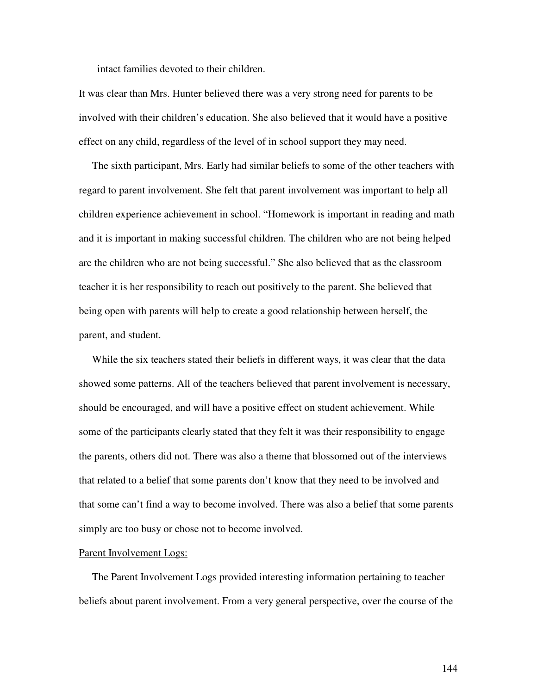intact families devoted to their children.

It was clear than Mrs. Hunter believed there was a very strong need for parents to be involved with their children's education. She also believed that it would have a positive effect on any child, regardless of the level of in school support they may need.

The sixth participant, Mrs. Early had similar beliefs to some of the other teachers with regard to parent involvement. She felt that parent involvement was important to help all children experience achievement in school. "Homework is important in reading and math and it is important in making successful children. The children who are not being helped are the children who are not being successful." She also believed that as the classroom teacher it is her responsibility to reach out positively to the parent. She believed that being open with parents will help to create a good relationship between herself, the parent, and student.

While the six teachers stated their beliefs in different ways, it was clear that the data showed some patterns. All of the teachers believed that parent involvement is necessary, should be encouraged, and will have a positive effect on student achievement. While some of the participants clearly stated that they felt it was their responsibility to engage the parents, others did not. There was also a theme that blossomed out of the interviews that related to a belief that some parents don't know that they need to be involved and that some can't find a way to become involved. There was also a belief that some parents simply are too busy or chose not to become involved.

#### Parent Involvement Logs:

The Parent Involvement Logs provided interesting information pertaining to teacher beliefs about parent involvement. From a very general perspective, over the course of the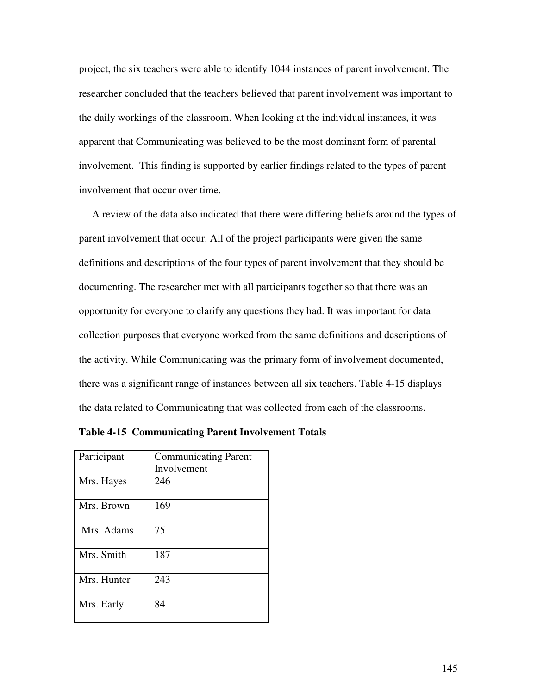project, the six teachers were able to identify 1044 instances of parent involvement. The researcher concluded that the teachers believed that parent involvement was important to the daily workings of the classroom. When looking at the individual instances, it was apparent that Communicating was believed to be the most dominant form of parental involvement. This finding is supported by earlier findings related to the types of parent involvement that occur over time.

A review of the data also indicated that there were differing beliefs around the types of parent involvement that occur. All of the project participants were given the same definitions and descriptions of the four types of parent involvement that they should be documenting. The researcher met with all participants together so that there was an opportunity for everyone to clarify any questions they had. It was important for data collection purposes that everyone worked from the same definitions and descriptions of the activity. While Communicating was the primary form of involvement documented, there was a significant range of instances between all six teachers. Table 4-15 displays the data related to Communicating that was collected from each of the classrooms.

| Participant | <b>Communicating Parent</b> |  |  |  |
|-------------|-----------------------------|--|--|--|
|             | Involvement                 |  |  |  |
| Mrs. Hayes  | 246                         |  |  |  |
| Mrs. Brown  | 169                         |  |  |  |
| Mrs. Adams  | 75                          |  |  |  |
| Mrs. Smith  | 187                         |  |  |  |
| Mrs. Hunter | 243                         |  |  |  |
| Mrs. Early  | 84                          |  |  |  |

**Table 4-15 Communicating Parent Involvement Totals**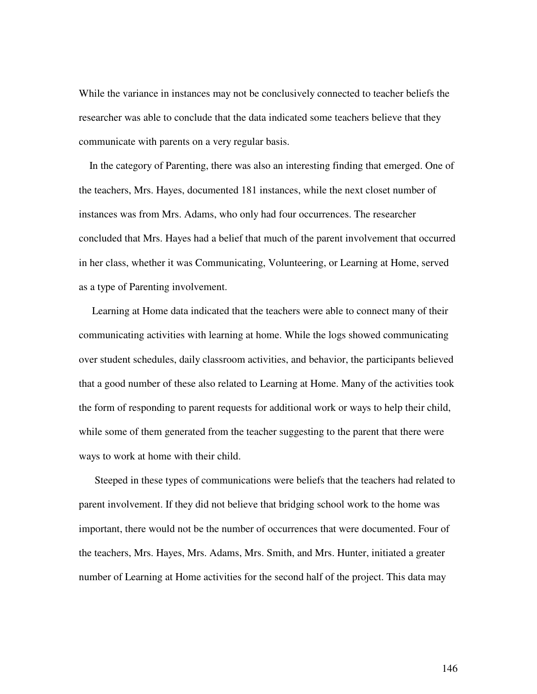While the variance in instances may not be conclusively connected to teacher beliefs the researcher was able to conclude that the data indicated some teachers believe that they communicate with parents on a very regular basis.

In the category of Parenting, there was also an interesting finding that emerged. One of the teachers, Mrs. Hayes, documented 181 instances, while the next closet number of instances was from Mrs. Adams, who only had four occurrences. The researcher concluded that Mrs. Hayes had a belief that much of the parent involvement that occurred in her class, whether it was Communicating, Volunteering, or Learning at Home, served as a type of Parenting involvement.

Learning at Home data indicated that the teachers were able to connect many of their communicating activities with learning at home. While the logs showed communicating over student schedules, daily classroom activities, and behavior, the participants believed that a good number of these also related to Learning at Home. Many of the activities took the form of responding to parent requests for additional work or ways to help their child, while some of them generated from the teacher suggesting to the parent that there were ways to work at home with their child.

Steeped in these types of communications were beliefs that the teachers had related to parent involvement. If they did not believe that bridging school work to the home was important, there would not be the number of occurrences that were documented. Four of the teachers, Mrs. Hayes, Mrs. Adams, Mrs. Smith, and Mrs. Hunter, initiated a greater number of Learning at Home activities for the second half of the project. This data may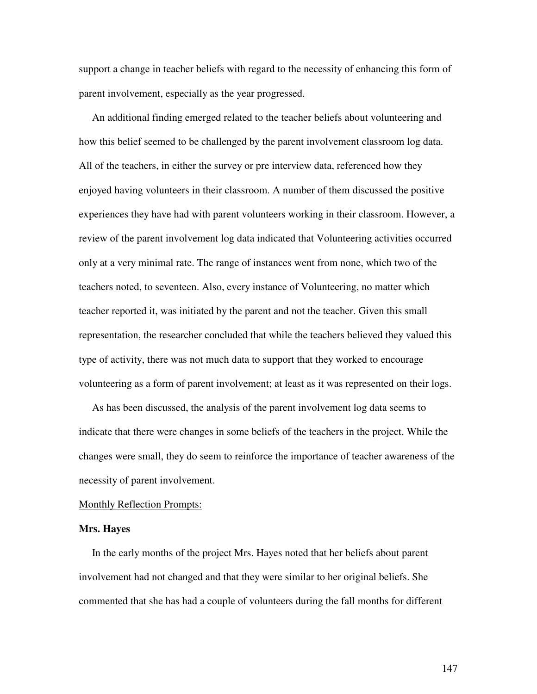support a change in teacher beliefs with regard to the necessity of enhancing this form of parent involvement, especially as the year progressed.

An additional finding emerged related to the teacher beliefs about volunteering and how this belief seemed to be challenged by the parent involvement classroom log data. All of the teachers, in either the survey or pre interview data, referenced how they enjoyed having volunteers in their classroom. A number of them discussed the positive experiences they have had with parent volunteers working in their classroom. However, a review of the parent involvement log data indicated that Volunteering activities occurred only at a very minimal rate. The range of instances went from none, which two of the teachers noted, to seventeen. Also, every instance of Volunteering, no matter which teacher reported it, was initiated by the parent and not the teacher. Given this small representation, the researcher concluded that while the teachers believed they valued this type of activity, there was not much data to support that they worked to encourage volunteering as a form of parent involvement; at least as it was represented on their logs.

As has been discussed, the analysis of the parent involvement log data seems to indicate that there were changes in some beliefs of the teachers in the project. While the changes were small, they do seem to reinforce the importance of teacher awareness of the necessity of parent involvement.

#### Monthly Reflection Prompts:

#### **Mrs. Hayes**

In the early months of the project Mrs. Hayes noted that her beliefs about parent involvement had not changed and that they were similar to her original beliefs. She commented that she has had a couple of volunteers during the fall months for different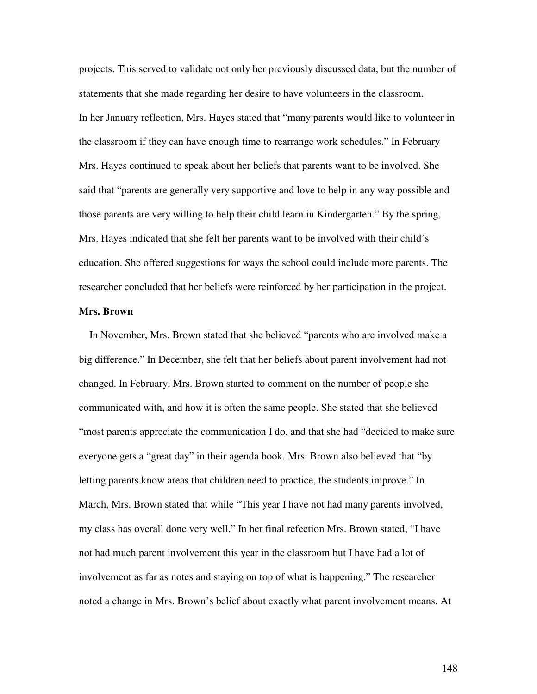projects. This served to validate not only her previously discussed data, but the number of statements that she made regarding her desire to have volunteers in the classroom. In her January reflection, Mrs. Hayes stated that "many parents would like to volunteer in the classroom if they can have enough time to rearrange work schedules." In February Mrs. Hayes continued to speak about her beliefs that parents want to be involved. She said that "parents are generally very supportive and love to help in any way possible and those parents are very willing to help their child learn in Kindergarten." By the spring, Mrs. Hayes indicated that she felt her parents want to be involved with their child's education. She offered suggestions for ways the school could include more parents. The researcher concluded that her beliefs were reinforced by her participation in the project.

# **Mrs. Brown**

In November, Mrs. Brown stated that she believed "parents who are involved make a big difference." In December, she felt that her beliefs about parent involvement had not changed. In February, Mrs. Brown started to comment on the number of people she communicated with, and how it is often the same people. She stated that she believed "most parents appreciate the communication I do, and that she had "decided to make sure everyone gets a "great day" in their agenda book. Mrs. Brown also believed that "by letting parents know areas that children need to practice, the students improve." In March, Mrs. Brown stated that while "This year I have not had many parents involved, my class has overall done very well." In her final refection Mrs. Brown stated, "I have not had much parent involvement this year in the classroom but I have had a lot of involvement as far as notes and staying on top of what is happening." The researcher noted a change in Mrs. Brown's belief about exactly what parent involvement means. At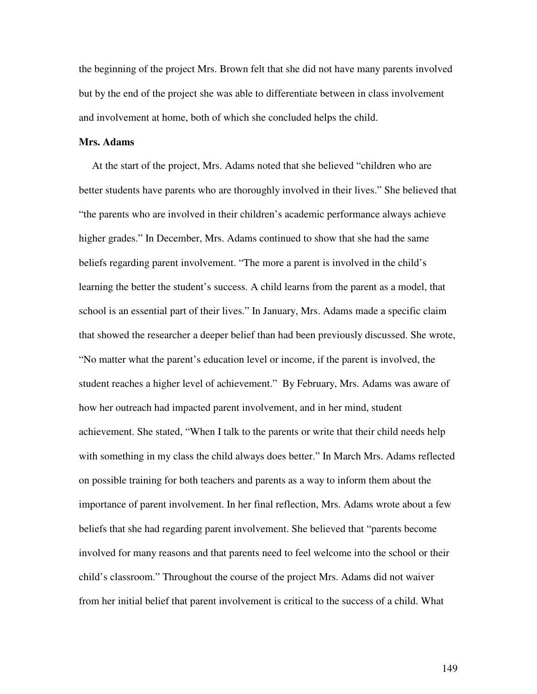the beginning of the project Mrs. Brown felt that she did not have many parents involved but by the end of the project she was able to differentiate between in class involvement and involvement at home, both of which she concluded helps the child.

## **Mrs. Adams**

At the start of the project, Mrs. Adams noted that she believed "children who are better students have parents who are thoroughly involved in their lives." She believed that "the parents who are involved in their children's academic performance always achieve higher grades." In December, Mrs. Adams continued to show that she had the same beliefs regarding parent involvement. "The more a parent is involved in the child's learning the better the student's success. A child learns from the parent as a model, that school is an essential part of their lives." In January, Mrs. Adams made a specific claim that showed the researcher a deeper belief than had been previously discussed. She wrote, "No matter what the parent's education level or income, if the parent is involved, the student reaches a higher level of achievement." By February, Mrs. Adams was aware of how her outreach had impacted parent involvement, and in her mind, student achievement. She stated, "When I talk to the parents or write that their child needs help with something in my class the child always does better." In March Mrs. Adams reflected on possible training for both teachers and parents as a way to inform them about the importance of parent involvement. In her final reflection, Mrs. Adams wrote about a few beliefs that she had regarding parent involvement. She believed that "parents become involved for many reasons and that parents need to feel welcome into the school or their child's classroom." Throughout the course of the project Mrs. Adams did not waiver from her initial belief that parent involvement is critical to the success of a child. What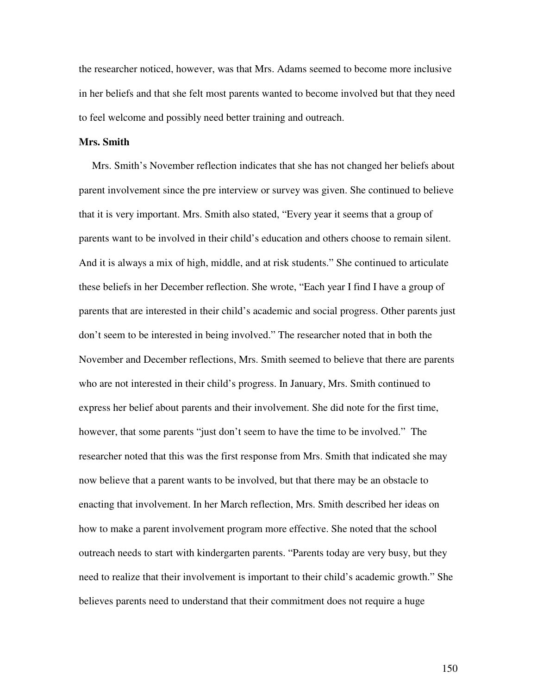the researcher noticed, however, was that Mrs. Adams seemed to become more inclusive in her beliefs and that she felt most parents wanted to become involved but that they need to feel welcome and possibly need better training and outreach.

# **Mrs. Smith**

Mrs. Smith's November reflection indicates that she has not changed her beliefs about parent involvement since the pre interview or survey was given. She continued to believe that it is very important. Mrs. Smith also stated, "Every year it seems that a group of parents want to be involved in their child's education and others choose to remain silent. And it is always a mix of high, middle, and at risk students." She continued to articulate these beliefs in her December reflection. She wrote, "Each year I find I have a group of parents that are interested in their child's academic and social progress. Other parents just don't seem to be interested in being involved." The researcher noted that in both the November and December reflections, Mrs. Smith seemed to believe that there are parents who are not interested in their child's progress. In January, Mrs. Smith continued to express her belief about parents and their involvement. She did note for the first time, however, that some parents "just don't seem to have the time to be involved." The researcher noted that this was the first response from Mrs. Smith that indicated she may now believe that a parent wants to be involved, but that there may be an obstacle to enacting that involvement. In her March reflection, Mrs. Smith described her ideas on how to make a parent involvement program more effective. She noted that the school outreach needs to start with kindergarten parents. "Parents today are very busy, but they need to realize that their involvement is important to their child's academic growth." She believes parents need to understand that their commitment does not require a huge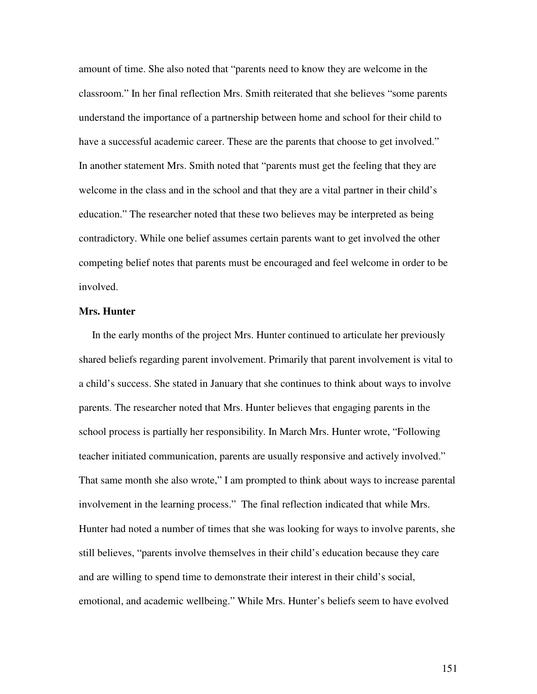amount of time. She also noted that "parents need to know they are welcome in the classroom." In her final reflection Mrs. Smith reiterated that she believes "some parents understand the importance of a partnership between home and school for their child to have a successful academic career. These are the parents that choose to get involved." In another statement Mrs. Smith noted that "parents must get the feeling that they are welcome in the class and in the school and that they are a vital partner in their child's education." The researcher noted that these two believes may be interpreted as being contradictory. While one belief assumes certain parents want to get involved the other competing belief notes that parents must be encouraged and feel welcome in order to be involved.

#### **Mrs. Hunter**

In the early months of the project Mrs. Hunter continued to articulate her previously shared beliefs regarding parent involvement. Primarily that parent involvement is vital to a child's success. She stated in January that she continues to think about ways to involve parents. The researcher noted that Mrs. Hunter believes that engaging parents in the school process is partially her responsibility. In March Mrs. Hunter wrote, "Following teacher initiated communication, parents are usually responsive and actively involved." That same month she also wrote," I am prompted to think about ways to increase parental involvement in the learning process." The final reflection indicated that while Mrs. Hunter had noted a number of times that she was looking for ways to involve parents, she still believes, "parents involve themselves in their child's education because they care and are willing to spend time to demonstrate their interest in their child's social, emotional, and academic wellbeing." While Mrs. Hunter's beliefs seem to have evolved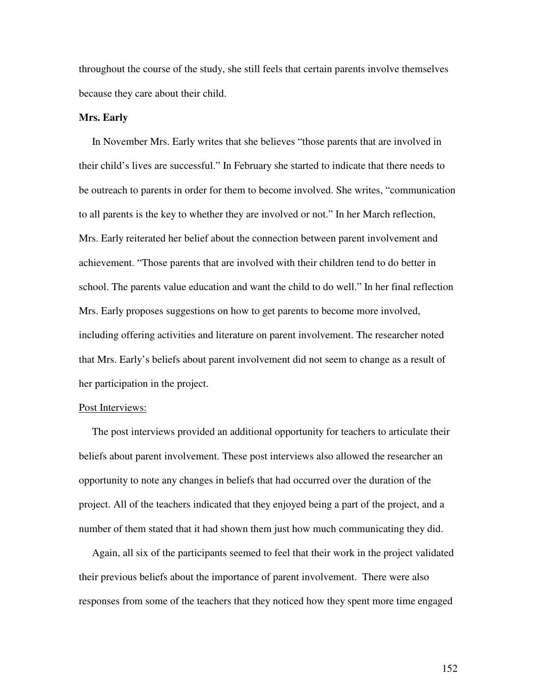throughout the course of the study, she still feels that certain parents involve themselves because they care about their child.

#### **Mrs. Early**

In November Mrs. Early writes that she believes "those parents that are involved in their child's lives are successful." In February she started to indicate that there needs to be outreach to parents in order for them to become involved. She writes, "communication to all parents is the key to whether they are involved or not." In her March reflection, Mrs. Early reiterated her belief about the connection between parent involvement and achievement. "Those parents that are involved with their children tend to do better in school. The parents value education and want the child to do well." In her final reflection Mrs. Early proposes suggestions on how to get parents to become more involved, including offering activities and literature on parent involvement. The researcher noted that Mrs. Early's beliefs about parent involvement did not seem to change as a result of her participation in the project.

## Post Interviews:

The post interviews provided an additional opportunity for teachers to articulate their beliefs about parent involvement. These post interviews also allowed the researcher an opportunity to note any changes in beliefs that had occurred over the duration of the project. All of the teachers indicated that they enjoyed being a part of the project, and a number of them stated that it had shown them just how much communicating they did.

Again, all six of the participants seemed to feel that their work in the project validated their previous beliefs about the importance of parent involvement. There were also responses from some of the teachers that they noticed how they spent more time engaged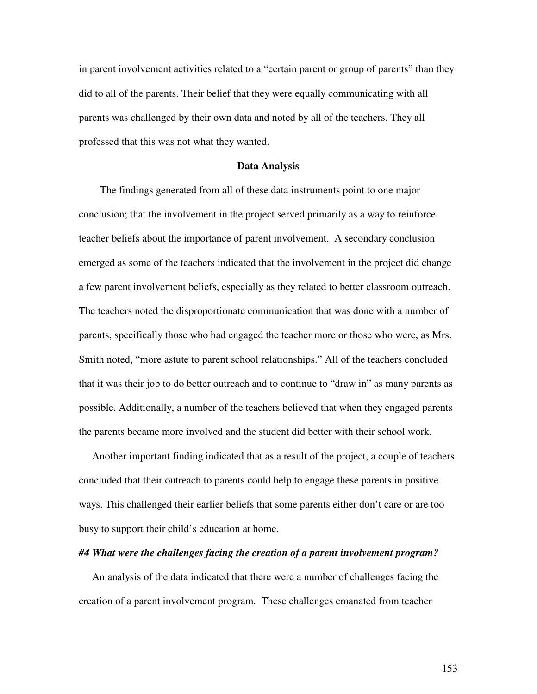in parent involvement activities related to a "certain parent or group of parents" than they did to all of the parents. Their belief that they were equally communicating with all parents was challenged by their own data and noted by all of the teachers. They all professed that this was not what they wanted.

#### **Data Analysis**

The findings generated from all of these data instruments point to one major conclusion; that the involvement in the project served primarily as a way to reinforce teacher beliefs about the importance of parent involvement. A secondary conclusion emerged as some of the teachers indicated that the involvement in the project did change a few parent involvement beliefs, especially as they related to better classroom outreach. The teachers noted the disproportionate communication that was done with a number of parents, specifically those who had engaged the teacher more or those who were, as Mrs. Smith noted, "more astute to parent school relationships." All of the teachers concluded that it was their job to do better outreach and to continue to "draw in" as many parents as possible. Additionally, a number of the teachers believed that when they engaged parents the parents became more involved and the student did better with their school work.

Another important finding indicated that as a result of the project, a couple of teachers concluded that their outreach to parents could help to engage these parents in positive ways. This challenged their earlier beliefs that some parents either don't care or are too busy to support their child's education at home.

#### *#4 What were the challenges facing the creation of a parent involvement program?*

An analysis of the data indicated that there were a number of challenges facing the creation of a parent involvement program. These challenges emanated from teacher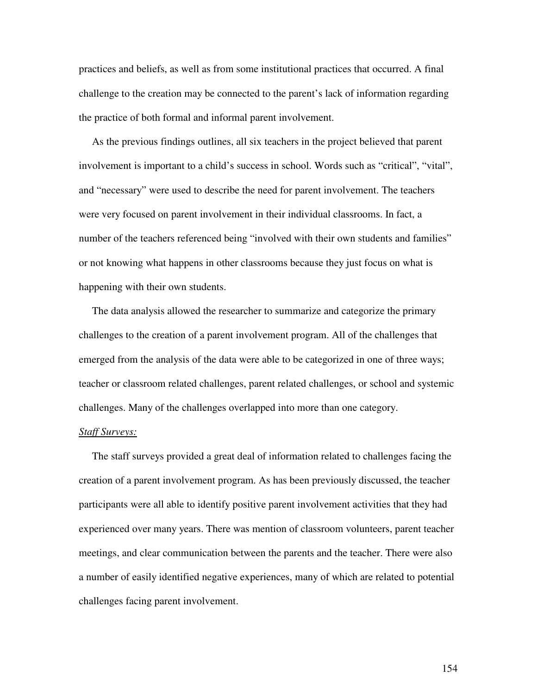practices and beliefs, as well as from some institutional practices that occurred. A final challenge to the creation may be connected to the parent's lack of information regarding the practice of both formal and informal parent involvement.

As the previous findings outlines, all six teachers in the project believed that parent involvement is important to a child's success in school. Words such as "critical", "vital", and "necessary" were used to describe the need for parent involvement. The teachers were very focused on parent involvement in their individual classrooms. In fact, a number of the teachers referenced being "involved with their own students and families" or not knowing what happens in other classrooms because they just focus on what is happening with their own students.

The data analysis allowed the researcher to summarize and categorize the primary challenges to the creation of a parent involvement program. All of the challenges that emerged from the analysis of the data were able to be categorized in one of three ways; teacher or classroom related challenges, parent related challenges, or school and systemic challenges. Many of the challenges overlapped into more than one category.

## *Staff Surveys:*

The staff surveys provided a great deal of information related to challenges facing the creation of a parent involvement program. As has been previously discussed, the teacher participants were all able to identify positive parent involvement activities that they had experienced over many years. There was mention of classroom volunteers, parent teacher meetings, and clear communication between the parents and the teacher. There were also a number of easily identified negative experiences, many of which are related to potential challenges facing parent involvement.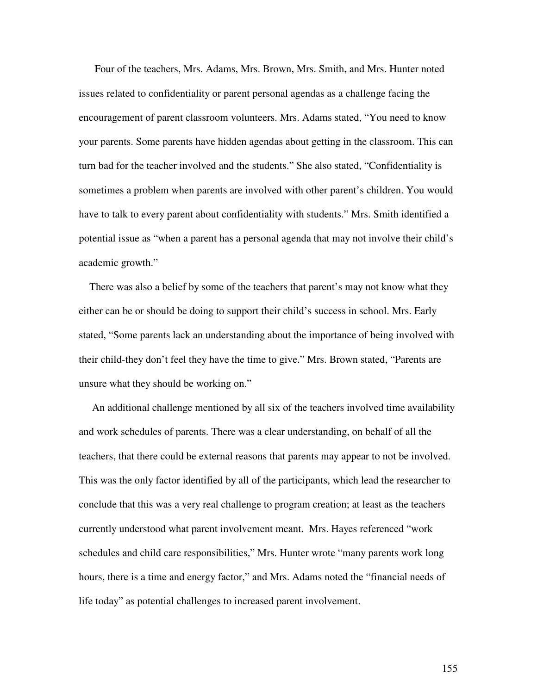Four of the teachers, Mrs. Adams, Mrs. Brown, Mrs. Smith, and Mrs. Hunter noted issues related to confidentiality or parent personal agendas as a challenge facing the encouragement of parent classroom volunteers. Mrs. Adams stated, "You need to know your parents. Some parents have hidden agendas about getting in the classroom. This can turn bad for the teacher involved and the students." She also stated, "Confidentiality is sometimes a problem when parents are involved with other parent's children. You would have to talk to every parent about confidentiality with students." Mrs. Smith identified a potential issue as "when a parent has a personal agenda that may not involve their child's academic growth."

There was also a belief by some of the teachers that parent's may not know what they either can be or should be doing to support their child's success in school. Mrs. Early stated, "Some parents lack an understanding about the importance of being involved with their child-they don't feel they have the time to give." Mrs. Brown stated, "Parents are unsure what they should be working on."

An additional challenge mentioned by all six of the teachers involved time availability and work schedules of parents. There was a clear understanding, on behalf of all the teachers, that there could be external reasons that parents may appear to not be involved. This was the only factor identified by all of the participants, which lead the researcher to conclude that this was a very real challenge to program creation; at least as the teachers currently understood what parent involvement meant. Mrs. Hayes referenced "work schedules and child care responsibilities," Mrs. Hunter wrote "many parents work long hours, there is a time and energy factor," and Mrs. Adams noted the "financial needs of life today" as potential challenges to increased parent involvement.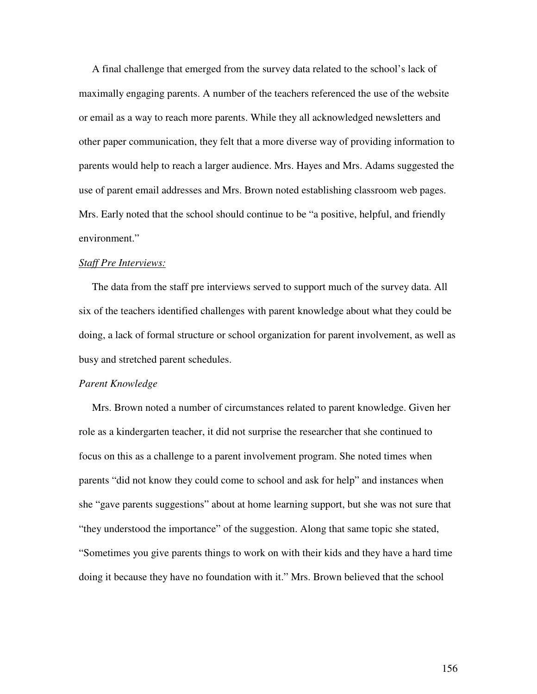A final challenge that emerged from the survey data related to the school's lack of maximally engaging parents. A number of the teachers referenced the use of the website or email as a way to reach more parents. While they all acknowledged newsletters and other paper communication, they felt that a more diverse way of providing information to parents would help to reach a larger audience. Mrs. Hayes and Mrs. Adams suggested the use of parent email addresses and Mrs. Brown noted establishing classroom web pages. Mrs. Early noted that the school should continue to be "a positive, helpful, and friendly environment."

## *Staff Pre Interviews:*

The data from the staff pre interviews served to support much of the survey data. All six of the teachers identified challenges with parent knowledge about what they could be doing, a lack of formal structure or school organization for parent involvement, as well as busy and stretched parent schedules.

#### *Parent Knowledge*

Mrs. Brown noted a number of circumstances related to parent knowledge. Given her role as a kindergarten teacher, it did not surprise the researcher that she continued to focus on this as a challenge to a parent involvement program. She noted times when parents "did not know they could come to school and ask for help" and instances when she "gave parents suggestions" about at home learning support, but she was not sure that "they understood the importance" of the suggestion. Along that same topic she stated, "Sometimes you give parents things to work on with their kids and they have a hard time doing it because they have no foundation with it." Mrs. Brown believed that the school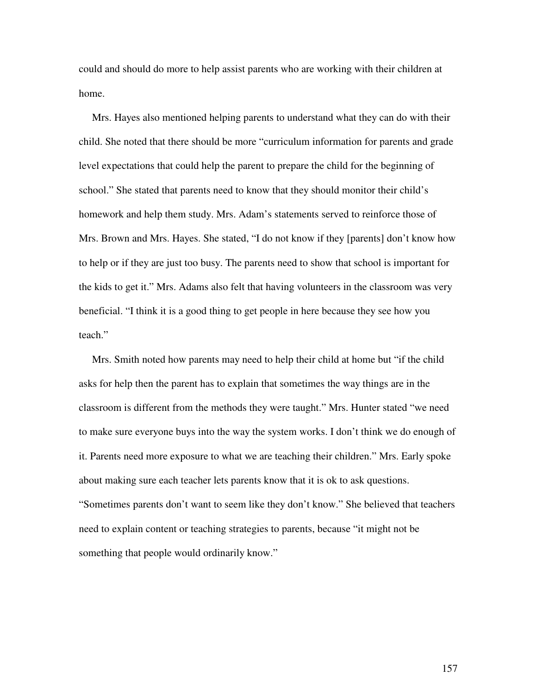could and should do more to help assist parents who are working with their children at home.

Mrs. Hayes also mentioned helping parents to understand what they can do with their child. She noted that there should be more "curriculum information for parents and grade level expectations that could help the parent to prepare the child for the beginning of school." She stated that parents need to know that they should monitor their child's homework and help them study. Mrs. Adam's statements served to reinforce those of Mrs. Brown and Mrs. Hayes. She stated, "I do not know if they [parents] don't know how to help or if they are just too busy. The parents need to show that school is important for the kids to get it." Mrs. Adams also felt that having volunteers in the classroom was very beneficial. "I think it is a good thing to get people in here because they see how you teach."

Mrs. Smith noted how parents may need to help their child at home but "if the child asks for help then the parent has to explain that sometimes the way things are in the classroom is different from the methods they were taught." Mrs. Hunter stated "we need to make sure everyone buys into the way the system works. I don't think we do enough of it. Parents need more exposure to what we are teaching their children." Mrs. Early spoke about making sure each teacher lets parents know that it is ok to ask questions. "Sometimes parents don't want to seem like they don't know." She believed that teachers need to explain content or teaching strategies to parents, because "it might not be something that people would ordinarily know."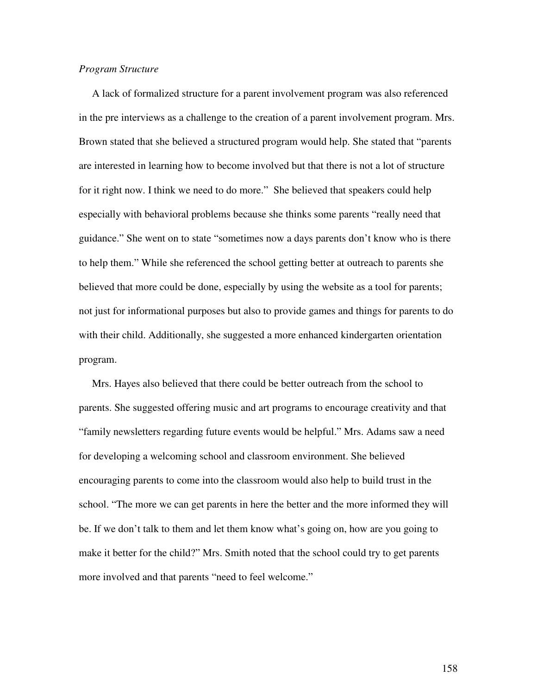#### *Program Structure*

A lack of formalized structure for a parent involvement program was also referenced in the pre interviews as a challenge to the creation of a parent involvement program. Mrs. Brown stated that she believed a structured program would help. She stated that "parents are interested in learning how to become involved but that there is not a lot of structure for it right now. I think we need to do more." She believed that speakers could help especially with behavioral problems because she thinks some parents "really need that guidance." She went on to state "sometimes now a days parents don't know who is there to help them." While she referenced the school getting better at outreach to parents she believed that more could be done, especially by using the website as a tool for parents; not just for informational purposes but also to provide games and things for parents to do with their child. Additionally, she suggested a more enhanced kindergarten orientation program.

Mrs. Hayes also believed that there could be better outreach from the school to parents. She suggested offering music and art programs to encourage creativity and that "family newsletters regarding future events would be helpful." Mrs. Adams saw a need for developing a welcoming school and classroom environment. She believed encouraging parents to come into the classroom would also help to build trust in the school. "The more we can get parents in here the better and the more informed they will be. If we don't talk to them and let them know what's going on, how are you going to make it better for the child?" Mrs. Smith noted that the school could try to get parents more involved and that parents "need to feel welcome."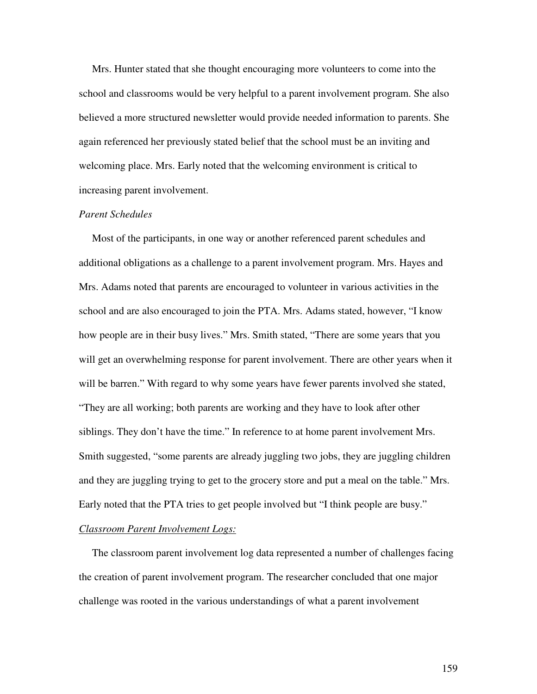Mrs. Hunter stated that she thought encouraging more volunteers to come into the school and classrooms would be very helpful to a parent involvement program. She also believed a more structured newsletter would provide needed information to parents. She again referenced her previously stated belief that the school must be an inviting and welcoming place. Mrs. Early noted that the welcoming environment is critical to increasing parent involvement.

## *Parent Schedules*

Most of the participants, in one way or another referenced parent schedules and additional obligations as a challenge to a parent involvement program. Mrs. Hayes and Mrs. Adams noted that parents are encouraged to volunteer in various activities in the school and are also encouraged to join the PTA. Mrs. Adams stated, however, "I know how people are in their busy lives." Mrs. Smith stated, "There are some years that you will get an overwhelming response for parent involvement. There are other years when it will be barren." With regard to why some years have fewer parents involved she stated, "They are all working; both parents are working and they have to look after other siblings. They don't have the time." In reference to at home parent involvement Mrs. Smith suggested, "some parents are already juggling two jobs, they are juggling children and they are juggling trying to get to the grocery store and put a meal on the table." Mrs. Early noted that the PTA tries to get people involved but "I think people are busy."

# *Classroom Parent Involvement Logs:*

The classroom parent involvement log data represented a number of challenges facing the creation of parent involvement program. The researcher concluded that one major challenge was rooted in the various understandings of what a parent involvement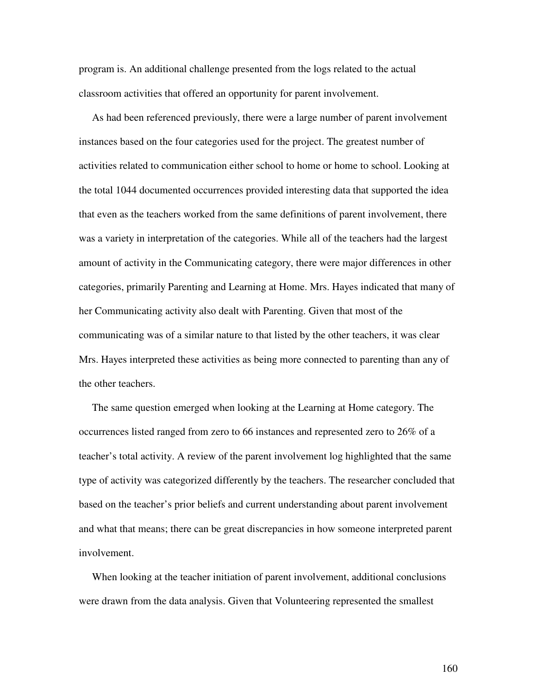program is. An additional challenge presented from the logs related to the actual classroom activities that offered an opportunity for parent involvement.

As had been referenced previously, there were a large number of parent involvement instances based on the four categories used for the project. The greatest number of activities related to communication either school to home or home to school. Looking at the total 1044 documented occurrences provided interesting data that supported the idea that even as the teachers worked from the same definitions of parent involvement, there was a variety in interpretation of the categories. While all of the teachers had the largest amount of activity in the Communicating category, there were major differences in other categories, primarily Parenting and Learning at Home. Mrs. Hayes indicated that many of her Communicating activity also dealt with Parenting. Given that most of the communicating was of a similar nature to that listed by the other teachers, it was clear Mrs. Hayes interpreted these activities as being more connected to parenting than any of the other teachers.

The same question emerged when looking at the Learning at Home category. The occurrences listed ranged from zero to 66 instances and represented zero to 26% of a teacher's total activity. A review of the parent involvement log highlighted that the same type of activity was categorized differently by the teachers. The researcher concluded that based on the teacher's prior beliefs and current understanding about parent involvement and what that means; there can be great discrepancies in how someone interpreted parent involvement.

When looking at the teacher initiation of parent involvement, additional conclusions were drawn from the data analysis. Given that Volunteering represented the smallest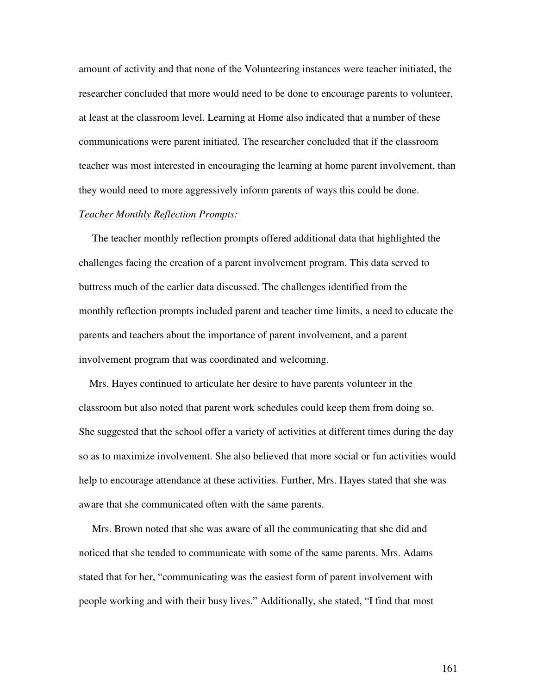amount of activity and that none of the Volunteering instances were teacher initiated, the researcher concluded that more would need to be done to encourage parents to volunteer, at least at the classroom level. Learning at Home also indicated that a number of these communications were parent initiated. The researcher concluded that if the classroom teacher was most interested in encouraging the learning at home parent involvement, than they would need to more aggressively inform parents of ways this could be done.

## *Teacher Monthly Reflection Prompts:*

The teacher monthly reflection prompts offered additional data that highlighted the challenges facing the creation of a parent involvement program. This data served to buttress much of the earlier data discussed. The challenges identified from the monthly reflection prompts included parent and teacher time limits, a need to educate the parents and teachers about the importance of parent involvement, and a parent involvement program that was coordinated and welcoming.

Mrs. Hayes continued to articulate her desire to have parents volunteer in the classroom but also noted that parent work schedules could keep them from doing so. She suggested that the school offer a variety of activities at different times during the day so as to maximize involvement. She also believed that more social or fun activities would help to encourage attendance at these activities. Further, Mrs. Hayes stated that she was aware that she communicated often with the same parents.

Mrs. Brown noted that she was aware of all the communicating that she did and noticed that she tended to communicate with some of the same parents. Mrs. Adams stated that for her, "communicating was the easiest form of parent involvement with people working and with their busy lives." Additionally, she stated, "I find that most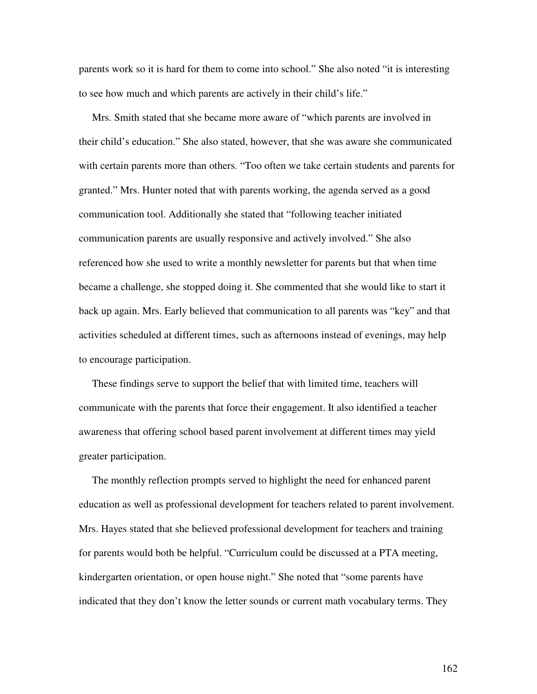parents work so it is hard for them to come into school." She also noted "it is interesting to see how much and which parents are actively in their child's life."

Mrs. Smith stated that she became more aware of "which parents are involved in their child's education." She also stated, however, that she was aware she communicated with certain parents more than others. "Too often we take certain students and parents for granted." Mrs. Hunter noted that with parents working, the agenda served as a good communication tool. Additionally she stated that "following teacher initiated communication parents are usually responsive and actively involved." She also referenced how she used to write a monthly newsletter for parents but that when time became a challenge, she stopped doing it. She commented that she would like to start it back up again. Mrs. Early believed that communication to all parents was "key" and that activities scheduled at different times, such as afternoons instead of evenings, may help to encourage participation.

These findings serve to support the belief that with limited time, teachers will communicate with the parents that force their engagement. It also identified a teacher awareness that offering school based parent involvement at different times may yield greater participation.

The monthly reflection prompts served to highlight the need for enhanced parent education as well as professional development for teachers related to parent involvement. Mrs. Hayes stated that she believed professional development for teachers and training for parents would both be helpful. "Curriculum could be discussed at a PTA meeting, kindergarten orientation, or open house night." She noted that "some parents have indicated that they don't know the letter sounds or current math vocabulary terms. They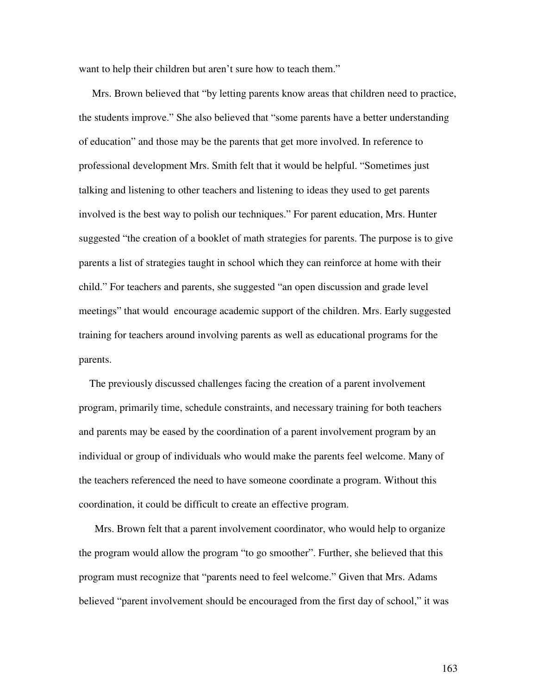want to help their children but aren't sure how to teach them."

Mrs. Brown believed that "by letting parents know areas that children need to practice, the students improve." She also believed that "some parents have a better understanding of education" and those may be the parents that get more involved. In reference to professional development Mrs. Smith felt that it would be helpful. "Sometimes just talking and listening to other teachers and listening to ideas they used to get parents involved is the best way to polish our techniques." For parent education, Mrs. Hunter suggested "the creation of a booklet of math strategies for parents. The purpose is to give parents a list of strategies taught in school which they can reinforce at home with their child." For teachers and parents, she suggested "an open discussion and grade level meetings" that would encourage academic support of the children. Mrs. Early suggested training for teachers around involving parents as well as educational programs for the parents.

The previously discussed challenges facing the creation of a parent involvement program, primarily time, schedule constraints, and necessary training for both teachers and parents may be eased by the coordination of a parent involvement program by an individual or group of individuals who would make the parents feel welcome. Many of the teachers referenced the need to have someone coordinate a program. Without this coordination, it could be difficult to create an effective program.

Mrs. Brown felt that a parent involvement coordinator, who would help to organize the program would allow the program "to go smoother". Further, she believed that this program must recognize that "parents need to feel welcome." Given that Mrs. Adams believed "parent involvement should be encouraged from the first day of school," it was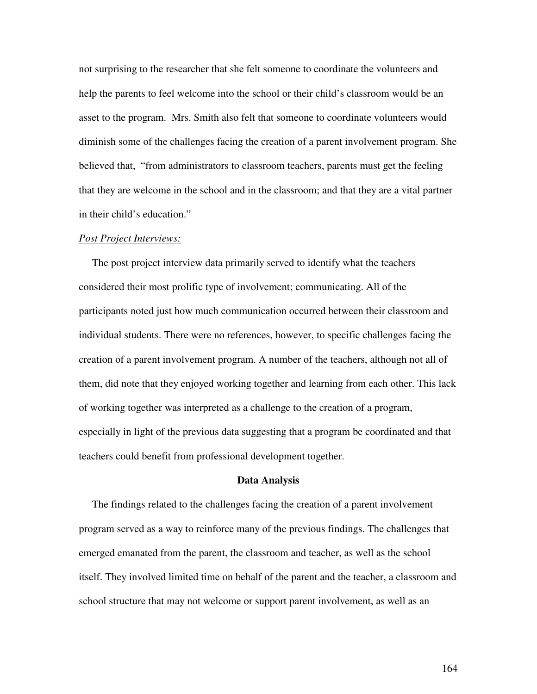not surprising to the researcher that she felt someone to coordinate the volunteers and help the parents to feel welcome into the school or their child's classroom would be an asset to the program. Mrs. Smith also felt that someone to coordinate volunteers would diminish some of the challenges facing the creation of a parent involvement program. She believed that, "from administrators to classroom teachers, parents must get the feeling that they are welcome in the school and in the classroom; and that they are a vital partner in their child's education."

#### *Post Project Interviews:*

The post project interview data primarily served to identify what the teachers considered their most prolific type of involvement; communicating. All of the participants noted just how much communication occurred between their classroom and individual students. There were no references, however, to specific challenges facing the creation of a parent involvement program. A number of the teachers, although not all of them, did note that they enjoyed working together and learning from each other. This lack of working together was interpreted as a challenge to the creation of a program, especially in light of the previous data suggesting that a program be coordinated and that teachers could benefit from professional development together.

#### **Data Analysis**

The findings related to the challenges facing the creation of a parent involvement program served as a way to reinforce many of the previous findings. The challenges that emerged emanated from the parent, the classroom and teacher, as well as the school itself. They involved limited time on behalf of the parent and the teacher, a classroom and school structure that may not welcome or support parent involvement, as well as an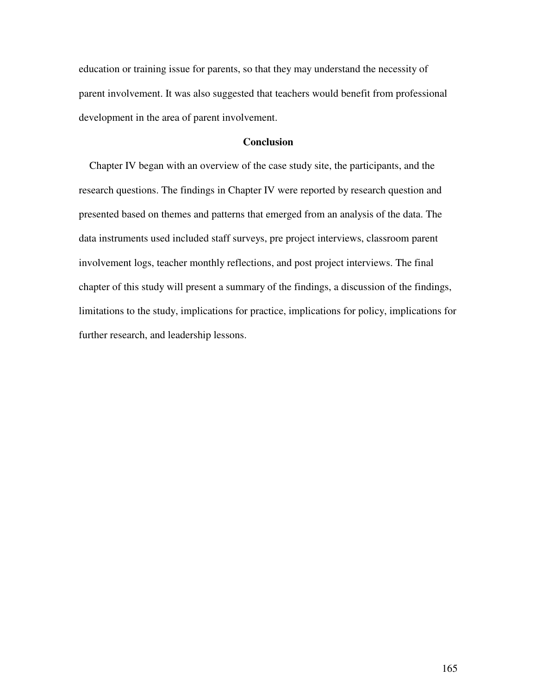education or training issue for parents, so that they may understand the necessity of parent involvement. It was also suggested that teachers would benefit from professional development in the area of parent involvement.

# **Conclusion**

Chapter IV began with an overview of the case study site, the participants, and the research questions. The findings in Chapter IV were reported by research question and presented based on themes and patterns that emerged from an analysis of the data. The data instruments used included staff surveys, pre project interviews, classroom parent involvement logs, teacher monthly reflections, and post project interviews. The final chapter of this study will present a summary of the findings, a discussion of the findings, limitations to the study, implications for practice, implications for policy, implications for further research, and leadership lessons.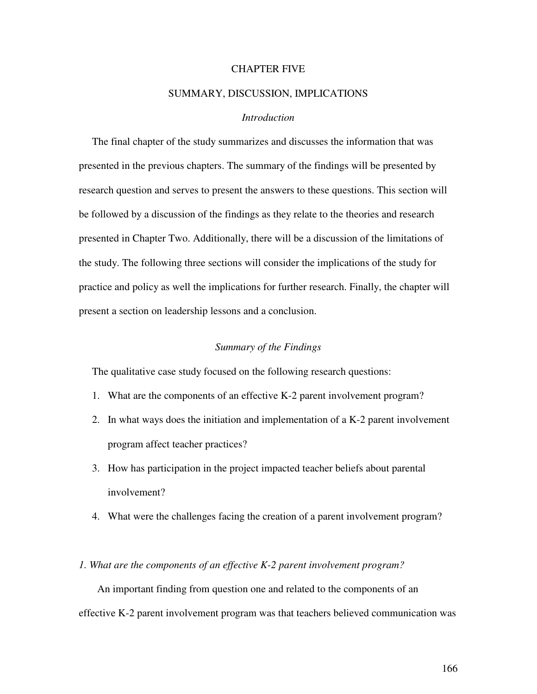# CHAPTER FIVE

### SUMMARY, DISCUSSION, IMPLICATIONS

## *Introduction*

The final chapter of the study summarizes and discusses the information that was presented in the previous chapters. The summary of the findings will be presented by research question and serves to present the answers to these questions. This section will be followed by a discussion of the findings as they relate to the theories and research presented in Chapter Two. Additionally, there will be a discussion of the limitations of the study. The following three sections will consider the implications of the study for practice and policy as well the implications for further research. Finally, the chapter will present a section on leadership lessons and a conclusion.

## *Summary of the Findings*

The qualitative case study focused on the following research questions:

- 1. What are the components of an effective K-2 parent involvement program?
- 2. In what ways does the initiation and implementation of a K-2 parent involvement program affect teacher practices?
- 3. How has participation in the project impacted teacher beliefs about parental involvement?
- 4. What were the challenges facing the creation of a parent involvement program?

# *1. What are the components of an effective K-2 parent involvement program?*

An important finding from question one and related to the components of an effective K-2 parent involvement program was that teachers believed communication was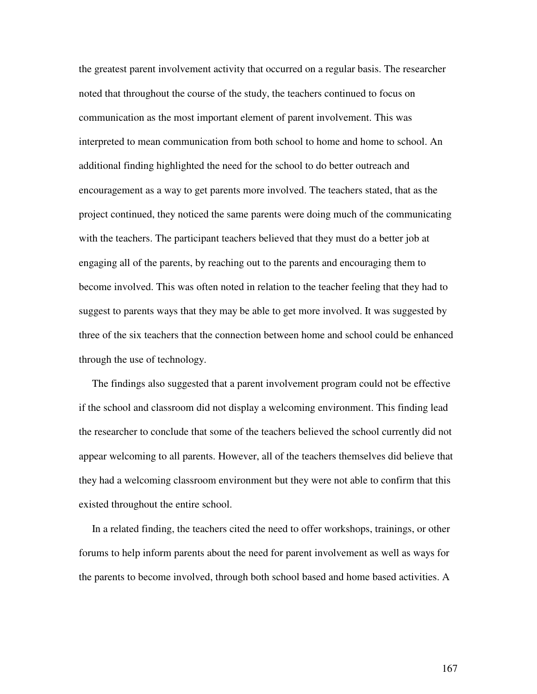the greatest parent involvement activity that occurred on a regular basis. The researcher noted that throughout the course of the study, the teachers continued to focus on communication as the most important element of parent involvement. This was interpreted to mean communication from both school to home and home to school. An additional finding highlighted the need for the school to do better outreach and encouragement as a way to get parents more involved. The teachers stated, that as the project continued, they noticed the same parents were doing much of the communicating with the teachers. The participant teachers believed that they must do a better job at engaging all of the parents, by reaching out to the parents and encouraging them to become involved. This was often noted in relation to the teacher feeling that they had to suggest to parents ways that they may be able to get more involved. It was suggested by three of the six teachers that the connection between home and school could be enhanced through the use of technology.

The findings also suggested that a parent involvement program could not be effective if the school and classroom did not display a welcoming environment. This finding lead the researcher to conclude that some of the teachers believed the school currently did not appear welcoming to all parents. However, all of the teachers themselves did believe that they had a welcoming classroom environment but they were not able to confirm that this existed throughout the entire school.

In a related finding, the teachers cited the need to offer workshops, trainings, or other forums to help inform parents about the need for parent involvement as well as ways for the parents to become involved, through both school based and home based activities. A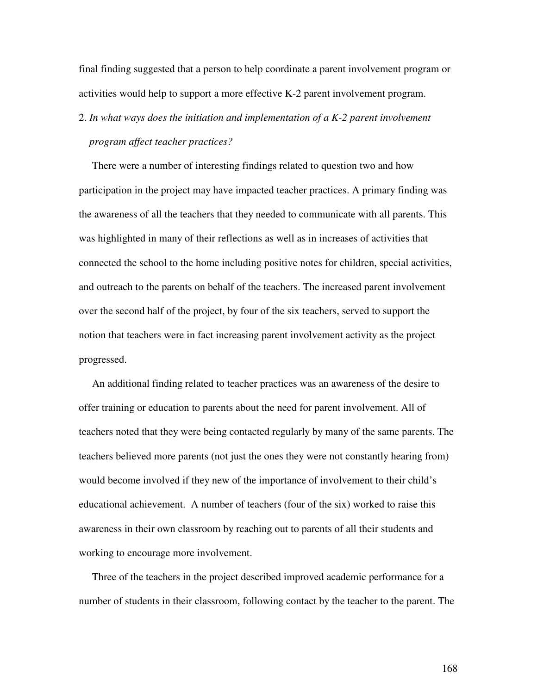final finding suggested that a person to help coordinate a parent involvement program or activities would help to support a more effective K-2 parent involvement program.

2. *In what ways does the initiation and implementation of a K-2 parent involvement program affect teacher practices?*

There were a number of interesting findings related to question two and how participation in the project may have impacted teacher practices. A primary finding was the awareness of all the teachers that they needed to communicate with all parents. This was highlighted in many of their reflections as well as in increases of activities that connected the school to the home including positive notes for children, special activities, and outreach to the parents on behalf of the teachers. The increased parent involvement over the second half of the project, by four of the six teachers, served to support the notion that teachers were in fact increasing parent involvement activity as the project progressed.

An additional finding related to teacher practices was an awareness of the desire to offer training or education to parents about the need for parent involvement. All of teachers noted that they were being contacted regularly by many of the same parents. The teachers believed more parents (not just the ones they were not constantly hearing from) would become involved if they new of the importance of involvement to their child's educational achievement. A number of teachers (four of the six) worked to raise this awareness in their own classroom by reaching out to parents of all their students and working to encourage more involvement.

Three of the teachers in the project described improved academic performance for a number of students in their classroom, following contact by the teacher to the parent. The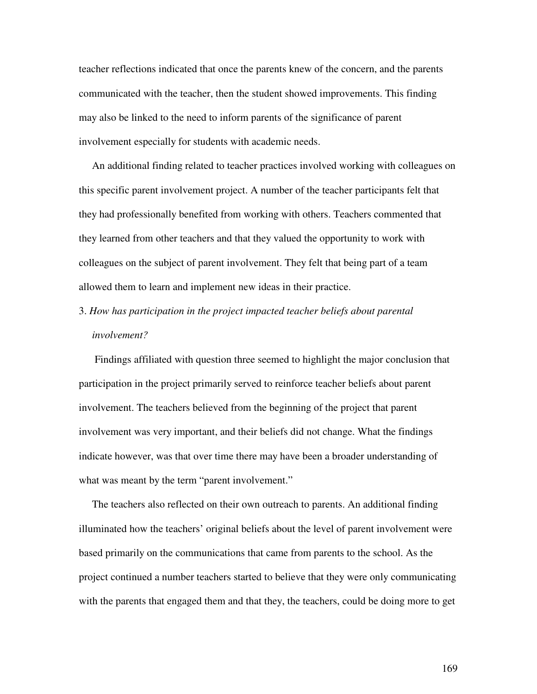teacher reflections indicated that once the parents knew of the concern, and the parents communicated with the teacher, then the student showed improvements. This finding may also be linked to the need to inform parents of the significance of parent involvement especially for students with academic needs.

An additional finding related to teacher practices involved working with colleagues on this specific parent involvement project. A number of the teacher participants felt that they had professionally benefited from working with others. Teachers commented that they learned from other teachers and that they valued the opportunity to work with colleagues on the subject of parent involvement. They felt that being part of a team allowed them to learn and implement new ideas in their practice.

3. *How has participation in the project impacted teacher beliefs about parental involvement?*

Findings affiliated with question three seemed to highlight the major conclusion that participation in the project primarily served to reinforce teacher beliefs about parent involvement. The teachers believed from the beginning of the project that parent involvement was very important, and their beliefs did not change. What the findings indicate however, was that over time there may have been a broader understanding of what was meant by the term "parent involvement."

The teachers also reflected on their own outreach to parents. An additional finding illuminated how the teachers' original beliefs about the level of parent involvement were based primarily on the communications that came from parents to the school. As the project continued a number teachers started to believe that they were only communicating with the parents that engaged them and that they, the teachers, could be doing more to get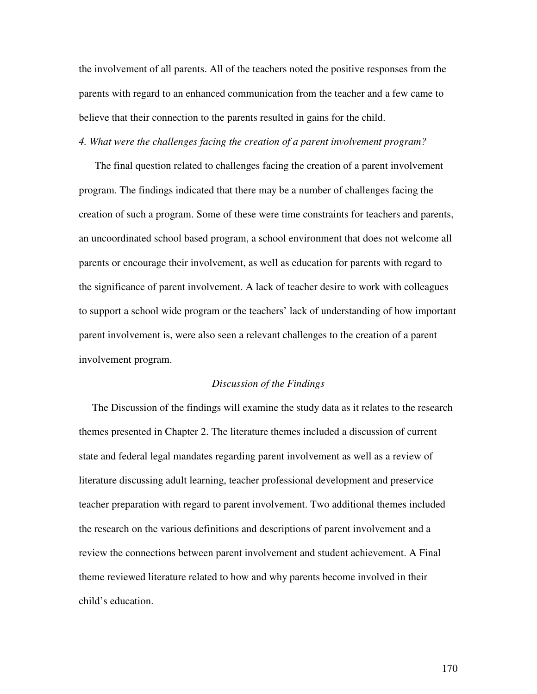the involvement of all parents. All of the teachers noted the positive responses from the parents with regard to an enhanced communication from the teacher and a few came to believe that their connection to the parents resulted in gains for the child.

## *4. What were the challenges facing the creation of a parent involvement program?*

The final question related to challenges facing the creation of a parent involvement program. The findings indicated that there may be a number of challenges facing the creation of such a program. Some of these were time constraints for teachers and parents, an uncoordinated school based program, a school environment that does not welcome all parents or encourage their involvement, as well as education for parents with regard to the significance of parent involvement. A lack of teacher desire to work with colleagues to support a school wide program or the teachers' lack of understanding of how important parent involvement is, were also seen a relevant challenges to the creation of a parent involvement program.

#### *Discussion of the Findings*

The Discussion of the findings will examine the study data as it relates to the research themes presented in Chapter 2. The literature themes included a discussion of current state and federal legal mandates regarding parent involvement as well as a review of literature discussing adult learning, teacher professional development and preservice teacher preparation with regard to parent involvement. Two additional themes included the research on the various definitions and descriptions of parent involvement and a review the connections between parent involvement and student achievement. A Final theme reviewed literature related to how and why parents become involved in their child's education.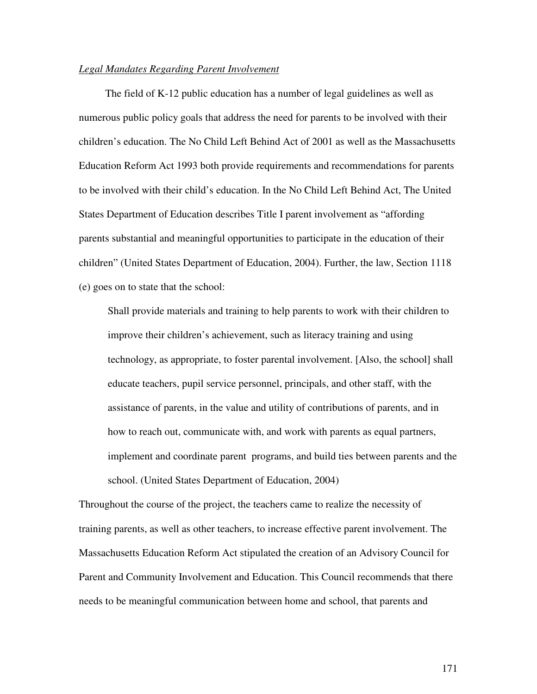### *Legal Mandates Regarding Parent Involvement*

The field of K-12 public education has a number of legal guidelines as well as numerous public policy goals that address the need for parents to be involved with their children's education. The No Child Left Behind Act of 2001 as well as the Massachusetts Education Reform Act 1993 both provide requirements and recommendations for parents to be involved with their child's education. In the No Child Left Behind Act, The United States Department of Education describes Title I parent involvement as "affording parents substantial and meaningful opportunities to participate in the education of their children" (United States Department of Education, 2004). Further, the law, Section 1118 (e) goes on to state that the school:

Shall provide materials and training to help parents to work with their children to improve their children's achievement, such as literacy training and using technology, as appropriate, to foster parental involvement. [Also, the school] shall educate teachers, pupil service personnel, principals, and other staff, with the assistance of parents, in the value and utility of contributions of parents, and in how to reach out, communicate with, and work with parents as equal partners, implement and coordinate parent programs, and build ties between parents and the school. (United States Department of Education, 2004)

Throughout the course of the project, the teachers came to realize the necessity of training parents, as well as other teachers, to increase effective parent involvement. The Massachusetts Education Reform Act stipulated the creation of an Advisory Council for Parent and Community Involvement and Education. This Council recommends that there needs to be meaningful communication between home and school, that parents and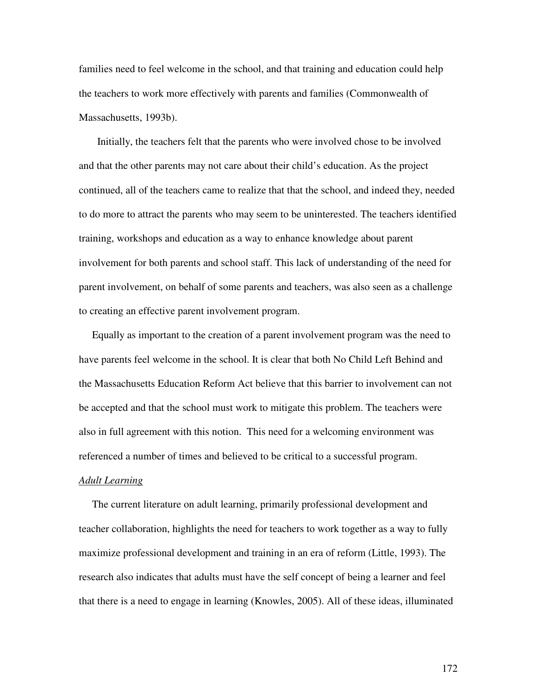families need to feel welcome in the school, and that training and education could help the teachers to work more effectively with parents and families (Commonwealth of Massachusetts, 1993b).

Initially, the teachers felt that the parents who were involved chose to be involved and that the other parents may not care about their child's education. As the project continued, all of the teachers came to realize that that the school, and indeed they, needed to do more to attract the parents who may seem to be uninterested. The teachers identified training, workshops and education as a way to enhance knowledge about parent involvement for both parents and school staff. This lack of understanding of the need for parent involvement, on behalf of some parents and teachers, was also seen as a challenge to creating an effective parent involvement program.

Equally as important to the creation of a parent involvement program was the need to have parents feel welcome in the school. It is clear that both No Child Left Behind and the Massachusetts Education Reform Act believe that this barrier to involvement can not be accepted and that the school must work to mitigate this problem. The teachers were also in full agreement with this notion. This need for a welcoming environment was referenced a number of times and believed to be critical to a successful program.

#### *Adult Learning*

The current literature on adult learning, primarily professional development and teacher collaboration, highlights the need for teachers to work together as a way to fully maximize professional development and training in an era of reform (Little, 1993). The research also indicates that adults must have the self concept of being a learner and feel that there is a need to engage in learning (Knowles, 2005). All of these ideas, illuminated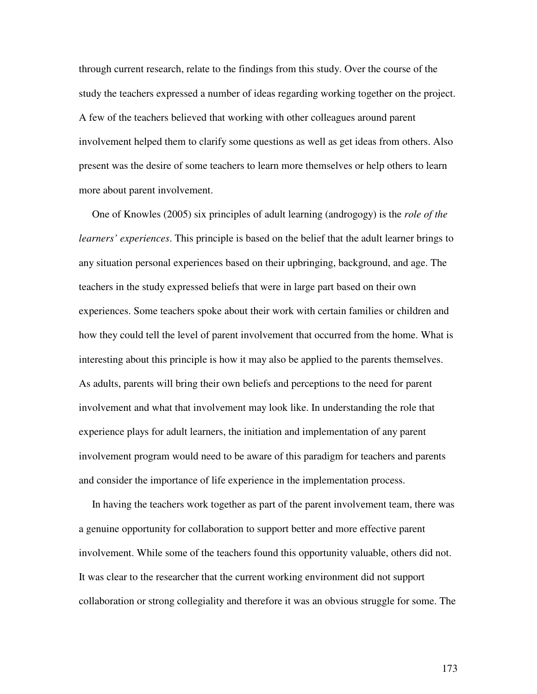through current research, relate to the findings from this study. Over the course of the study the teachers expressed a number of ideas regarding working together on the project. A few of the teachers believed that working with other colleagues around parent involvement helped them to clarify some questions as well as get ideas from others. Also present was the desire of some teachers to learn more themselves or help others to learn more about parent involvement.

One of Knowles (2005) six principles of adult learning (androgogy) is the *role of the learners' experiences*. This principle is based on the belief that the adult learner brings to any situation personal experiences based on their upbringing, background, and age. The teachers in the study expressed beliefs that were in large part based on their own experiences. Some teachers spoke about their work with certain families or children and how they could tell the level of parent involvement that occurred from the home. What is interesting about this principle is how it may also be applied to the parents themselves. As adults, parents will bring their own beliefs and perceptions to the need for parent involvement and what that involvement may look like. In understanding the role that experience plays for adult learners, the initiation and implementation of any parent involvement program would need to be aware of this paradigm for teachers and parents and consider the importance of life experience in the implementation process.

In having the teachers work together as part of the parent involvement team, there was a genuine opportunity for collaboration to support better and more effective parent involvement. While some of the teachers found this opportunity valuable, others did not. It was clear to the researcher that the current working environment did not support collaboration or strong collegiality and therefore it was an obvious struggle for some. The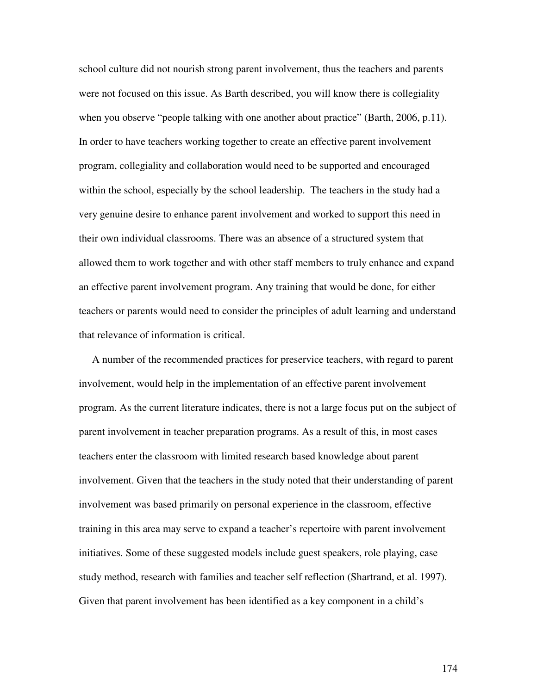school culture did not nourish strong parent involvement, thus the teachers and parents were not focused on this issue. As Barth described, you will know there is collegiality when you observe "people talking with one another about practice" (Barth, 2006, p.11). In order to have teachers working together to create an effective parent involvement program, collegiality and collaboration would need to be supported and encouraged within the school, especially by the school leadership. The teachers in the study had a very genuine desire to enhance parent involvement and worked to support this need in their own individual classrooms. There was an absence of a structured system that allowed them to work together and with other staff members to truly enhance and expand an effective parent involvement program. Any training that would be done, for either teachers or parents would need to consider the principles of adult learning and understand that relevance of information is critical.

A number of the recommended practices for preservice teachers, with regard to parent involvement, would help in the implementation of an effective parent involvement program. As the current literature indicates, there is not a large focus put on the subject of parent involvement in teacher preparation programs. As a result of this, in most cases teachers enter the classroom with limited research based knowledge about parent involvement. Given that the teachers in the study noted that their understanding of parent involvement was based primarily on personal experience in the classroom, effective training in this area may serve to expand a teacher's repertoire with parent involvement initiatives. Some of these suggested models include guest speakers, role playing, case study method, research with families and teacher self reflection (Shartrand, et al. 1997). Given that parent involvement has been identified as a key component in a child's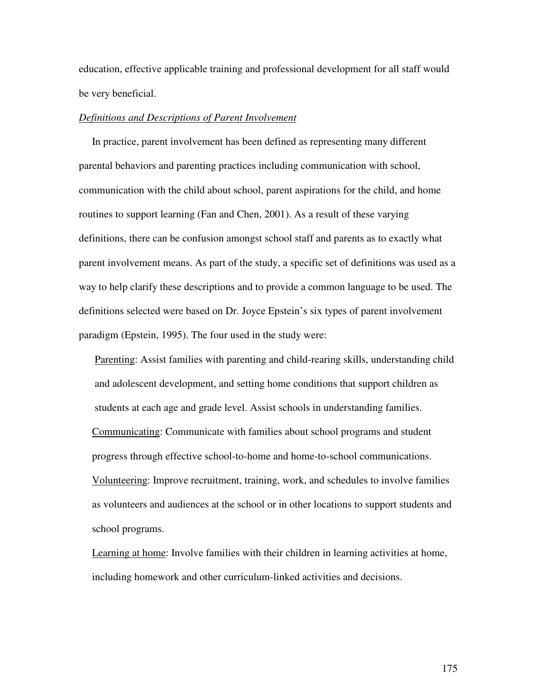education, effective applicable training and professional development for all staff would be very beneficial.

## *Definitions and Descriptions of Parent Involvement*

In practice, parent involvement has been defined as representing many different parental behaviors and parenting practices including communication with school, communication with the child about school, parent aspirations for the child, and home routines to support learning (Fan and Chen, 2001). As a result of these varying definitions, there can be confusion amongst school staff and parents as to exactly what parent involvement means. As part of the study, a specific set of definitions was used as a way to help clarify these descriptions and to provide a common language to be used. The definitions selected were based on Dr. Joyce Epstein's six types of parent involvement paradigm (Epstein, 1995). The four used in the study were:

Parenting: Assist families with parenting and child-rearing skills, understanding child and adolescent development, and setting home conditions that support children as students at each age and grade level. Assist schools in understanding families. Communicating: Communicate with families about school programs and student progress through effective school-to-home and home-to-school communications. Volunteering: Improve recruitment, training, work, and schedules to involve families as volunteers and audiences at the school or in other locations to support students and school programs.

Learning at home: Involve families with their children in learning activities at home, including homework and other curriculum-linked activities and decisions.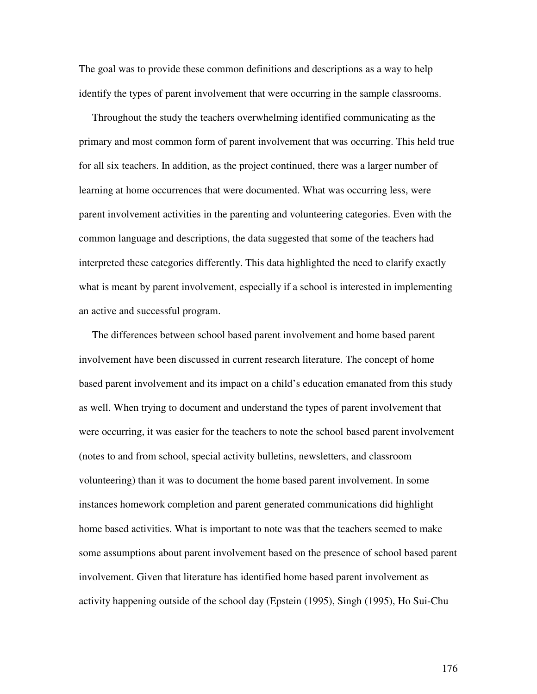The goal was to provide these common definitions and descriptions as a way to help identify the types of parent involvement that were occurring in the sample classrooms.

Throughout the study the teachers overwhelming identified communicating as the primary and most common form of parent involvement that was occurring. This held true for all six teachers. In addition, as the project continued, there was a larger number of learning at home occurrences that were documented. What was occurring less, were parent involvement activities in the parenting and volunteering categories. Even with the common language and descriptions, the data suggested that some of the teachers had interpreted these categories differently. This data highlighted the need to clarify exactly what is meant by parent involvement, especially if a school is interested in implementing an active and successful program.

The differences between school based parent involvement and home based parent involvement have been discussed in current research literature. The concept of home based parent involvement and its impact on a child's education emanated from this study as well. When trying to document and understand the types of parent involvement that were occurring, it was easier for the teachers to note the school based parent involvement (notes to and from school, special activity bulletins, newsletters, and classroom volunteering) than it was to document the home based parent involvement. In some instances homework completion and parent generated communications did highlight home based activities. What is important to note was that the teachers seemed to make some assumptions about parent involvement based on the presence of school based parent involvement. Given that literature has identified home based parent involvement as activity happening outside of the school day (Epstein (1995), Singh (1995), Ho Sui-Chu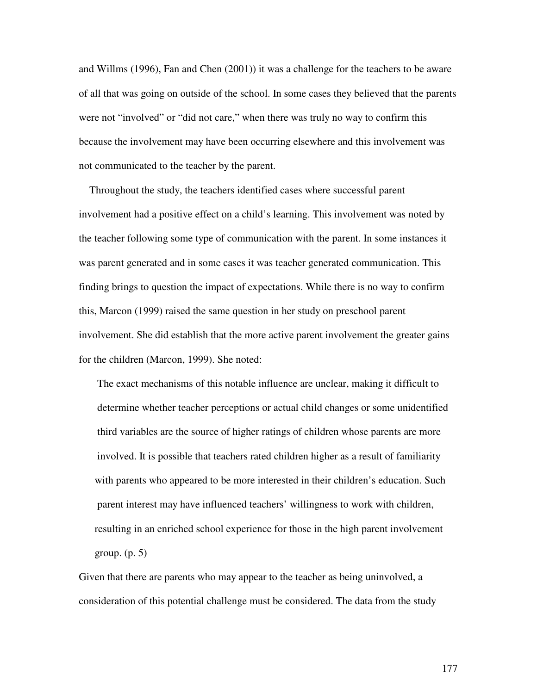and Willms (1996), Fan and Chen (2001)) it was a challenge for the teachers to be aware of all that was going on outside of the school. In some cases they believed that the parents were not "involved" or "did not care," when there was truly no way to confirm this because the involvement may have been occurring elsewhere and this involvement was not communicated to the teacher by the parent.

Throughout the study, the teachers identified cases where successful parent involvement had a positive effect on a child's learning. This involvement was noted by the teacher following some type of communication with the parent. In some instances it was parent generated and in some cases it was teacher generated communication. This finding brings to question the impact of expectations. While there is no way to confirm this, Marcon (1999) raised the same question in her study on preschool parent involvement. She did establish that the more active parent involvement the greater gains for the children (Marcon, 1999). She noted:

The exact mechanisms of this notable influence are unclear, making it difficult to determine whether teacher perceptions or actual child changes or some unidentified third variables are the source of higher ratings of children whose parents are more involved. It is possible that teachers rated children higher as a result of familiarity with parents who appeared to be more interested in their children's education. Such parent interest may have influenced teachers' willingness to work with children, resulting in an enriched school experience for those in the high parent involvement group.  $(p, 5)$ 

Given that there are parents who may appear to the teacher as being uninvolved, a consideration of this potential challenge must be considered. The data from the study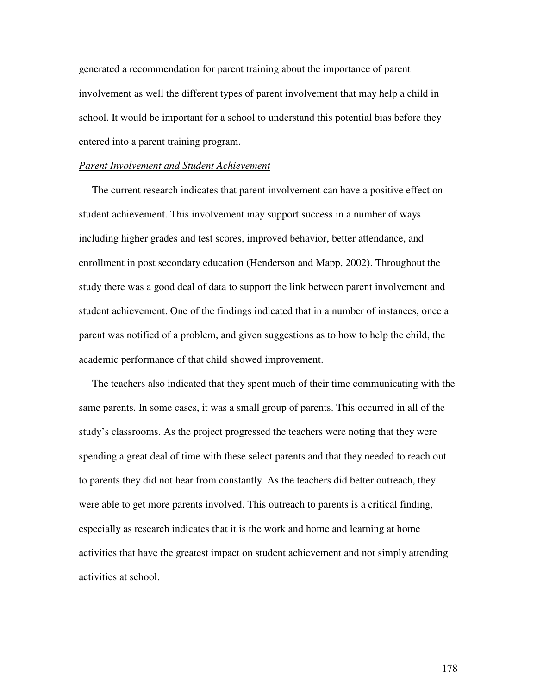generated a recommendation for parent training about the importance of parent involvement as well the different types of parent involvement that may help a child in school. It would be important for a school to understand this potential bias before they entered into a parent training program.

### *Parent Involvement and Student Achievement*

The current research indicates that parent involvement can have a positive effect on student achievement. This involvement may support success in a number of ways including higher grades and test scores, improved behavior, better attendance, and enrollment in post secondary education (Henderson and Mapp, 2002). Throughout the study there was a good deal of data to support the link between parent involvement and student achievement. One of the findings indicated that in a number of instances, once a parent was notified of a problem, and given suggestions as to how to help the child, the academic performance of that child showed improvement.

The teachers also indicated that they spent much of their time communicating with the same parents. In some cases, it was a small group of parents. This occurred in all of the study's classrooms. As the project progressed the teachers were noting that they were spending a great deal of time with these select parents and that they needed to reach out to parents they did not hear from constantly. As the teachers did better outreach, they were able to get more parents involved. This outreach to parents is a critical finding, especially as research indicates that it is the work and home and learning at home activities that have the greatest impact on student achievement and not simply attending activities at school.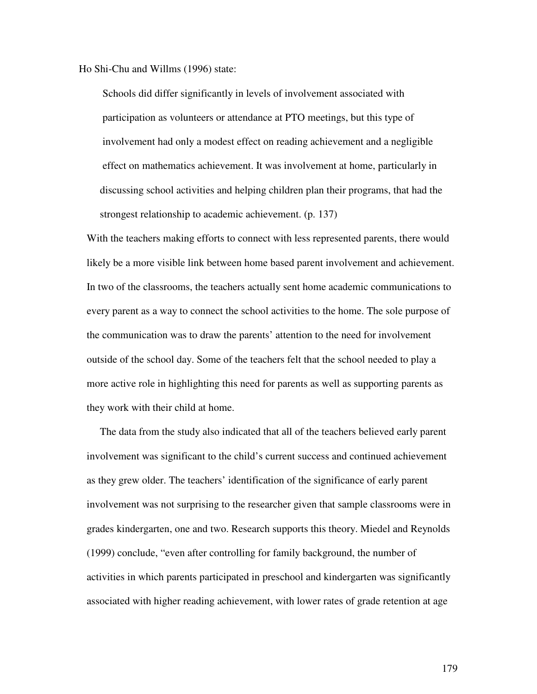Ho Shi-Chu and Willms (1996) state:

Schools did differ significantly in levels of involvement associated with participation as volunteers or attendance at PTO meetings, but this type of involvement had only a modest effect on reading achievement and a negligible effect on mathematics achievement. It was involvement at home, particularly in discussing school activities and helping children plan their programs, that had the strongest relationship to academic achievement. (p. 137)

With the teachers making efforts to connect with less represented parents, there would likely be a more visible link between home based parent involvement and achievement. In two of the classrooms, the teachers actually sent home academic communications to every parent as a way to connect the school activities to the home. The sole purpose of the communication was to draw the parents' attention to the need for involvement outside of the school day. Some of the teachers felt that the school needed to play a more active role in highlighting this need for parents as well as supporting parents as they work with their child at home.

The data from the study also indicated that all of the teachers believed early parent involvement was significant to the child's current success and continued achievement as they grew older. The teachers' identification of the significance of early parent involvement was not surprising to the researcher given that sample classrooms were in grades kindergarten, one and two. Research supports this theory. Miedel and Reynolds (1999) conclude, "even after controlling for family background, the number of activities in which parents participated in preschool and kindergarten was significantly associated with higher reading achievement, with lower rates of grade retention at age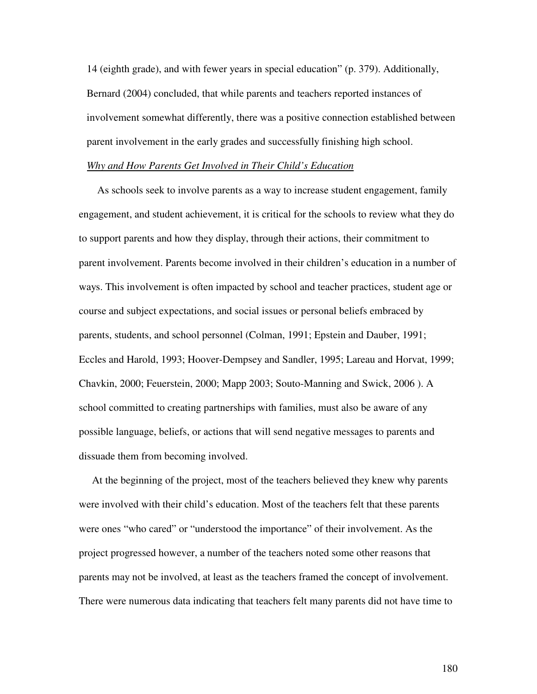14 (eighth grade), and with fewer years in special education" (p. 379). Additionally, Bernard (2004) concluded, that while parents and teachers reported instances of involvement somewhat differently, there was a positive connection established between parent involvement in the early grades and successfully finishing high school.

### *Why and How Parents Get Involved in Their Child's Education*

As schools seek to involve parents as a way to increase student engagement, family engagement, and student achievement, it is critical for the schools to review what they do to support parents and how they display, through their actions, their commitment to parent involvement. Parents become involved in their children's education in a number of ways. This involvement is often impacted by school and teacher practices, student age or course and subject expectations, and social issues or personal beliefs embraced by parents, students, and school personnel (Colman, 1991; Epstein and Dauber, 1991; Eccles and Harold, 1993; Hoover-Dempsey and Sandler, 1995; Lareau and Horvat, 1999; Chavkin, 2000; Feuerstein, 2000; Mapp 2003; Souto-Manning and Swick, 2006 ). A school committed to creating partnerships with families, must also be aware of any possible language, beliefs, or actions that will send negative messages to parents and dissuade them from becoming involved.

At the beginning of the project, most of the teachers believed they knew why parents were involved with their child's education. Most of the teachers felt that these parents were ones "who cared" or "understood the importance" of their involvement. As the project progressed however, a number of the teachers noted some other reasons that parents may not be involved, at least as the teachers framed the concept of involvement. There were numerous data indicating that teachers felt many parents did not have time to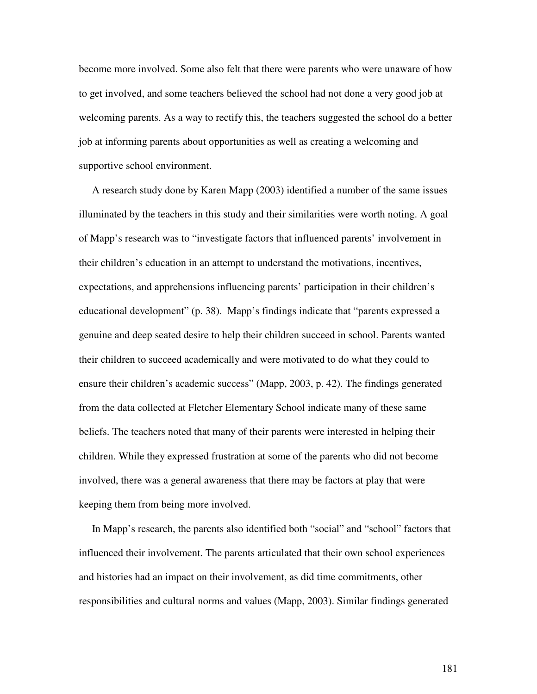become more involved. Some also felt that there were parents who were unaware of how to get involved, and some teachers believed the school had not done a very good job at welcoming parents. As a way to rectify this, the teachers suggested the school do a better job at informing parents about opportunities as well as creating a welcoming and supportive school environment.

A research study done by Karen Mapp (2003) identified a number of the same issues illuminated by the teachers in this study and their similarities were worth noting. A goal of Mapp's research was to "investigate factors that influenced parents' involvement in their children's education in an attempt to understand the motivations, incentives, expectations, and apprehensions influencing parents' participation in their children's educational development" (p. 38). Mapp's findings indicate that "parents expressed a genuine and deep seated desire to help their children succeed in school. Parents wanted their children to succeed academically and were motivated to do what they could to ensure their children's academic success" (Mapp, 2003, p. 42). The findings generated from the data collected at Fletcher Elementary School indicate many of these same beliefs. The teachers noted that many of their parents were interested in helping their children. While they expressed frustration at some of the parents who did not become involved, there was a general awareness that there may be factors at play that were keeping them from being more involved.

In Mapp's research, the parents also identified both "social" and "school" factors that influenced their involvement. The parents articulated that their own school experiences and histories had an impact on their involvement, as did time commitments, other responsibilities and cultural norms and values (Mapp, 2003). Similar findings generated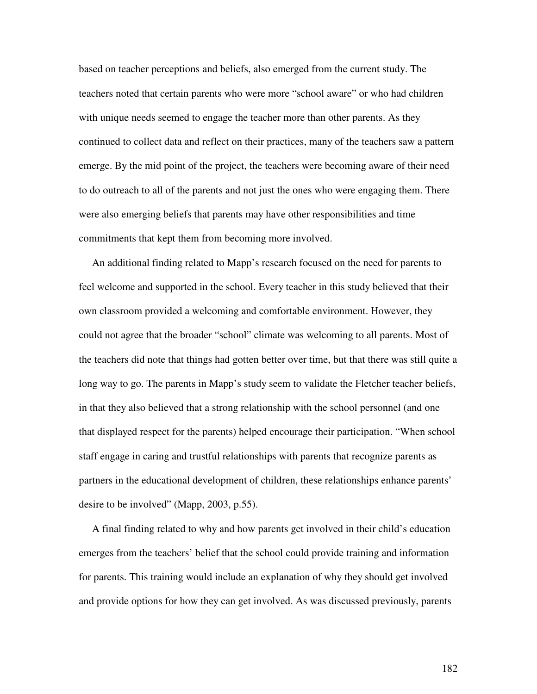based on teacher perceptions and beliefs, also emerged from the current study. The teachers noted that certain parents who were more "school aware" or who had children with unique needs seemed to engage the teacher more than other parents. As they continued to collect data and reflect on their practices, many of the teachers saw a pattern emerge. By the mid point of the project, the teachers were becoming aware of their need to do outreach to all of the parents and not just the ones who were engaging them. There were also emerging beliefs that parents may have other responsibilities and time commitments that kept them from becoming more involved.

An additional finding related to Mapp's research focused on the need for parents to feel welcome and supported in the school. Every teacher in this study believed that their own classroom provided a welcoming and comfortable environment. However, they could not agree that the broader "school" climate was welcoming to all parents. Most of the teachers did note that things had gotten better over time, but that there was still quite a long way to go. The parents in Mapp's study seem to validate the Fletcher teacher beliefs, in that they also believed that a strong relationship with the school personnel (and one that displayed respect for the parents) helped encourage their participation. "When school staff engage in caring and trustful relationships with parents that recognize parents as partners in the educational development of children, these relationships enhance parents' desire to be involved" (Mapp, 2003, p.55).

A final finding related to why and how parents get involved in their child's education emerges from the teachers' belief that the school could provide training and information for parents. This training would include an explanation of why they should get involved and provide options for how they can get involved. As was discussed previously, parents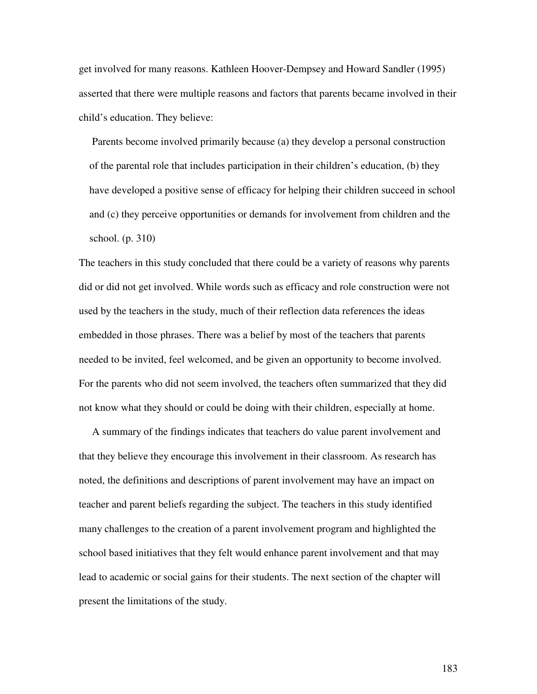get involved for many reasons. Kathleen Hoover-Dempsey and Howard Sandler (1995) asserted that there were multiple reasons and factors that parents became involved in their child's education. They believe:

Parents become involved primarily because (a) they develop a personal construction of the parental role that includes participation in their children's education, (b) they have developed a positive sense of efficacy for helping their children succeed in school and (c) they perceive opportunities or demands for involvement from children and the school. (p. 310)

The teachers in this study concluded that there could be a variety of reasons why parents did or did not get involved. While words such as efficacy and role construction were not used by the teachers in the study, much of their reflection data references the ideas embedded in those phrases. There was a belief by most of the teachers that parents needed to be invited, feel welcomed, and be given an opportunity to become involved. For the parents who did not seem involved, the teachers often summarized that they did not know what they should or could be doing with their children, especially at home.

A summary of the findings indicates that teachers do value parent involvement and that they believe they encourage this involvement in their classroom. As research has noted, the definitions and descriptions of parent involvement may have an impact on teacher and parent beliefs regarding the subject. The teachers in this study identified many challenges to the creation of a parent involvement program and highlighted the school based initiatives that they felt would enhance parent involvement and that may lead to academic or social gains for their students. The next section of the chapter will present the limitations of the study.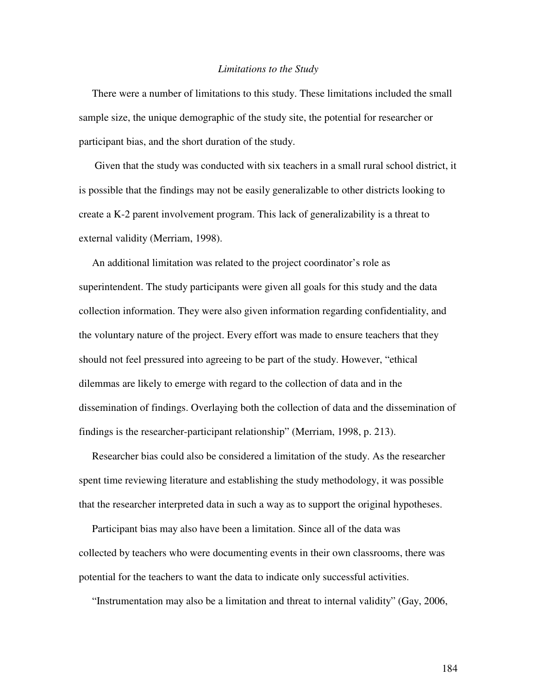#### *Limitations to the Study*

There were a number of limitations to this study. These limitations included the small sample size, the unique demographic of the study site, the potential for researcher or participant bias, and the short duration of the study.

Given that the study was conducted with six teachers in a small rural school district, it is possible that the findings may not be easily generalizable to other districts looking to create a K-2 parent involvement program. This lack of generalizability is a threat to external validity (Merriam, 1998).

An additional limitation was related to the project coordinator's role as superintendent. The study participants were given all goals for this study and the data collection information. They were also given information regarding confidentiality, and the voluntary nature of the project. Every effort was made to ensure teachers that they should not feel pressured into agreeing to be part of the study. However, "ethical dilemmas are likely to emerge with regard to the collection of data and in the dissemination of findings. Overlaying both the collection of data and the dissemination of findings is the researcher-participant relationship" (Merriam, 1998, p. 213).

Researcher bias could also be considered a limitation of the study. As the researcher spent time reviewing literature and establishing the study methodology, it was possible that the researcher interpreted data in such a way as to support the original hypotheses.

Participant bias may also have been a limitation. Since all of the data was collected by teachers who were documenting events in their own classrooms, there was potential for the teachers to want the data to indicate only successful activities.

"Instrumentation may also be a limitation and threat to internal validity" (Gay, 2006,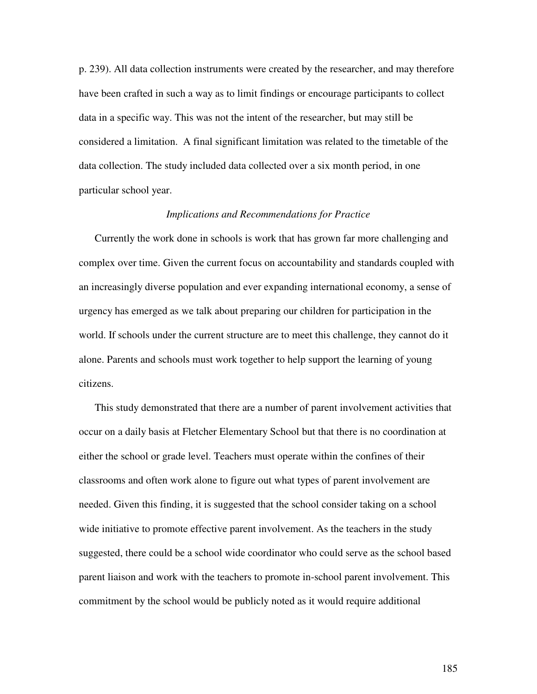p. 239). All data collection instruments were created by the researcher, and may therefore have been crafted in such a way as to limit findings or encourage participants to collect data in a specific way. This was not the intent of the researcher, but may still be considered a limitation. A final significant limitation was related to the timetable of the data collection. The study included data collected over a six month period, in one particular school year.

### *Implications and Recommendations for Practice*

Currently the work done in schools is work that has grown far more challenging and complex over time. Given the current focus on accountability and standards coupled with an increasingly diverse population and ever expanding international economy, a sense of urgency has emerged as we talk about preparing our children for participation in the world. If schools under the current structure are to meet this challenge, they cannot do it alone. Parents and schools must work together to help support the learning of young citizens.

This study demonstrated that there are a number of parent involvement activities that occur on a daily basis at Fletcher Elementary School but that there is no coordination at either the school or grade level. Teachers must operate within the confines of their classrooms and often work alone to figure out what types of parent involvement are needed. Given this finding, it is suggested that the school consider taking on a school wide initiative to promote effective parent involvement. As the teachers in the study suggested, there could be a school wide coordinator who could serve as the school based parent liaison and work with the teachers to promote in-school parent involvement. This commitment by the school would be publicly noted as it would require additional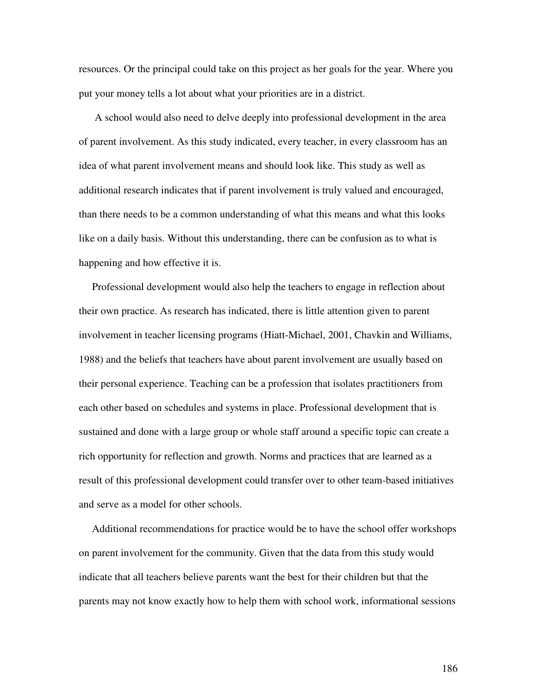resources. Or the principal could take on this project as her goals for the year. Where you put your money tells a lot about what your priorities are in a district.

A school would also need to delve deeply into professional development in the area of parent involvement. As this study indicated, every teacher, in every classroom has an idea of what parent involvement means and should look like. This study as well as additional research indicates that if parent involvement is truly valued and encouraged, than there needs to be a common understanding of what this means and what this looks like on a daily basis. Without this understanding, there can be confusion as to what is happening and how effective it is.

Professional development would also help the teachers to engage in reflection about their own practice. As research has indicated, there is little attention given to parent involvement in teacher licensing programs (Hiatt-Michael, 2001, Chavkin and Williams, 1988) and the beliefs that teachers have about parent involvement are usually based on their personal experience. Teaching can be a profession that isolates practitioners from each other based on schedules and systems in place. Professional development that is sustained and done with a large group or whole staff around a specific topic can create a rich opportunity for reflection and growth. Norms and practices that are learned as a result of this professional development could transfer over to other team-based initiatives and serve as a model for other schools.

Additional recommendations for practice would be to have the school offer workshops on parent involvement for the community. Given that the data from this study would indicate that all teachers believe parents want the best for their children but that the parents may not know exactly how to help them with school work, informational sessions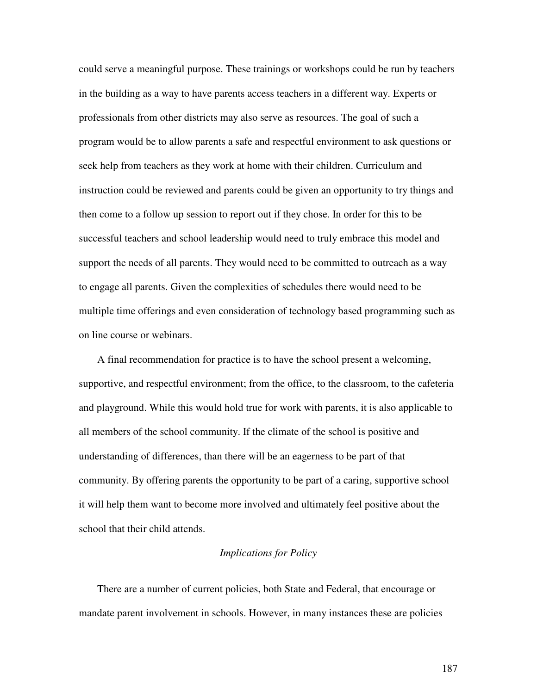could serve a meaningful purpose. These trainings or workshops could be run by teachers in the building as a way to have parents access teachers in a different way. Experts or professionals from other districts may also serve as resources. The goal of such a program would be to allow parents a safe and respectful environment to ask questions or seek help from teachers as they work at home with their children. Curriculum and instruction could be reviewed and parents could be given an opportunity to try things and then come to a follow up session to report out if they chose. In order for this to be successful teachers and school leadership would need to truly embrace this model and support the needs of all parents. They would need to be committed to outreach as a way to engage all parents. Given the complexities of schedules there would need to be multiple time offerings and even consideration of technology based programming such as on line course or webinars.

A final recommendation for practice is to have the school present a welcoming, supportive, and respectful environment; from the office, to the classroom, to the cafeteria and playground. While this would hold true for work with parents, it is also applicable to all members of the school community. If the climate of the school is positive and understanding of differences, than there will be an eagerness to be part of that community. By offering parents the opportunity to be part of a caring, supportive school it will help them want to become more involved and ultimately feel positive about the school that their child attends.

### *Implications for Policy*

There are a number of current policies, both State and Federal, that encourage or mandate parent involvement in schools. However, in many instances these are policies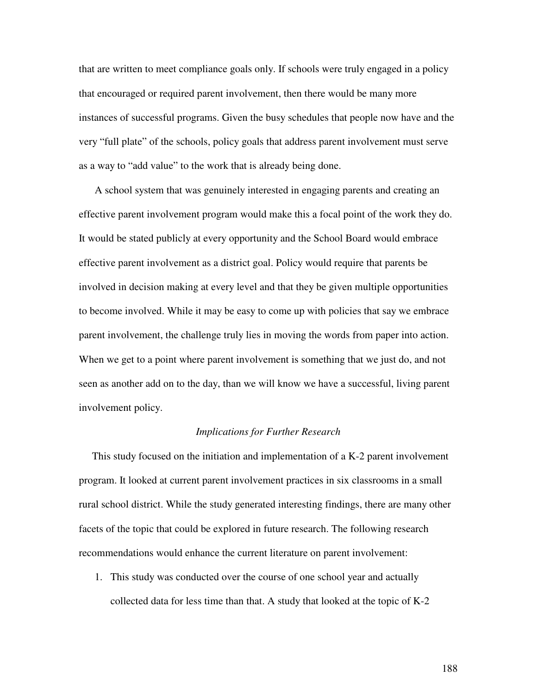that are written to meet compliance goals only. If schools were truly engaged in a policy that encouraged or required parent involvement, then there would be many more instances of successful programs. Given the busy schedules that people now have and the very "full plate" of the schools, policy goals that address parent involvement must serve as a way to "add value" to the work that is already being done.

A school system that was genuinely interested in engaging parents and creating an effective parent involvement program would make this a focal point of the work they do. It would be stated publicly at every opportunity and the School Board would embrace effective parent involvement as a district goal. Policy would require that parents be involved in decision making at every level and that they be given multiple opportunities to become involved. While it may be easy to come up with policies that say we embrace parent involvement, the challenge truly lies in moving the words from paper into action. When we get to a point where parent involvement is something that we just do, and not seen as another add on to the day, than we will know we have a successful, living parent involvement policy.

## *Implications for Further Research*

This study focused on the initiation and implementation of a K-2 parent involvement program. It looked at current parent involvement practices in six classrooms in a small rural school district. While the study generated interesting findings, there are many other facets of the topic that could be explored in future research. The following research recommendations would enhance the current literature on parent involvement:

1. This study was conducted over the course of one school year and actually collected data for less time than that. A study that looked at the topic of K-2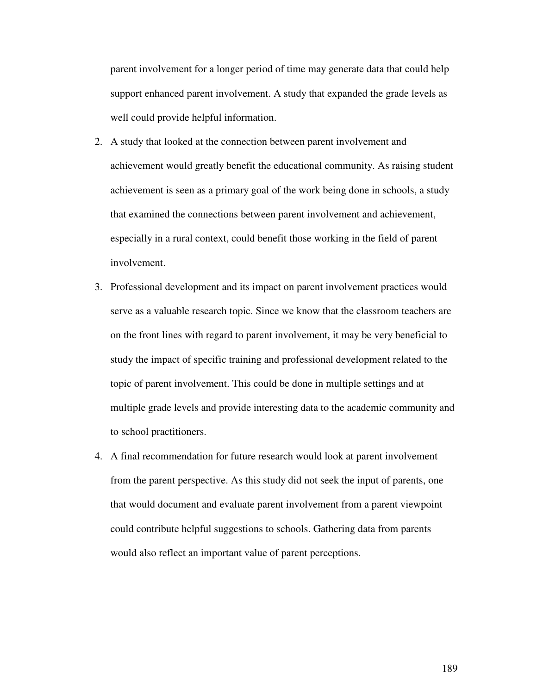parent involvement for a longer period of time may generate data that could help support enhanced parent involvement. A study that expanded the grade levels as well could provide helpful information.

- 2. A study that looked at the connection between parent involvement and achievement would greatly benefit the educational community. As raising student achievement is seen as a primary goal of the work being done in schools, a study that examined the connections between parent involvement and achievement, especially in a rural context, could benefit those working in the field of parent involvement.
- 3. Professional development and its impact on parent involvement practices would serve as a valuable research topic. Since we know that the classroom teachers are on the front lines with regard to parent involvement, it may be very beneficial to study the impact of specific training and professional development related to the topic of parent involvement. This could be done in multiple settings and at multiple grade levels and provide interesting data to the academic community and to school practitioners.
- 4. A final recommendation for future research would look at parent involvement from the parent perspective. As this study did not seek the input of parents, one that would document and evaluate parent involvement from a parent viewpoint could contribute helpful suggestions to schools. Gathering data from parents would also reflect an important value of parent perceptions.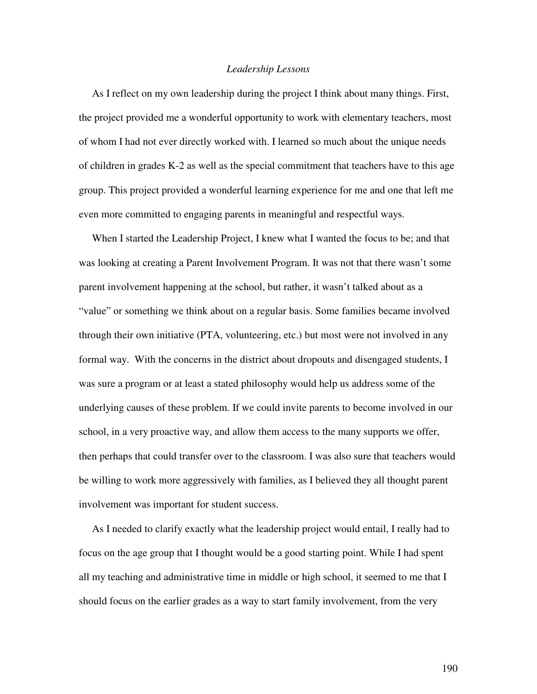### *Leadership Lessons*

As I reflect on my own leadership during the project I think about many things. First, the project provided me a wonderful opportunity to work with elementary teachers, most of whom I had not ever directly worked with. I learned so much about the unique needs of children in grades K-2 as well as the special commitment that teachers have to this age group. This project provided a wonderful learning experience for me and one that left me even more committed to engaging parents in meaningful and respectful ways.

When I started the Leadership Project, I knew what I wanted the focus to be; and that was looking at creating a Parent Involvement Program. It was not that there wasn't some parent involvement happening at the school, but rather, it wasn't talked about as a "value" or something we think about on a regular basis. Some families became involved through their own initiative (PTA, volunteering, etc.) but most were not involved in any formal way. With the concerns in the district about dropouts and disengaged students, I was sure a program or at least a stated philosophy would help us address some of the underlying causes of these problem. If we could invite parents to become involved in our school, in a very proactive way, and allow them access to the many supports we offer, then perhaps that could transfer over to the classroom. I was also sure that teachers would be willing to work more aggressively with families, as I believed they all thought parent involvement was important for student success.

As I needed to clarify exactly what the leadership project would entail, I really had to focus on the age group that I thought would be a good starting point. While I had spent all my teaching and administrative time in middle or high school, it seemed to me that I should focus on the earlier grades as a way to start family involvement, from the very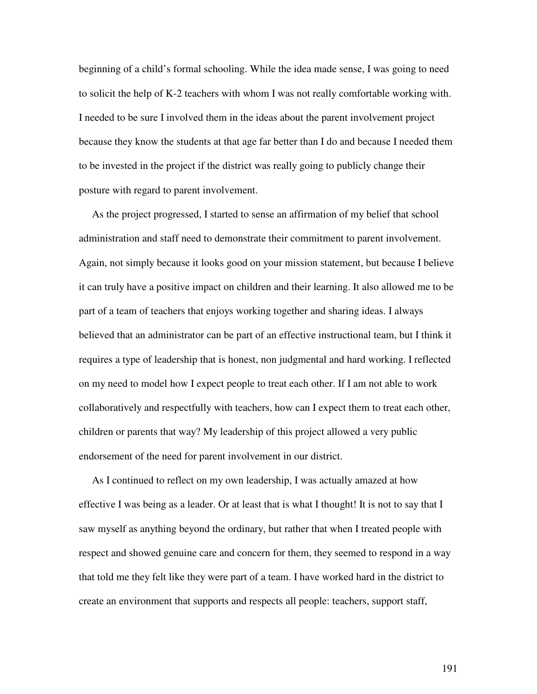beginning of a child's formal schooling. While the idea made sense, I was going to need to solicit the help of K-2 teachers with whom I was not really comfortable working with. I needed to be sure I involved them in the ideas about the parent involvement project because they know the students at that age far better than I do and because I needed them to be invested in the project if the district was really going to publicly change their posture with regard to parent involvement.

As the project progressed, I started to sense an affirmation of my belief that school administration and staff need to demonstrate their commitment to parent involvement. Again, not simply because it looks good on your mission statement, but because I believe it can truly have a positive impact on children and their learning. It also allowed me to be part of a team of teachers that enjoys working together and sharing ideas. I always believed that an administrator can be part of an effective instructional team, but I think it requires a type of leadership that is honest, non judgmental and hard working. I reflected on my need to model how I expect people to treat each other. If I am not able to work collaboratively and respectfully with teachers, how can I expect them to treat each other, children or parents that way? My leadership of this project allowed a very public endorsement of the need for parent involvement in our district.

As I continued to reflect on my own leadership, I was actually amazed at how effective I was being as a leader. Or at least that is what I thought! It is not to say that I saw myself as anything beyond the ordinary, but rather that when I treated people with respect and showed genuine care and concern for them, they seemed to respond in a way that told me they felt like they were part of a team. I have worked hard in the district to create an environment that supports and respects all people: teachers, support staff,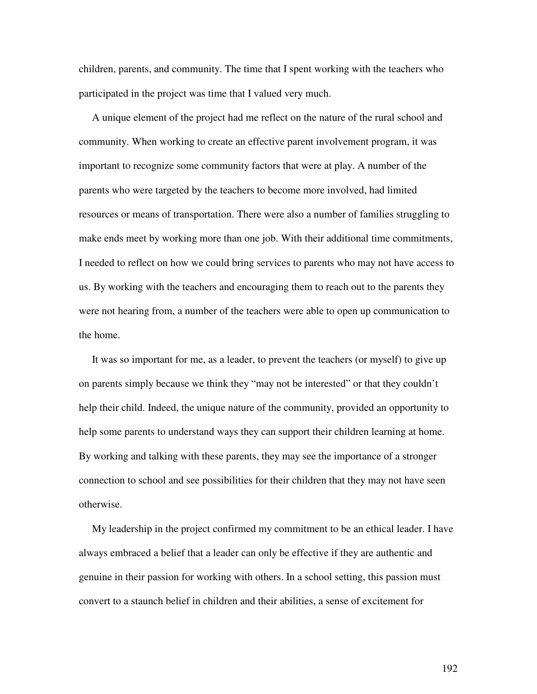children, parents, and community. The time that I spent working with the teachers who participated in the project was time that I valued very much.

A unique element of the project had me reflect on the nature of the rural school and community. When working to create an effective parent involvement program, it was important to recognize some community factors that were at play. A number of the parents who were targeted by the teachers to become more involved, had limited resources or means of transportation. There were also a number of families struggling to make ends meet by working more than one job. With their additional time commitments, I needed to reflect on how we could bring services to parents who may not have access to us. By working with the teachers and encouraging them to reach out to the parents they were not hearing from, a number of the teachers were able to open up communication to the home.

It was so important for me, as a leader, to prevent the teachers (or myself) to give up on parents simply because we think they "may not be interested" or that they couldn't help their child. Indeed, the unique nature of the community, provided an opportunity to help some parents to understand ways they can support their children learning at home. By working and talking with these parents, they may see the importance of a stronger connection to school and see possibilities for their children that they may not have seen otherwise.

My leadership in the project confirmed my commitment to be an ethical leader. I have always embraced a belief that a leader can only be effective if they are authentic and genuine in their passion for working with others. In a school setting, this passion must convert to a staunch belief in children and their abilities, a sense of excitement for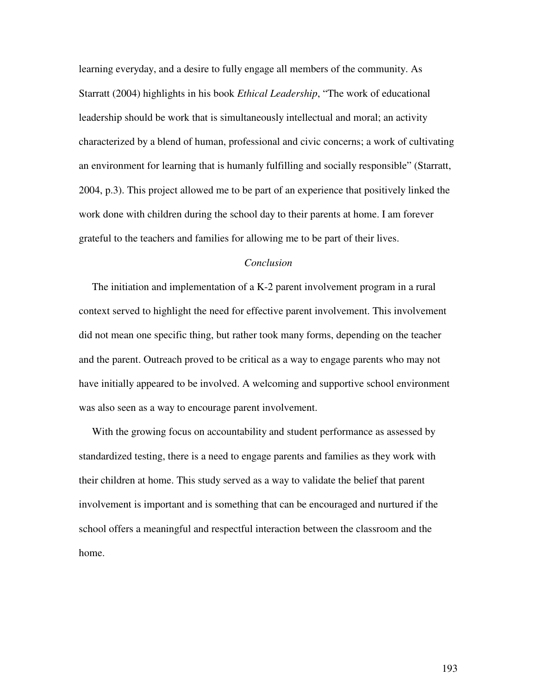learning everyday, and a desire to fully engage all members of the community. As Starratt (2004) highlights in his book *Ethical Leadership*, "The work of educational leadership should be work that is simultaneously intellectual and moral; an activity characterized by a blend of human, professional and civic concerns; a work of cultivating an environment for learning that is humanly fulfilling and socially responsible" (Starratt, 2004, p.3). This project allowed me to be part of an experience that positively linked the work done with children during the school day to their parents at home. I am forever grateful to the teachers and families for allowing me to be part of their lives.

## *Conclusion*

The initiation and implementation of a K-2 parent involvement program in a rural context served to highlight the need for effective parent involvement. This involvement did not mean one specific thing, but rather took many forms, depending on the teacher and the parent. Outreach proved to be critical as a way to engage parents who may not have initially appeared to be involved. A welcoming and supportive school environment was also seen as a way to encourage parent involvement.

With the growing focus on accountability and student performance as assessed by standardized testing, there is a need to engage parents and families as they work with their children at home. This study served as a way to validate the belief that parent involvement is important and is something that can be encouraged and nurtured if the school offers a meaningful and respectful interaction between the classroom and the home.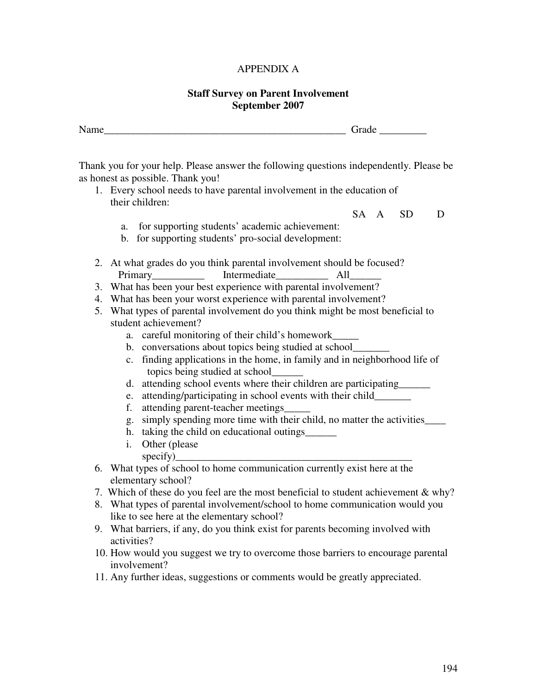# APPENDIX A

## **Staff Survey on Parent Involvement September 2007**

| Name__ |                                                                                                                                 |                                            |                                     |                                                                                         |  |      | Grade     |   |
|--------|---------------------------------------------------------------------------------------------------------------------------------|--------------------------------------------|-------------------------------------|-----------------------------------------------------------------------------------------|--|------|-----------|---|
|        |                                                                                                                                 | as honest as possible. Thank you!          |                                     | Thank you for your help. Please answer the following questions independently. Please be |  |      |           |   |
|        |                                                                                                                                 |                                            |                                     | 1. Every school needs to have parental involvement in the education of                  |  |      |           |   |
|        |                                                                                                                                 | their children:                            |                                     |                                                                                         |  |      |           |   |
|        |                                                                                                                                 |                                            |                                     |                                                                                         |  | SA A | <b>SD</b> | D |
|        | a.                                                                                                                              |                                            |                                     | for supporting students' academic achievement:                                          |  |      |           |   |
|        |                                                                                                                                 |                                            |                                     | b. for supporting students' pro-social development:                                     |  |      |           |   |
|        |                                                                                                                                 |                                            |                                     |                                                                                         |  |      |           |   |
|        |                                                                                                                                 |                                            |                                     | 2. At what grades do you think parental involvement should be focused?                  |  |      |           |   |
|        |                                                                                                                                 |                                            |                                     |                                                                                         |  |      |           |   |
| 3.     |                                                                                                                                 |                                            |                                     |                                                                                         |  |      |           |   |
| 4.     | What has been your best experience with parental involvement?<br>What has been your worst experience with parental involvement? |                                            |                                     |                                                                                         |  |      |           |   |
| 5.     |                                                                                                                                 |                                            |                                     |                                                                                         |  |      |           |   |
|        | What types of parental involvement do you think might be most beneficial to<br>student achievement?                             |                                            |                                     |                                                                                         |  |      |           |   |
|        |                                                                                                                                 |                                            |                                     | a. careful monitoring of their child's homework________                                 |  |      |           |   |
|        |                                                                                                                                 |                                            |                                     | b. conversations about topics being studied at school_                                  |  |      |           |   |
|        |                                                                                                                                 |                                            |                                     | c. finding applications in the home, in family and in neighborhood life of              |  |      |           |   |
|        |                                                                                                                                 |                                            | topics being studied at school_____ |                                                                                         |  |      |           |   |
|        |                                                                                                                                 |                                            |                                     | d. attending school events where their children are participating______                 |  |      |           |   |
|        | e.                                                                                                                              |                                            |                                     | attending/participating in school events with their child________                       |  |      |           |   |
|        | f.                                                                                                                              | attending parent-teacher meetings_         |                                     |                                                                                         |  |      |           |   |
|        | g.                                                                                                                              |                                            |                                     | simply spending more time with their child, no matter the activities_                   |  |      |           |   |
|        | taking the child on educational outings_______<br>h.                                                                            |                                            |                                     |                                                                                         |  |      |           |   |
|        | i.                                                                                                                              | Other (please                              |                                     |                                                                                         |  |      |           |   |
|        |                                                                                                                                 | specify)                                   |                                     |                                                                                         |  |      |           |   |
|        |                                                                                                                                 |                                            |                                     | 6. What types of school to home communication currently exist here at the               |  |      |           |   |
|        |                                                                                                                                 | elementary school?                         |                                     |                                                                                         |  |      |           |   |
|        |                                                                                                                                 |                                            |                                     | 7. Which of these do you feel are the most beneficial to student achievement & why?     |  |      |           |   |
| 8.     |                                                                                                                                 |                                            |                                     | What types of parental involvement/school to home communication would you               |  |      |           |   |
|        |                                                                                                                                 | like to see here at the elementary school? |                                     |                                                                                         |  |      |           |   |
|        |                                                                                                                                 |                                            |                                     | 9. What barriers, if any, do you think exist for parents becoming involved with         |  |      |           |   |
|        | activities?                                                                                                                     |                                            |                                     |                                                                                         |  |      |           |   |
|        |                                                                                                                                 |                                            |                                     | 10. How would you suggest we try to overcome those barriers to encourage parental       |  |      |           |   |

- involvement?
- 11. Any further ideas, suggestions or comments would be greatly appreciated.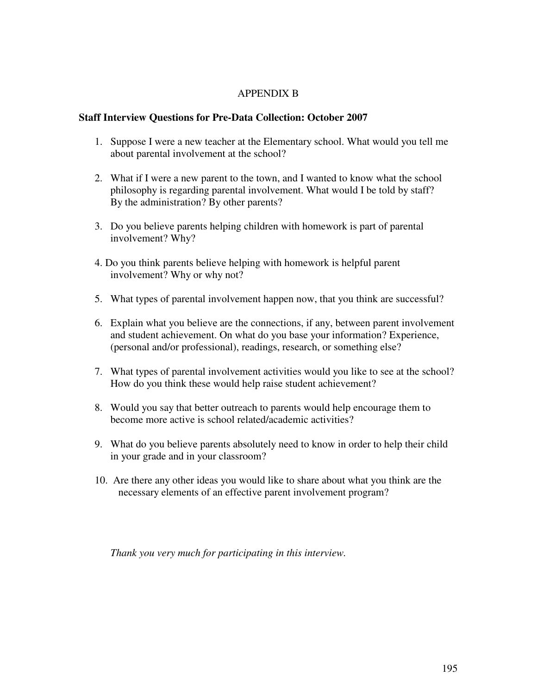# APPENDIX B

## **Staff Interview Questions for Pre-Data Collection: October 2007**

- 1. Suppose I were a new teacher at the Elementary school. What would you tell me about parental involvement at the school?
- 2. What if I were a new parent to the town, and I wanted to know what the school philosophy is regarding parental involvement. What would I be told by staff? By the administration? By other parents?
- 3. Do you believe parents helping children with homework is part of parental involvement? Why?
- 4. Do you think parents believe helping with homework is helpful parent involvement? Why or why not?
- 5. What types of parental involvement happen now, that you think are successful?
- 6. Explain what you believe are the connections, if any, between parent involvement and student achievement. On what do you base your information? Experience, (personal and/or professional), readings, research, or something else?
- 7. What types of parental involvement activities would you like to see at the school? How do you think these would help raise student achievement?
- 8. Would you say that better outreach to parents would help encourage them to become more active is school related/academic activities?
- 9. What do you believe parents absolutely need to know in order to help their child in your grade and in your classroom?
- 10. Are there any other ideas you would like to share about what you think are the necessary elements of an effective parent involvement program?

*Thank you very much for participating in this interview.*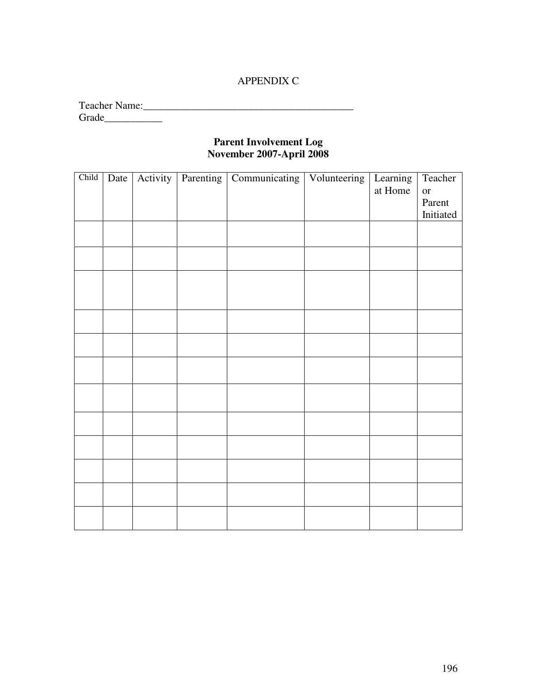# APPENDIX C

| <b>Teacher Name:</b> |  |  |
|----------------------|--|--|
| Grade                |  |  |

## **Parent Involvement Log November 2007-April 2008**

| Child | Date | Activity | Parenting | Communicating   Volunteering   Learning | at Home | Teacher<br><b>or</b> |
|-------|------|----------|-----------|-----------------------------------------|---------|----------------------|
|       |      |          |           |                                         |         | Parent               |
|       |      |          |           |                                         |         | Initiated            |
|       |      |          |           |                                         |         |                      |
|       |      |          |           |                                         |         |                      |
|       |      |          |           |                                         |         |                      |
|       |      |          |           |                                         |         |                      |
|       |      |          |           |                                         |         |                      |
|       |      |          |           |                                         |         |                      |
|       |      |          |           |                                         |         |                      |
|       |      |          |           |                                         |         |                      |
|       |      |          |           |                                         |         |                      |
|       |      |          |           |                                         |         |                      |
|       |      |          |           |                                         |         |                      |
|       |      |          |           |                                         |         |                      |
|       |      |          |           |                                         |         |                      |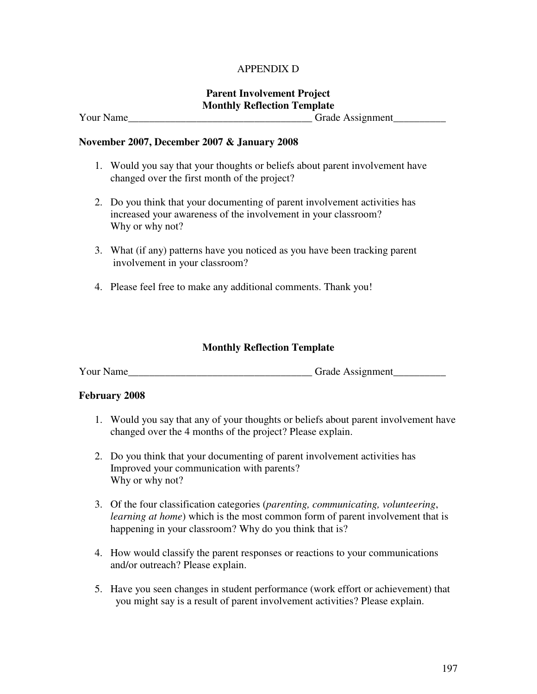# APPENDIX D

# **Parent Involvement Project Monthly Reflection Template**

Your Name\_\_\_\_\_\_\_\_\_\_\_\_\_\_\_\_\_\_\_\_\_\_\_\_\_\_\_\_\_\_\_\_\_\_\_ Grade Assignment\_\_\_\_\_\_\_\_\_\_

## **November 2007, December 2007 & January 2008**

- 1. Would you say that your thoughts or beliefs about parent involvement have changed over the first month of the project?
- 2. Do you think that your documenting of parent involvement activities has increased your awareness of the involvement in your classroom? Why or why not?
- 3. What (if any) patterns have you noticed as you have been tracking parent involvement in your classroom?
- 4. Please feel free to make any additional comments. Thank you!

# **Monthly Reflection Template**

Your Name\_\_\_\_\_\_\_\_\_\_\_\_\_\_\_\_\_\_\_\_\_\_\_\_\_\_\_\_\_\_\_\_\_\_\_ Grade Assignment\_\_\_\_\_\_\_\_\_\_

## **February 2008**

- 1. Would you say that any of your thoughts or beliefs about parent involvement have changed over the 4 months of the project? Please explain.
- 2. Do you think that your documenting of parent involvement activities has Improved your communication with parents? Why or why not?
- 3. Of the four classification categories (*parenting, communicating, volunteering*, *learning at home*) which is the most common form of parent involvement that is happening in your classroom? Why do you think that is?
- 4. How would classify the parent responses or reactions to your communications and/or outreach? Please explain.
- 5. Have you seen changes in student performance (work effort or achievement) that you might say is a result of parent involvement activities? Please explain.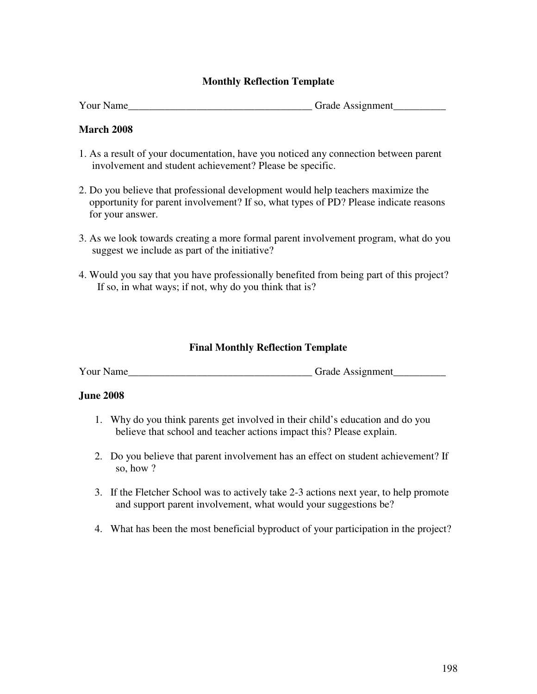# **Monthly Reflection Template**

| <b>Your Name</b> | <b>Grade Assignment</b> |
|------------------|-------------------------|
|------------------|-------------------------|

# **March 2008**

- 1. As a result of your documentation, have you noticed any connection between parent involvement and student achievement? Please be specific.
- 2. Do you believe that professional development would help teachers maximize the opportunity for parent involvement? If so, what types of PD? Please indicate reasons for your answer.
- 3. As we look towards creating a more formal parent involvement program, what do you suggest we include as part of the initiative?
- 4. Would you say that you have professionally benefited from being part of this project? If so, in what ways; if not, why do you think that is?

# **Final Monthly Reflection Template**

Your Name Grade Assignment

## **June 2008**

- 1. Why do you think parents get involved in their child's education and do you believe that school and teacher actions impact this? Please explain.
- 2. Do you believe that parent involvement has an effect on student achievement? If so, how ?
- 3. If the Fletcher School was to actively take 2-3 actions next year, to help promote and support parent involvement, what would your suggestions be?
- 4. What has been the most beneficial byproduct of your participation in the project?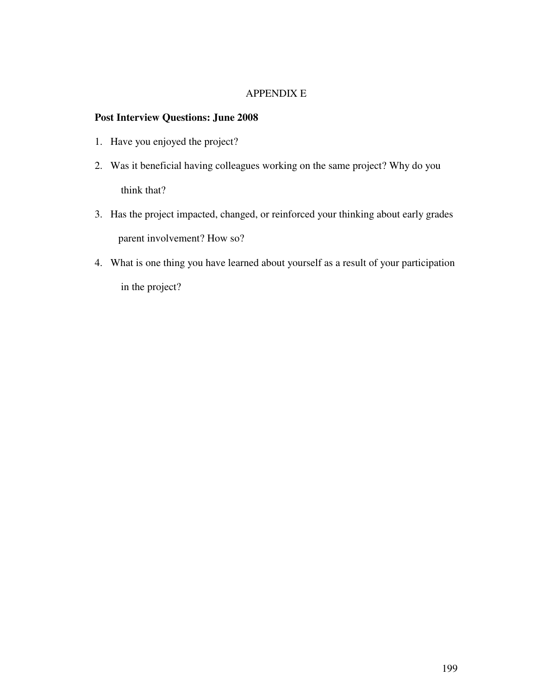## APPENDIX E

# **Post Interview Questions: June 2008**

- 1. Have you enjoyed the project?
- 2. Was it beneficial having colleagues working on the same project? Why do you think that?
- 3. Has the project impacted, changed, or reinforced your thinking about early grades parent involvement? How so?
- 4. What is one thing you have learned about yourself as a result of your participation in the project?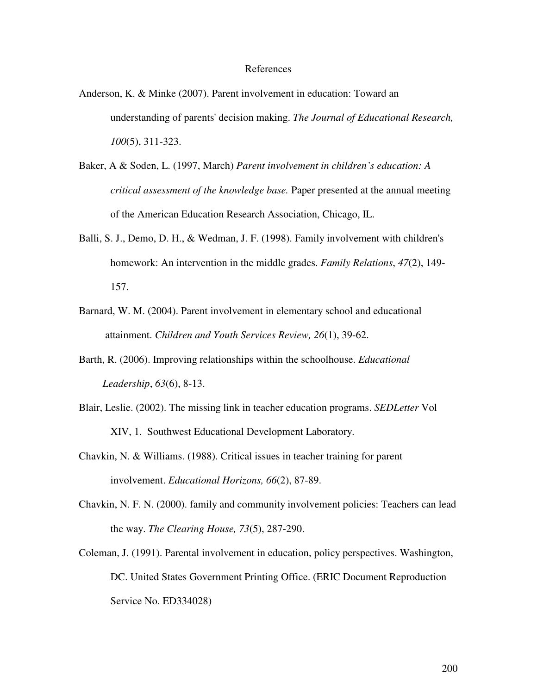### References

- Anderson, K. & Minke (2007). Parent involvement in education: Toward an understanding of parents'decision making. *The Journal of Educational Research, 100*(5), 311-323.
- Baker, A & Soden, L. (1997, March) *Parent involvement in children's education: A critical assessment of the knowledge base.* Paper presented at the annual meeting of the American Education Research Association, Chicago, IL.
- Balli, S. J., Demo, D. H., & Wedman, J. F. (1998). Family involvement with children's homework: An intervention in the middle grades. *Family Relations*, *47*(2), 149- 157.
- Barnard, W. M. (2004). Parent involvement in elementary school and educational attainment. *Children and Youth Services Review, 26*(1), 39-62.
- Barth, R. (2006). Improving relationships within the schoolhouse. *Educational Leadership*, *63*(6), 8-13.
- Blair, Leslie. (2002). The missing link in teacher education programs. *SEDLetter* Vol XIV, 1. Southwest Educational Development Laboratory.
- Chavkin, N. & Williams. (1988). Critical issues in teacher training for parent involvement. *Educational Horizons, 66*(2), 87-89.
- Chavkin, N. F. N. (2000). family and community involvement policies: Teachers can lead the way. *The Clearing House, 73*(5), 287-290.
- Coleman, J. (1991). Parental involvement in education, policy perspectives. Washington, DC. United States Government Printing Office. (ERIC Document Reproduction Service No. ED334028)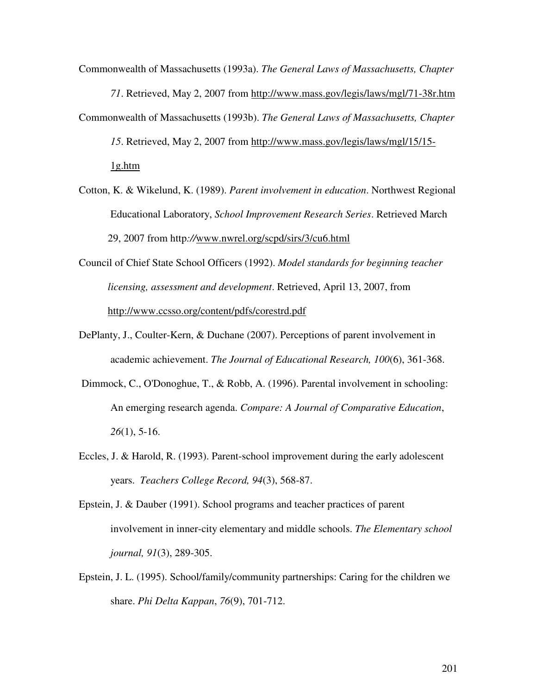Commonwealth of Massachusetts (1993a). *The General Laws of Massachusetts, Chapter 71*. Retrieved, May 2, 2007 from http://www.mass.gov/legis/laws/mgl/71-38r.htm Commonwealth of Massachusetts (1993b). *The General Laws of Massachusetts, Chapter 15*. Retrieved, May 2, 2007 from http://www.mass.gov/legis/laws/mgl/15/15- 1g.htm

- Cotton, K. & Wikelund, K. (1989). *Parent involvement in education*. Northwest Regional Educational Laboratory, *School Improvement Research Series*. Retrieved March 29, 2007 from http*://*www.nwrel.org/scpd/sirs/3/cu6.html
- Council of Chief State School Officers (1992). *Model standards for beginning teacher licensing, assessment and development*. Retrieved, April 13, 2007, from http://www.ccsso.org/content/pdfs/corestrd.pdf
- DePlanty, J., Coulter-Kern, & Duchane (2007). Perceptions of parent involvement in academic achievement. *The Journal of Educational Research, 100*(6), 361-368.
- Dimmock, C., O'Donoghue, T., & Robb, A. (1996). Parental involvement in schooling: An emerging research agenda. *Compare: A Journal of Comparative Education*, *26*(1), 5-16.
- Eccles, J. & Harold, R. (1993). Parent-school improvement during the early adolescent years. *Teachers College Record, 94*(3), 568-87.
- Epstein, J. & Dauber (1991). School programs and teacher practices of parent involvement in inner-city elementary and middle schools. *The Elementary school journal, 91*(3), 289-305.
- Epstein, J. L. (1995). School/family/community partnerships: Caring for the children we share. *Phi Delta Kappan*, *76*(9), 701-712.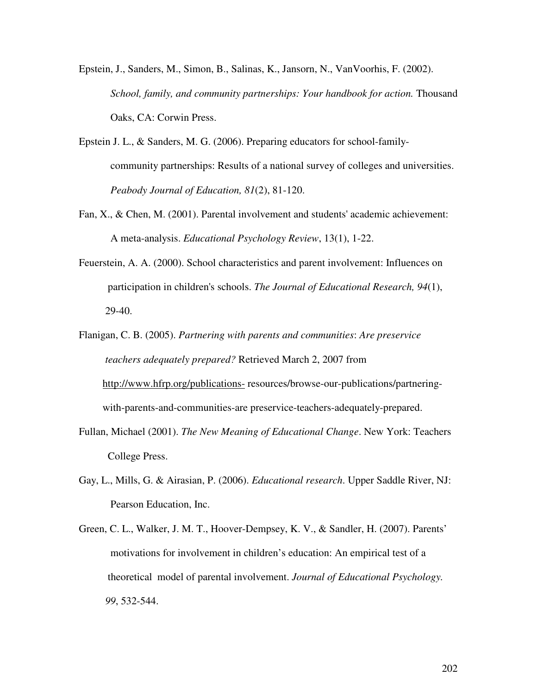- Epstein, J., Sanders, M., Simon, B., Salinas, K., Jansorn, N., VanVoorhis, F. (2002). *School, family, and community partnerships: Your handbook for action.* Thousand Oaks, CA: Corwin Press.
- Epstein J. L., & Sanders, M. G. (2006). Preparing educators for school-familycommunity partnerships: Results of a national survey of colleges and universities. *Peabody Journal of Education, 81*(2), 81-120.
- Fan, X., & Chen, M. (2001). Parental involvement and students'academic achievement: A meta-analysis. *Educational Psychology Review*, 13(1), 1-22.
- Feuerstein, A. A. (2000). School characteristics and parent involvement: Influences on participation in children's schools. *The Journal of Educational Research, 94*(1), 29-40.
- Flanigan, C. B. (2005). *Partnering with parents and communities*: *Are preservice teachers adequately prepared?* Retrieved March 2, 2007 from http://www.hfrp.org/publications- resources/browse-our-publications/partneringwith-parents-and-communities-are preservice-teachers-adequately-prepared.
- Fullan, Michael (2001). *The New Meaning of Educational Change*. New York: Teachers College Press.
- Gay, L., Mills, G. & Airasian, P. (2006). *Educational research*. Upper Saddle River, NJ: Pearson Education, Inc.
- Green, C. L., Walker, J. M. T., Hoover-Dempsey, K. V., & Sandler, H. (2007). Parents' motivations for involvement in children's education: An empirical test of a theoretical model of parental involvement. *Journal of Educational Psychology. 99*, 532-544.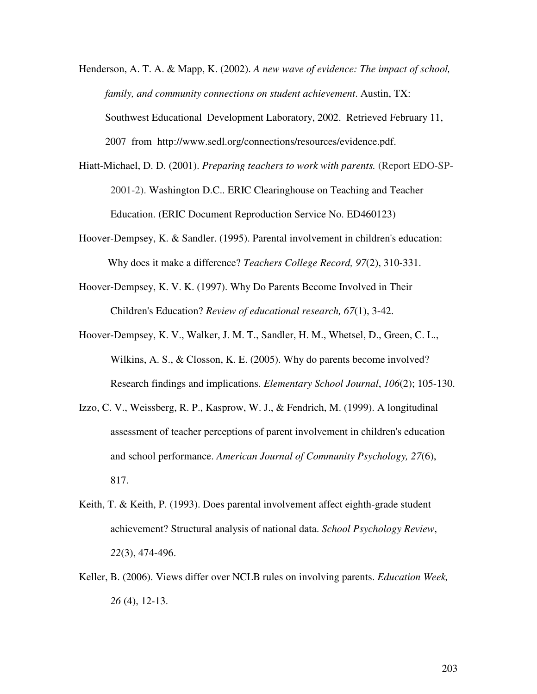- Henderson, A. T. A. & Mapp, K. (2002). *A new wave of evidence: The impact of school, family, and community connections on student achievement*. Austin, TX: Southwest Educational Development Laboratory, 2002. Retrieved February 11, 2007 from http://www.sedl.org/connections/resources/evidence.pdf.
- Hiatt-Michael, D. D. (2001). *Preparing teachers to work with parents.* (Report EDO-SP-2001-2). Washington D.C.. ERIC Clearinghouse on Teaching and Teacher Education. (ERIC Document Reproduction Service No. ED460123)
- Hoover-Dempsey, K. & Sandler. (1995). Parental involvement in children's education: Why does it make a difference? *Teachers College Record, 97*(2), 310-331.
- Hoover-Dempsey, K. V. K. (1997). Why Do Parents Become Involved in Their Children's Education? *Review of educational research, 67*(1), 3-42.
- Hoover-Dempsey, K. V., Walker, J. M. T., Sandler, H. M., Whetsel, D., Green, C. L., Wilkins, A. S., & Closson, K. E. (2005). Why do parents become involved? Research findings and implications. *Elementary School Journal*, *106*(2); 105-130.
- Izzo, C. V., Weissberg, R. P., Kasprow, W. J., & Fendrich, M. (1999). A longitudinal assessment of teacher perceptions of parent involvement in children's education and school performance. *American Journal of Community Psychology, 27*(6), 817.
- Keith, T. & Keith, P. (1993). Does parental involvement affect eighth-grade student achievement? Structural analysis of national data. *School Psychology Review*, *22*(3), 474-496.
- Keller, B. (2006). Views differ over NCLB rules on involving parents. *Education Week, 26* (4), 12-13.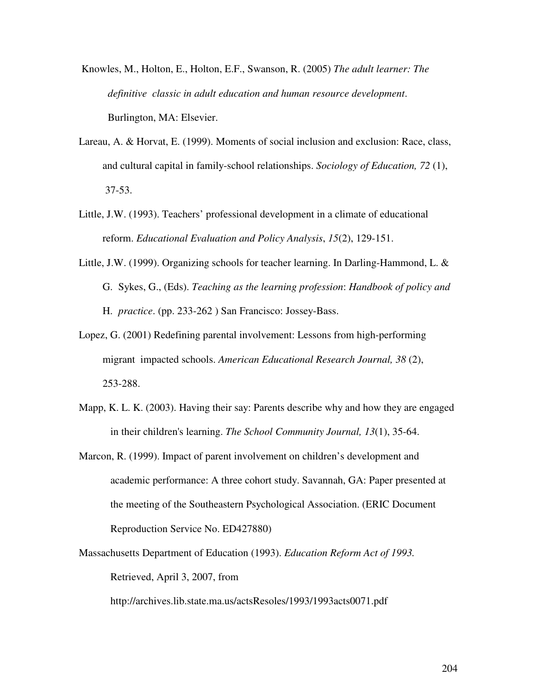- Knowles, M., Holton, E., Holton, E.F., Swanson, R. (2005) *The adult learner: The definitive classic in adult education and human resource development*. Burlington, MA: Elsevier.
- Lareau, A. & Horvat, E. (1999). Moments of social inclusion and exclusion: Race, class, and cultural capital in family-school relationships. *Sociology of Education, 72* (1), 37-53.
- Little, J.W. (1993). Teachers' professional development in a climate of educational reform. *Educational Evaluation and Policy Analysis*, *15*(2), 129-151.
- Little, J.W. (1999). Organizing schools for teacher learning. In Darling-Hammond, L. & G. Sykes, G., (Eds). *Teaching as the learning profession*: *Handbook of policy and* H. *practice*. (pp. 233-262 ) San Francisco: Jossey-Bass.
- Lopez, G. (2001) Redefining parental involvement: Lessons from high-performing migrant impacted schools. *American Educational Research Journal, 38* (2), 253-288.
- Mapp, K. L. K. (2003). Having their say: Parents describe why and how they are engaged in their children's learning. *The School Community Journal, 13*(1), 35-64.
- Marcon, R. (1999). Impact of parent involvement on children's development and academic performance: A three cohort study. Savannah, GA: Paper presented at the meeting of the Southeastern Psychological Association. (ERIC Document Reproduction Service No. ED427880)
- Massachusetts Department of Education (1993). *Education Reform Act of 1993.* Retrieved, April 3, 2007, from

http://archives.lib.state.ma.us/actsResoles/1993/1993acts0071.pdf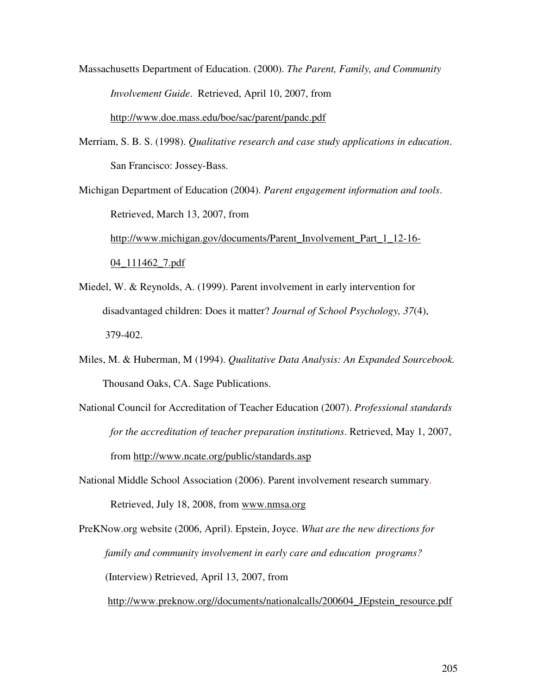Massachusetts Department of Education. (2000). *The Parent, Family, and Community Involvement Guide*. Retrieved, April 10, 2007, from http://www.doe.mass.edu/boe/sac/parent/pandc.pdf

Merriam, S. B. S. (1998). *Qualitative research and case study applications in education*. San Francisco: Jossey-Bass.

Michigan Department of Education (2004). *Parent engagement information and tools*. Retrieved, March 13, 2007, from http://www.michigan.gov/documents/Parent\_Involvement\_Part\_1\_12-16- 04\_111462\_7.pdf

- Miedel, W. & Reynolds, A. (1999). Parent involvement in early intervention for disadvantaged children: Does it matter? *Journal of School Psychology, 37*(4), 379-402.
- Miles, M. & Huberman, M (1994). *Qualitative Data Analysis: An Expanded Sourcebook.* Thousand Oaks, CA. Sage Publications.
- National Council for Accreditation of Teacher Education (2007). *Professional standards for the accreditation of teacher preparation institutions*. Retrieved, May 1, 2007, from http://www.ncate.org/public/standards.asp
- National Middle School Association (2006). Parent involvement research summary. Retrieved, July 18, 2008, from www.nmsa.org

PreKNow.org website (2006, April). Epstein, Joyce. *What are the new directions for family and community involvement in early care and education programs?* (Interview) Retrieved, April 13, 2007, from

http://www.preknow.org//documents/nationalcalls/200604 JEpstein resource.pdf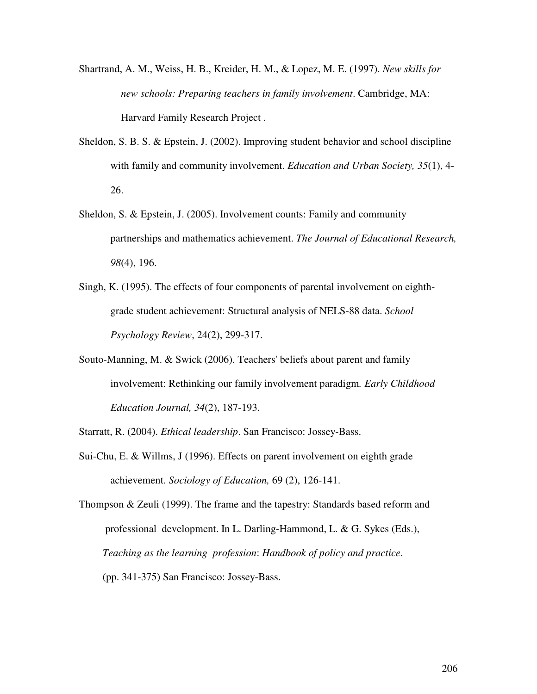- Shartrand, A. M., Weiss, H. B., Kreider, H. M., & Lopez, M. E. (1997). *New skills for new schools: Preparing teachers in family involvement*. Cambridge, MA: Harvard Family Research Project .
- Sheldon, S. B. S. & Epstein, J. (2002). Improving student behavior and school discipline with family and community involvement. *Education and Urban Society, 35*(1), 4- 26.
- Sheldon, S. & Epstein, J. (2005). Involvement counts: Family and community partnerships and mathematics achievement. *The Journal of Educational Research, 98*(4), 196.
- Singh, K. (1995). The effects of four components of parental involvement on eighthgrade student achievement: Structural analysis of NELS-88 data. *School Psychology Review*, 24(2), 299-317.
- Souto-Manning, M. & Swick (2006). Teachers'beliefs about parent and family involvement: Rethinking our family involvement paradigm*. Early Childhood Education Journal, 34*(2), 187-193.
- Starratt, R. (2004). *Ethical leadership*. San Francisco: Jossey-Bass.
- Sui-Chu, E. & Willms, J (1996). Effects on parent involvement on eighth grade achievement. *Sociology of Education,* 69 (2), 126-141.

Thompson & Zeuli (1999). The frame and the tapestry: Standards based reform and professional development. In L. Darling-Hammond, L. & G. Sykes (Eds.), *Teaching as the learning profession*: *Handbook of policy and practice*. (pp. 341-375) San Francisco: Jossey-Bass.